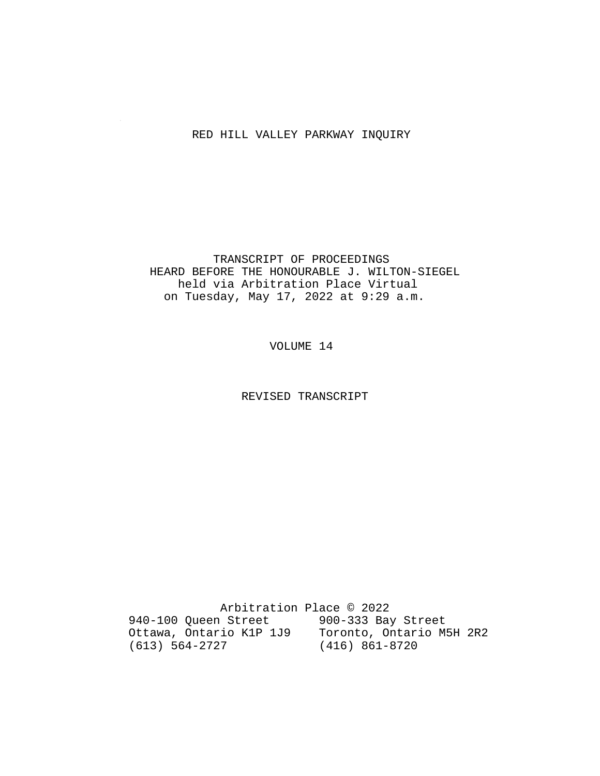#### RED HILL VALLEY PARKWAY INQUIRY

 TRANSCRIPT OF PROCEEDINGS HEARD BEFORE THE HONOURABLE J. WILTON-SIEGEL held via Arbitration Place Virtual on Tuesday, May 17, 2022 at 9:29 a.m.

VOLUME 14

REVISED TRANSCRIPT

 Arbitration Place © 2022 940-100 Queen Street 900-333 Bay Street Ottawa, Ontario K1P 1J9 Toronto, Ontario M5H 2R2 (613) 564-2727 (416) 861-8720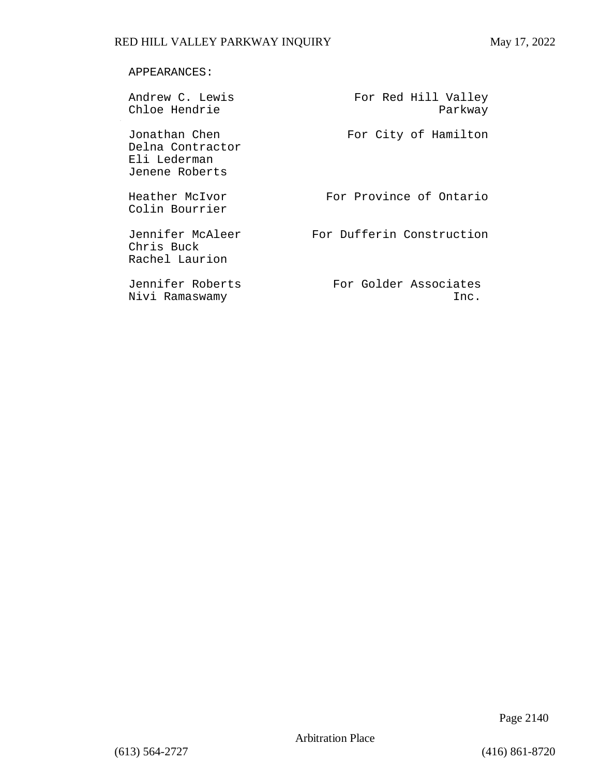#### APPEARANCES:

| Andrew C. Lewis<br>Chloe Hendrie                                    | For Red Hill Valley<br>Parkway |
|---------------------------------------------------------------------|--------------------------------|
| Jonathan Chen<br>Delna Contractor<br>Eli Lederman<br>Jenene Roberts | For City of Hamilton           |
| Heather McIvor<br>Colin Bourrier                                    | For Province of Ontario        |
| Jennifer McAleer<br>Chris Buck<br>Rachel Laurion                    | For Dufferin Construction      |
| Jennifer Roberts<br>Nivi Ramaswamy                                  | For Golder Associates<br>Inc.  |

Page 2140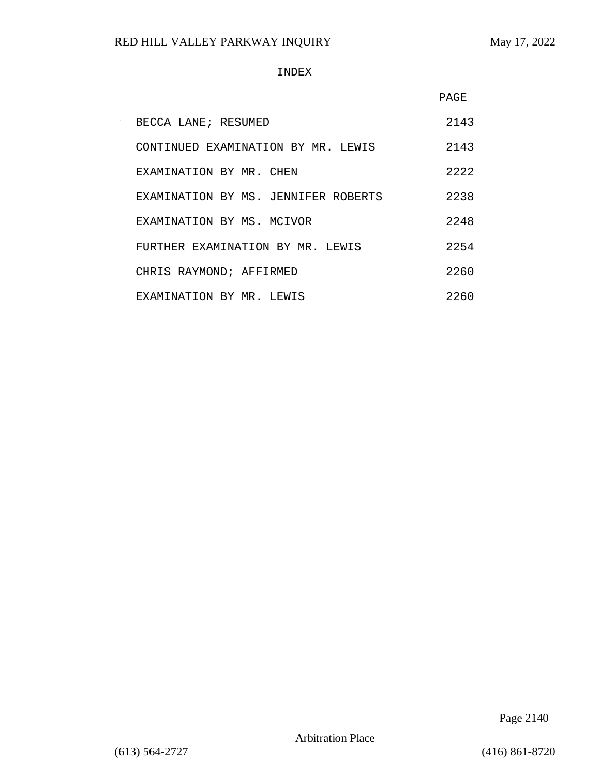#### INDEX

|                                     | PAGE |
|-------------------------------------|------|
| BECCA LANE; RESUMED                 | 2143 |
| CONTINUED EXAMINATION BY MR. LEWIS  | 2143 |
| EXAMINATION BY MR. CHEN             | 2222 |
| EXAMINATION BY MS. JENNIFER ROBERTS | 2238 |
| EXAMINATION BY MS. MCIVOR           | 2248 |
| FURTHER EXAMINATION BY MR. LEWIS    | 2254 |
| CHRIS RAYMOND; AFFIRMED             | 2260 |
| EXAMINATION BY MR. LEWIS            | 2260 |

Page 2140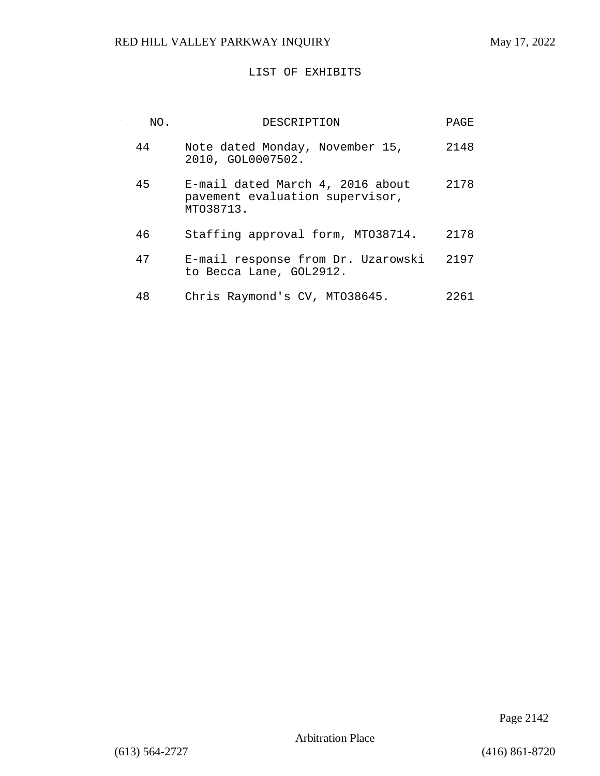$\sim$ 

#### LIST OF EXHIBITS

| NO. | DESCRIPTION                                                                      | PAGE |
|-----|----------------------------------------------------------------------------------|------|
| 44  | Note dated Monday, November 15,<br>2010, GOL0007502.                             | 2148 |
| 45  | E-mail dated March 4, 2016 about<br>pavement evaluation supervisor,<br>MT038713. | 2178 |
| 46  | Staffing approval form, MT038714.                                                | 2178 |
| 47  | E-mail response from Dr. Uzarowski<br>to Becca Lane, GOL2912.                    | 2197 |
| 48  | Chris Raymond's CV, MT038645.                                                    | 2261 |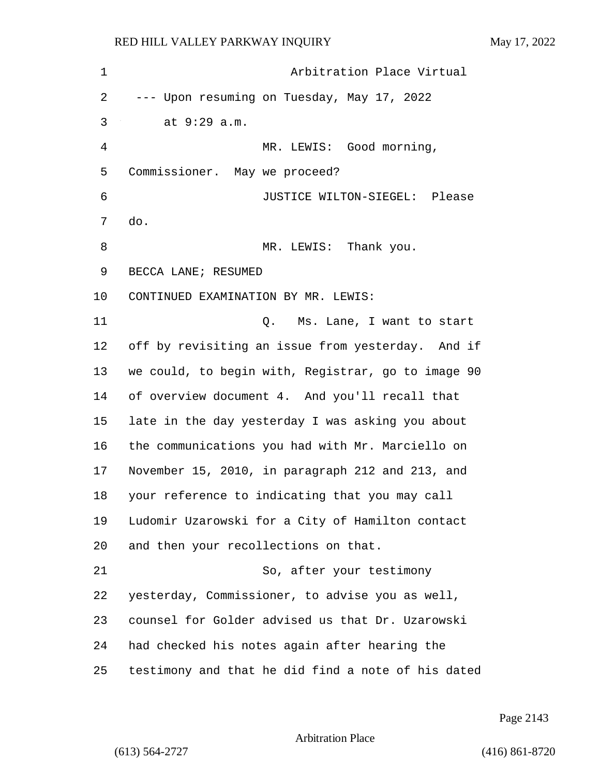| 1              | Arbitration Place Virtual                          |
|----------------|----------------------------------------------------|
| 2              | --- Upon resuming on Tuesday, May 17, 2022         |
| 3              | at 9:29 a.m.                                       |
| $\overline{4}$ | MR. LEWIS: Good morning,                           |
| 5              | Commissioner. May we proceed?                      |
| 6              | JUSTICE WILTON-SIEGEL: Please                      |
| 7              | do.                                                |
| 8              | MR. LEWIS: Thank you.                              |
| 9              | BECCA LANE; RESUMED                                |
| 10             | CONTINUED EXAMINATION BY MR. LEWIS:                |
| 11             | Ms. Lane, I want to start<br>Q.                    |
| 12             | off by revisiting an issue from yesterday. And if  |
| 13             | we could, to begin with, Registrar, go to image 90 |
| 14             | of overview document 4. And you'll recall that     |
| 15             | late in the day yesterday I was asking you about   |
| 16             | the communications you had with Mr. Marciello on   |
| 17             | November 15, 2010, in paragraph 212 and 213, and   |
| 18             | your reference to indicating that you may call     |
| 19             | Ludomir Uzarowski for a City of Hamilton contact   |
| 20             | and then your recollections on that.               |
| 21             | So, after your testimony                           |
| 22             | yesterday, Commissioner, to advise you as well,    |
| 23             | counsel for Golder advised us that Dr. Uzarowski   |
| 24             | had checked his notes again after hearing the      |
| 25             | testimony and that he did find a note of his dated |

Page 2143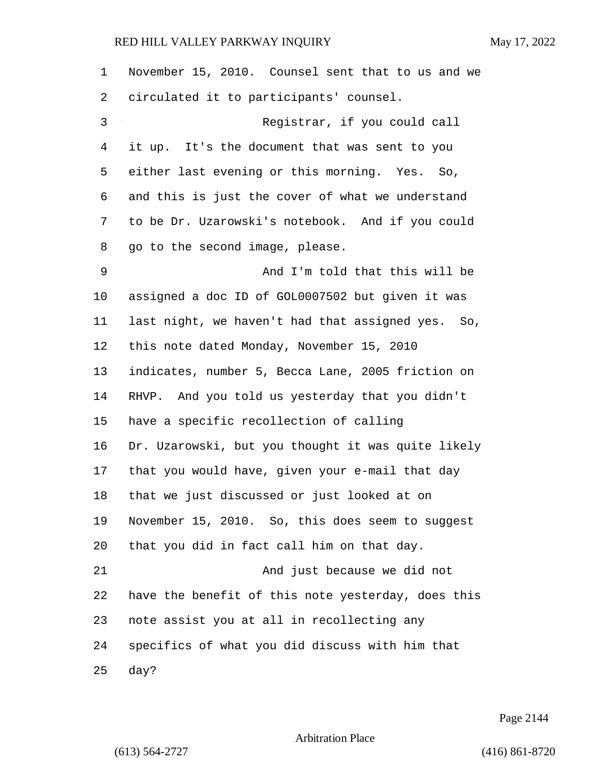| $\mathbf 1$ | November 15, 2010. Counsel sent that to us and we  |
|-------------|----------------------------------------------------|
| 2           | circulated it to participants' counsel.            |
| 3           | Registrar, if you could call                       |
| 4           | it up. It's the document that was sent to you      |
| 5           | either last evening or this morning. Yes. So,      |
| 6           | and this is just the cover of what we understand   |
| 7           | to be Dr. Uzarowski's notebook. And if you could   |
| 8           | go to the second image, please.                    |
| 9           | And I'm told that this will be                     |
| 10          | assigned a doc ID of GOL0007502 but given it was   |
| 11          | last night, we haven't had that assigned yes. So,  |
| 12          | this note dated Monday, November 15, 2010          |
| 13          | indicates, number 5, Becca Lane, 2005 friction on  |
| 14          | RHVP. And you told us yesterday that you didn't    |
| 15          | have a specific recollection of calling            |
| 16          | Dr. Uzarowski, but you thought it was quite likely |
| 17          | that you would have, given your e-mail that day    |
| 18          | that we just discussed or just looked at on        |
| 19          | November 15, 2010. So, this does seem to suggest   |
| 20          | that you did in fact call him on that day.         |
| 21          | And just because we did not                        |
| 22          | have the benefit of this note yesterday, does this |
| 23          | note assist you at all in recollecting any         |
| 24          | specifics of what you did discuss with him that    |
| 25          | day?                                               |

Page 2144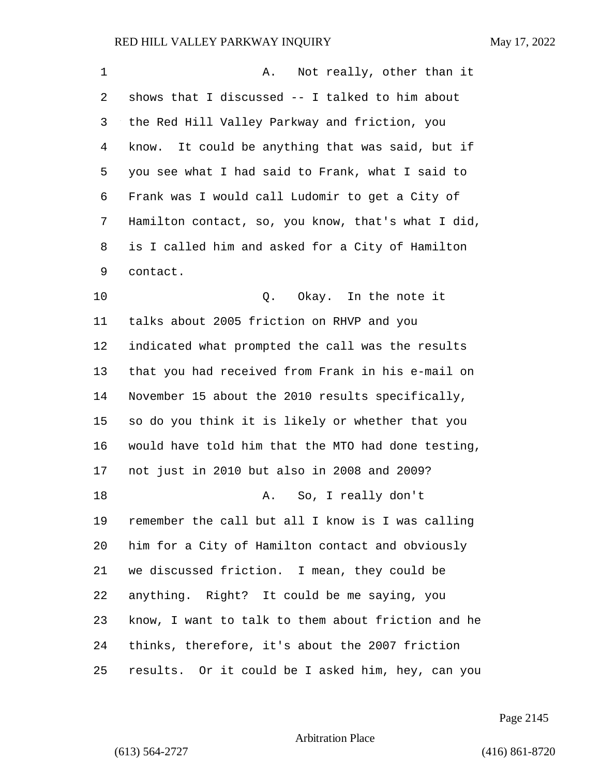| 1      | Not really, other than it<br>Α.                    |
|--------|----------------------------------------------------|
| 2      | shows that I discussed -- I talked to him about    |
| 3      | the Red Hill Valley Parkway and friction, you      |
| 4      | know. It could be anything that was said, but if   |
| 5      | you see what I had said to Frank, what I said to   |
| 6      | Frank was I would call Ludomir to get a City of    |
| 7      | Hamilton contact, so, you know, that's what I did, |
| 8      | is I called him and asked for a City of Hamilton   |
| 9      | contact.                                           |
| 10     | Q. Okay. In the note it                            |
| 11     | talks about 2005 friction on RHVP and you          |
| 12     | indicated what prompted the call was the results   |
| 13     | that you had received from Frank in his e-mail on  |
| 14     | November 15 about the 2010 results specifically,   |
| 15     | so do you think it is likely or whether that you   |
| 16     | would have told him that the MTO had done testing, |
| 17     | not just in 2010 but also in 2008 and 2009?        |
| $18\,$ | A. So, I really don't                              |
| 19     | remember the call but all I know is I was calling  |
| 20     | him for a City of Hamilton contact and obviously   |
| 21     | we discussed friction. I mean, they could be       |
| 22     | anything. Right? It could be me saying, you        |
| 23     | know, I want to talk to them about friction and he |
| 24     | thinks, therefore, it's about the 2007 friction    |
| 25     | results. Or it could be I asked him, hey, can you  |

Page 2145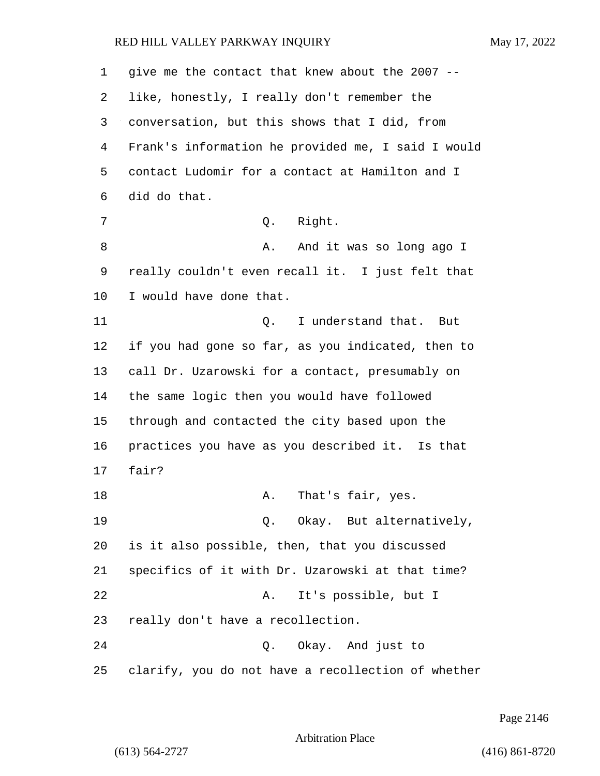| 1  | give me the contact that knew about the 2007 --    |
|----|----------------------------------------------------|
| 2  | like, honestly, I really don't remember the        |
| 3  | conversation, but this shows that I did, from      |
| 4  | Frank's information he provided me, I said I would |
| 5  | contact Ludomir for a contact at Hamilton and I    |
| 6  | did do that.                                       |
| 7  | Right.<br>Q.                                       |
| 8  | And it was so long ago I<br>Α.                     |
| 9  | really couldn't even recall it. I just felt that   |
| 10 | I would have done that.                            |
| 11 | I understand that.<br>Q.<br>But                    |
| 12 | if you had gone so far, as you indicated, then to  |
| 13 | call Dr. Uzarowski for a contact, presumably on    |
| 14 | the same logic then you would have followed        |
| 15 | through and contacted the city based upon the      |
| 16 | practices you have as you described it. Is that    |
| 17 | fair?                                              |
| 18 | That's fair, yes.<br>Α.                            |
| 19 | Q. Okay. But alternatively,                        |
| 20 | is it also possible, then, that you discussed      |
| 21 | specifics of it with Dr. Uzarowski at that time?   |
| 22 | It's possible, but I<br>Α.                         |
| 23 | really don't have a recollection.                  |
| 24 | Q. Okay. And just to                               |
| 25 | clarify, you do not have a recollection of whether |

Page 2146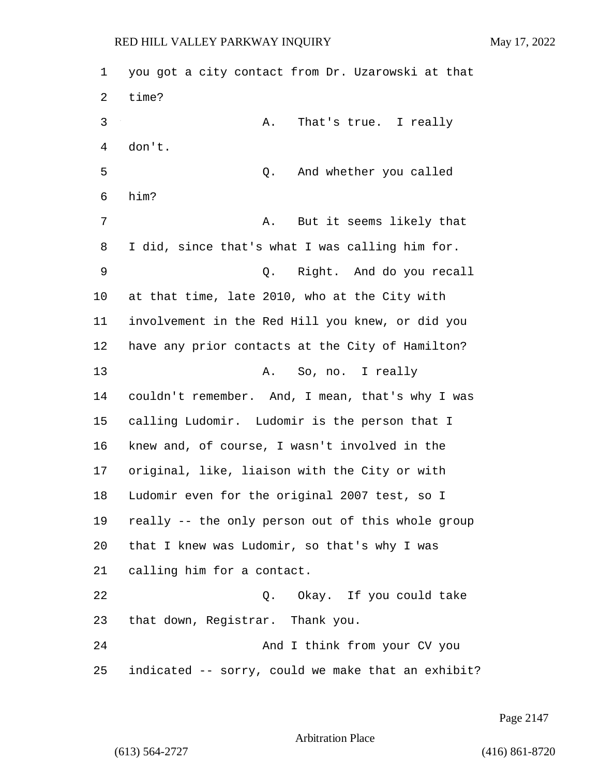| 1  | you got a city contact from Dr. Uzarowski at that  |
|----|----------------------------------------------------|
| 2  | time?                                              |
| 3  | That's true. I really<br>Α.                        |
| 4  | don't.                                             |
| 5  | And whether you called<br>Q.                       |
| 6  | him?                                               |
| 7  | But it seems likely that<br>Α.                     |
| 8  | I did, since that's what I was calling him for.    |
| 9  | Right. And do you recall<br>Q.                     |
| 10 | at that time, late 2010, who at the City with      |
| 11 | involvement in the Red Hill you knew, or did you   |
| 12 | have any prior contacts at the City of Hamilton?   |
| 13 | So, no. I really<br>Α.                             |
| 14 | couldn't remember. And, I mean, that's why I was   |
| 15 | calling Ludomir. Ludomir is the person that I      |
| 16 | knew and, of course, I wasn't involved in the      |
| 17 | original, like, liaison with the City or with      |
| 18 | Ludomir even for the original 2007 test, so I      |
| 19 | really -- the only person out of this whole group  |
| 20 | that I knew was Ludomir, so that's why I was       |
| 21 | calling him for a contact.                         |
| 22 | Q. Okay. If you could take                         |
| 23 | that down, Registrar. Thank you.                   |
| 24 | And I think from your CV you                       |
| 25 | indicated -- sorry, could we make that an exhibit? |

Page 2147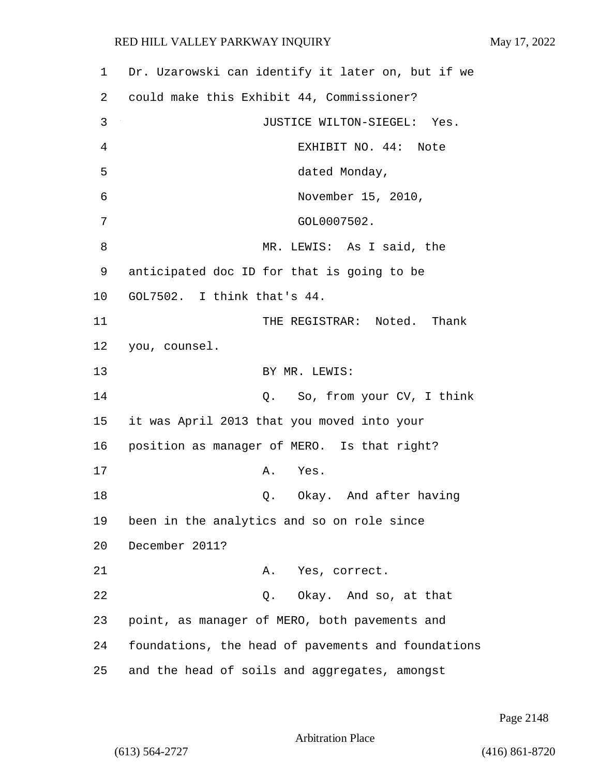| $\mathbf 1$ | Dr. Uzarowski can identify it later on, but if we  |
|-------------|----------------------------------------------------|
| 2           | could make this Exhibit 44, Commissioner?          |
| 3           | JUSTICE WILTON-SIEGEL: Yes.                        |
| 4           | EXHIBIT NO. 44: Note                               |
| 5           | dated Monday,                                      |
| 6           | November 15, 2010,                                 |
| 7           | GOL0007502.                                        |
| 8           | MR. LEWIS: As I said, the                          |
| 9           | anticipated doc ID for that is going to be         |
| $10 \,$     | GOL7502. I think that's 44.                        |
| 11          | THE REGISTRAR: Noted. Thank                        |
| 12          | you, counsel.                                      |
| 13          | BY MR. LEWIS:                                      |
| 14          | Q. So, from your CV, I think                       |
| 15          | it was April 2013 that you moved into your         |
| 16          | position as manager of MERO. Is that right?        |
| 17          | Α.<br>Yes.                                         |
| 18          | Okay. And after having<br>Q.                       |
| 19          | been in the analytics and so on role since         |
| 20          | December 2011?                                     |
| 21          | A.<br>Yes, correct.                                |
| 22          | Q. Okay. And so, at that                           |
| 23          | point, as manager of MERO, both pavements and      |
| 24          | foundations, the head of pavements and foundations |
| 25          | and the head of soils and aggregates, amongst      |

Page 2148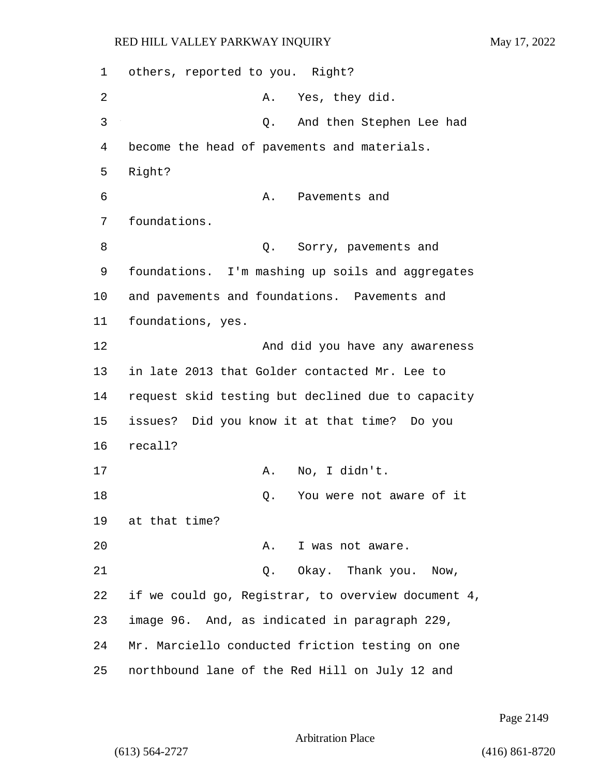1 others, reported to you. Right? 2 A. Yes, they did. 3 Q. And then Stephen Lee had 4 become the head of pavements and materials. 5 Right? 6 **A.** Pavements and 7 foundations. 8 and 2. Sorry, pavements and 9 foundations. I'm mashing up soils and aggregates 10 and pavements and foundations. Pavements and 11 foundations, yes. 12 And did you have any awareness 13 in late 2013 that Golder contacted Mr. Lee to 14 request skid testing but declined due to capacity 15 issues? Did you know it at that time? Do you 16 recall? 17 A. No, I didn't. 18 and 18 Q. You were not aware of it 19 at that time? 20 A. I was not aware. 21 Q. Okay. Thank you. Now, 22 if we could go, Registrar, to overview document 4, 23 image 96. And, as indicated in paragraph 229, 24 Mr. Marciello conducted friction testing on one 25 northbound lane of the Red Hill on July 12 and

Page 2149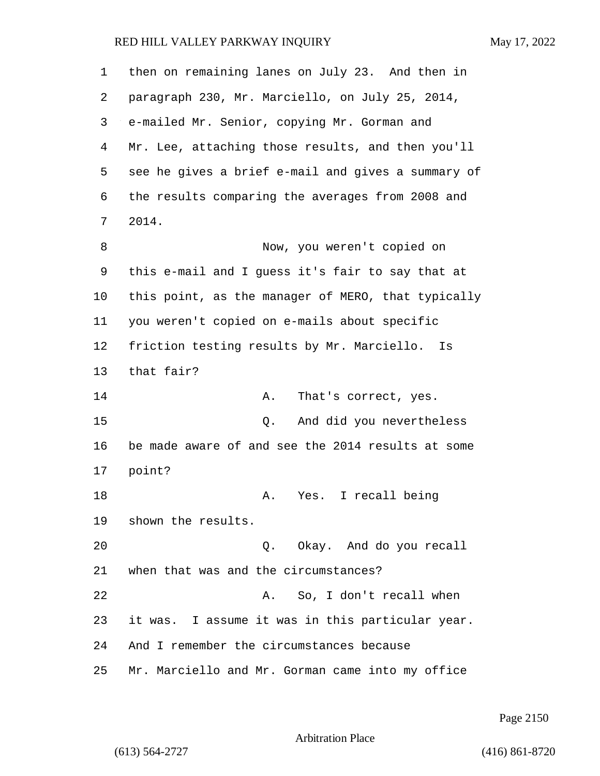| 1              | then on remaining lanes on July 23. And then in    |
|----------------|----------------------------------------------------|
| 2              | paragraph 230, Mr. Marciello, on July 25, 2014,    |
| 3              | e-mailed Mr. Senior, copying Mr. Gorman and        |
| $\overline{4}$ | Mr. Lee, attaching those results, and then you'll  |
| 5              | see he gives a brief e-mail and gives a summary of |
| 6              | the results comparing the averages from 2008 and   |
| 7              | 2014.                                              |
| 8              | Now, you weren't copied on                         |
| 9              | this e-mail and I guess it's fair to say that at   |
| 10             | this point, as the manager of MERO, that typically |
| 11             | you weren't copied on e-mails about specific       |
| 12             | friction testing results by Mr. Marciello. Is      |
| 13             | that fair?                                         |
| 14             | Α.<br>That's correct, yes.                         |
| 15             | And did you nevertheless<br>Q.                     |
| 16             | be made aware of and see the 2014 results at some  |
| 17             | point?                                             |
| 18             | A. Yes. I recall being                             |
| 19             | shown the results.                                 |
| 20             | Q. Okay. And do you recall                         |
| 21             | when that was and the circumstances?               |
| 22             | So, I don't recall when<br>Α.                      |
| 23             | it was. I assume it was in this particular year.   |
| 24             | And I remember the circumstances because           |
| 25             | Mr. Marciello and Mr. Gorman came into my office   |

Page 2150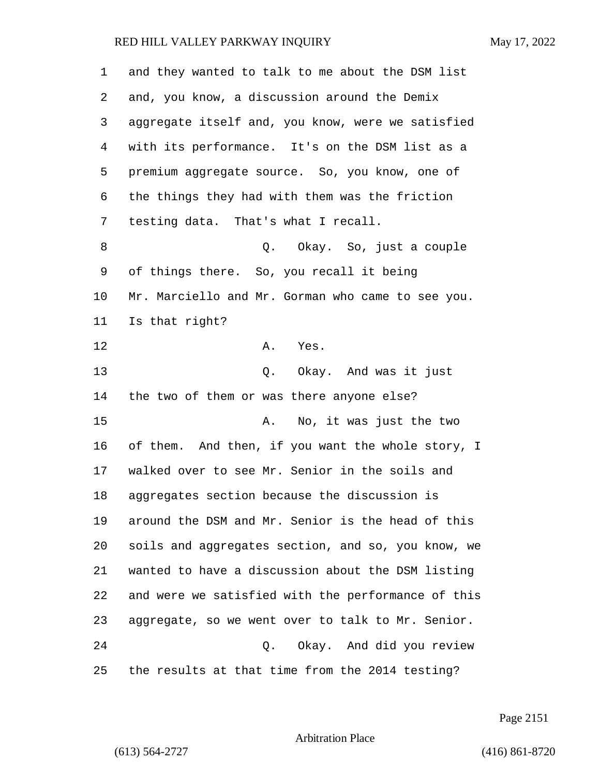| 1  | and they wanted to talk to me about the DSM list   |
|----|----------------------------------------------------|
| 2  | and, you know, a discussion around the Demix       |
| 3  | aggregate itself and, you know, were we satisfied  |
| 4  | with its performance. It's on the DSM list as a    |
| 5  | premium aggregate source. So, you know, one of     |
| 6  | the things they had with them was the friction     |
| 7  | testing data. That's what I recall.                |
| 8  | Q. Okay. So, just a couple                         |
| 9  | of things there. So, you recall it being           |
| 10 | Mr. Marciello and Mr. Gorman who came to see you.  |
| 11 | Is that right?                                     |
| 12 | Α.<br>Yes.                                         |
| 13 | Q. Okay. And was it just                           |
| 14 | the two of them or was there anyone else?          |
| 15 | No, it was just the two<br>Α.                      |
| 16 | of them. And then, if you want the whole story, I  |
| 17 | walked over to see Mr. Senior in the soils and     |
| 18 | aggregates section because the discussion is       |
| 19 | around the DSM and Mr. Senior is the head of this  |
| 20 | soils and aggregates section, and so, you know, we |
| 21 | wanted to have a discussion about the DSM listing  |
| 22 | and were we satisfied with the performance of this |
| 23 | aggregate, so we went over to talk to Mr. Senior.  |
| 24 | Okay. And did you review<br>Q.                     |
| 25 | the results at that time from the 2014 testing?    |

Page 2151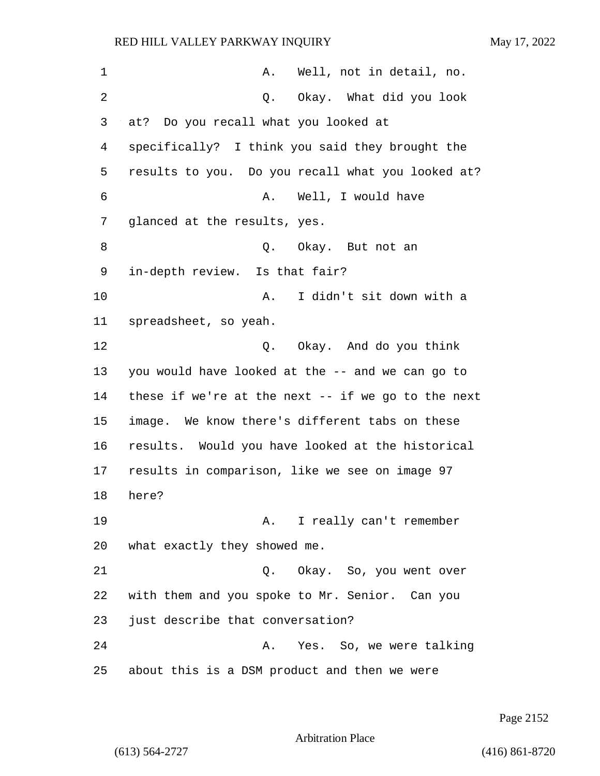1 A. Well, not in detail, no. 2 Q. Okay. What did you look 3 at? Do you recall what you looked at 4 specifically? I think you said they brought the 5 results to you. Do you recall what you looked at? 6 A. Well, I would have 7 glanced at the results, yes. 8 Q. Okay. But not an 9 in-depth review. Is that fair? 10 A. I didn't sit down with a 11 spreadsheet, so yeah. 12 C. Okay. And do you think 13 you would have looked at the -- and we can go to 14 these if we're at the next -- if we go to the next 15 image. We know there's different tabs on these 16 results. Would you have looked at the historical 17 results in comparison, like we see on image 97 18 here? 19 A. I really can't remember 20 what exactly they showed me. 21 Q. Okay. So, you went over 22 with them and you spoke to Mr. Senior. Can you 23 just describe that conversation? 24 A. Yes. So, we were talking 25 about this is a DSM product and then we were

Page 2152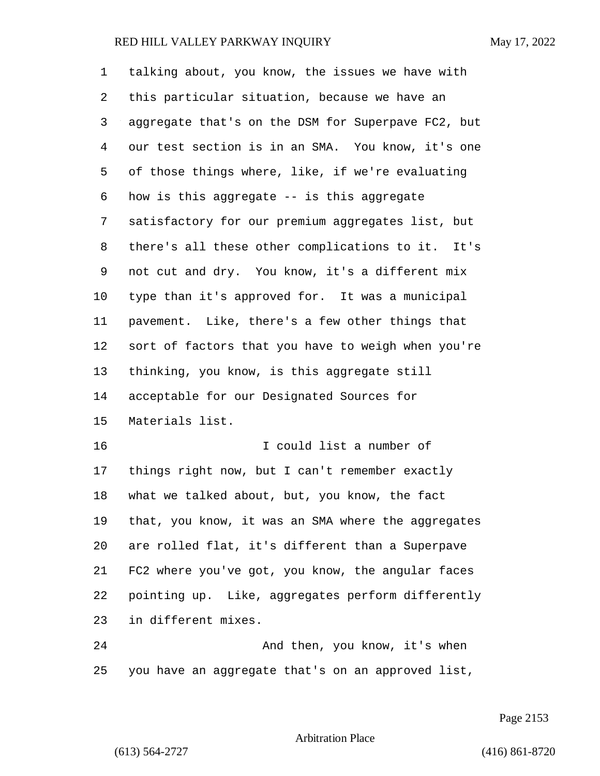| 1  | talking about, you know, the issues we have with   |
|----|----------------------------------------------------|
| 2  | this particular situation, because we have an      |
| 3  | aggregate that's on the DSM for Superpave FC2, but |
| 4  | our test section is in an SMA. You know, it's one  |
| 5  | of those things where, like, if we're evaluating   |
| 6  | how is this aggregate -- is this aggregate         |
| 7  | satisfactory for our premium aggregates list, but  |
| 8  | there's all these other complications to it. It's  |
| 9  | not cut and dry. You know, it's a different mix    |
| 10 | type than it's approved for. It was a municipal    |
| 11 | pavement. Like, there's a few other things that    |
| 12 | sort of factors that you have to weigh when you're |
| 13 | thinking, you know, is this aggregate still        |
| 14 | acceptable for our Designated Sources for          |
| 15 | Materials list.                                    |
| 16 | I could list a number of                           |
| 17 | things right now, but I can't remember exactly     |
| 18 | what we talked about, but, you know, the fact      |
| 19 | that, you know, it was an SMA where the aggregates |
| 20 | are rolled flat, it's different than a Superpave   |
| 21 | FC2 where you've got, you know, the angular faces  |
| 22 | pointing up. Like, aggregates perform differently  |
| 23 | in different mixes.                                |
| 24 | And then, you know, it's when                      |
| 25 | you have an aggregate that's on an approved list,  |

Page 2153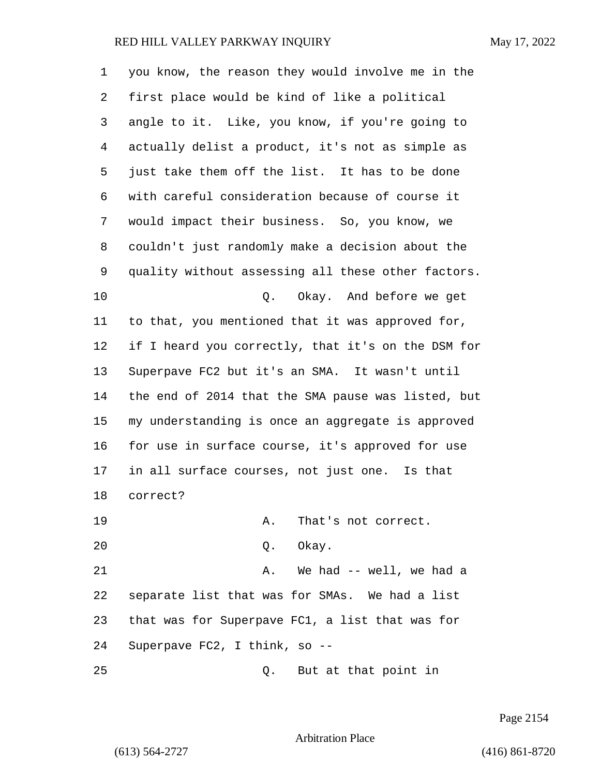| 1  | you know, the reason they would involve me in the  |
|----|----------------------------------------------------|
| 2  | first place would be kind of like a political      |
| 3  | angle to it. Like, you know, if you're going to    |
| 4  | actually delist a product, it's not as simple as   |
| 5  | just take them off the list. It has to be done     |
| 6  | with careful consideration because of course it    |
| 7  | would impact their business. So, you know, we      |
| 8  | couldn't just randomly make a decision about the   |
| 9  | quality without assessing all these other factors. |
| 10 | Q. Okay. And before we get                         |
| 11 | to that, you mentioned that it was approved for,   |
| 12 | if I heard you correctly, that it's on the DSM for |
| 13 | Superpave FC2 but it's an SMA. It wasn't until     |
| 14 | the end of 2014 that the SMA pause was listed, but |
| 15 | my understanding is once an aggregate is approved  |
| 16 | for use in surface course, it's approved for use   |
| 17 | in all surface courses, not just one. Is that      |
| 18 | correct?                                           |
| 19 | That's not correct.<br>Α.                          |
| 20 | Q. Okay.                                           |
| 21 | We had -- well, we had a<br>Α.                     |
| 22 | separate list that was for SMAs. We had a list     |
| 23 | that was for Superpave FC1, a list that was for    |
| 24 | Superpave FC2, I think, so --                      |
| 25 | But at that point in<br>Q.                         |

Page 2154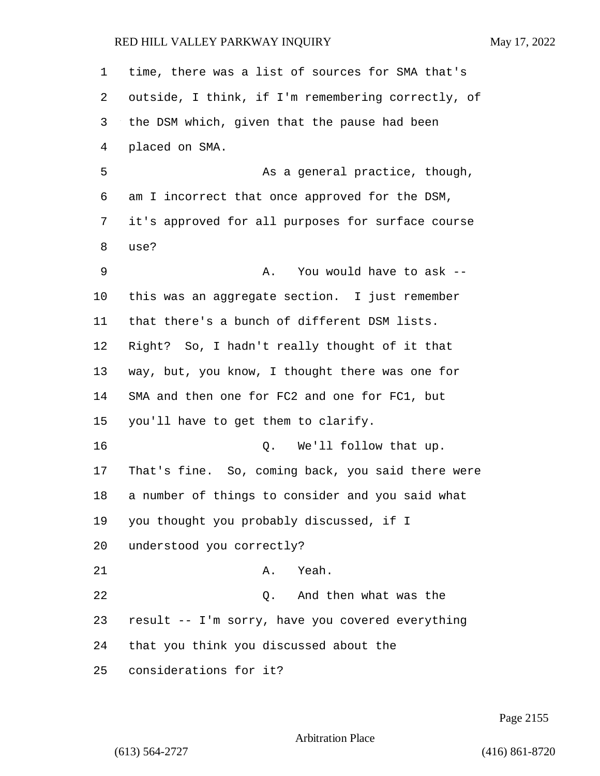time, there was a list of sources for SMA that's outside, I think, if I'm remembering correctly, of the DSM which, given that the pause had been placed on SMA. 5 As a general practice, though, am I incorrect that once approved for the DSM, it's approved for all purposes for surface course use? 9 A. You would have to ask -- this was an aggregate section. I just remember that there's a bunch of different DSM lists. Right? So, I hadn't really thought of it that way, but, you know, I thought there was one for SMA and then one for FC2 and one for FC1, but you'll have to get them to clarify. **D.** We'll follow that up. That's fine. So, coming back, you said there were a number of things to consider and you said what you thought you probably discussed, if I understood you correctly? 21 A. Yeah. 22 Q. And then what was the result -- I'm sorry, have you covered everything that you think you discussed about the considerations for it?

Page 2155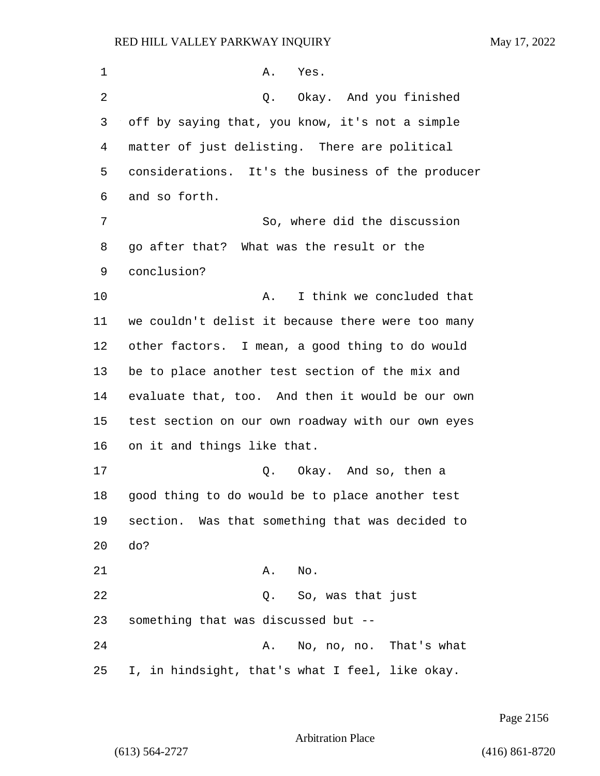| 1  | Yes.<br>Α.                                        |
|----|---------------------------------------------------|
| 2  | Okay. And you finished<br>Q.                      |
| 3  | off by saying that, you know, it's not a simple   |
| 4  | matter of just delisting. There are political     |
| 5  | considerations. It's the business of the producer |
| 6  | and so forth.                                     |
| 7  | So, where did the discussion                      |
| 8  | go after that? What was the result or the         |
| 9  | conclusion?                                       |
| 10 | I think we concluded that<br>Α.                   |
| 11 | we couldn't delist it because there were too many |
| 12 | other factors. I mean, a good thing to do would   |
| 13 | be to place another test section of the mix and   |
| 14 | evaluate that, too. And then it would be our own  |
| 15 | test section on our own roadway with our own eyes |
| 16 | on it and things like that.                       |
| 17 | Okay. And so, then a<br>Q.                        |
| 18 | good thing to do would be to place another test   |
| 19 | section. Was that something that was decided to   |
| 20 | do?                                               |
| 21 | Α.<br>No.                                         |
| 22 | Q. So, was that just                              |
| 23 | something that was discussed but --               |
| 24 | No, no, no. That's what<br>Α.                     |
| 25 | I, in hindsight, that's what I feel, like okay.   |

Page 2156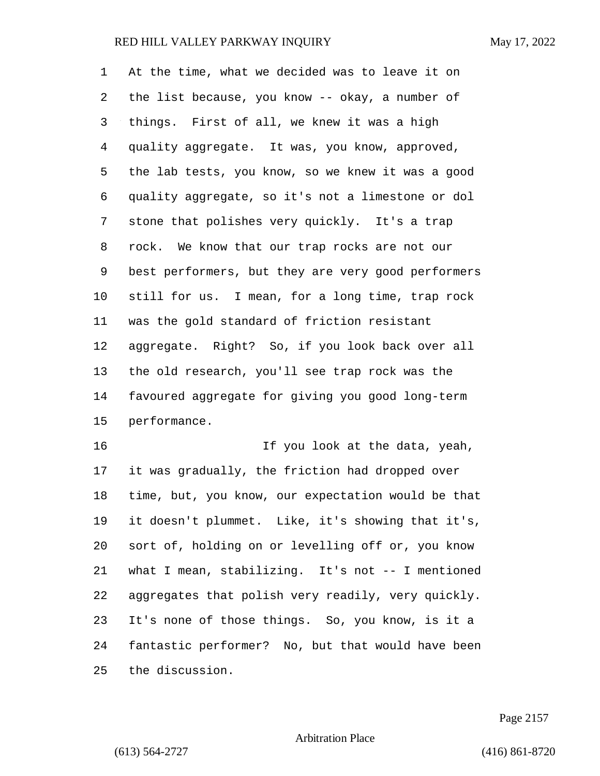At the time, what we decided was to leave it on the list because, you know -- okay, a number of things. First of all, we knew it was a high quality aggregate. It was, you know, approved, the lab tests, you know, so we knew it was a good quality aggregate, so it's not a limestone or dol stone that polishes very quickly. It's a trap rock. We know that our trap rocks are not our best performers, but they are very good performers still for us. I mean, for a long time, trap rock was the gold standard of friction resistant aggregate. Right? So, if you look back over all the old research, you'll see trap rock was the favoured aggregate for giving you good long-term performance.

16 16 If you look at the data, yeah, it was gradually, the friction had dropped over time, but, you know, our expectation would be that it doesn't plummet. Like, it's showing that it's, sort of, holding on or levelling off or, you know what I mean, stabilizing. It's not -- I mentioned aggregates that polish very readily, very quickly. It's none of those things. So, you know, is it a fantastic performer? No, but that would have been the discussion.

Page 2157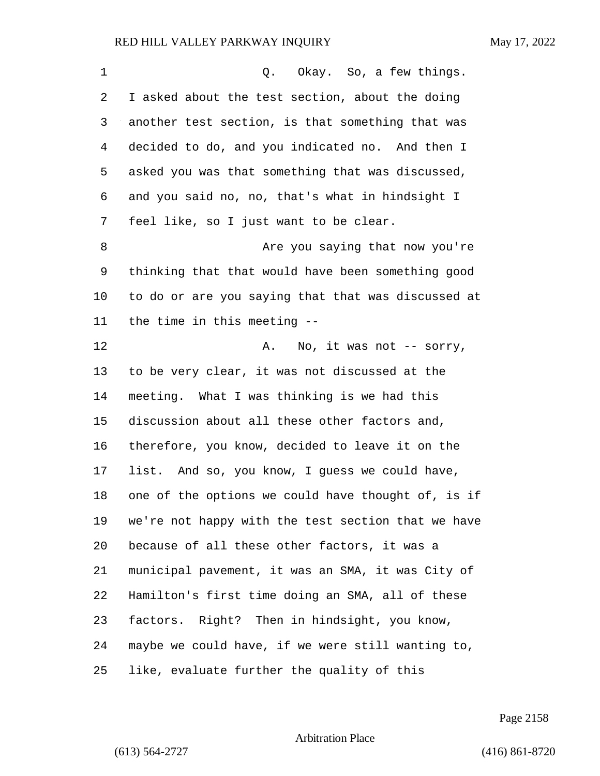| 1  | Q. Okay. So, a few things.                         |
|----|----------------------------------------------------|
| 2  | I asked about the test section, about the doing    |
| 3  | another test section, is that something that was   |
| 4  | decided to do, and you indicated no. And then I    |
| 5  | asked you was that something that was discussed,   |
| 6  | and you said no, no, that's what in hindsight I    |
| 7  | feel like, so I just want to be clear.             |
| 8  | Are you saying that now you're                     |
| 9  | thinking that that would have been something good  |
| 10 | to do or are you saying that that was discussed at |
| 11 | the time in this meeting --                        |
| 12 | Α.<br>No, it was not $-$ sorry,                    |
| 13 | to be very clear, it was not discussed at the      |
| 14 | meeting. What I was thinking is we had this        |
| 15 | discussion about all these other factors and,      |
| 16 | therefore, you know, decided to leave it on the    |
| 17 | list. And so, you know, I guess we could have,     |
| 18 | one of the options we could have thought of, is if |
| 19 | we're not happy with the test section that we have |
| 20 | because of all these other factors, it was a       |
| 21 | municipal pavement, it was an SMA, it was City of  |
| 22 | Hamilton's first time doing an SMA, all of these   |
| 23 | factors. Right? Then in hindsight, you know,       |
| 24 | maybe we could have, if we were still wanting to,  |
| 25 | like, evaluate further the quality of this         |

Page 2158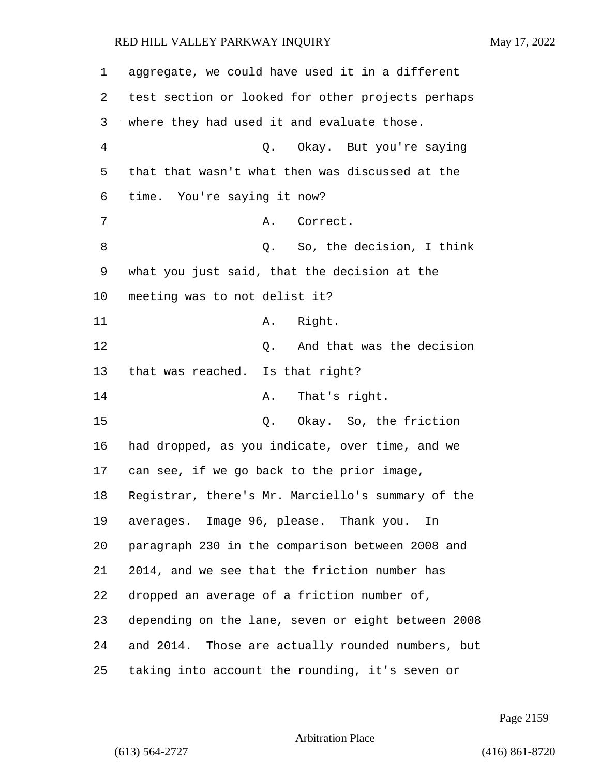| 1              | aggregate, we could have used it in a different    |
|----------------|----------------------------------------------------|
| 2              | test section or looked for other projects perhaps  |
| 3              | where they had used it and evaluate those.         |
| $\overline{4}$ | Q. Okay. But you're saying                         |
| 5              | that that wasn't what then was discussed at the    |
| 6              | time. You're saying it now?                        |
| 7              | Α.<br>Correct.                                     |
| 8              | Q. So, the decision, I think                       |
| 9              | what you just said, that the decision at the       |
| 10             | meeting was to not delist it?                      |
| 11             | A. Right.                                          |
| 12             | And that was the decision<br>Q.                    |
| 13             | that was reached. Is that right?                   |
| 14             | That's right.<br>Α.                                |
| 15             | Q. Okay. So, the friction                          |
| 16             | had dropped, as you indicate, over time, and we    |
| 17             | can see, if we go back to the prior image,         |
| 18             | Registrar, there's Mr. Marciello's summary of the  |
| 19             | averages. Image 96, please. Thank you.<br>In       |
| 20             | paragraph 230 in the comparison between 2008 and   |
| 21             | 2014, and we see that the friction number has      |
| 22             | dropped an average of a friction number of,        |
| 23             | depending on the lane, seven or eight between 2008 |
| 24             | and 2014. Those are actually rounded numbers, but  |
| 25             | taking into account the rounding, it's seven or    |

Page 2159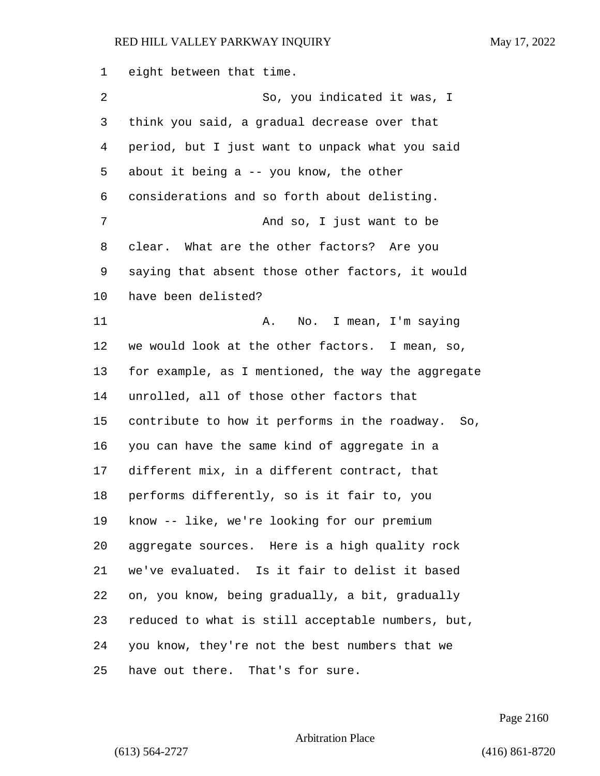eight between that time.

| 2  | So, you indicated it was, I                        |
|----|----------------------------------------------------|
| 3  | think you said, a gradual decrease over that       |
| 4  | period, but I just want to unpack what you said    |
| 5  | about it being a $-$ you know, the other           |
| 6  | considerations and so forth about delisting.       |
| 7  | And so, I just want to be                          |
| 8  | clear. What are the other factors? Are you         |
| 9  | saying that absent those other factors, it would   |
| 10 | have been delisted?                                |
| 11 | No. I mean, I'm saying<br>Α.                       |
| 12 | we would look at the other factors. I mean, so,    |
| 13 | for example, as I mentioned, the way the aggregate |
| 14 | unrolled, all of those other factors that          |
| 15 | contribute to how it performs in the roadway. So,  |
| 16 | you can have the same kind of aggregate in a       |
| 17 | different mix, in a different contract, that       |
| 18 | performs differently, so is it fair to, you        |
| 19 | know -- like, we're looking for our premium        |
| 20 | aggregate sources. Here is a high quality rock     |
| 21 | we've evaluated. Is it fair to delist it based     |
| 22 | on, you know, being gradually, a bit, gradually    |
| 23 | reduced to what is still acceptable numbers, but,  |
| 24 | you know, they're not the best numbers that we     |
| 25 | have out there. That's for sure.                   |

Page 2160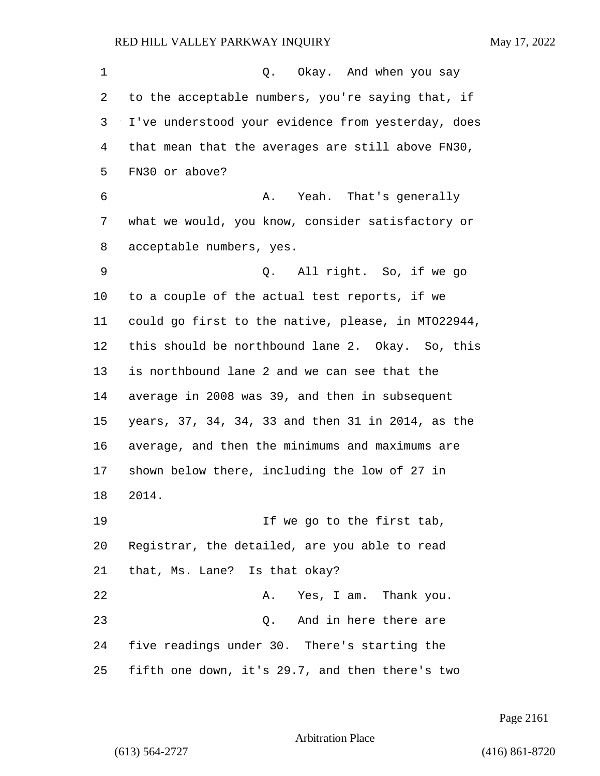| 1  | Q. Okay. And when you say                          |
|----|----------------------------------------------------|
| 2  | to the acceptable numbers, you're saying that, if  |
| 3  | I've understood your evidence from yesterday, does |
| 4  | that mean that the averages are still above FN30,  |
| 5  | FN30 or above?                                     |
| 6  | A. Yeah. That's generally                          |
| 7  | what we would, you know, consider satisfactory or  |
| 8  | acceptable numbers, yes.                           |
| 9  | Q. All right. So, if we go                         |
| 10 | to a couple of the actual test reports, if we      |
| 11 | could go first to the native, please, in MT022944, |
| 12 | this should be northbound lane 2. Okay. So, this   |
| 13 | is northbound lane 2 and we can see that the       |
| 14 | average in 2008 was 39, and then in subsequent     |
| 15 | years, 37, 34, 34, 33 and then 31 in 2014, as the  |
| 16 | average, and then the minimums and maximums are    |
| 17 | shown below there, including the low of 27 in      |
| 18 | 2014.                                              |
| 19 | If we go to the first tab,                         |
| 20 | Registrar, the detailed, are you able to read      |
| 21 | that, Ms. Lane? Is that okay?                      |
| 22 | Yes, I am. Thank you.<br>Α.                        |
| 23 | And in here there are<br>Q.                        |
| 24 | five readings under 30. There's starting the       |
| 25 | fifth one down, it's 29.7, and then there's two    |

Page 2161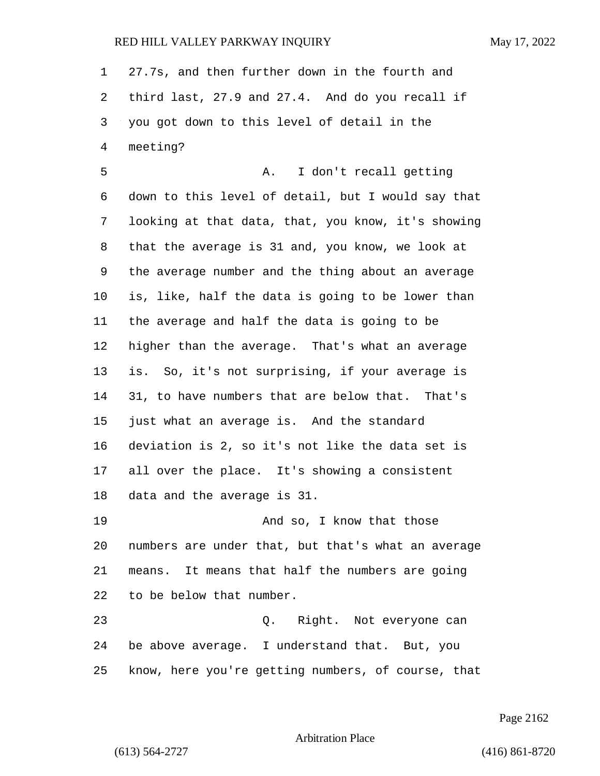27.7s, and then further down in the fourth and third last, 27.9 and 27.4. And do you recall if you got down to this level of detail in the meeting?

5 A. I don't recall getting down to this level of detail, but I would say that looking at that data, that, you know, it's showing that the average is 31 and, you know, we look at the average number and the thing about an average is, like, half the data is going to be lower than the average and half the data is going to be higher than the average. That's what an average is. So, it's not surprising, if your average is 31, to have numbers that are below that. That's just what an average is. And the standard deviation is 2, so it's not like the data set is all over the place. It's showing a consistent data and the average is 31.

19 And so, I know that those numbers are under that, but that's what an average means. It means that half the numbers are going to be below that number.

23 Q. Right. Not everyone can be above average. I understand that. But, you know, here you're getting numbers, of course, that

Page 2162

Arbitration Place

(613) 564-2727 (416) 861-8720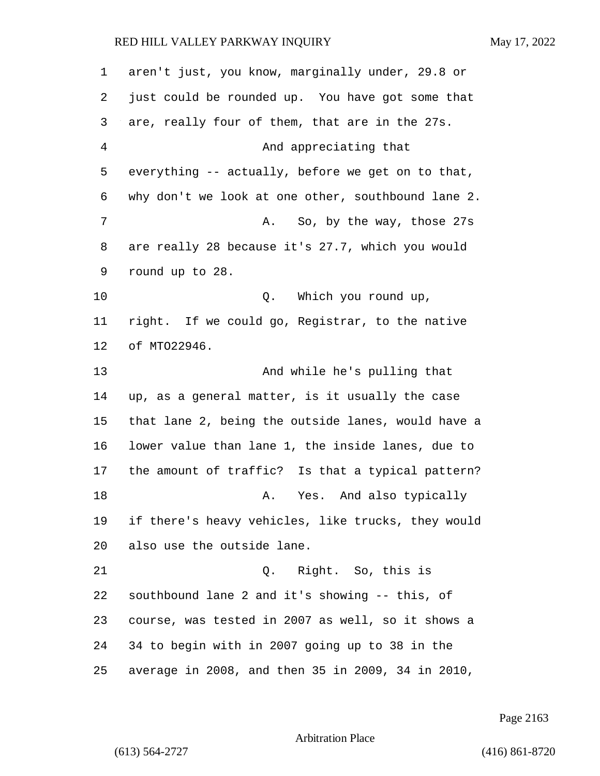| 1              | aren't just, you know, marginally under, 29.8 or   |
|----------------|----------------------------------------------------|
| 2              | just could be rounded up. You have got some that   |
| 3              | are, really four of them, that are in the 27s.     |
| $\overline{4}$ | And appreciating that                              |
| 5              | everything -- actually, before we get on to that,  |
| 6              | why don't we look at one other, southbound lane 2. |
| 7              | So, by the way, those 27s<br>Α.                    |
| 8              | are really 28 because it's 27.7, which you would   |
| 9              | round up to 28.                                    |
| 10             | Which you round up,<br>Q.                          |
| 11             | right. If we could go, Registrar, to the native    |
| 12             | of MT022946.                                       |
| 13             | And while he's pulling that                        |
| 14             | up, as a general matter, is it usually the case    |
| 15             | that lane 2, being the outside lanes, would have a |
| 16             | lower value than lane 1, the inside lanes, due to  |
| 17             | the amount of traffic? Is that a typical pattern?  |
| 18             | Yes. And also typically<br>Α.                      |
| 19             | if there's heavy vehicles, like trucks, they would |
| 20             | also use the outside lane.                         |
| 21             | Right. So, this is<br>Q.                           |
| 22             | southbound lane 2 and it's showing -- this, of     |
| 23             | course, was tested in 2007 as well, so it shows a  |
| 24             | 34 to begin with in 2007 going up to 38 in the     |
| 25             | average in 2008, and then 35 in 2009, 34 in 2010,  |

Page 2163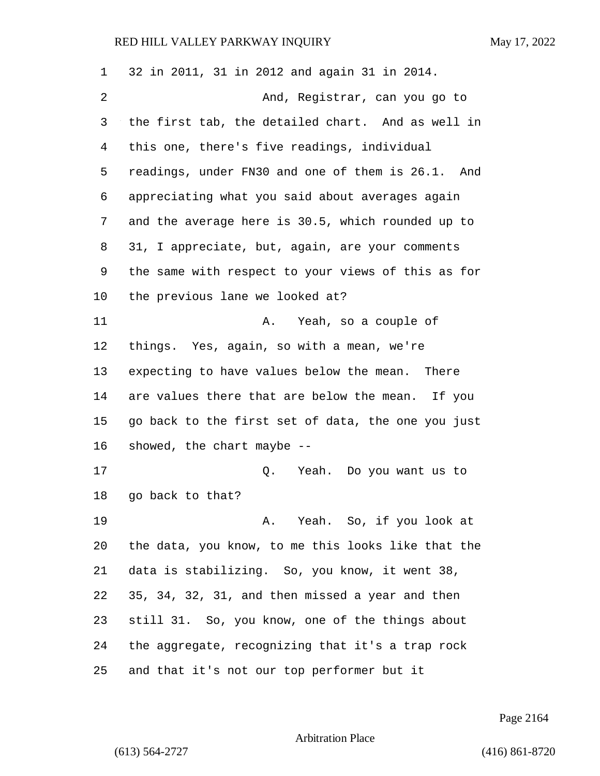| $\mathbf 1$ | 32 in 2011, 31 in 2012 and again 31 in 2014.       |
|-------------|----------------------------------------------------|
| 2           | And, Registrar, can you go to                      |
| 3           | the first tab, the detailed chart. And as well in  |
| 4           | this one, there's five readings, individual        |
| 5           | readings, under FN30 and one of them is 26.1. And  |
| 6           | appreciating what you said about averages again    |
| 7           | and the average here is 30.5, which rounded up to  |
| 8           | 31, I appreciate, but, again, are your comments    |
| 9           | the same with respect to your views of this as for |
| 10          | the previous lane we looked at?                    |
| 11          | Yeah, so a couple of<br>Α.                         |
| 12          | things. Yes, again, so with a mean, we're          |
| 13          | expecting to have values below the mean. There     |
| 14          | are values there that are below the mean. If you   |
| 15          | go back to the first set of data, the one you just |
| 16          | showed, the chart maybe --                         |
| 17          | Q.<br>Yeah. Do you want us to                      |
| 18          | go back to that?                                   |
| 19          | A. Yeah. So, if you look at                        |
| 20          | the data, you know, to me this looks like that the |
| 21          | data is stabilizing. So, you know, it went 38,     |
| 22          | 35, 34, 32, 31, and then missed a year and then    |
| 23          | still 31. So, you know, one of the things about    |
| 24          | the aggregate, recognizing that it's a trap rock   |
| 25          | and that it's not our top performer but it         |

Page 2164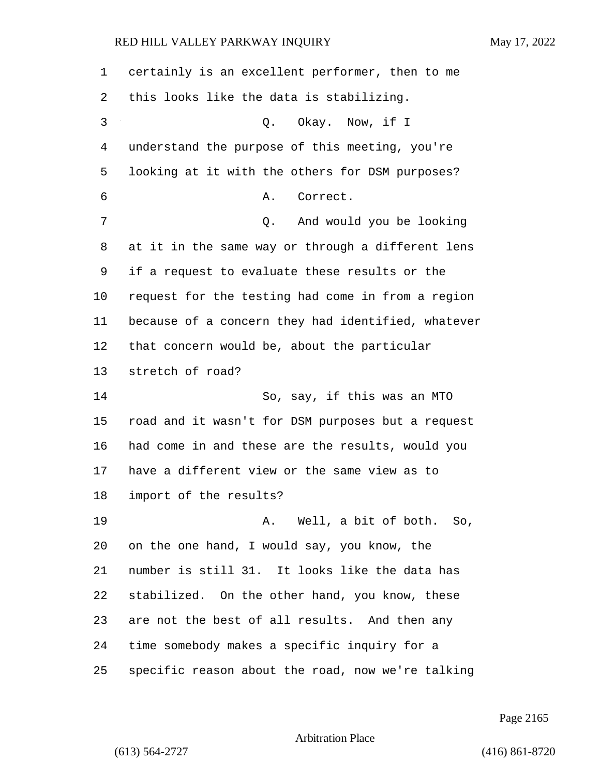| 1  | certainly is an excellent performer, then to me    |
|----|----------------------------------------------------|
| 2  | this looks like the data is stabilizing.           |
| 3  | Q. Okay. Now, if I                                 |
| 4  | understand the purpose of this meeting, you're     |
| 5  | looking at it with the others for DSM purposes?    |
| 6  | Correct.<br>Α.                                     |
| 7  | And would you be looking<br>Q.                     |
| 8  | at it in the same way or through a different lens  |
| 9  | if a request to evaluate these results or the      |
| 10 | request for the testing had come in from a region  |
| 11 | because of a concern they had identified, whatever |
| 12 | that concern would be, about the particular        |
| 13 | stretch of road?                                   |
| 14 | So, say, if this was an MTO                        |
| 15 | road and it wasn't for DSM purposes but a request  |
| 16 | had come in and these are the results, would you   |
| 17 | have a different view or the same view as to       |
| 18 | import of the results?                             |
| 19 | A. Well, a bit of both. So,                        |
| 20 | on the one hand, I would say, you know, the        |
| 21 | number is still 31. It looks like the data has     |
| 22 | stabilized. On the other hand, you know, these     |
| 23 | are not the best of all results. And then any      |
| 24 | time somebody makes a specific inquiry for a       |
| 25 | specific reason about the road, now we're talking  |

Page 2165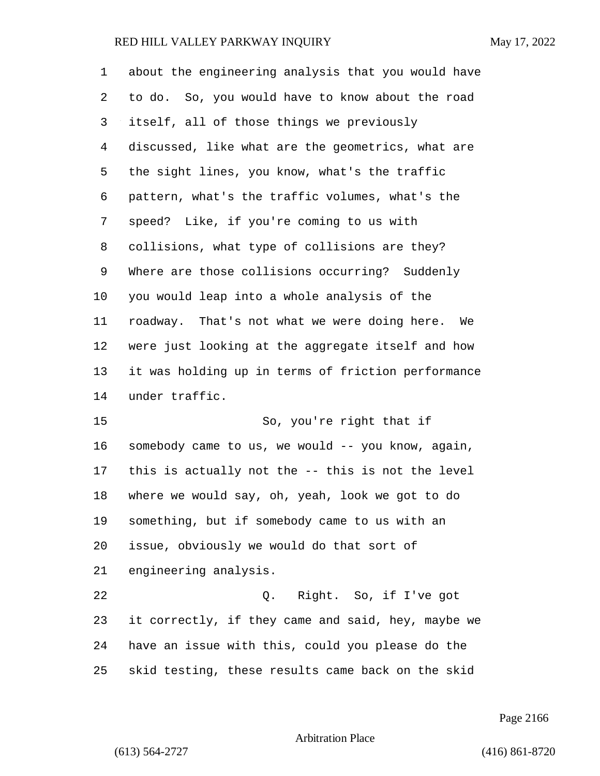| 1              | about the engineering analysis that you would have |
|----------------|----------------------------------------------------|
| 2              | to do. So, you would have to know about the road   |
| 3              | itself, all of those things we previously          |
| $\overline{4}$ | discussed, like what are the geometrics, what are  |
| 5              | the sight lines, you know, what's the traffic      |
| 6              | pattern, what's the traffic volumes, what's the    |
| 7              | speed? Like, if you're coming to us with           |
| 8              | collisions, what type of collisions are they?      |
| 9              | Where are those collisions occurring? Suddenly     |
| 10             | you would leap into a whole analysis of the        |
| 11             | roadway. That's not what we were doing here. We    |
| 12             | were just looking at the aggregate itself and how  |
| 13             | it was holding up in terms of friction performance |
| 14             | under traffic.                                     |
| 15             | So, you're right that if                           |
| 16             | somebody came to us, we would -- you know, again,  |
| 17             | this is actually not the -- this is not the level  |
| 18             | where we would say, oh, yeah, look we got to do    |
| 19             | something, but if somebody came to us with an      |

 issue, obviously we would do that sort of engineering analysis.

22 Q. Right. So, if I've got it correctly, if they came and said, hey, maybe we have an issue with this, could you please do the skid testing, these results came back on the skid

Page 2166

Arbitration Place

(613) 564-2727 (416) 861-8720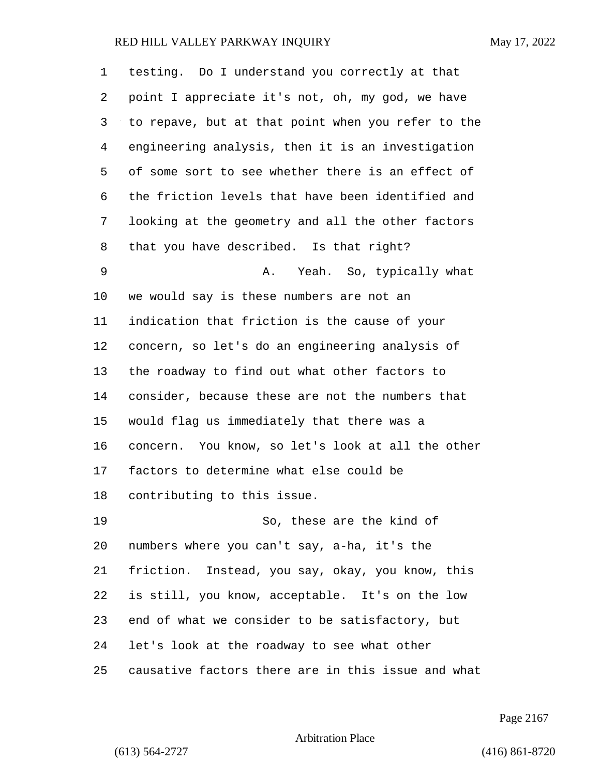| 1  | testing. Do I understand you correctly at that     |
|----|----------------------------------------------------|
| 2  | point I appreciate it's not, oh, my god, we have   |
| 3  | to repave, but at that point when you refer to the |
| 4  | engineering analysis, then it is an investigation  |
| 5  | of some sort to see whether there is an effect of  |
| 6  | the friction levels that have been identified and  |
| 7  | looking at the geometry and all the other factors  |
| 8  | that you have described. Is that right?            |
| 9  | Yeah. So, typically what<br>Α.                     |
| 10 | we would say is these numbers are not an           |
| 11 | indication that friction is the cause of your      |
| 12 | concern, so let's do an engineering analysis of    |
| 13 | the roadway to find out what other factors to      |
| 14 | consider, because these are not the numbers that   |
| 15 | would flag us immediately that there was a         |
| 16 | concern. You know, so let's look at all the other  |
| 17 | factors to determine what else could be            |
| 18 | contributing to this issue.                        |
| 19 | So, these are the kind of                          |
| 20 | numbers where you can't say, a-ha, it's the        |
| 21 | friction. Instead, you say, okay, you know, this   |
| 22 | is still, you know, acceptable. It's on the low    |
| 23 | end of what we consider to be satisfactory, but    |
| 24 | let's look at the roadway to see what other        |
| 25 | causative factors there are in this issue and what |

Page 2167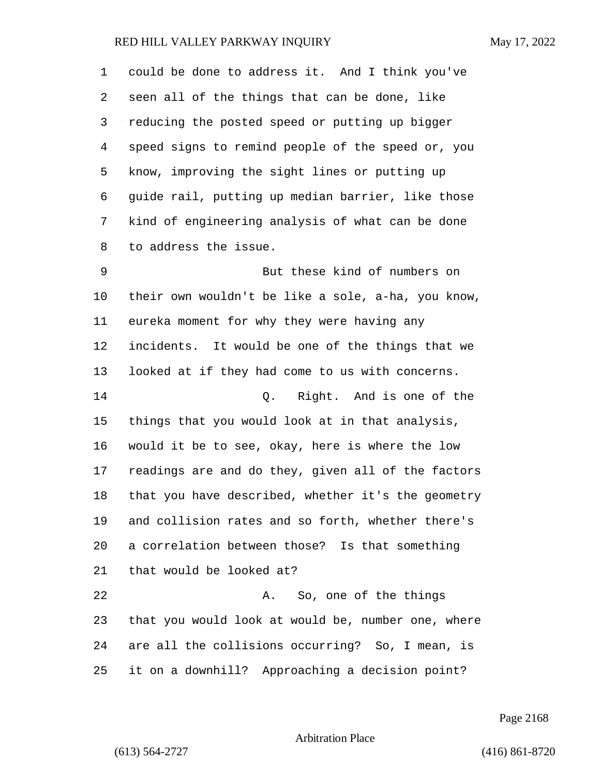could be done to address it. And I think you've seen all of the things that can be done, like reducing the posted speed or putting up bigger speed signs to remind people of the speed or, you know, improving the sight lines or putting up guide rail, putting up median barrier, like those kind of engineering analysis of what can be done to address the issue. 9 But these kind of numbers on their own wouldn't be like a sole, a-ha, you know, eureka moment for why they were having any incidents. It would be one of the things that we looked at if they had come to us with concerns. 14 Q. Right. And is one of the things that you would look at in that analysis, would it be to see, okay, here is where the low readings are and do they, given all of the factors that you have described, whether it's the geometry and collision rates and so forth, whether there's a correlation between those? Is that something that would be looked at? 22 A. So, one of the things that you would look at would be, number one, where are all the collisions occurring? So, I mean, is it on a downhill? Approaching a decision point?

Page 2168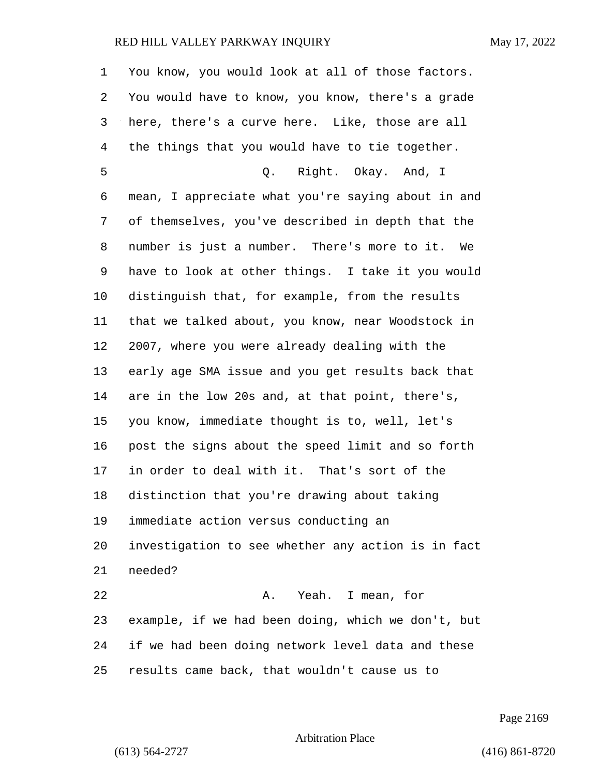| 1              | You know, you would look at all of those factors.  |
|----------------|----------------------------------------------------|
| 2              | You would have to know, you know, there's a grade  |
| 3              | here, there's a curve here. Like, those are all    |
| $\overline{4}$ | the things that you would have to tie together.    |
| 5              | Q. Right. Okay. And, I                             |
| 6              | mean, I appreciate what you're saying about in and |
| 7              | of themselves, you've described in depth that the  |
| 8              | number is just a number. There's more to it. We    |
| 9              | have to look at other things. I take it you would  |
| 10             | distinguish that, for example, from the results    |
| 11             | that we talked about, you know, near Woodstock in  |
| 12             | 2007, where you were already dealing with the      |
| 13             | early age SMA issue and you get results back that  |
| 14             | are in the low 20s and, at that point, there's,    |
| 15             | you know, immediate thought is to, well, let's     |
| 16             | post the signs about the speed limit and so forth  |
| 17             | in order to deal with it. That's sort of the       |
| 18             | distinction that you're drawing about taking       |
| 19             | immediate action versus conducting an              |
| 20             | investigation to see whether any action is in fact |
| 21             | needed?                                            |
| 22             | A. Yeah. I mean, for                               |
| 23             | example, if we had been doing, which we don't, but |
| 24             | if we had been doing network level data and these  |
| 25             | results came back, that wouldn't cause us to       |

Page 2169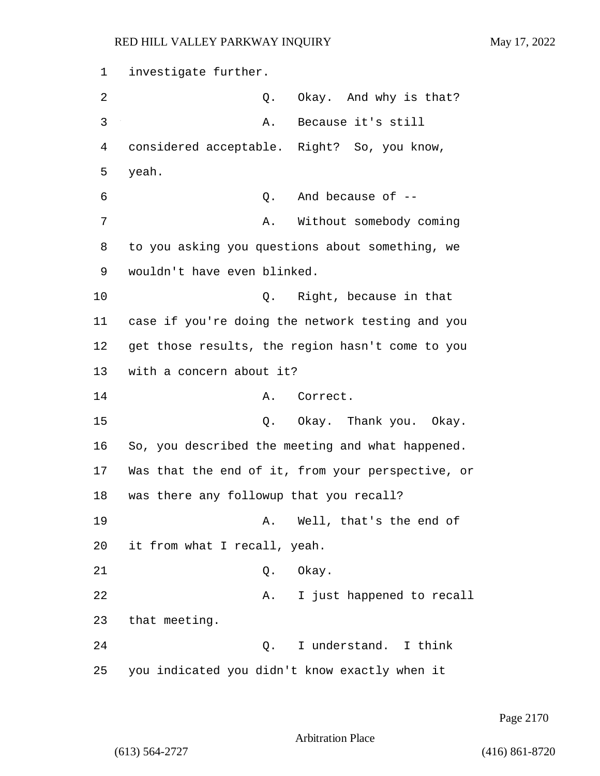1 investigate further. 2 Q. Okay. And why is that? 3 A. Because it's still 4 considered acceptable. Right? So, you know, 5 yeah. 6 Q. And because of -- 7 A. Without somebody coming 8 to you asking you questions about something, we 9 wouldn't have even blinked. 10 Q. Right, because in that 11 case if you're doing the network testing and you 12 get those results, the region hasn't come to you 13 with a concern about it? 14 A. Correct. 15 C. Okay. Thank you. Okay. 16 So, you described the meeting and what happened. 17 Was that the end of it, from your perspective, or 18 was there any followup that you recall? 19 A. Well, that's the end of 20 it from what I recall, yeah. 21 Q. Okay. 22 A. I just happened to recall 23 that meeting. 24 Q. I understand. I think 25 you indicated you didn't know exactly when it

Page 2170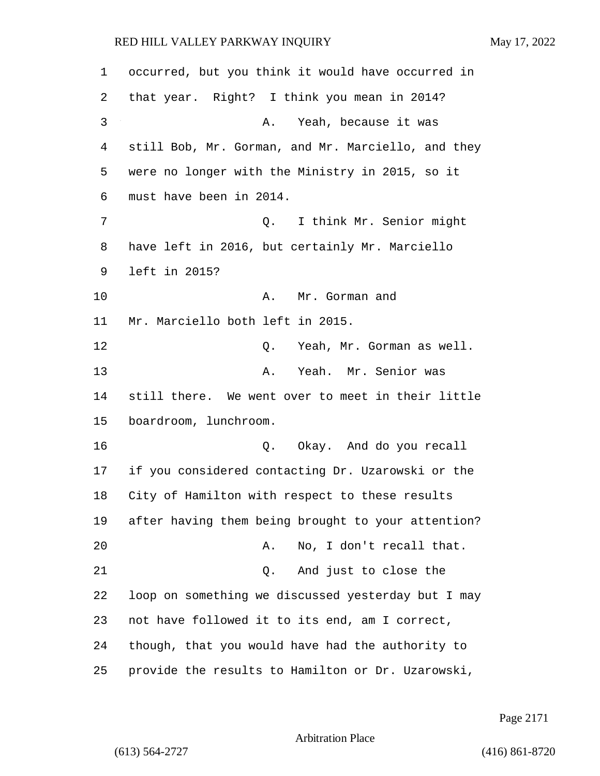occurred, but you think it would have occurred in that year. Right? I think you mean in 2014? 3 A. Yeah, because it was still Bob, Mr. Gorman, and Mr. Marciello, and they were no longer with the Ministry in 2015, so it must have been in 2014. 7 Q. I think Mr. Senior might have left in 2016, but certainly Mr. Marciello left in 2015? 10 A. Mr. Gorman and Mr. Marciello both left in 2015. 12 Q. Yeah, Mr. Gorman as well. 13 A. Yeah. Mr. Senior was still there. We went over to meet in their little boardroom, lunchroom. 16 Q. Okay. And do you recall if you considered contacting Dr. Uzarowski or the City of Hamilton with respect to these results after having them being brought to your attention? 20 A. No, I don't recall that. 21 Q. And just to close the loop on something we discussed yesterday but I may not have followed it to its end, am I correct,

24 though, that you would have had the authority to

25 provide the results to Hamilton or Dr. Uzarowski,

Page 2171

Arbitration Place

(613) 564-2727 (416) 861-8720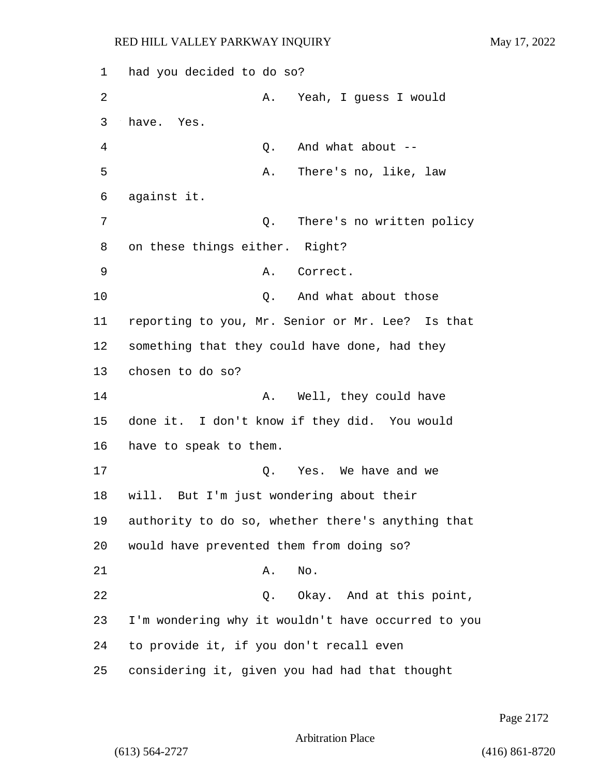1 had you decided to do so? 2 A. Yeah, I guess I would 3 have. Yes. 4 Q. And what about -- 5 A. There's no, like, law 6 against it. 7 Q. There's no written policy 8 on these things either. Right? 9 A. Correct. 10 Q. And what about those 11 reporting to you, Mr. Senior or Mr. Lee? Is that 12 something that they could have done, had they 13 chosen to do so? 14 A. Well, they could have 15 done it. I don't know if they did. You would 16 have to speak to them. 17 and  $\overline{O}$ . Yes. We have and we 18 will. But I'm just wondering about their 19 authority to do so, whether there's anything that 20 would have prevented them from doing so? 21 A. No. 22 Q. Okay. And at this point, 23 I'm wondering why it wouldn't have occurred to you 24 to provide it, if you don't recall even 25 considering it, given you had had that thought

Page 2172

Arbitration Place

(613) 564-2727 (416) 861-8720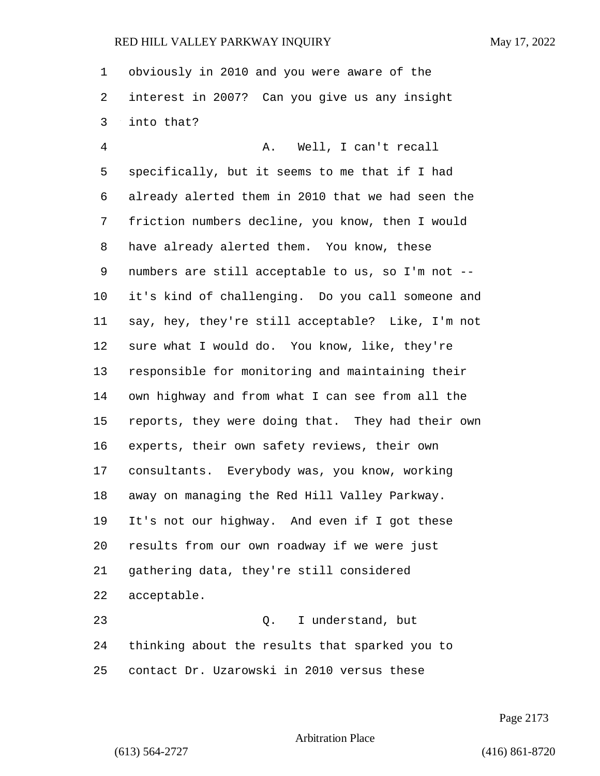obviously in 2010 and you were aware of the interest in 2007? Can you give us any insight into that?

4 A. Well, I can't recall specifically, but it seems to me that if I had already alerted them in 2010 that we had seen the friction numbers decline, you know, then I would have already alerted them. You know, these numbers are still acceptable to us, so I'm not -- it's kind of challenging. Do you call someone and say, hey, they're still acceptable? Like, I'm not sure what I would do. You know, like, they're responsible for monitoring and maintaining their own highway and from what I can see from all the reports, they were doing that. They had their own experts, their own safety reviews, their own consultants. Everybody was, you know, working away on managing the Red Hill Valley Parkway. It's not our highway. And even if I got these results from our own roadway if we were just gathering data, they're still considered acceptable. 23 Q. I understand, but

 thinking about the results that sparked you to contact Dr. Uzarowski in 2010 versus these

Page 2173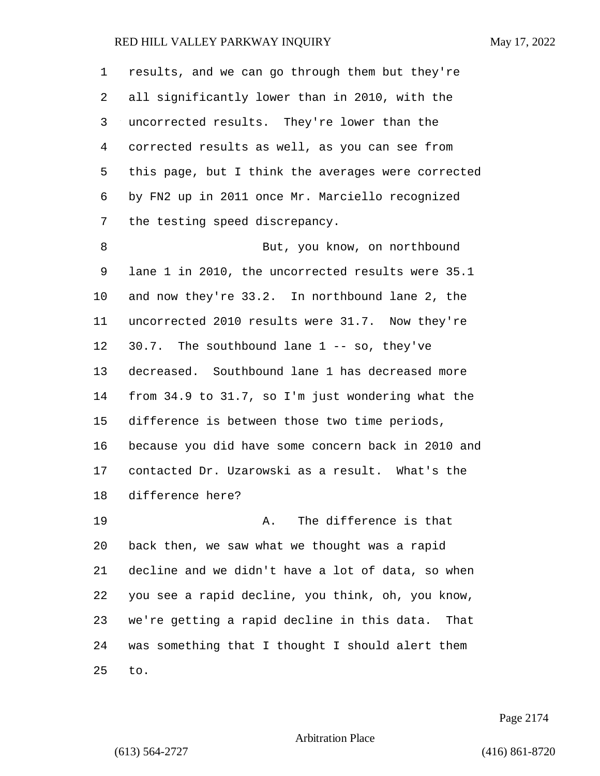| $\mathbf 1$ | results, and we can go through them but they're     |
|-------------|-----------------------------------------------------|
| 2           | all significantly lower than in 2010, with the      |
| 3           | uncorrected results. They're lower than the         |
| 4           | corrected results as well, as you can see from      |
| 5           | this page, but I think the averages were corrected  |
| 6           | by FN2 up in 2011 once Mr. Marciello recognized     |
| 7           | the testing speed discrepancy.                      |
| 8           | But, you know, on northbound                        |
| 9           | lane 1 in 2010, the uncorrected results were 35.1   |
| 10          | and now they're 33.2. In northbound lane 2, the     |
| 11          | uncorrected 2010 results were 31.7. Now they're     |
| 12          | 30.7. The southbound lane $1 - -$ so, they've       |
| 13          | decreased. Southbound lane 1 has decreased more     |
| 14          | from 34.9 to 31.7, so I'm just wondering what the   |
| 15          | difference is between those two time periods,       |
| 16          | because you did have some concern back in 2010 and  |
| 17          | contacted Dr. Uzarowski as a result. What's the     |
| 18          | difference here?                                    |
| 19          | The difference is that<br>Α.                        |
| 20          | back then, we saw what we thought was a rapid       |
| 21          | decline and we didn't have a lot of data, so when   |
| 22          | you see a rapid decline, you think, oh, you know,   |
| 23          | we're getting a rapid decline in this data.<br>That |
| 24          | was something that I thought I should alert them    |
| 25          | to.                                                 |

Page 2174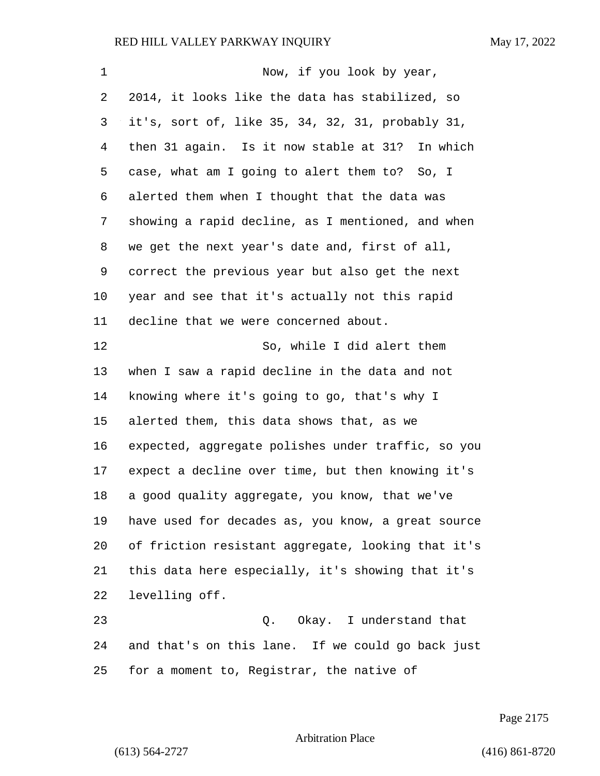| $\mathbf 1$    | Now, if you look by year,                          |
|----------------|----------------------------------------------------|
| 2              | 2014, it looks like the data has stabilized, so    |
| 3              | it's, sort of, like 35, 34, 32, 31, probably 31,   |
| $\overline{4}$ | then 31 again. Is it now stable at 31? In which    |
| 5              | case, what am I going to alert them to? So, I      |
| 6              | alerted them when I thought that the data was      |
| 7              | showing a rapid decline, as I mentioned, and when  |
| 8              | we get the next year's date and, first of all,     |
| 9              | correct the previous year but also get the next    |
| 10             | year and see that it's actually not this rapid     |
| 11             | decline that we were concerned about.              |
| 12             | So, while I did alert them                         |
| 13             | when I saw a rapid decline in the data and not     |
| 14             | knowing where it's going to go, that's why I       |
| 15             | alerted them, this data shows that, as we          |
| 16             | expected, aggregate polishes under traffic, so you |
| 17             | expect a decline over time, but then knowing it's  |
| 18             | a good quality aggregate, you know, that we've     |
| 19             | have used for decades as, you know, a great source |
| 20             | of friction resistant aggregate, looking that it's |
| 21             | this data here especially, it's showing that it's  |
| 22             | levelling off.                                     |
| 23             | Q. Okay. I understand that                         |
| 24             | and that's on this lane. If we could go back just  |
| 25             | for a moment to, Registrar, the native of          |

Page 2175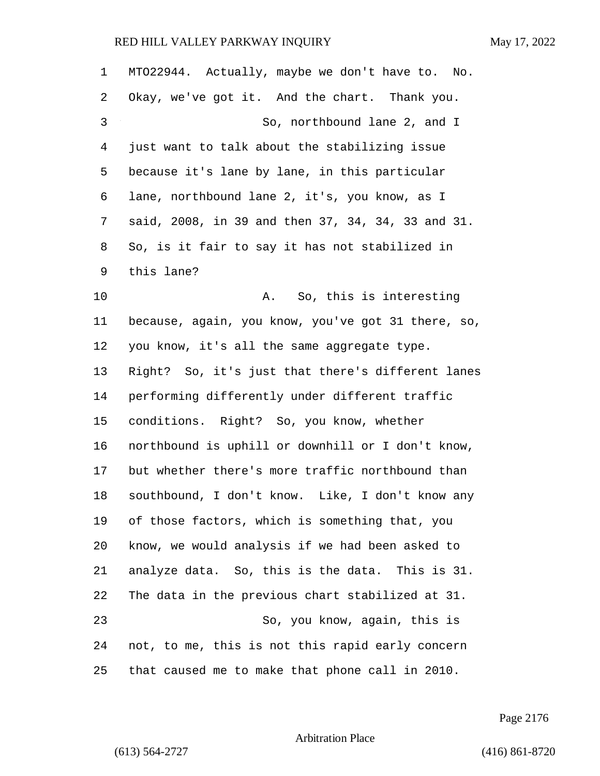| $\mathbf 1$ | MT022944. Actually, maybe we don't have to. No.    |
|-------------|----------------------------------------------------|
| 2           | Okay, we've got it. And the chart. Thank you.      |
| 3           | So, northbound lane 2, and I                       |
| 4           | just want to talk about the stabilizing issue      |
| 5           | because it's lane by lane, in this particular      |
| 6           | lane, northbound lane 2, it's, you know, as I      |
| 7           | said, 2008, in 39 and then 37, 34, 34, 33 and 31.  |
| 8           | So, is it fair to say it has not stabilized in     |
| 9           | this lane?                                         |
| 10          | So, this is interesting<br>Α.                      |
| 11          | because, again, you know, you've got 31 there, so, |
| 12          | you know, it's all the same aggregate type.        |
| 13          | Right? So, it's just that there's different lanes  |
| 14          | performing differently under different traffic     |
| 15          | conditions. Right? So, you know, whether           |
| 16          | northbound is uphill or downhill or I don't know,  |
| 17          | but whether there's more traffic northbound than   |
| 18          | southbound, I don't know. Like, I don't know any   |
| 19          | of those factors, which is something that, you     |
| 20          | know, we would analysis if we had been asked to    |
| 21          | analyze data. So, this is the data. This is 31.    |
| 22          | The data in the previous chart stabilized at 31.   |
| 23          | So, you know, again, this is                       |
| 24          | not, to me, this is not this rapid early concern   |
| 25          | that caused me to make that phone call in 2010.    |

Page 2176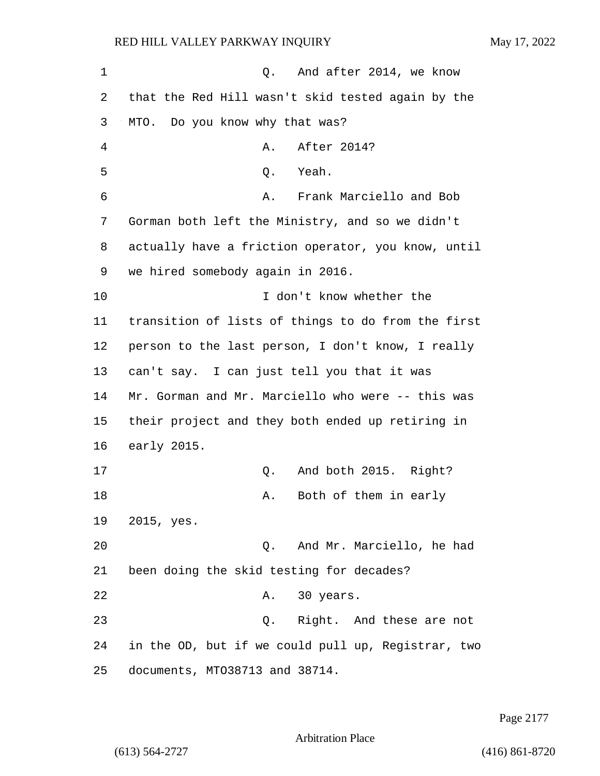1 0. And after 2014, we know 2 that the Red Hill wasn't skid tested again by the 3 MTO. Do you know why that was? 4 A. After 2014? 5 Q. Yeah. 6 A. Frank Marciello and Bob 7 Gorman both left the Ministry, and so we didn't 8 actually have a friction operator, you know, until 9 we hired somebody again in 2016. 10 I don't know whether the 11 transition of lists of things to do from the first 12 person to the last person, I don't know, I really 13 can't say. I can just tell you that it was 14 Mr. Gorman and Mr. Marciello who were -- this was 15 their project and they both ended up retiring in 16 early 2015. 17 Q. And both 2015. Right? 18 A. Both of them in early 19 2015, yes. 20 Q. And Mr. Marciello, he had 21 been doing the skid testing for decades? 22 A. 30 years. 23 Q. Right. And these are not 24 in the OD, but if we could pull up, Registrar, two 25 documents, MTO38713 and 38714.

Page 2177

Arbitration Place

(613) 564-2727 (416) 861-8720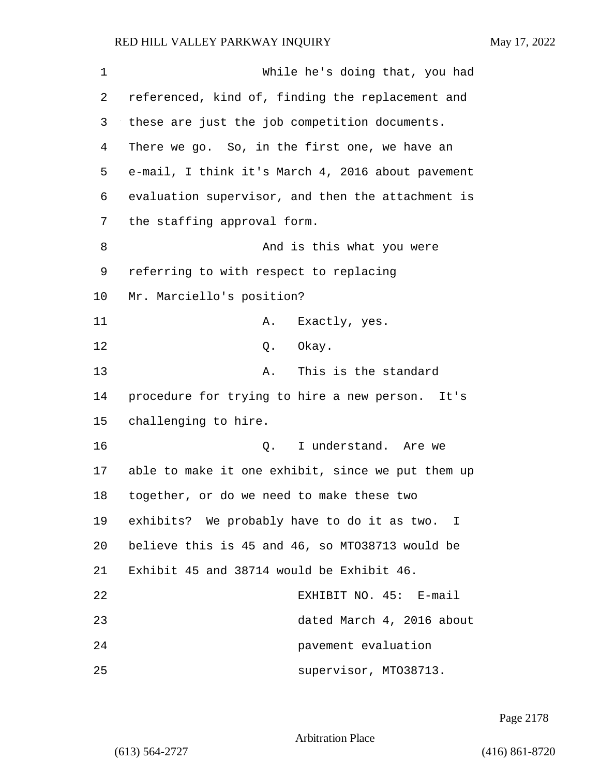1 While he's doing that, you had 2 referenced, kind of, finding the replacement and 3 these are just the job competition documents. 4 There we go. So, in the first one, we have an 5 e-mail, I think it's March 4, 2016 about pavement 6 evaluation supervisor, and then the attachment is 7 the staffing approval form. 8 And is this what you were 9 referring to with respect to replacing 10 Mr. Marciello's position? 11 A. Exactly, yes. 12 0. Okay. 13 A. This is the standard 14 procedure for trying to hire a new person. It's 15 challenging to hire. 16 Q. I understand. Are we 17 able to make it one exhibit, since we put them up 18 together, or do we need to make these two 19 exhibits? We probably have to do it as two. I 20 believe this is 45 and 46, so MTO38713 would be 21 Exhibit 45 and 38714 would be Exhibit 46. 22 EXHIBIT NO. 45: E-mail 23 dated March 4, 2016 about 24 pavement evaluation 25 supervisor, MTO38713.

Page 2178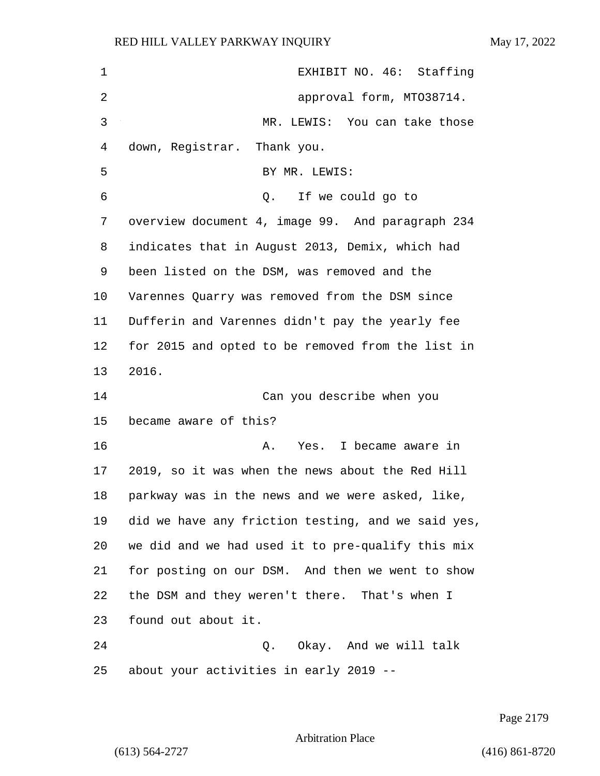| 1  | EXHIBIT NO. 46: Staffing                           |
|----|----------------------------------------------------|
| 2  | approval form, MT038714.                           |
| 3  | MR. LEWIS: You can take those                      |
| 4  | down, Registrar. Thank you.                        |
| 5  | BY MR. LEWIS:                                      |
| 6  | If we could go to<br>Q.                            |
| 7  | overview document 4, image 99. And paragraph 234   |
| 8  | indicates that in August 2013, Demix, which had    |
| 9  | been listed on the DSM, was removed and the        |
| 10 | Varennes Quarry was removed from the DSM since     |
| 11 | Dufferin and Varennes didn't pay the yearly fee    |
| 12 | for 2015 and opted to be removed from the list in  |
| 13 | 2016.                                              |
| 14 | Can you describe when you                          |
| 15 | became aware of this?                              |
| 16 | Α.<br>Yes. I became aware in                       |
| 17 | 2019, so it was when the news about the Red Hill   |
| 18 | parkway was in the news and we were asked, like,   |
| 19 | did we have any friction testing, and we said yes, |
| 20 | we did and we had used it to pre-qualify this mix  |
| 21 | for posting on our DSM. And then we went to show   |
| 22 | the DSM and they weren't there. That's when I      |
| 23 | found out about it.                                |
| 24 | Q. Okay. And we will talk                          |
| 25 | about your activities in early 2019 --             |

Page 2179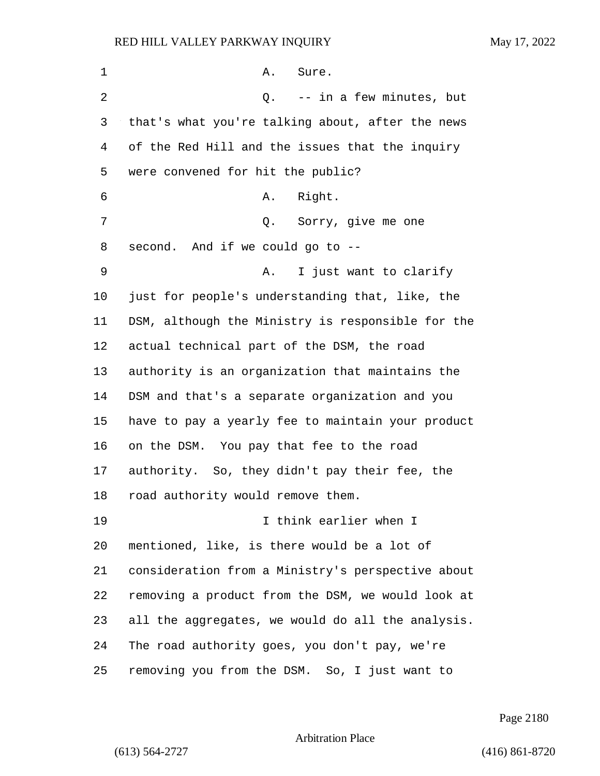| 1  | Sure.<br>Α.                                       |
|----|---------------------------------------------------|
| 2  | -- in a few minutes, but<br>Q.                    |
| 3  | that's what you're talking about, after the news  |
| 4  | of the Red Hill and the issues that the inquiry   |
| 5  | were convened for hit the public?                 |
| 6  | Right.<br>Α.                                      |
| 7  | Q. Sorry, give me one                             |
| 8  | second. And if we could go to --                  |
| 9  | I just want to clarify<br>Α.                      |
| 10 | just for people's understanding that, like, the   |
| 11 | DSM, although the Ministry is responsible for the |
| 12 | actual technical part of the DSM, the road        |
| 13 | authority is an organization that maintains the   |
| 14 | DSM and that's a separate organization and you    |
| 15 | have to pay a yearly fee to maintain your product |
| 16 | on the DSM. You pay that fee to the road          |
| 17 | authority. So, they didn't pay their fee, the     |
| 18 | road authority would remove them.                 |
| 19 | I think earlier when I                            |
| 20 | mentioned, like, is there would be a lot of       |
| 21 | consideration from a Ministry's perspective about |
| 22 | removing a product from the DSM, we would look at |
| 23 | all the aggregates, we would do all the analysis. |
| 24 | The road authority goes, you don't pay, we're     |
| 25 | removing you from the DSM. So, I just want to     |

Page 2180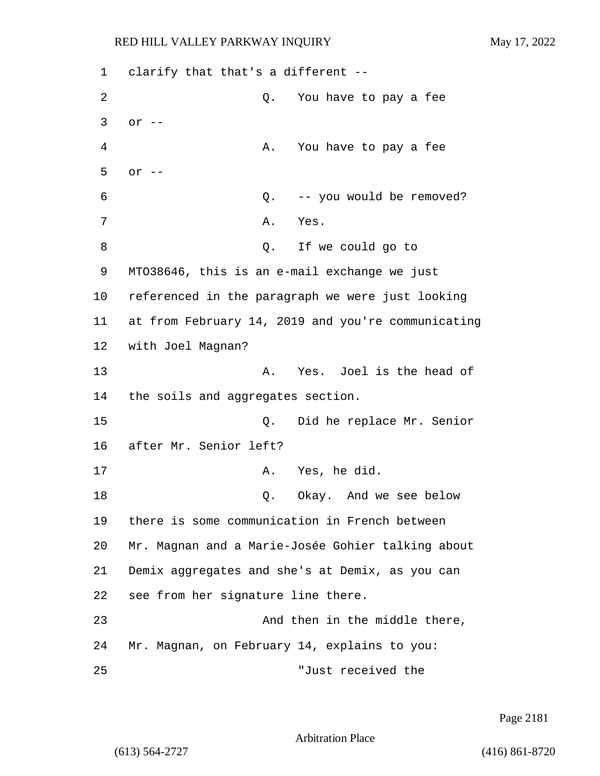1 clarify that that's a different -- 2 Q. You have to pay a fee 3 or -- 4 A. You have to pay a fee 5 or -- 6 Q. -- you would be removed? 7 A. Yes. 8 Q. If we could go to 9 MTO38646, this is an e-mail exchange we just 10 referenced in the paragraph we were just looking 11 at from February 14, 2019 and you're communicating 12 with Joel Magnan? 13 A. Yes. Joel is the head of 14 the soils and aggregates section. 15 Q. Did he replace Mr. Senior 16 after Mr. Senior left? 17 A. Yes, he did. 18 C. Okay. And we see below 19 there is some communication in French between 20 Mr. Magnan and a Marie-Josée Gohier talking about 21 Demix aggregates and she's at Demix, as you can 22 see from her signature line there. 23 And then in the middle there, 24 Mr. Magnan, on February 14, explains to you: 25 "Just received the

Page 2181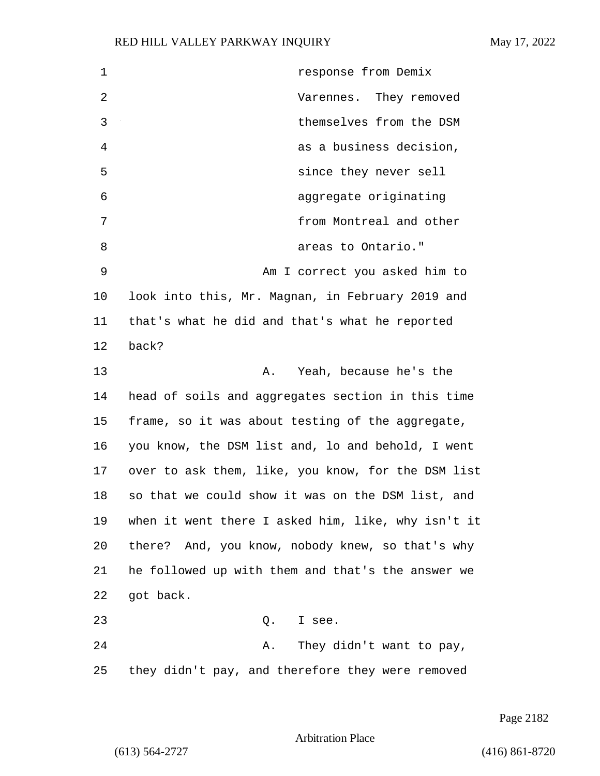1 response from Demix 2 Varennes. They removed 3 themselves from the DSM 4 as a business decision, 5 since they never sell 6 aggregate originating 7 from Montreal and other 8 areas to Ontario." 9 Am I correct you asked him to 10 look into this, Mr. Magnan, in February 2019 and 11 that's what he did and that's what he reported 12 back? 13 A. Yeah, because he's the 14 head of soils and aggregates section in this time 15 frame, so it was about testing of the aggregate, 16 you know, the DSM list and, lo and behold, I went 17 over to ask them, like, you know, for the DSM list 18 so that we could show it was on the DSM list, and 19 when it went there I asked him, like, why isn't it 20 there? And, you know, nobody knew, so that's why 21 he followed up with them and that's the answer we 22 got back. 23 Q. I see. 24 A. They didn't want to pay, 25 they didn't pay, and therefore they were removed

Page 2182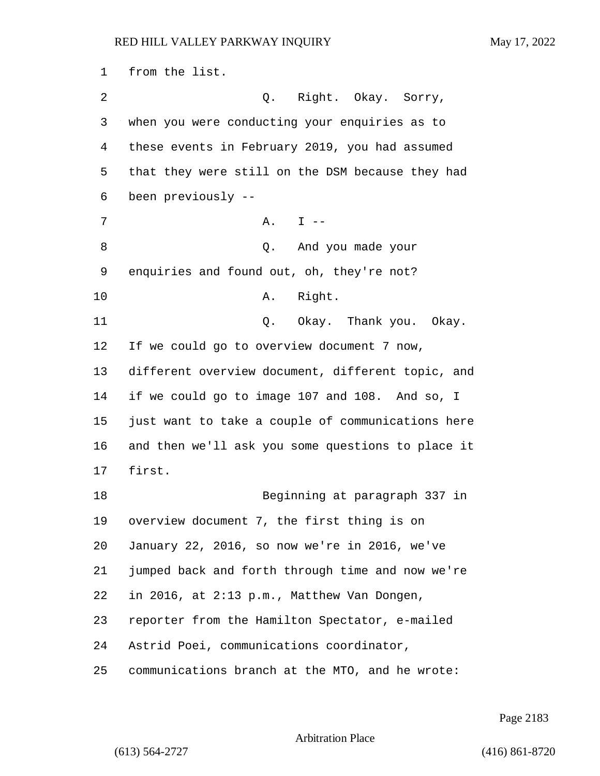from the list. 2 Q. Right. Okay. Sorry, when you were conducting your enquiries as to these events in February 2019, you had assumed that they were still on the DSM because they had been previously -- 7 A. I -- 8 Q. And you made your enquiries and found out, oh, they're not? 10 A. Right. 11 Q. Okay. Thank you. Okay. If we could go to overview document 7 now, different overview document, different topic, and if we could go to image 107 and 108. And so, I just want to take a couple of communications here and then we'll ask you some questions to place it first. 18 Beginning at paragraph 337 in overview document 7, the first thing is on January 22, 2016, so now we're in 2016, we've jumped back and forth through time and now we're in 2016, at 2:13 p.m., Matthew Van Dongen, reporter from the Hamilton Spectator, e-mailed Astrid Poei, communications coordinator, communications branch at the MTO, and he wrote:

Page 2183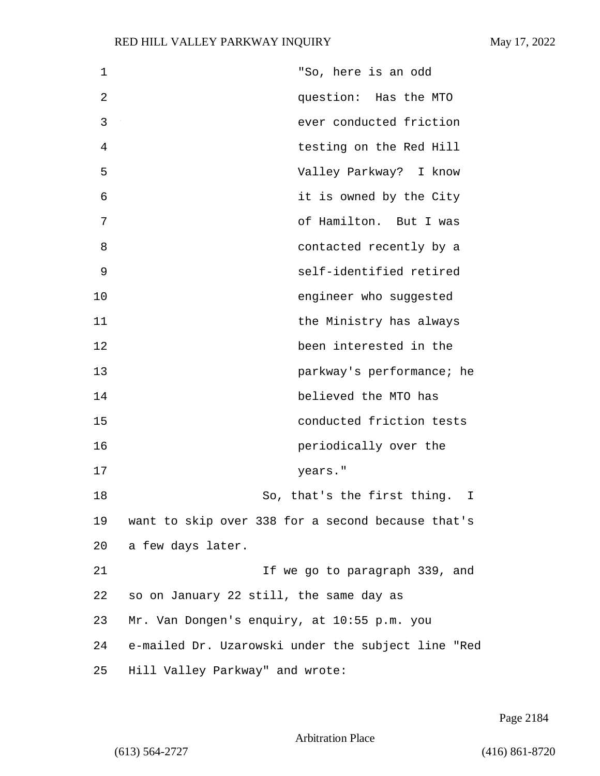| $\mathbf 1$ | "So, here is an odd                                |
|-------------|----------------------------------------------------|
| 2           | question: Has the MTO                              |
| 3           | ever conducted friction                            |
| 4           | testing on the Red Hill                            |
| 5           | Valley Parkway? I know                             |
| 6           | it is owned by the City                            |
| 7           | of Hamilton. But I was                             |
| 8           | contacted recently by a                            |
| 9           | self-identified retired                            |
| 10          | engineer who suggested                             |
| 11          | the Ministry has always                            |
| 12          | been interested in the                             |
| 13          | parkway's performance; he                          |
| 14          | believed the MTO has                               |
| 15          | conducted friction tests                           |
| 16          | periodically over the                              |
| 17          | years."                                            |
| 18          | So, that's the first thing.<br>I                   |
| 19          | want to skip over 338 for a second because that's  |
| 20          | a few days later.                                  |
| 21          | If we go to paragraph 339, and                     |
| 22          | so on January 22 still, the same day as            |
| 23          | Mr. Van Dongen's enquiry, at 10:55 p.m. you        |
| 24          | e-mailed Dr. Uzarowski under the subject line "Red |
| 25          | Hill Valley Parkway" and wrote:                    |

Page 2184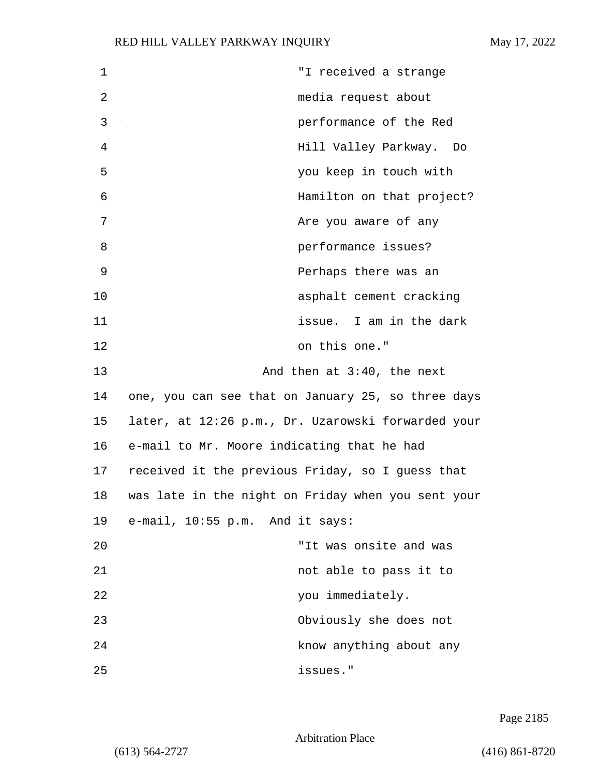| 1  | "I received a strange                              |
|----|----------------------------------------------------|
| 2  | media request about                                |
| 3  | performance of the Red                             |
| 4  | Hill Valley Parkway. Do                            |
| 5  | you keep in touch with                             |
| 6  | Hamilton on that project?                          |
| 7  | Are you aware of any                               |
| 8  | performance issues?                                |
| 9  | Perhaps there was an                               |
| 10 | asphalt cement cracking                            |
| 11 | issue. I am in the dark                            |
| 12 | on this one."                                      |
| 13 | And then at 3:40, the next                         |
| 14 | one, you can see that on January 25, so three days |
| 15 | later, at 12:26 p.m., Dr. Uzarowski forwarded your |
| 16 | e-mail to Mr. Moore indicating that he had         |
| 17 | received it the previous Friday, so I guess that   |
| 18 | was late in the night on Friday when you sent your |
| 19 | e-mail, 10:55 p.m. And it says:                    |
| 20 | "It was onsite and was                             |
| 21 | not able to pass it to                             |
| 22 | you immediately.                                   |
| 23 | Obviously she does not                             |
| 24 | know anything about any                            |
| 25 | issues."                                           |

Page 2185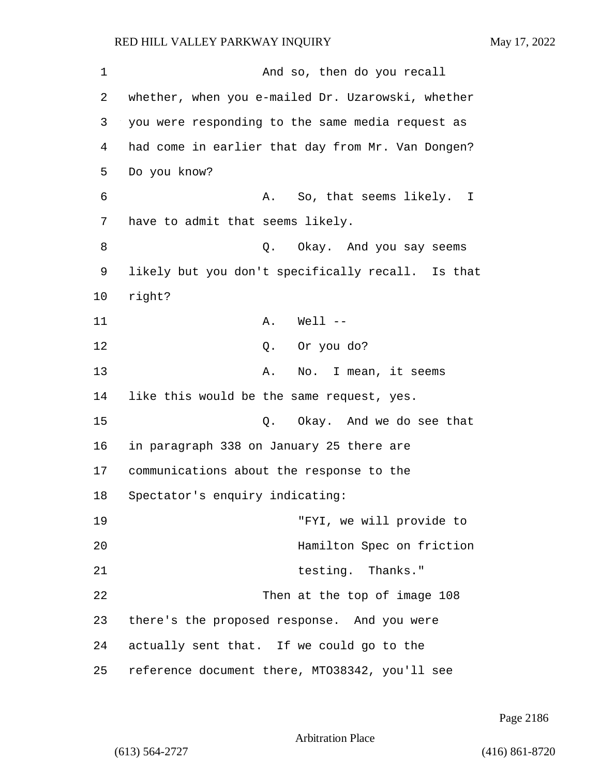| 1  | And so, then do you recall                        |
|----|---------------------------------------------------|
| 2  | whether, when you e-mailed Dr. Uzarowski, whether |
| 3  | you were responding to the same media request as  |
| 4  | had come in earlier that day from Mr. Van Dongen? |
| 5  | Do you know?                                      |
| 6  | A. So, that seems likely. I                       |
| 7  | have to admit that seems likely.                  |
| 8  | Q. Okay. And you say seems                        |
| 9  | likely but you don't specifically recall. Is that |
| 10 | right?                                            |
| 11 | $A.$ Well $--$                                    |
| 12 | Q. Or you do?                                     |
| 13 | No. I mean, it seems<br>Α.                        |
| 14 | like this would be the same request, yes.         |
| 15 | Q. Okay. And we do see that                       |
| 16 | in paragraph 338 on January 25 there are          |
| 17 | communications about the response to the          |
| 18 | Spectator's enquiry indicating:                   |
| 19 | "FYI, we will provide to                          |
| 20 | Hamilton Spec on friction                         |
| 21 | testing. Thanks."                                 |
| 22 | Then at the top of image 108                      |
| 23 | there's the proposed response. And you were       |
| 24 | actually sent that. If we could go to the         |
| 25 | reference document there, MT038342, you'll see    |

Page 2186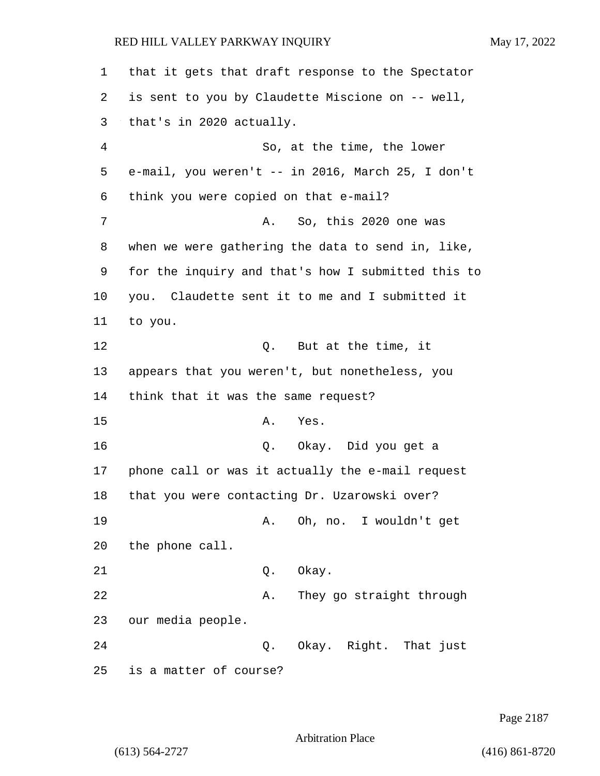1 that it gets that draft response to the Spectator 2 is sent to you by Claudette Miscione on -- well, 3 that's in 2020 actually. 4 So, at the time, the lower 5 e-mail, you weren't -- in 2016, March 25, I don't 6 think you were copied on that e-mail? 7 A. So, this 2020 one was 8 when we were gathering the data to send in, like, 9 for the inquiry and that's how I submitted this to 10 you. Claudette sent it to me and I submitted it 11 to you. 12 O. But at the time, it 13 appears that you weren't, but nonetheless, you 14 think that it was the same request? 15 A. Yes. 16 Q. Okay. Did you get a 17 phone call or was it actually the e-mail request 18 that you were contacting Dr. Uzarowski over? 19 A. Oh, no. I wouldn't get 20 the phone call. 21 Q. Okay. 22 A. They go straight through 23 our media people. 24 Q. Okay. Right. That just 25 is a matter of course?

Page 2187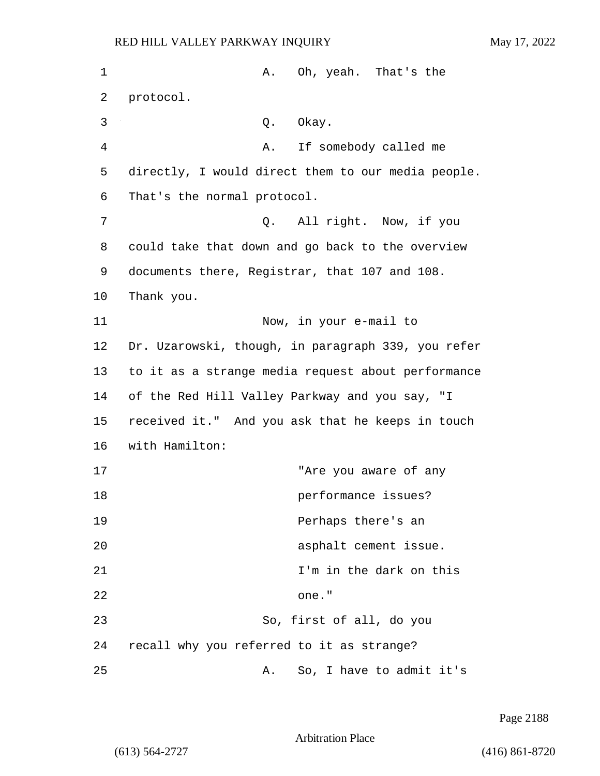| 1              | Oh, yeah. That's the<br>Α.                         |
|----------------|----------------------------------------------------|
| 2              | protocol.                                          |
| 3              | Okay.<br>Q.                                        |
| $\overline{4}$ | If somebody called me<br>Α.                        |
| 5              | directly, I would direct them to our media people. |
| 6              | That's the normal protocol.                        |
| 7              | All right. Now, if you<br>Q.                       |
| 8              | could take that down and go back to the overview   |
| 9              | documents there, Registrar, that 107 and 108.      |
| 10             | Thank you.                                         |
| 11             | Now, in your e-mail to                             |
| 12             | Dr. Uzarowski, though, in paragraph 339, you refer |
| 13             | to it as a strange media request about performance |
| 14             | of the Red Hill Valley Parkway and you say, "I     |
| 15             | received it." And you ask that he keeps in touch   |
| 16             | with Hamilton:                                     |
| 17             | "Are you aware of any                              |
| 18             | performance issues?                                |
| 19             | Perhaps there's an                                 |
| 20             | asphalt cement issue.                              |
| 21             | I'm in the dark on this                            |
| 22             | one."                                              |
| 23             | So, first of all, do you                           |
| 24             | recall why you referred to it as strange?          |
| 25             | So, I have to admit it's<br>Α.                     |

Page 2188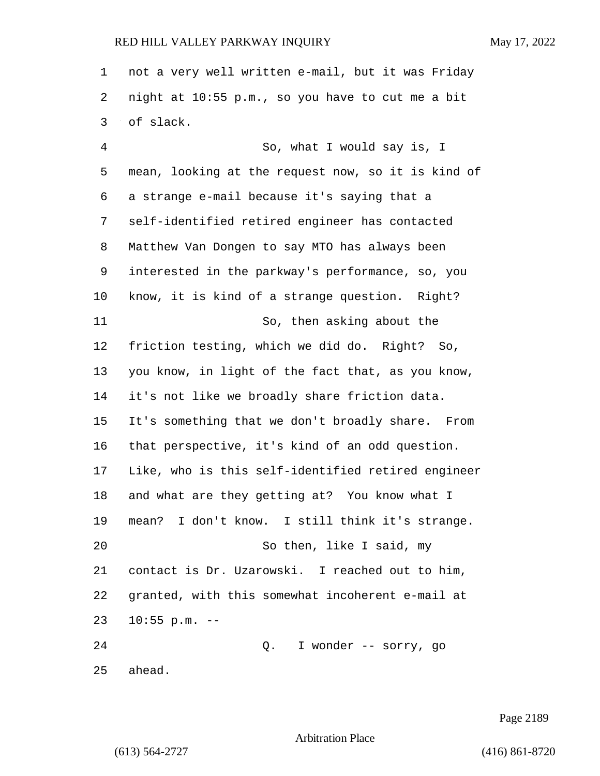not a very well written e-mail, but it was Friday night at 10:55 p.m., so you have to cut me a bit of slack.

4 So, what I would say is, I mean, looking at the request now, so it is kind of a strange e-mail because it's saying that a self-identified retired engineer has contacted Matthew Van Dongen to say MTO has always been interested in the parkway's performance, so, you know, it is kind of a strange question. Right? 11 So, then asking about the friction testing, which we did do. Right? So, you know, in light of the fact that, as you know, it's not like we broadly share friction data. It's something that we don't broadly share. From that perspective, it's kind of an odd question. Like, who is this self-identified retired engineer and what are they getting at? You know what I mean? I don't know. I still think it's strange. 20 So then, like I said, my contact is Dr. Uzarowski. I reached out to him, granted, with this somewhat incoherent e-mail at 10:55 p.m. -- 24 Q. I wonder -- sorry, go ahead.

Page 2189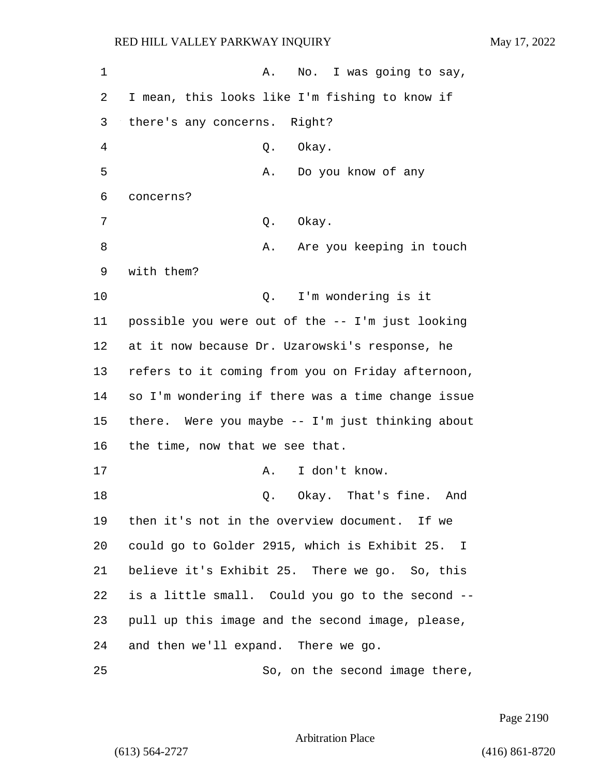1 A. No. I was going to say, I mean, this looks like I'm fishing to know if there's any concerns. Right? 4 Q. Okay. 5 A. Do you know of any concerns? 7 0. Okay. 8 A. Are you keeping in touch with them? 10 Q. I'm wondering is it possible you were out of the -- I'm just looking at it now because Dr. Uzarowski's response, he refers to it coming from you on Friday afternoon, so I'm wondering if there was a time change issue there. Were you maybe -- I'm just thinking about the time, now that we see that. 17 A. I don't know. 18 C. Okay. That's fine. And then it's not in the overview document. If we could go to Golder 2915, which is Exhibit 25. I believe it's Exhibit 25. There we go. So, this is a little small. Could you go to the second -- pull up this image and the second image, please, and then we'll expand. There we go. 25 So, on the second image there,

Page 2190

Arbitration Place

(613) 564-2727 (416) 861-8720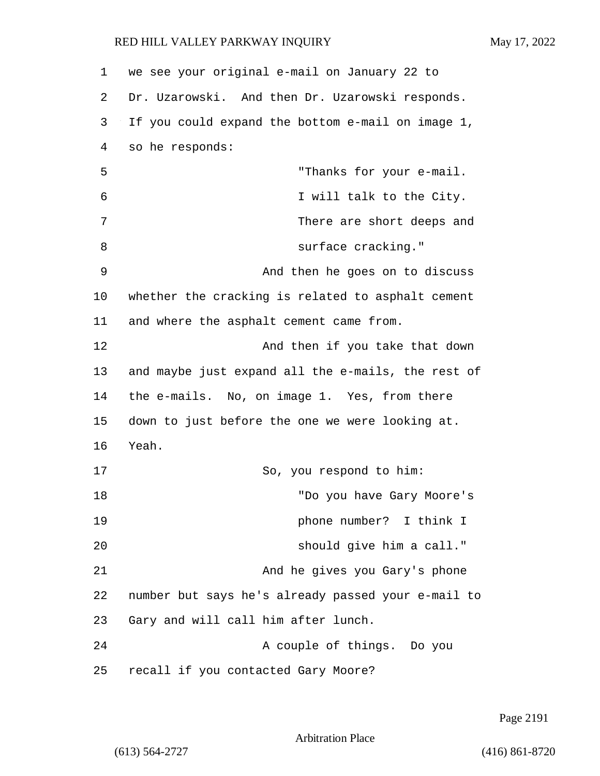1 we see your original e-mail on January 22 to 2 Dr. Uzarowski. And then Dr. Uzarowski responds. 3 If you could expand the bottom e-mail on image 1, 4 so he responds: 5 "Thanks for your e-mail. 6 I will talk to the City. 7 There are short deeps and 8 surface cracking." 9 And then he goes on to discuss 10 whether the cracking is related to asphalt cement 11 and where the asphalt cement came from. 12 And then if you take that down 13 and maybe just expand all the e-mails, the rest of 14 the e-mails. No, on image 1. Yes, from there 15 down to just before the one we were looking at. 16 Yeah. 17 So, you respond to him: 18 "Do you have Gary Moore's 19 phone number? I think I 20 should give him a call." 21 And he gives you Gary's phone 22 number but says he's already passed your e-mail to 23 Gary and will call him after lunch. 24 A couple of things. Do you 25 recall if you contacted Gary Moore?

Page 2191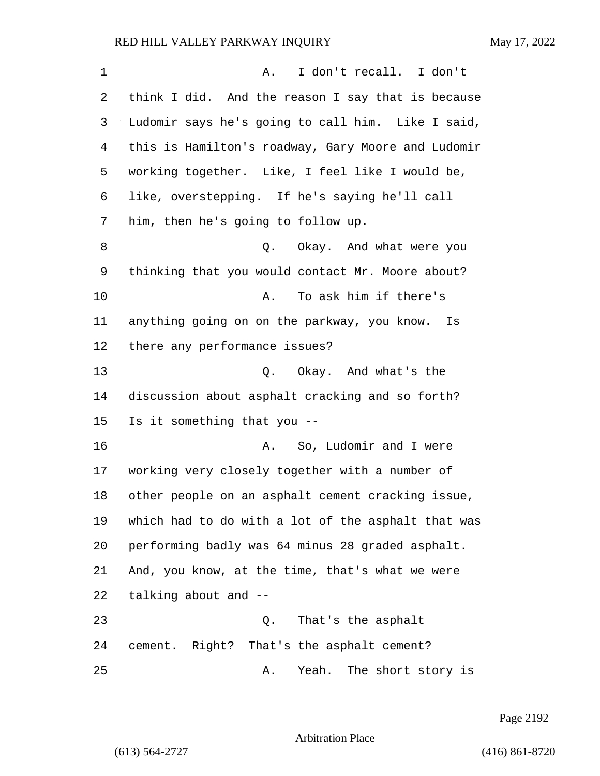| 1  | I don't recall. I don't<br>Α.                      |
|----|----------------------------------------------------|
| 2  | think I did. And the reason I say that is because  |
| 3  | Ludomir says he's going to call him. Like I said,  |
| 4  | this is Hamilton's roadway, Gary Moore and Ludomir |
| 5  | working together. Like, I feel like I would be,    |
| 6  | like, overstepping. If he's saying he'll call      |
| 7  | him, then he's going to follow up.                 |
| 8  | Okay. And what were you<br>Q.                      |
| 9  | thinking that you would contact Mr. Moore about?   |
| 10 | To ask him if there's<br>Α.                        |
| 11 | anything going on on the parkway, you know. Is     |
| 12 | there any performance issues?                      |
| 13 | Q. Okay. And what's the                            |
| 14 | discussion about asphalt cracking and so forth?    |
| 15 | Is it something that you --                        |
| 16 | So, Ludomir and I were<br>Α.                       |
| 17 | working very closely together with a number of     |
| 18 | other people on an asphalt cement cracking issue,  |
| 19 | which had to do with a lot of the asphalt that was |
| 20 | performing badly was 64 minus 28 graded asphalt.   |
| 21 | And, you know, at the time, that's what we were    |
| 22 | talking about and --                               |
| 23 | That's the asphalt<br>Q.                           |
| 24 | cement. Right? That's the asphalt cement?          |
| 25 | The short story is<br>Yeah.<br>Α.                  |

Page 2192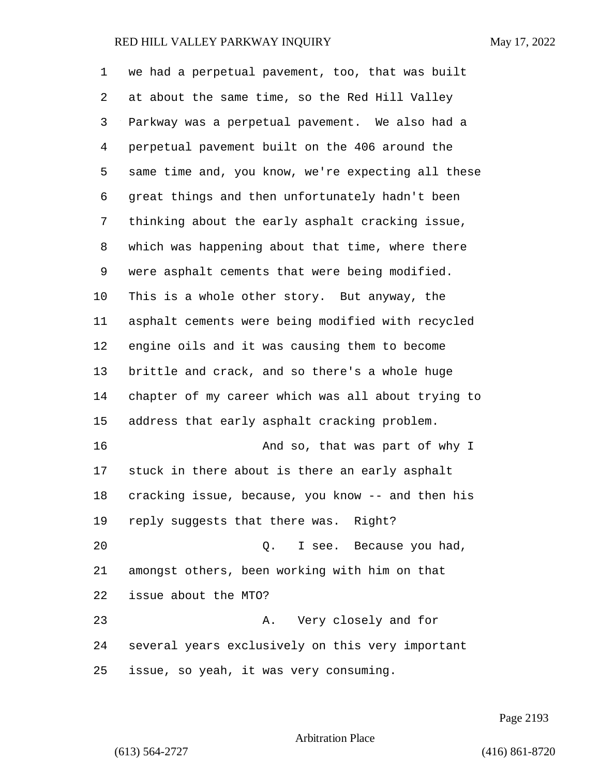we had a perpetual pavement, too, that was built at about the same time, so the Red Hill Valley Parkway was a perpetual pavement. We also had a perpetual pavement built on the 406 around the same time and, you know, we're expecting all these great things and then unfortunately hadn't been thinking about the early asphalt cracking issue, which was happening about that time, where there were asphalt cements that were being modified. This is a whole other story. But anyway, the asphalt cements were being modified with recycled engine oils and it was causing them to become brittle and crack, and so there's a whole huge chapter of my career which was all about trying to address that early asphalt cracking problem. 16 And so, that was part of why I stuck in there about is there an early asphalt cracking issue, because, you know -- and then his reply suggests that there was. Right? 20 Q. I see. Because you had, amongst others, been working with him on that issue about the MTO? 23 A. Very closely and for several years exclusively on this very important issue, so yeah, it was very consuming.

Page 2193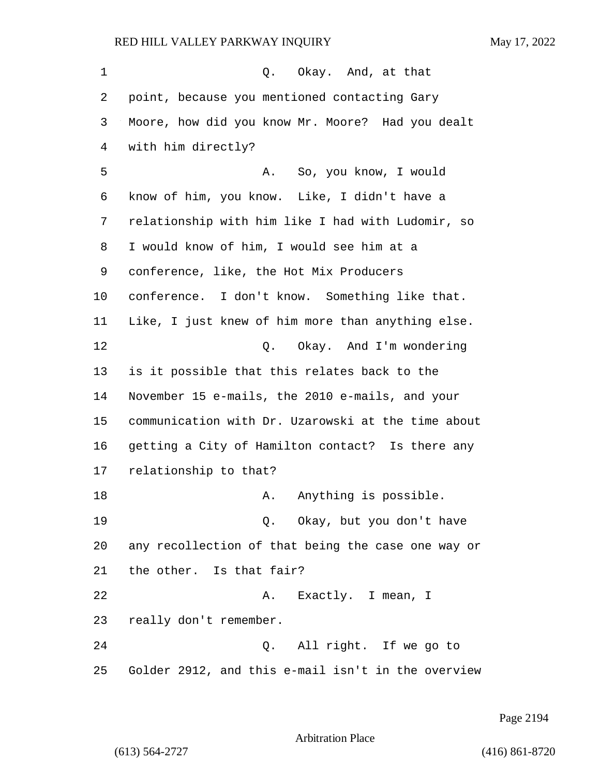| 1  | Q. Okay. And, at that                              |
|----|----------------------------------------------------|
| 2  | point, because you mentioned contacting Gary       |
| 3  | Moore, how did you know Mr. Moore? Had you dealt   |
| 4  | with him directly?                                 |
| 5  | A. So, you know, I would                           |
| 6  | know of him, you know. Like, I didn't have a       |
| 7  | relationship with him like I had with Ludomir, so  |
| 8  | I would know of him, I would see him at a          |
| 9  | conference, like, the Hot Mix Producers            |
| 10 | conference. I don't know. Something like that.     |
| 11 | Like, I just knew of him more than anything else.  |
| 12 | Q. Okay. And I'm wondering                         |
| 13 | is it possible that this relates back to the       |
| 14 | November 15 e-mails, the 2010 e-mails, and your    |
| 15 | communication with Dr. Uzarowski at the time about |
| 16 | getting a City of Hamilton contact? Is there any   |
| 17 | relationship to that?                              |
| 18 | Anything is possible.<br>Α.                        |
| 19 | Q. Okay, but you don't have                        |
| 20 | any recollection of that being the case one way or |
| 21 | the other. Is that fair?                           |
| 22 | A. Exactly. I mean, I                              |
| 23 | really don't remember.                             |
| 24 | Q. All right. If we go to                          |
| 25 | Golder 2912, and this e-mail isn't in the overview |

Page 2194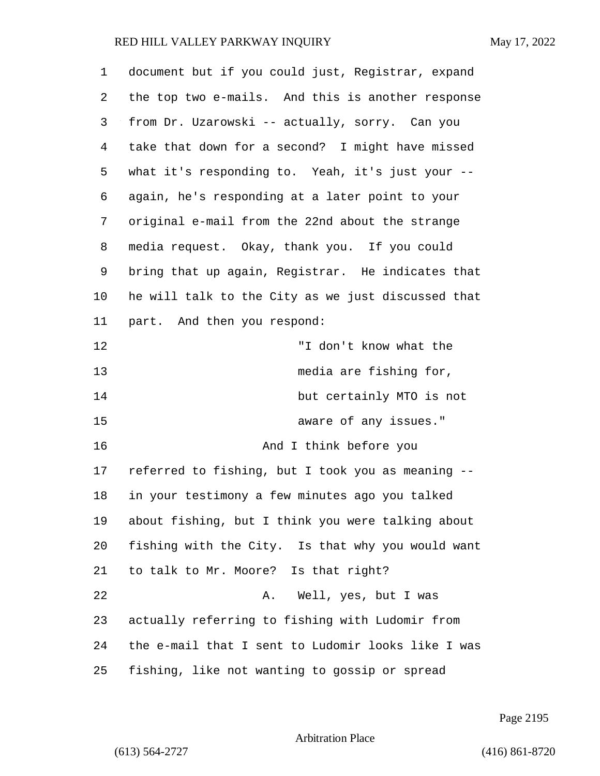| 1  | document but if you could just, Registrar, expand  |
|----|----------------------------------------------------|
| 2  | the top two e-mails. And this is another response  |
| 3  | from Dr. Uzarowski -- actually, sorry. Can you     |
| 4  | take that down for a second? I might have missed   |
| 5  | what it's responding to. Yeah, it's just your --   |
| 6  | again, he's responding at a later point to your    |
| 7  | original e-mail from the 22nd about the strange    |
| 8  | media request. Okay, thank you. If you could       |
| 9  | bring that up again, Registrar. He indicates that  |
| 10 | he will talk to the City as we just discussed that |
| 11 | part. And then you respond:                        |
| 12 | "I don't know what the                             |
| 13 | media are fishing for,                             |
| 14 | but certainly MTO is not                           |
| 15 | aware of any issues."                              |
| 16 | And I think before you                             |
| 17 | referred to fishing, but I took you as meaning --  |
| 18 | in your testimony a few minutes ago you talked     |
| 19 | about fishing, but I think you were talking about  |
| 20 | fishing with the City. Is that why you would want  |
| 21 | to talk to Mr. Moore? Is that right?               |
| 22 | Well, yes, but I was<br>Α.                         |
| 23 | actually referring to fishing with Ludomir from    |
| 24 | the e-mail that I sent to Ludomir looks like I was |
| 25 | fishing, like not wanting to gossip or spread      |

Page 2195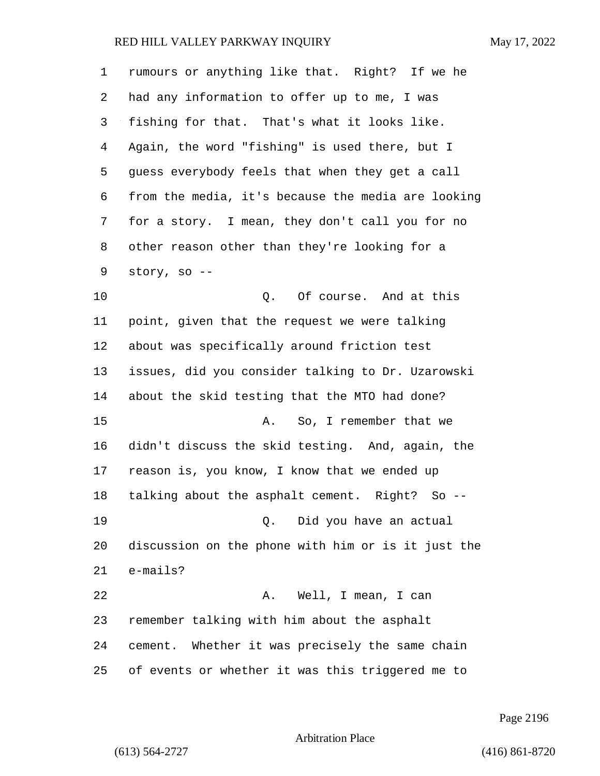| $\mathbf 1$ | rumours or anything like that. Right? If we he     |
|-------------|----------------------------------------------------|
| 2           | had any information to offer up to me, I was       |
| 3           | fishing for that. That's what it looks like.       |
| 4           | Again, the word "fishing" is used there, but I     |
| 5           | guess everybody feels that when they get a call    |
| 6           | from the media, it's because the media are looking |
| 7           | for a story. I mean, they don't call you for no    |
| 8           | other reason other than they're looking for a      |
| 9           | story, so --                                       |
| 10          | Of course. And at this<br>Q.                       |
| 11          | point, given that the request we were talking      |
| 12          | about was specifically around friction test        |
| 13          | issues, did you consider talking to Dr. Uzarowski  |
| 14          | about the skid testing that the MTO had done?      |
| 15          | So, I remember that we<br>А.                       |
| 16          | didn't discuss the skid testing. And, again, the   |
| 17          | reason is, you know, I know that we ended up       |
| 18          | talking about the asphalt cement. Right? So --     |
| 19          | Did you have an actual<br>0.                       |
| 20          | discussion on the phone with him or is it just the |
| 21          | $e$ -mails?                                        |
| 22          | Well, I mean, I can<br>Α.                          |
| 23          | remember talking with him about the asphalt        |
| 24          | cement. Whether it was precisely the same chain    |
| 25          | of events or whether it was this triggered me to   |

Page 2196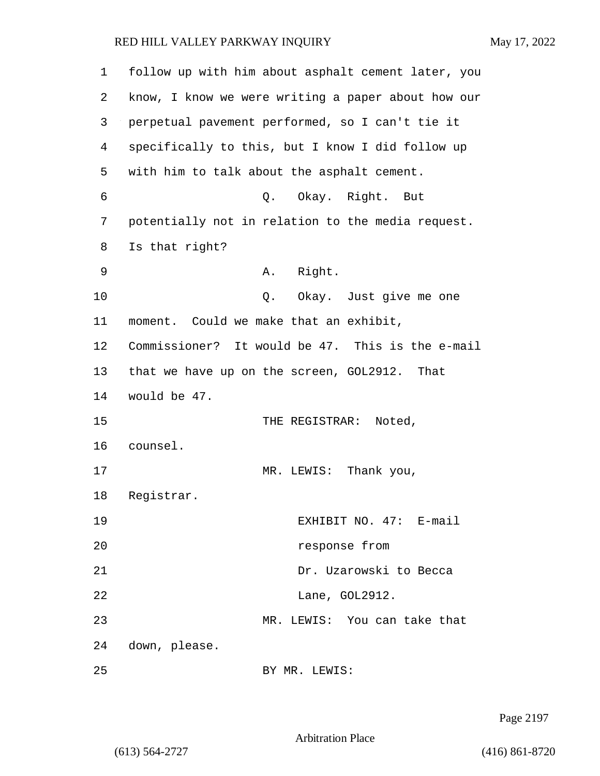| $\mathbf 1$ | follow up with him about asphalt cement later, you |
|-------------|----------------------------------------------------|
| 2           | know, I know we were writing a paper about how our |
| 3           | perpetual pavement performed, so I can't tie it    |
| 4           | specifically to this, but I know I did follow up   |
| 5           | with him to talk about the asphalt cement.         |
| 6           | Q. Okay. Right. But                                |
| 7           | potentially not in relation to the media request.  |
| 8           | Is that right?                                     |
| 9           | Right.<br>Α.                                       |
| 10          | Okay. Just give me one<br>Q.                       |
| 11          | moment. Could we make that an exhibit,             |
| 12          | Commissioner? It would be 47. This is the e-mail   |
| 13          | that we have up on the screen, GOL2912. That       |
| 14          | would be 47.                                       |
| 15          | THE REGISTRAR: Noted,                              |
| 16          | counsel.                                           |
| 17          | Thank you,<br>MR. LEWIS:                           |
| 18          | Registrar.                                         |
| 19          | EXHIBIT NO. 47: E-mail                             |
| 20          | response from                                      |
| 21          | Dr. Uzarowski to Becca                             |
| 22          | Lane, GOL2912.                                     |
| 23          | MR. LEWIS: You can take that                       |
| 24          | down, please.                                      |
| 25          | BY MR. LEWIS:                                      |

Page 2197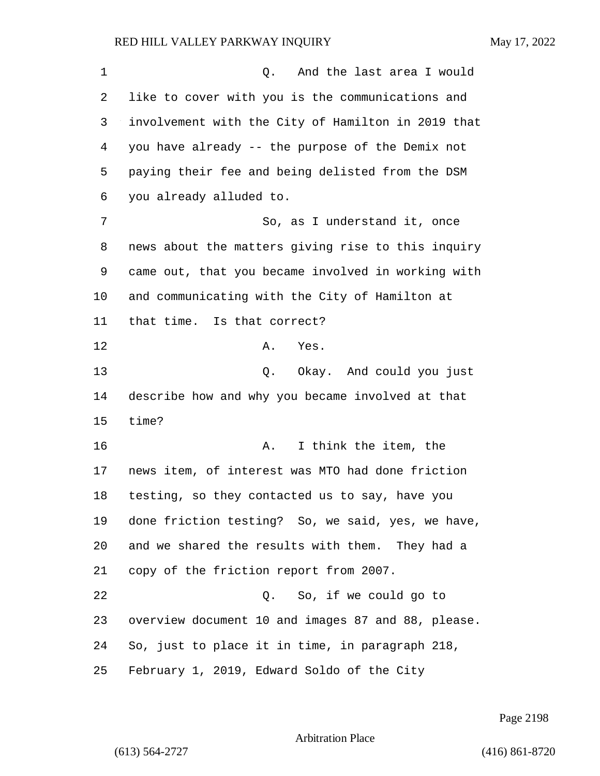1 and the last area I would like to cover with you is the communications and involvement with the City of Hamilton in 2019 that you have already -- the purpose of the Demix not paying their fee and being delisted from the DSM you already alluded to. 7 So, as I understand it, once news about the matters giving rise to this inquiry came out, that you became involved in working with and communicating with the City of Hamilton at that time. Is that correct? 12 A. Yes. 13 Q. Okay. And could you just describe how and why you became involved at that time? **A.** I think the item, the news item, of interest was MTO had done friction testing, so they contacted us to say, have you done friction testing? So, we said, yes, we have, and we shared the results with them. They had a copy of the friction report from 2007. 22 Q. So, if we could go to overview document 10 and images 87 and 88, please. So, just to place it in time, in paragraph 218, February 1, 2019, Edward Soldo of the City

Page 2198

```
Arbitration Place
```
(613) 564-2727 (416) 861-8720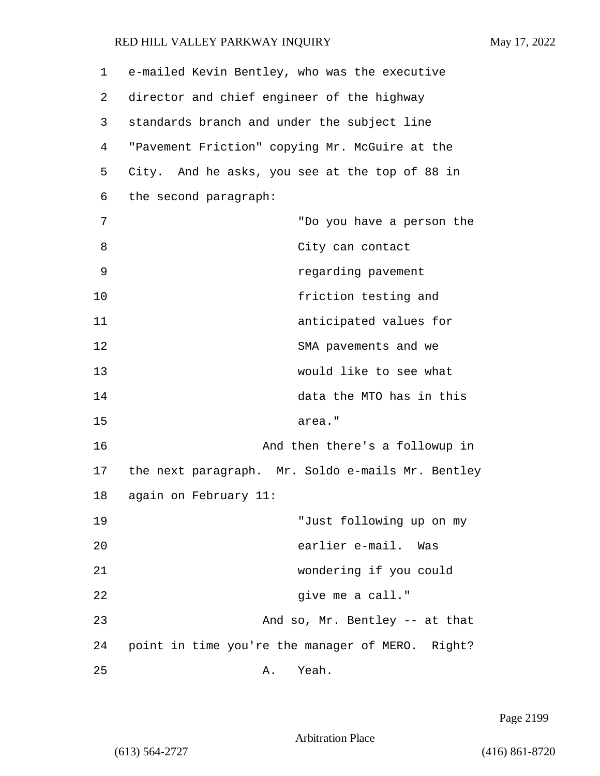1 e-mailed Kevin Bentley, who was the executive 2 director and chief engineer of the highway 3 standards branch and under the subject line 4 "Pavement Friction" copying Mr. McGuire at the 5 City. And he asks, you see at the top of 88 in 6 the second paragraph: 7 "Do you have a person the 8 City can contact 9 regarding pavement 10 friction testing and 11 anticipated values for 12 SMA pavements and we 13 would like to see what 14 data the MTO has in this 15 area." 16 And then there's a followup in 17 the next paragraph. Mr. Soldo e-mails Mr. Bentley 18 again on February 11: 19 "Just following up on my 20 earlier e-mail. Was 21 wondering if you could 22 give me a call." 23 And so, Mr. Bentley -- at that 24 point in time you're the manager of MERO. Right? 25 A. Yeah.

Page 2199

Arbitration Place

(613) 564-2727 (416) 861-8720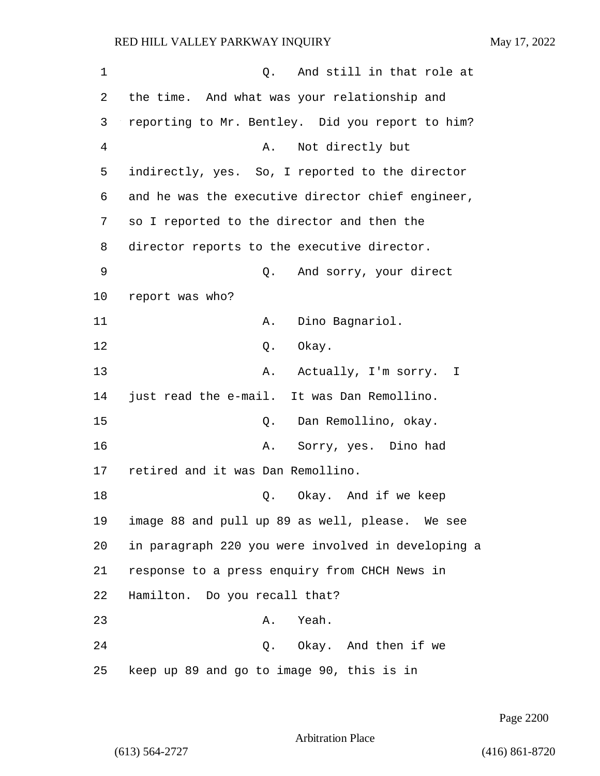| 1       | And still in that role at<br>Q.                    |
|---------|----------------------------------------------------|
| 2       | the time. And what was your relationship and       |
| 3       | reporting to Mr. Bentley. Did you report to him?   |
| 4       | Not directly but<br>Α.                             |
| 5       | indirectly, yes. So, I reported to the director    |
| 6       | and he was the executive director chief engineer,  |
| 7       | so I reported to the director and then the         |
| 8       | director reports to the executive director.        |
| 9       | And sorry, your direct<br>Q.                       |
| $10 \,$ | report was who?                                    |
| 11      | Dino Bagnariol.<br>Α.                              |
| 12      | Q. Okay.                                           |
| 13      | Actually, I'm sorry. I<br>Α.                       |
| 14      | just read the e-mail. It was Dan Remollino.        |
| 15      | Dan Remollino, okay.<br>Q.                         |
| 16      | Sorry, yes. Dino had<br>Α.                         |
| 17      | retired and it was Dan Remollino.                  |
| 18      | Okay. And if we keep<br>Q.                         |
| 19      | image 88 and pull up 89 as well, please. We see    |
| 20      | in paragraph 220 you were involved in developing a |
| 21      | response to a press enquiry from CHCH News in      |
| 22      | Hamilton. Do you recall that?                      |
| 23      | Yeah.<br>Α.                                        |
| 24      | Q. Okay. And then if we                            |
| 25      | keep up 89 and go to image 90, this is in          |

Page 2200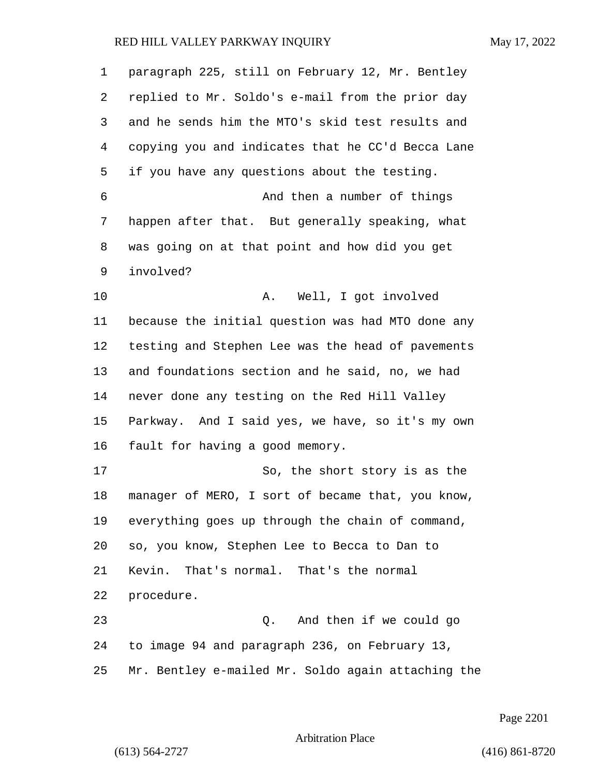| 1  | paragraph 225, still on February 12, Mr. Bentley   |
|----|----------------------------------------------------|
| 2  | replied to Mr. Soldo's e-mail from the prior day   |
| 3  | and he sends him the MTO's skid test results and   |
| 4  | copying you and indicates that he CC'd Becca Lane  |
| 5  | if you have any questions about the testing.       |
| 6  | And then a number of things                        |
| 7  | happen after that. But generally speaking, what    |
| 8  | was going on at that point and how did you get     |
| 9  | involved?                                          |
| 10 | Well, I got involved<br>Α.                         |
| 11 | because the initial question was had MTO done any  |
| 12 | testing and Stephen Lee was the head of pavements  |
| 13 | and foundations section and he said, no, we had    |
| 14 | never done any testing on the Red Hill Valley      |
| 15 | Parkway. And I said yes, we have, so it's my own   |
| 16 | fault for having a good memory.                    |
| 17 | So, the short story is as the                      |
| 18 | manager of MERO, I sort of became that, you know,  |
| 19 | everything goes up through the chain of command,   |
| 20 | so, you know, Stephen Lee to Becca to Dan to       |
| 21 | That's normal. That's the normal<br>Kevin.         |
| 22 | procedure.                                         |
| 23 | Q. And then if we could go                         |
| 24 | to image 94 and paragraph 236, on February 13,     |
| 25 | Mr. Bentley e-mailed Mr. Soldo again attaching the |

Page 2201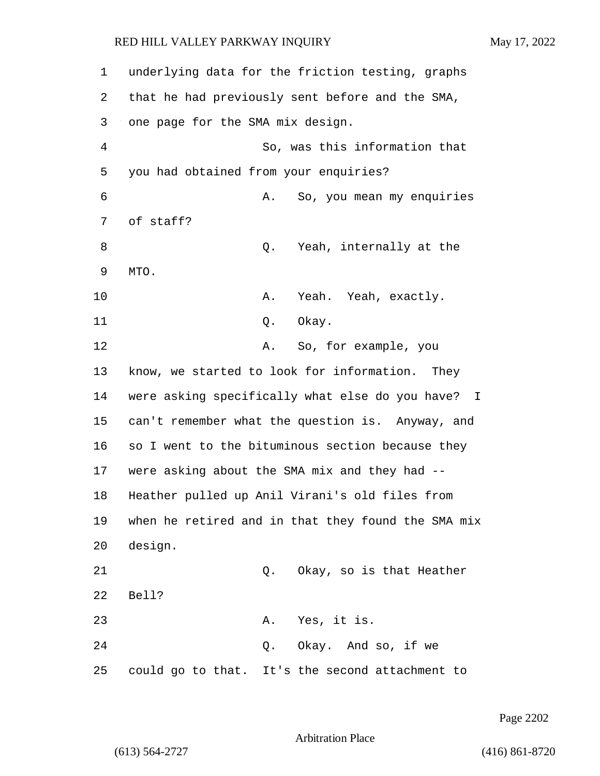| 1              |                                       |    | underlying data for the friction testing, graphs   |
|----------------|---------------------------------------|----|----------------------------------------------------|
| 2              |                                       |    | that he had previously sent before and the SMA,    |
| 3              | one page for the SMA mix design.      |    |                                                    |
| $\overline{4}$ |                                       |    | So, was this information that                      |
| 5              | you had obtained from your enquiries? |    |                                                    |
| 6              |                                       | Α. | So, you mean my enquiries                          |
| 7              | of staff?                             |    |                                                    |
| 8              |                                       | Q. | Yeah, internally at the                            |
| 9              | MTO.                                  |    |                                                    |
| 10             |                                       | Α. | Yeah. Yeah, exactly.                               |
| 11             |                                       | Q. | Okay.                                              |
| 12             |                                       | Α. | So, for example, you                               |
| 13             |                                       |    | know, we started to look for information. They     |
| 14             |                                       |    | were asking specifically what else do you have? I  |
| 15             |                                       |    | can't remember what the question is. Anyway, and   |
| 16             |                                       |    | so I went to the bituminous section because they   |
| 17             |                                       |    | were asking about the SMA mix and they had --      |
| 18             |                                       |    | Heather pulled up Anil Virani's old files from     |
| 19             |                                       |    | when he retired and in that they found the SMA mix |
| 20             | design.                               |    |                                                    |
| 21             |                                       | Q. | Okay, so is that Heather                           |
| 22             | Bell?                                 |    |                                                    |
| 23             |                                       |    | A. Yes, it is.                                     |
| 24             |                                       |    | Q. Okay. And so, if we                             |
| 25             |                                       |    | could go to that. It's the second attachment to    |

Page 2202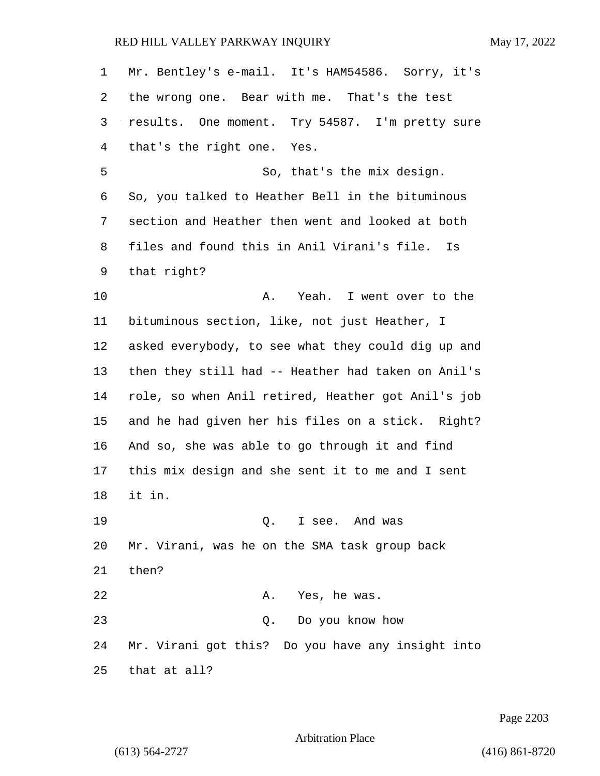| $\mathbf 1$ | Mr. Bentley's e-mail. It's HAM54586. Sorry, it's   |
|-------------|----------------------------------------------------|
| 2           | the wrong one. Bear with me. That's the test       |
| 3           | results. One moment. Try 54587. I'm pretty sure    |
| 4           | that's the right one. Yes.                         |
| 5           | So, that's the mix design.                         |
| 6           | So, you talked to Heather Bell in the bituminous   |
| 7           | section and Heather then went and looked at both   |
| 8           | files and found this in Anil Virani's file. Is     |
| 9           | that right?                                        |
| 10          | A. Yeah. I went over to the                        |
| 11          | bituminous section, like, not just Heather, I      |
| 12          | asked everybody, to see what they could dig up and |
| 13          | then they still had -- Heather had taken on Anil's |
| 14          | role, so when Anil retired, Heather got Anil's job |
| 15          | and he had given her his files on a stick. Right?  |
| 16          | And so, she was able to go through it and find     |
| 17          | this mix design and she sent it to me and I sent   |
| 18          | it in.                                             |
| 19          | Q. I see. And was                                  |
| 20          | Mr. Virani, was he on the SMA task group back      |
| 21          | then?                                              |
| 22          | A. Yes, he was.                                    |
| 23          | Do you know how<br>Q.                              |
| 24          | Mr. Virani got this? Do you have any insight into  |
| 25          | that at all?                                       |

Page 2203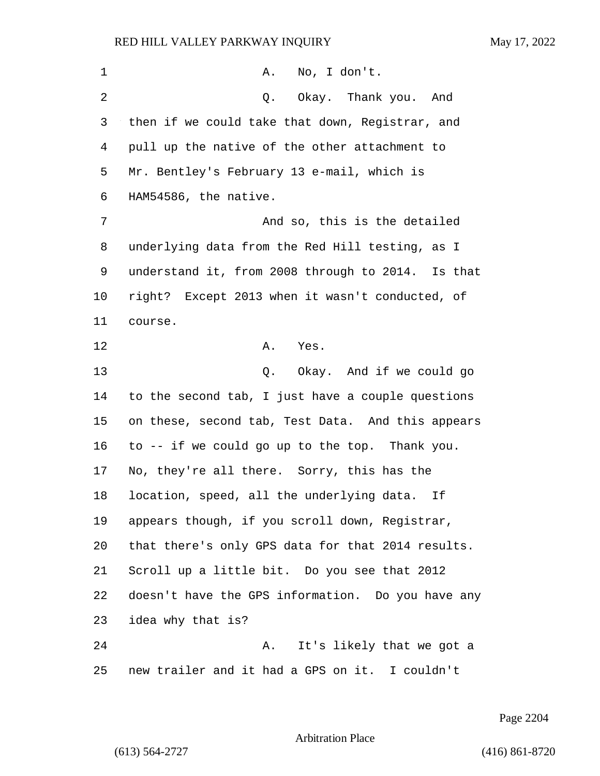| 1              | No, I don't.<br>Α.                                |
|----------------|---------------------------------------------------|
| $\overline{2}$ | Okay.   Thank you.<br>And<br>Q.                   |
| 3              | then if we could take that down, Registrar, and   |
| 4              | pull up the native of the other attachment to     |
| 5              | Mr. Bentley's February 13 e-mail, which is        |
| 6              | HAM54586, the native.                             |
| 7              | And so, this is the detailed                      |
| 8              | underlying data from the Red Hill testing, as I   |
| 9              | understand it, from 2008 through to 2014. Is that |
| 10             | right? Except 2013 when it wasn't conducted, of   |
| 11             | course.                                           |
| 12             | Α.<br>Yes.                                        |
| 13             | Q. Okay. And if we could go                       |
| 14             | to the second tab, I just have a couple questions |
| 15             | on these, second tab, Test Data. And this appears |
| 16             | to -- if we could go up to the top. Thank you.    |
| 17             | No, they're all there. Sorry, this has the        |
| 18             | location, speed, all the underlying data.<br>Ιf   |
| 19             | appears though, if you scroll down, Registrar,    |
| 20             | that there's only GPS data for that 2014 results. |
| 21             | Scroll up a little bit. Do you see that 2012      |
| 22             | doesn't have the GPS information. Do you have any |
| 23             | idea why that is?                                 |
| 24             | It's likely that we got a<br>Α.                   |
| 25             | new trailer and it had a GPS on it. I couldn't    |

Page 2204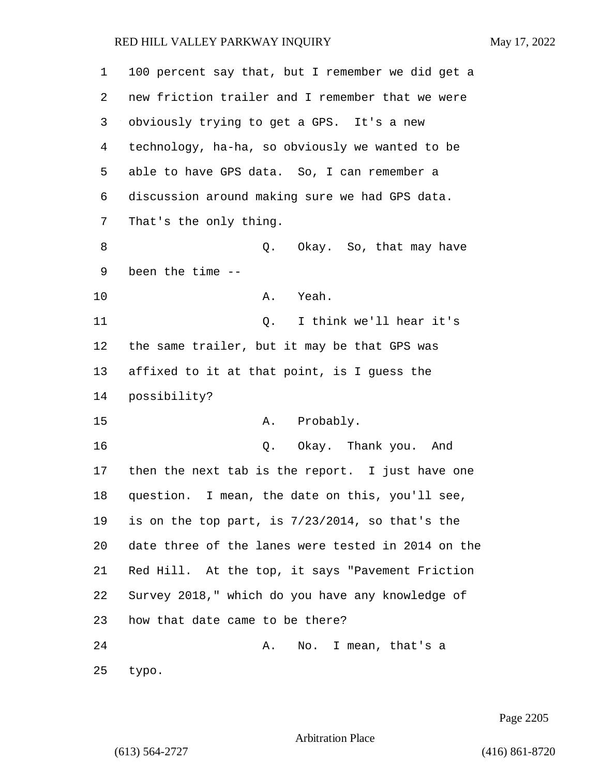| 1  | 100 percent say that, but I remember we did get a  |
|----|----------------------------------------------------|
| 2  | new friction trailer and I remember that we were   |
| 3  | obviously trying to get a GPS. It's a new          |
| 4  | technology, ha-ha, so obviously we wanted to be    |
| 5  | able to have GPS data. So, I can remember a        |
| 6  | discussion around making sure we had GPS data.     |
| 7  | That's the only thing.                             |
| 8  | Q.<br>Okay. So, that may have                      |
| 9  | been the time --                                   |
| 10 | Yeah.<br>Α.                                        |
| 11 | I think we'll hear it's<br>Q.                      |
| 12 | the same trailer, but it may be that GPS was       |
| 13 | affixed to it at that point, is I guess the        |
| 14 | possibility?                                       |
| 15 | Probably.<br>Α.                                    |
| 16 | Okay. Thank you. And<br>$Q$ .                      |
| 17 | then the next tab is the report. I just have one   |
| 18 | question. I mean, the date on this, you'll see,    |
| 19 | is on the top part, is 7/23/2014, so that's the    |
| 20 | date three of the lanes were tested in 2014 on the |
| 21 | Red Hill. At the top, it says "Pavement Friction   |
| 22 | Survey 2018," which do you have any knowledge of   |
| 23 | how that date came to be there?                    |
| 24 | No. I mean, that's a<br>Α.                         |
| 25 | typo.                                              |

Page 2205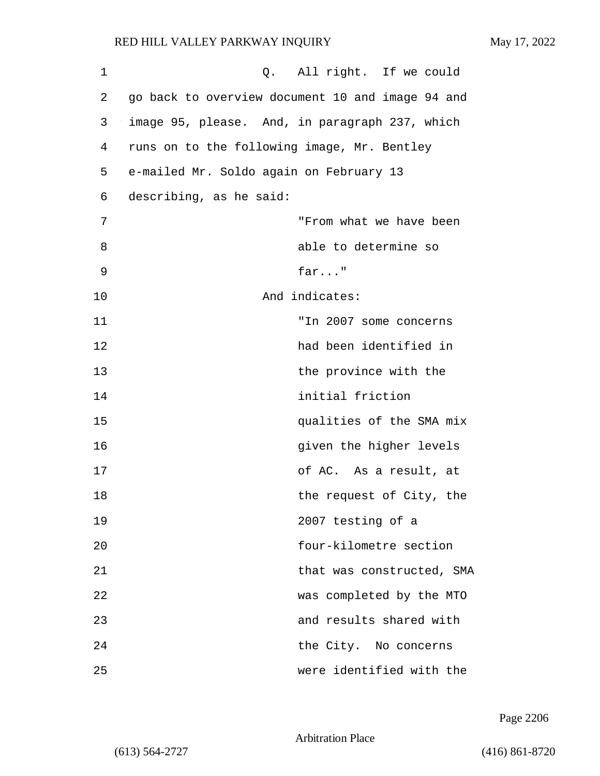| 1  | Q. All right. If we could                        |
|----|--------------------------------------------------|
| 2  | go back to overview document 10 and image 94 and |
| 3  | image 95, please. And, in paragraph 237, which   |
| 4  | runs on to the following image, Mr. Bentley      |
| 5  | e-mailed Mr. Soldo again on February 13          |
| 6  | describing, as he said:                          |
| 7  | "From what we have been                          |
| 8  | able to determine so                             |
| 9  | $far$ "                                          |
| 10 | And indicates:                                   |
| 11 | "In 2007 some concerns                           |
| 12 | had been identified in                           |
| 13 | the province with the                            |
| 14 | initial friction                                 |
| 15 | qualities of the SMA mix                         |
| 16 | given the higher levels                          |
| 17 | of AC. As a result, at                           |
| 18 | the request of City, the                         |
| 19 | 2007 testing of a                                |
| 20 | four-kilometre section                           |
| 21 | that was constructed, SMA                        |
| 22 | was completed by the MTO                         |
| 23 | and results shared with                          |
| 24 | the City. No concerns                            |
| 25 | were identified with the                         |

Page 2206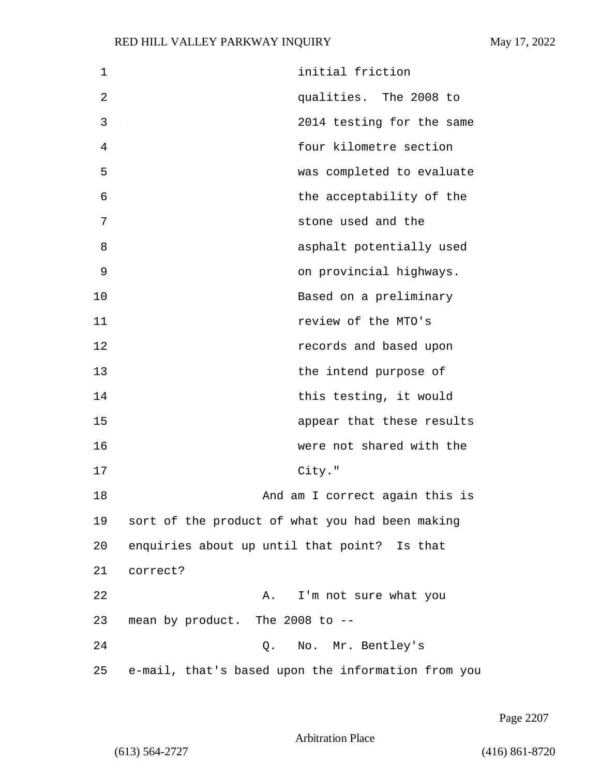| 1  | initial friction                                   |
|----|----------------------------------------------------|
| 2  | qualities. The 2008 to                             |
| 3  | 2014 testing for the same                          |
| 4  | four kilometre section                             |
| 5  | was completed to evaluate                          |
| 6  | the acceptability of the                           |
| 7  | stone used and the                                 |
| 8  | asphalt potentially used                           |
| 9  | on provincial highways.                            |
| 10 | Based on a preliminary                             |
| 11 | review of the MTO's                                |
| 12 | records and based upon                             |
| 13 | the intend purpose of                              |
| 14 | this testing, it would                             |
| 15 | appear that these results                          |
| 16 | were not shared with the                           |
| 17 | City."                                             |
| 18 | And am I correct again this is                     |
| 19 | sort of the product of what you had been making    |
| 20 | enquiries about up until that point? Is that       |
| 21 | correct?                                           |
| 22 | I'm not sure what you<br>Α.                        |
| 23 | mean by product. The 2008 to --                    |
| 24 | No. Mr. Bentley's<br>Q.                            |
| 25 | e-mail, that's based upon the information from you |

Page 2207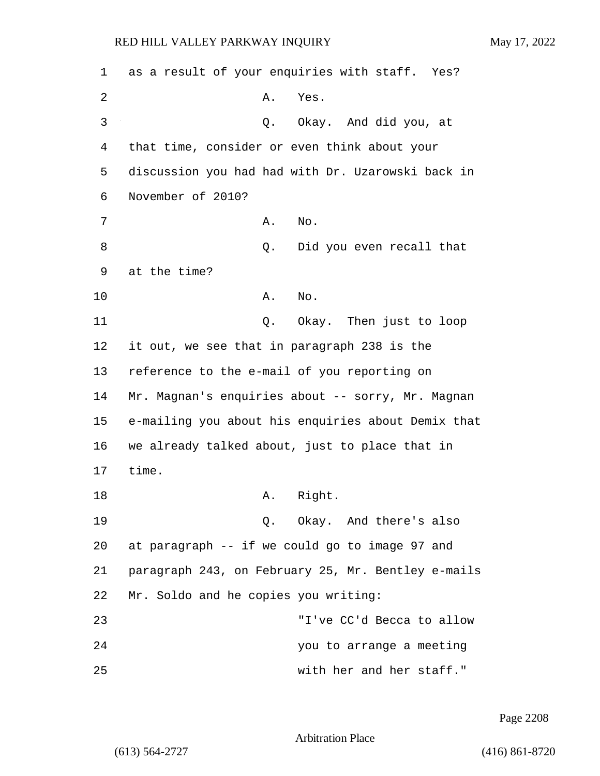1 as a result of your enquiries with staff. Yes? 2 A. Yes. 3 Q. Okay. And did you, at 4 that time, consider or even think about your 5 discussion you had had with Dr. Uzarowski back in 6 November of 2010? 7 A. No. 8 and 2. Did you even recall that 9 at the time? 10 A. No. 11 Q. Okay. Then just to loop 12 it out, we see that in paragraph 238 is the 13 reference to the e-mail of you reporting on 14 Mr. Magnan's enquiries about -- sorry, Mr. Magnan 15 e-mailing you about his enquiries about Demix that 16 we already talked about, just to place that in 17 time. 18 A. Right. 19 Q. Okay. And there's also 20 at paragraph -- if we could go to image 97 and 21 paragraph 243, on February 25, Mr. Bentley e-mails 22 Mr. Soldo and he copies you writing: 23 "I've CC'd Becca to allow 24 you to arrange a meeting 25 with her and her staff."

Page 2208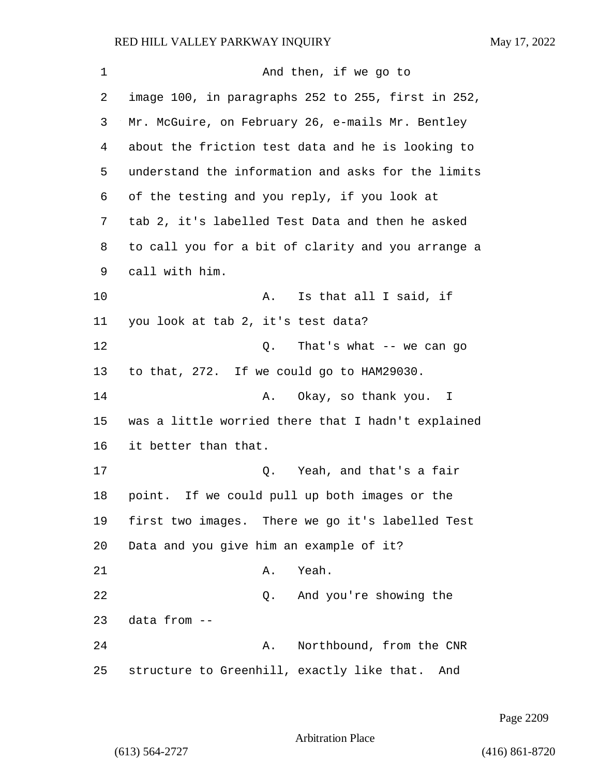1 And then, if we go to image 100, in paragraphs 252 to 255, first in 252, Mr. McGuire, on February 26, e-mails Mr. Bentley about the friction test data and he is looking to understand the information and asks for the limits of the testing and you reply, if you look at tab 2, it's labelled Test Data and then he asked to call you for a bit of clarity and you arrange a call with him. 10 A. Is that all I said, if you look at tab 2, it's test data? 12 Q. That's what -- we can go to that, 272. If we could go to HAM29030. 14 A. Okay, so thank you. I was a little worried there that I hadn't explained it better than that. 17 C. Yeah, and that's a fair point. If we could pull up both images or the first two images. There we go it's labelled Test Data and you give him an example of it? 21 A. Yeah. 22 Q. And you're showing the data from -- 24 A. Northbound, from the CNR structure to Greenhill, exactly like that. And

Page 2209

Arbitration Place

(613) 564-2727 (416) 861-8720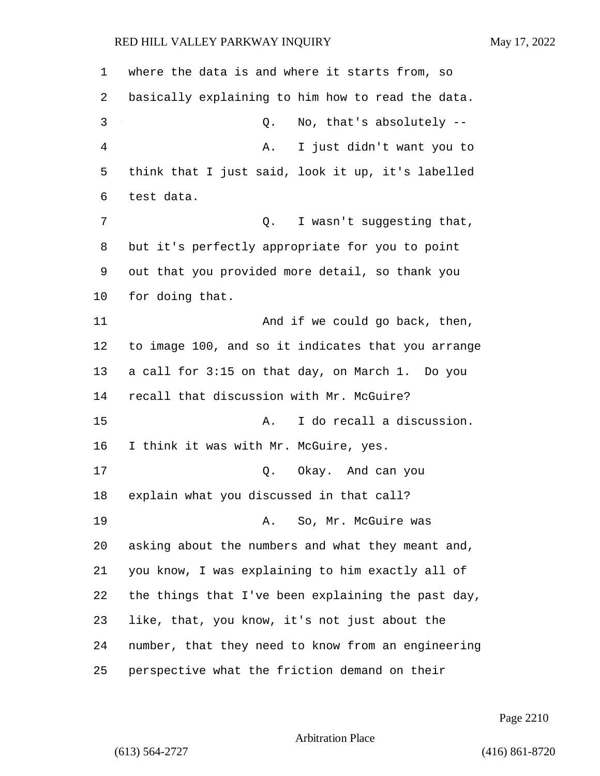| 1  | where the data is and where it starts from, so     |
|----|----------------------------------------------------|
| 2  | basically explaining to him how to read the data.  |
| 3  | No, that's absolutely --<br>Q.                     |
| 4  | I just didn't want you to<br>Α.                    |
| 5  | think that I just said, look it up, it's labelled  |
| 6  | test data.                                         |
| 7  | I wasn't suggesting that,<br>Q.                    |
| 8  | but it's perfectly appropriate for you to point    |
| 9  | out that you provided more detail, so thank you    |
| 10 | for doing that.                                    |
| 11 | And if we could go back, then,                     |
| 12 | to image 100, and so it indicates that you arrange |
| 13 | a call for 3:15 on that day, on March 1. Do you    |
| 14 | recall that discussion with Mr. McGuire?           |
| 15 | I do recall a discussion.<br>Α.                    |
| 16 | I think it was with Mr. McGuire, yes.              |
| 17 | Q. Okay. And can you                               |
| 18 | explain what you discussed in that call?           |
| 19 | A. So, Mr. McGuire was                             |
| 20 | asking about the numbers and what they meant and,  |
| 21 | you know, I was explaining to him exactly all of   |
| 22 | the things that I've been explaining the past day, |
| 23 | like, that, you know, it's not just about the      |
| 24 | number, that they need to know from an engineering |
| 25 | perspective what the friction demand on their      |

Page 2210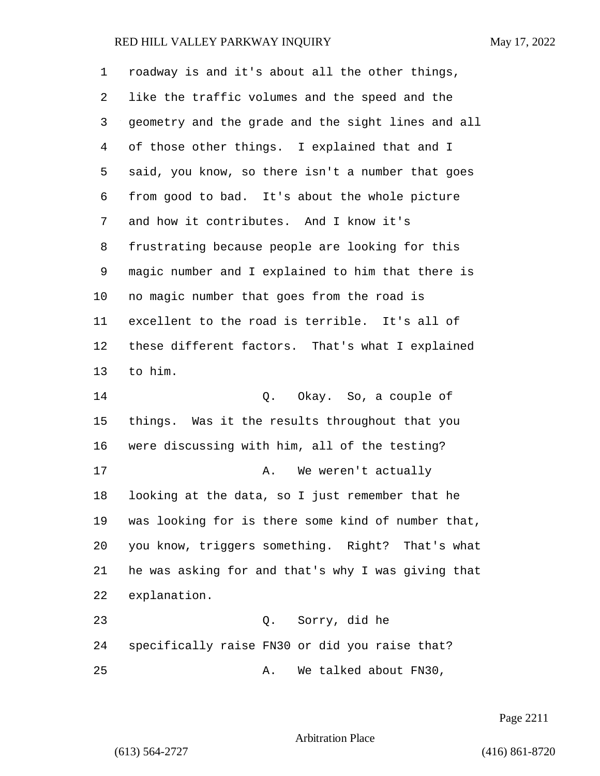| 1  | roadway is and it's about all the other things,    |
|----|----------------------------------------------------|
| 2  | like the traffic volumes and the speed and the     |
| 3  | geometry and the grade and the sight lines and all |
| 4  | of those other things. I explained that and I      |
| 5  | said, you know, so there isn't a number that goes  |
| 6  | from good to bad. It's about the whole picture     |
| 7  | and how it contributes. And I know it's            |
| 8  | frustrating because people are looking for this    |
| 9  | magic number and I explained to him that there is  |
| 10 | no magic number that goes from the road is         |
| 11 | excellent to the road is terrible. It's all of     |
| 12 | these different factors. That's what I explained   |
| 13 | to him.                                            |
| 14 | Q. Okay. So, a couple of                           |
| 15 | things. Was it the results throughout that you     |
| 16 | were discussing with him, all of the testing?      |
| 17 | We weren't actually<br>Α.                          |
| 18 | looking at the data, so I just remember that he    |
| 19 | was looking for is there some kind of number that, |
| 20 | you know, triggers something. Right? That's what   |
| 21 | he was asking for and that's why I was giving that |
| 22 | explanation.                                       |
| 23 | Sorry, did he<br>Q.                                |
| 24 | specifically raise FN30 or did you raise that?     |
| 25 | We talked about FN30,<br>Α.                        |

Page 2211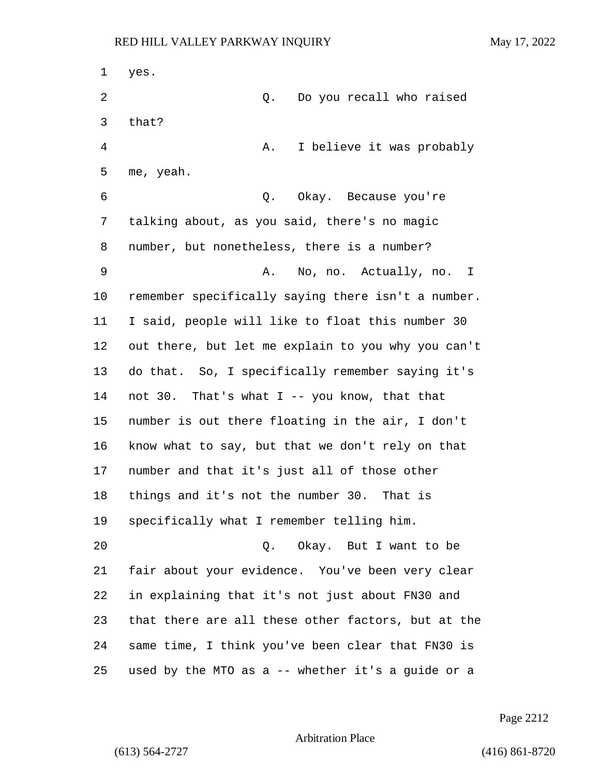yes. 2 Q. Do you recall who raised that? 4 A. I believe it was probably me, yeah. 6 Q. Okay. Because you're talking about, as you said, there's no magic number, but nonetheless, there is a number? 9 A. No, no. Actually, no. I remember specifically saying there isn't a number. I said, people will like to float this number 30 out there, but let me explain to you why you can't do that. So, I specifically remember saying it's not 30. That's what I -- you know, that that number is out there floating in the air, I don't know what to say, but that we don't rely on that number and that it's just all of those other things and it's not the number 30. That is specifically what I remember telling him. 20 Q. Okay. But I want to be fair about your evidence. You've been very clear in explaining that it's not just about FN30 and that there are all these other factors, but at the same time, I think you've been clear that FN30 is used by the MTO as a -- whether it's a guide or a

Page 2212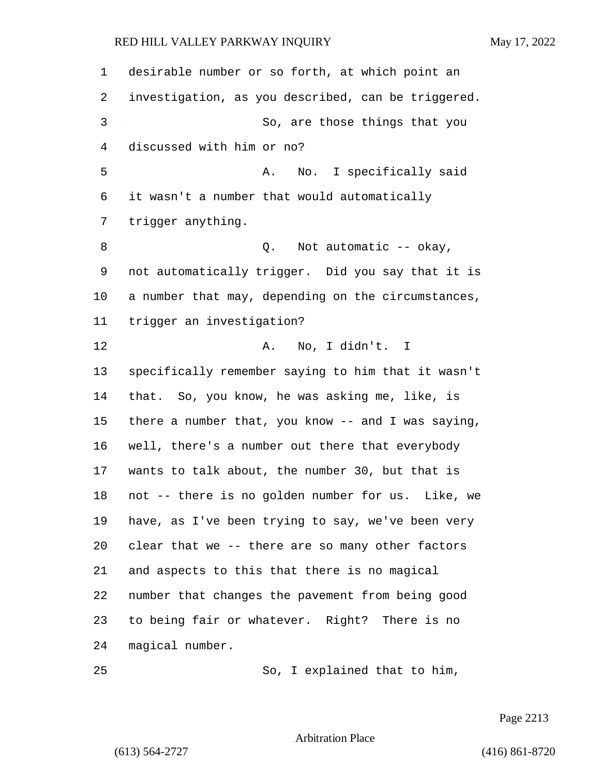| 1  | desirable number or so forth, at which point an    |
|----|----------------------------------------------------|
| 2  | investigation, as you described, can be triggered. |
| 3  | So, are those things that you                      |
| 4  | discussed with him or no?                          |
| 5  | No. I specifically said<br>Α.                      |
| 6  | it wasn't a number that would automatically        |
| 7  | trigger anything.                                  |
| 8  | Not automatic -- okay,<br>Q.                       |
| 9  | not automatically trigger. Did you say that it is  |
| 10 | a number that may, depending on the circumstances, |
| 11 | trigger an investigation?                          |
| 12 | No, I didn't. I<br>Α.                              |
| 13 | specifically remember saying to him that it wasn't |
| 14 | that. So, you know, he was asking me, like, is     |
| 15 | there a number that, you know -- and I was saying, |
| 16 | well, there's a number out there that everybody    |
| 17 | wants to talk about, the number 30, but that is    |
| 18 | not -- there is no golden number for us. Like, we  |
| 19 | have, as I've been trying to say, we've been very  |
| 20 | clear that we -- there are so many other factors   |
| 21 | and aspects to this that there is no magical       |
| 22 | number that changes the pavement from being good   |
| 23 | to being fair or whatever. Right? There is no      |
| 24 | magical number.                                    |
| 25 | So, I explained that to him,                       |

Page 2213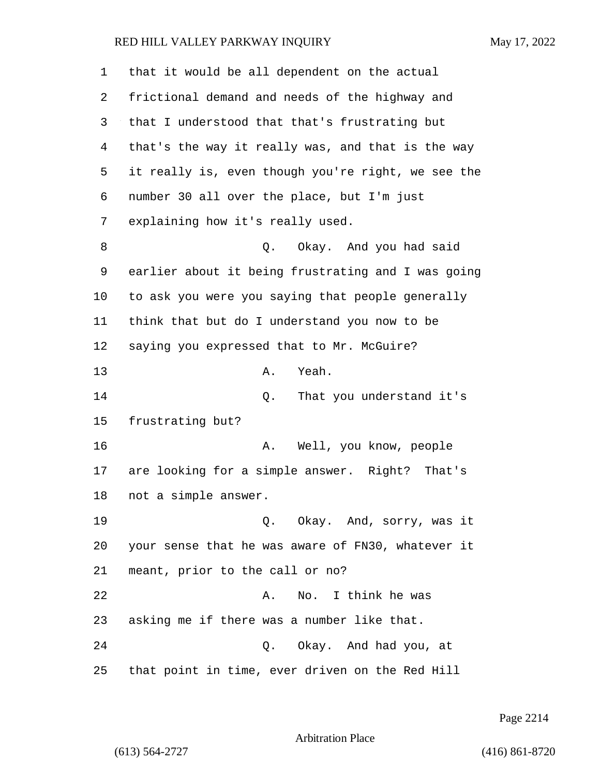| 1  | that it would be all dependent on the actual       |
|----|----------------------------------------------------|
| 2  | frictional demand and needs of the highway and     |
| 3  | that I understood that that's frustrating but      |
| 4  | that's the way it really was, and that is the way  |
| 5  | it really is, even though you're right, we see the |
| 6  | number 30 all over the place, but I'm just         |
| 7  | explaining how it's really used.                   |
| 8  | Okay. And you had said<br>Q.                       |
| 9  | earlier about it being frustrating and I was going |
| 10 | to ask you were you saying that people generally   |
| 11 | think that but do I understand you now to be       |
| 12 | saying you expressed that to Mr. McGuire?          |
| 13 | Yeah.<br>Α.                                        |
| 14 | That you understand it's<br>Q.                     |
| 15 | frustrating but?                                   |
| 16 | Well, you know, people<br>Α.                       |
| 17 | are looking for a simple answer. Right? That's     |
| 18 | not a simple answer.                               |
| 19 | Q. Okay. And, sorry, was it                        |
| 20 | your sense that he was aware of FN30, whatever it  |
| 21 | meant, prior to the call or no?                    |
| 22 | I think he was<br>Α.<br>No.                        |
| 23 | asking me if there was a number like that.         |
| 24 | Q. Okay. And had you, at                           |
| 25 | that point in time, ever driven on the Red Hill    |

Page 2214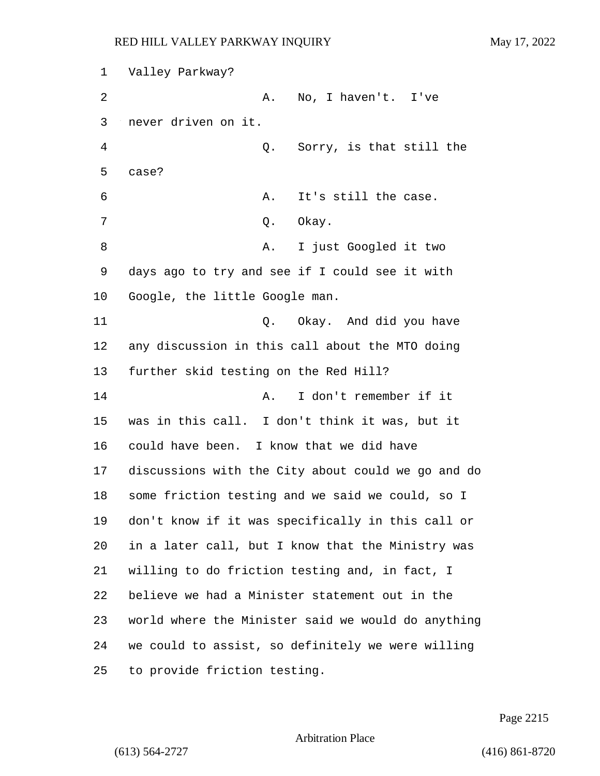Valley Parkway? 2 A. No, I haven't. I've never driven on it. 4 Q. Sorry, is that still the case? 6 A. It's still the case. 7 Q. Okay. 8 A. I just Googled it two days ago to try and see if I could see it with Google, the little Google man. 11 C. Okay. And did you have any discussion in this call about the MTO doing further skid testing on the Red Hill? 14 A. I don't remember if it was in this call. I don't think it was, but it could have been. I know that we did have discussions with the City about could we go and do some friction testing and we said we could, so I don't know if it was specifically in this call or in a later call, but I know that the Ministry was willing to do friction testing and, in fact, I believe we had a Minister statement out in the world where the Minister said we would do anything we could to assist, so definitely we were willing to provide friction testing.

Page 2215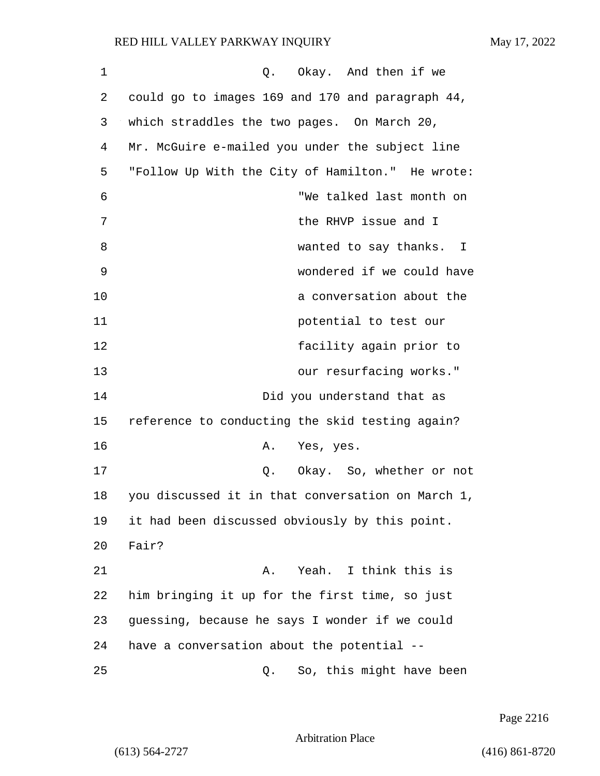| 1  | Okay. And then if we<br>Q.                        |
|----|---------------------------------------------------|
| 2  | could go to images 169 and 170 and paragraph 44,  |
| 3  | which straddles the two pages. On March 20,       |
| 4  | Mr. McGuire e-mailed you under the subject line   |
| 5  | "Follow Up With the City of Hamilton." He wrote:  |
| 6  | "We talked last month on                          |
| 7  | the RHVP issue and I                              |
| 8  | wanted to say thanks. I                           |
| 9  | wondered if we could have                         |
| 10 | a conversation about the                          |
| 11 | potential to test our                             |
| 12 | facility again prior to                           |
| 13 | our resurfacing works."                           |
| 14 | Did you understand that as                        |
| 15 | reference to conducting the skid testing again?   |
| 16 | Α.<br>Yes, yes.                                   |
| 17 | Okay. So, whether or not<br>Q.                    |
| 18 | you discussed it in that conversation on March 1, |
| 19 | it had been discussed obviously by this point.    |
| 20 | Fair?                                             |
| 21 | A. Yeah. I think this is                          |
| 22 | him bringing it up for the first time, so just    |
| 23 | guessing, because he says I wonder if we could    |
| 24 | have a conversation about the potential --        |
| 25 | So, this might have been<br>Q.                    |

Page 2216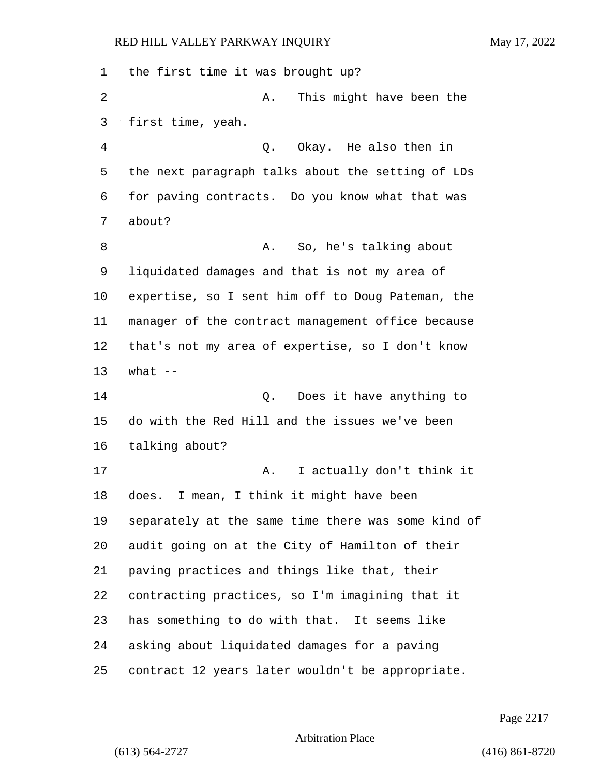the first time it was brought up? 2 A. This might have been the first time, yeah. 4 Q. Okay. He also then in the next paragraph talks about the setting of LDs for paving contracts. Do you know what that was about? 8 A. So, he's talking about liquidated damages and that is not my area of expertise, so I sent him off to Doug Pateman, the manager of the contract management office because that's not my area of expertise, so I don't know what -- 14 Q. Does it have anything to do with the Red Hill and the issues we've been talking about? 17 A. I actually don't think it does. I mean, I think it might have been separately at the same time there was some kind of audit going on at the City of Hamilton of their paving practices and things like that, their contracting practices, so I'm imagining that it has something to do with that. It seems like asking about liquidated damages for a paving contract 12 years later wouldn't be appropriate.

Page 2217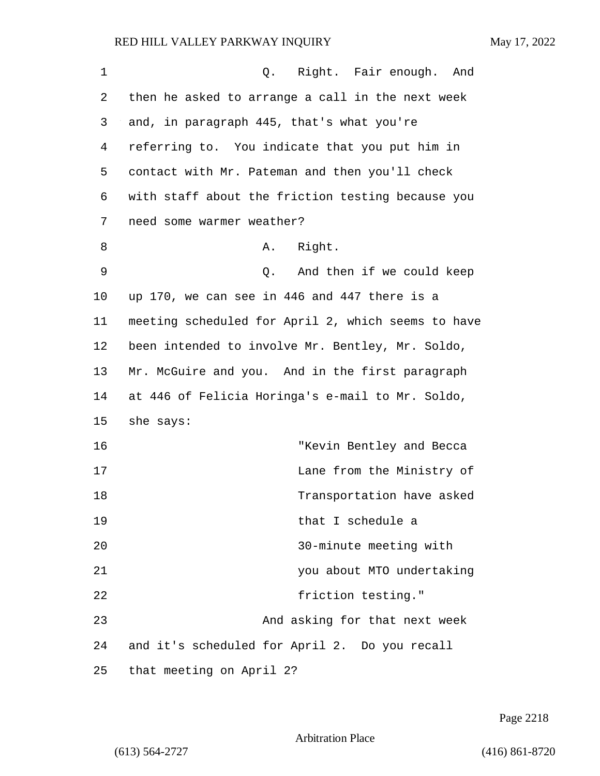| $\mathbf 1$ | Q. Right. Fair enough.<br>And                      |
|-------------|----------------------------------------------------|
| 2           | then he asked to arrange a call in the next week   |
| 3           | and, in paragraph 445, that's what you're          |
| 4           | referring to. You indicate that you put him in     |
| 5           | contact with Mr. Pateman and then you'll check     |
| 6           | with staff about the friction testing because you  |
| 7           | need some warmer weather?                          |
| 8           | Right.<br>Α.                                       |
| $\mathsf 9$ | And then if we could keep<br>Q.                    |
| 10          | up 170, we can see in 446 and 447 there is a       |
| 11          | meeting scheduled for April 2, which seems to have |
| 12          | been intended to involve Mr. Bentley, Mr. Soldo,   |
| 13          | Mr. McGuire and you. And in the first paragraph    |
| 14          | at 446 of Felicia Horinga's e-mail to Mr. Soldo,   |
| 15          | she says:                                          |
| 16          | "Kevin Bentley and Becca                           |
| 17          | Lane from the Ministry of                          |
| 18          | Transportation have asked                          |
| 19          | that I schedule a                                  |
| 20          | 30-minute meeting with                             |
| 21          | you about MTO undertaking                          |
| 22          | friction testing."                                 |
| 23          | And asking for that next week                      |
| 24          | and it's scheduled for April 2. Do you recall      |
| 25          | that meeting on April 2?                           |

Page 2218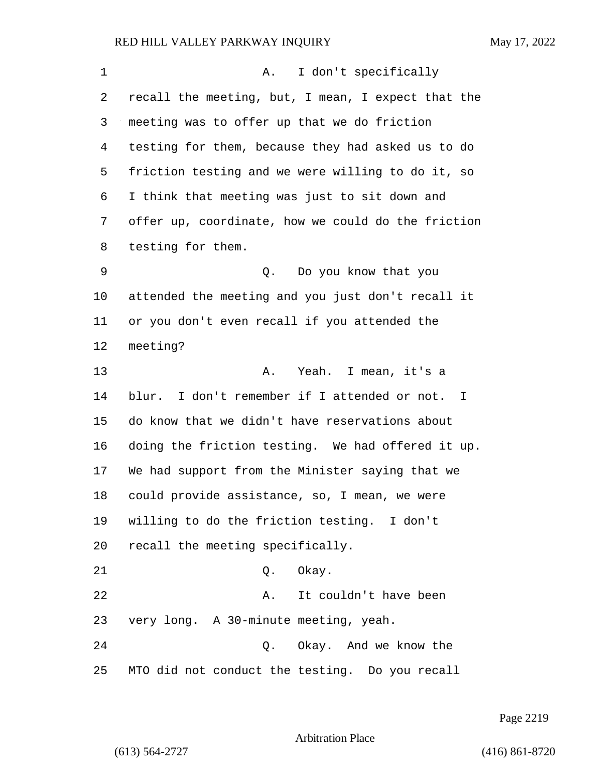1 A. I don't specifically recall the meeting, but, I mean, I expect that the meeting was to offer up that we do friction testing for them, because they had asked us to do friction testing and we were willing to do it, so I think that meeting was just to sit down and offer up, coordinate, how we could do the friction testing for them. 9 Q. Do you know that you attended the meeting and you just don't recall it or you don't even recall if you attended the meeting? 13 A. Yeah. I mean, it's a blur. I don't remember if I attended or not. I do know that we didn't have reservations about doing the friction testing. We had offered it up. We had support from the Minister saying that we could provide assistance, so, I mean, we were willing to do the friction testing. I don't recall the meeting specifically. 21 0. Okay. 22 A. It couldn't have been very long. A 30-minute meeting, yeah. 24 Q. Okay. And we know the MTO did not conduct the testing. Do you recall

Page 2219

Arbitration Place

(613) 564-2727 (416) 861-8720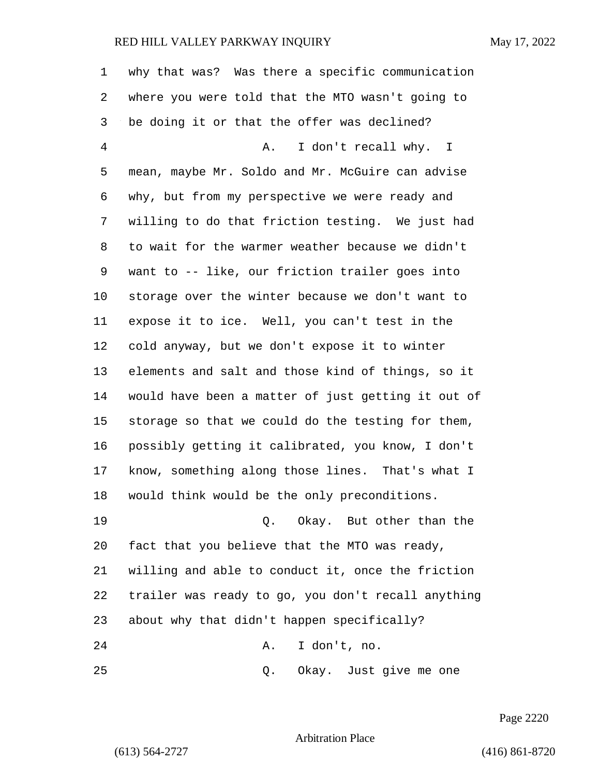| 1              | why that was? Was there a specific communication   |
|----------------|----------------------------------------------------|
| 2              | where you were told that the MTO wasn't going to   |
| 3              | be doing it or that the offer was declined?        |
| $\overline{4}$ | I don't recall why. I<br>Α.                        |
| 5              | mean, maybe Mr. Soldo and Mr. McGuire can advise   |
| 6              | why, but from my perspective we were ready and     |
| 7              | willing to do that friction testing. We just had   |
| 8              | to wait for the warmer weather because we didn't   |
| 9              | want to -- like, our friction trailer goes into    |
| 10             | storage over the winter because we don't want to   |
| 11             | expose it to ice. Well, you can't test in the      |
| 12             | cold anyway, but we don't expose it to winter      |
| 13             | elements and salt and those kind of things, so it  |
| 14             | would have been a matter of just getting it out of |
| 15             | storage so that we could do the testing for them,  |
| 16             | possibly getting it calibrated, you know, I don't  |
| 17             | know, something along those lines. That's what I   |
| 18             | would think would be the only preconditions.       |
| 19             | Q. Okay. But other than the                        |
| 20             | fact that you believe that the MTO was ready,      |
| 21             | willing and able to conduct it, once the friction  |
| 22             | trailer was ready to go, you don't recall anything |
| 23             | about why that didn't happen specifically?         |
| 24             | I don't, no.<br>Α.                                 |
| 25             | Okay. Just give me one<br>Q.                       |

Page 2220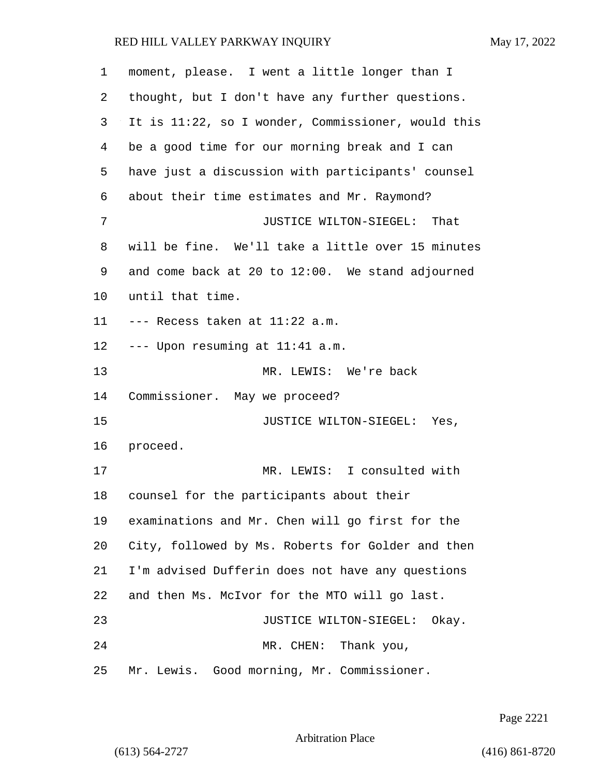| 1              | moment, please. I went a little longer than I      |
|----------------|----------------------------------------------------|
| 2              | thought, but I don't have any further questions.   |
| 3              | It is 11:22, so I wonder, Commissioner, would this |
| $\overline{4}$ | be a good time for our morning break and I can     |
| 5              | have just a discussion with participants' counsel  |
| 6              | about their time estimates and Mr. Raymond?        |
| 7              | JUSTICE WILTON-SIEGEL: That                        |
| 8              | will be fine. We'll take a little over 15 minutes  |
| 9              | and come back at 20 to 12:00. We stand adjourned   |
| 10             | until that time.                                   |
| 11             | --- Recess taken at 11:22 a.m.                     |
| 12             | --- Upon resuming at 11:41 a.m.                    |
| 13             | MR. LEWIS: We're back                              |
| 14             | Commissioner. May we proceed?                      |
| 15             | JUSTICE WILTON-SIEGEL: Yes,                        |
| 16             | proceed.                                           |
| 17             | MR. LEWIS: I consulted with                        |
| 18             | counsel for the participants about their           |
| 19             | examinations and Mr. Chen will go first for the    |
| 20             | City, followed by Ms. Roberts for Golder and then  |
| 21             | I'm advised Dufferin does not have any questions   |
| 22             | and then Ms. McIvor for the MTO will go last.      |
| 23             | JUSTICE WILTON-SIEGEL: Okay.                       |
| 24             | MR. CHEN: Thank you,                               |
| 25             | Mr. Lewis. Good morning, Mr. Commissioner.         |

Page 2221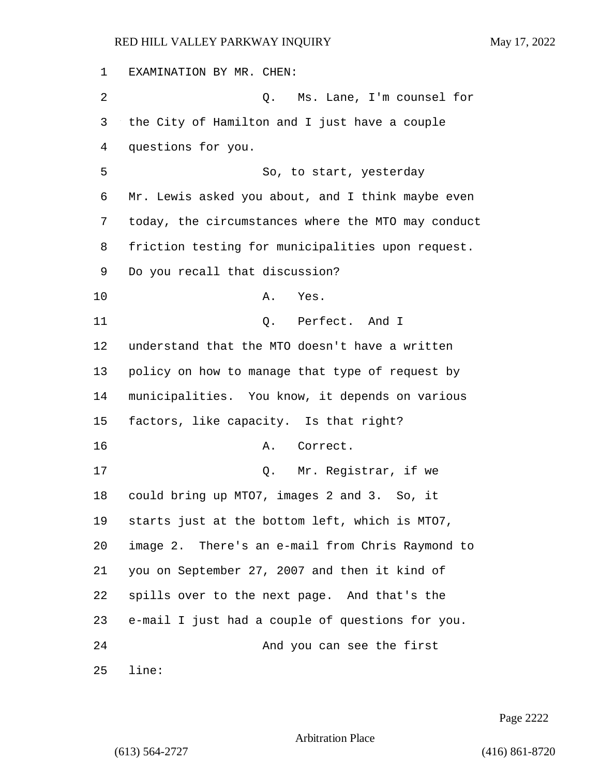EXAMINATION BY MR. CHEN: 2 Q. Ms. Lane, I'm counsel for the City of Hamilton and I just have a couple questions for you. 5 So, to start, yesterday Mr. Lewis asked you about, and I think maybe even today, the circumstances where the MTO may conduct friction testing for municipalities upon request. Do you recall that discussion? 10 A. Yes. 11 Q. Perfect. And I understand that the MTO doesn't have a written policy on how to manage that type of request by municipalities. You know, it depends on various factors, like capacity. Is that right? 16 A. Correct. 17 Q. Mr. Registrar, if we could bring up MTO7, images 2 and 3. So, it starts just at the bottom left, which is MTO7, image 2. There's an e-mail from Chris Raymond to you on September 27, 2007 and then it kind of spills over to the next page. And that's the e-mail I just had a couple of questions for you. 24 And you can see the first line:

Page 2222

Arbitration Place

(613) 564-2727 (416) 861-8720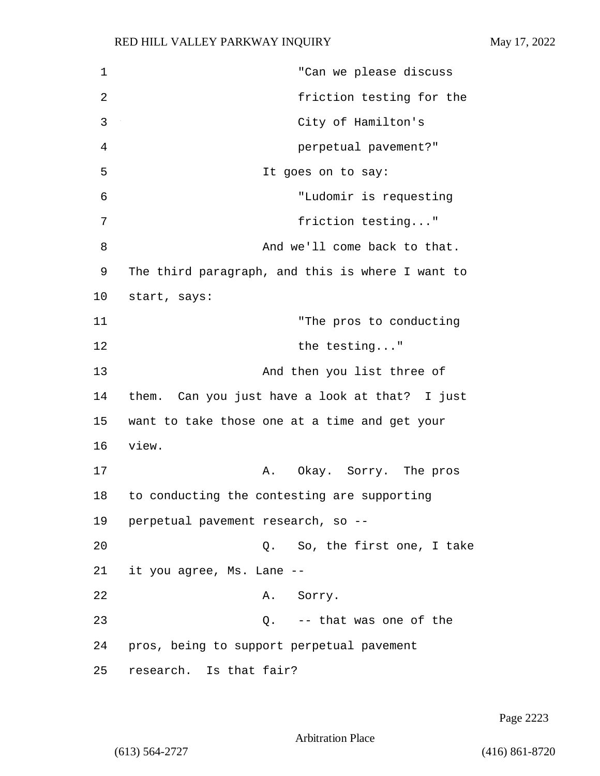1 "Can we please discuss 2 friction testing for the 3 City of Hamilton's 4 perpetual pavement?" 5 It goes on to say: 6 "Ludomir is requesting 7 friction testing..." 8 And we'll come back to that. 9 The third paragraph, and this is where I want to 10 start, says: 11 "The pros to conducting 12 the testing..." 13 And then you list three of 14 them. Can you just have a look at that? I just 15 want to take those one at a time and get your 16 view. 17 A. Okay. Sorry. The pros 18 to conducting the contesting are supporting 19 perpetual pavement research, so -- 20 Q. So, the first one, I take 21 it you agree, Ms. Lane -- 22 A. Sorry. 23 Q. -- that was one of the 24 pros, being to support perpetual pavement 25 research. Is that fair?

Page 2223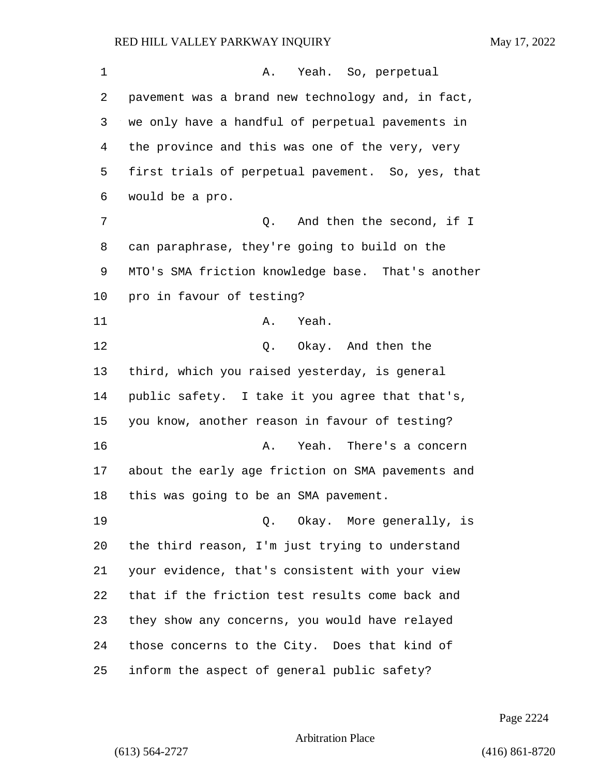1 A. Yeah. So, perpetual pavement was a brand new technology and, in fact, we only have a handful of perpetual pavements in the province and this was one of the very, very first trials of perpetual pavement. So, yes, that would be a pro. 7 C. And then the second, if I can paraphrase, they're going to build on the MTO's SMA friction knowledge base. That's another pro in favour of testing? 11 A. Yeah. 12 O. Okay. And then the third, which you raised yesterday, is general public safety. I take it you agree that that's, you know, another reason in favour of testing? 16 A. Yeah. There's a concern about the early age friction on SMA pavements and this was going to be an SMA pavement. 19 Q. Okay. More generally, is the third reason, I'm just trying to understand your evidence, that's consistent with your view that if the friction test results come back and they show any concerns, you would have relayed those concerns to the City. Does that kind of inform the aspect of general public safety?

Page 2224

Arbitration Place

(613) 564-2727 (416) 861-8720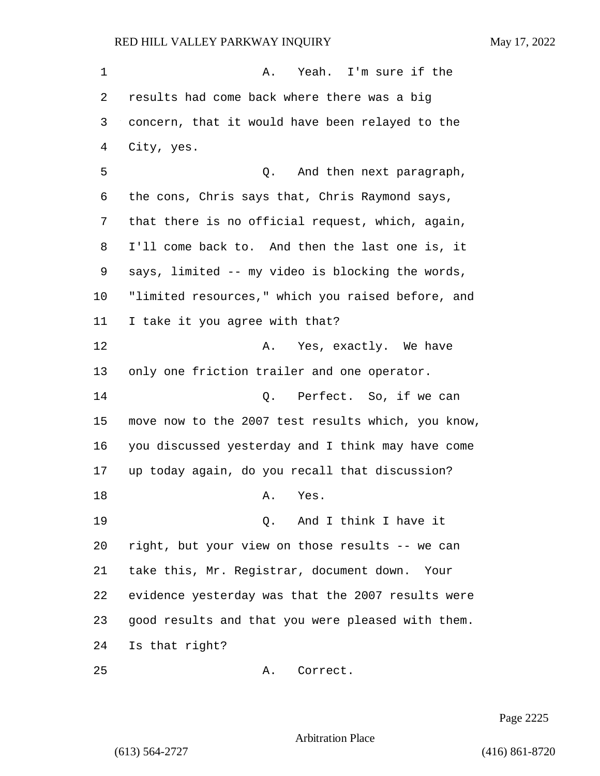1 A. Yeah. I'm sure if the results had come back where there was a big concern, that it would have been relayed to the City, yes. 5 and then next paragraph, the cons, Chris says that, Chris Raymond says, that there is no official request, which, again, I'll come back to. And then the last one is, it says, limited -- my video is blocking the words, "limited resources," which you raised before, and I take it you agree with that? **A.** Yes, exactly. We have only one friction trailer and one operator. 14 C. Perfect. So, if we can move now to the 2007 test results which, you know, you discussed yesterday and I think may have come up today again, do you recall that discussion? 18 A. Yes. 19 Q. And I think I have it right, but your view on those results -- we can take this, Mr. Registrar, document down. Your evidence yesterday was that the 2007 results were good results and that you were pleased with them. Is that right? 25 A. Correct.

Page 2225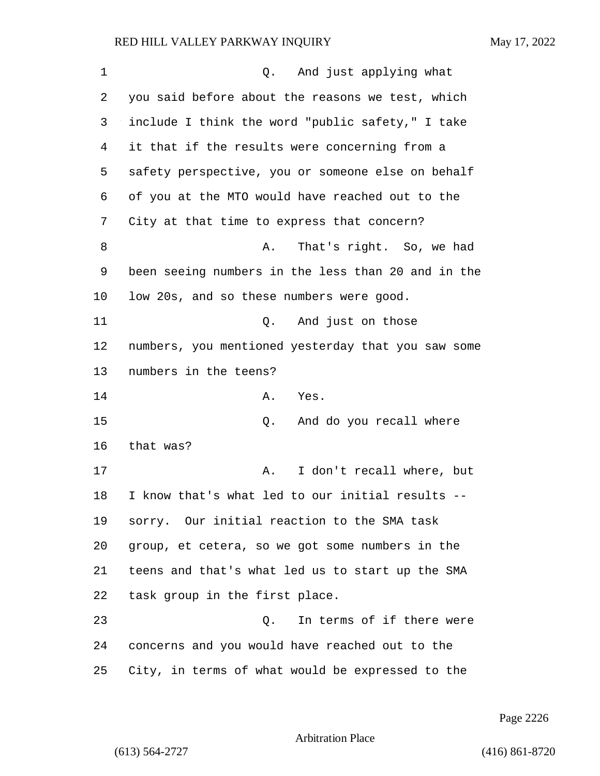| 1  | Q. And just applying what                          |
|----|----------------------------------------------------|
| 2  | you said before about the reasons we test, which   |
| 3  | include I think the word "public safety," I take   |
| 4  | it that if the results were concerning from a      |
| 5  | safety perspective, you or someone else on behalf  |
| 6  | of you at the MTO would have reached out to the    |
| 7  | City at that time to express that concern?         |
| 8  | That's right. So, we had<br>Α.                     |
| 9  | been seeing numbers in the less than 20 and in the |
| 10 | low 20s, and so these numbers were good.           |
| 11 | And just on those<br>Q.                            |
| 12 | numbers, you mentioned yesterday that you saw some |
| 13 | numbers in the teens?                              |
| 14 | Yes.<br>Α.                                         |
| 15 | And do you recall where<br>Q.                      |
| 16 | that was?                                          |
| 17 | I don't recall where, but<br>Α.                    |
| 18 | I know that's what led to our initial results --   |
| 19 | sorry. Our initial reaction to the SMA task        |
| 20 | group, et cetera, so we got some numbers in the    |
| 21 | teens and that's what led us to start up the SMA   |
| 22 | task group in the first place.                     |
| 23 | Q.<br>In terms of if there were                    |
| 24 | concerns and you would have reached out to the     |
| 25 | City, in terms of what would be expressed to the   |

Page 2226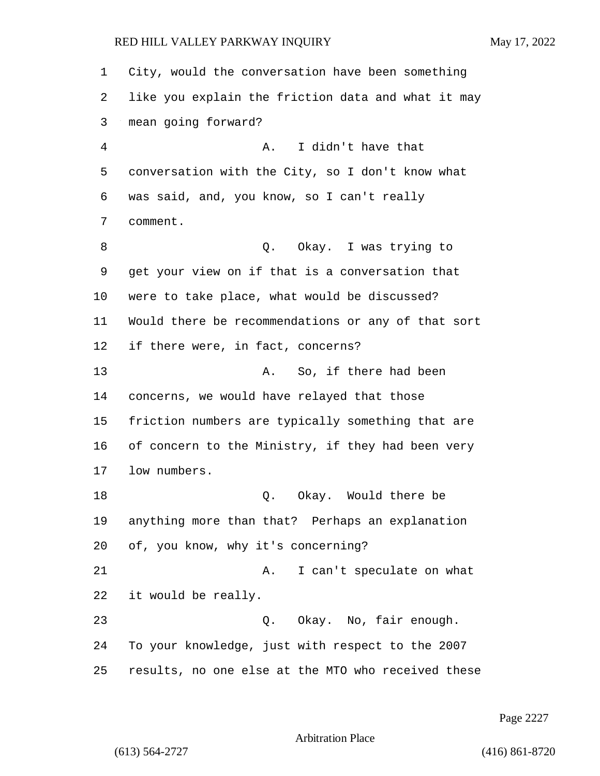City, would the conversation have been something like you explain the friction data and what it may mean going forward? 4 A. I didn't have that conversation with the City, so I don't know what was said, and, you know, so I can't really comment. 8 a. C. Okay. I was trying to get your view on if that is a conversation that were to take place, what would be discussed? Would there be recommendations or any of that sort if there were, in fact, concerns? 13 A. So, if there had been concerns, we would have relayed that those friction numbers are typically something that are of concern to the Ministry, if they had been very low numbers. 18 Q. Okay. Would there be anything more than that? Perhaps an explanation of, you know, why it's concerning? 21 A. I can't speculate on what it would be really. 23 Q. Okay. No, fair enough. To your knowledge, just with respect to the 2007 results, no one else at the MTO who received these

Page 2227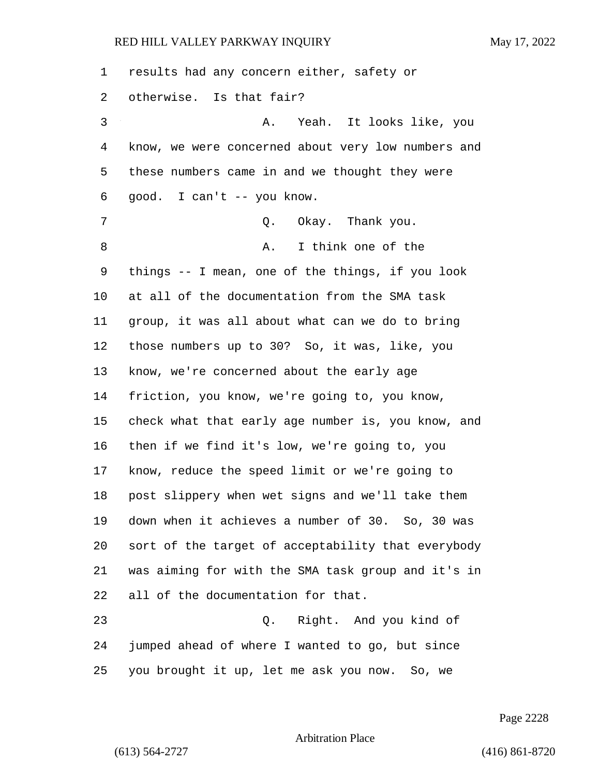| 1  | results had any concern either, safety or          |
|----|----------------------------------------------------|
| 2  | otherwise. Is that fair?                           |
| 3  | Yeah. It looks like, you<br>Α.                     |
| 4  | know, we were concerned about very low numbers and |
| 5  | these numbers came in and we thought they were     |
| 6  | good. I can't -- you know.                         |
| 7  | Okay. Thank you.<br>Q.                             |
| 8  | I think one of the<br>Α.                           |
| 9  | things -- I mean, one of the things, if you look   |
| 10 | at all of the documentation from the SMA task      |
| 11 | group, it was all about what can we do to bring    |
| 12 | those numbers up to 30? So, it was, like, you      |
| 13 | know, we're concerned about the early age          |
| 14 | friction, you know, we're going to, you know,      |
| 15 | check what that early age number is, you know, and |
| 16 | then if we find it's low, we're going to, you      |
| 17 | know, reduce the speed limit or we're going to     |
| 18 | post slippery when wet signs and we'll take them   |
| 19 | down when it achieves a number of 30. So, 30 was   |
| 20 | sort of the target of acceptability that everybody |
| 21 | was aiming for with the SMA task group and it's in |
| 22 | all of the documentation for that.                 |
| 23 | Right. And you kind of<br>Q.                       |
| 24 | jumped ahead of where I wanted to go, but since    |
| 25 | you brought it up, let me ask you now. So, we      |

Page 2228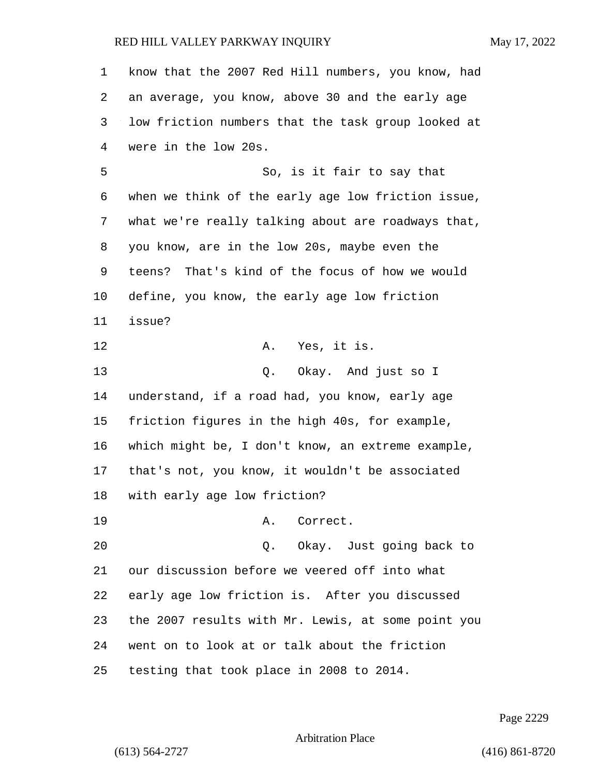know that the 2007 Red Hill numbers, you know, had an average, you know, above 30 and the early age low friction numbers that the task group looked at were in the low 20s. 5 So, is it fair to say that when we think of the early age low friction issue, what we're really talking about are roadways that, you know, are in the low 20s, maybe even the teens? That's kind of the focus of how we would define, you know, the early age low friction issue? 12 A. Yes, it is. 13 Q. Okay. And just so I understand, if a road had, you know, early age friction figures in the high 40s, for example, which might be, I don't know, an extreme example, that's not, you know, it wouldn't be associated with early age low friction? 19 A. Correct. 20 Q. Okay. Just going back to our discussion before we veered off into what early age low friction is. After you discussed the 2007 results with Mr. Lewis, at some point you went on to look at or talk about the friction testing that took place in 2008 to 2014.

Page 2229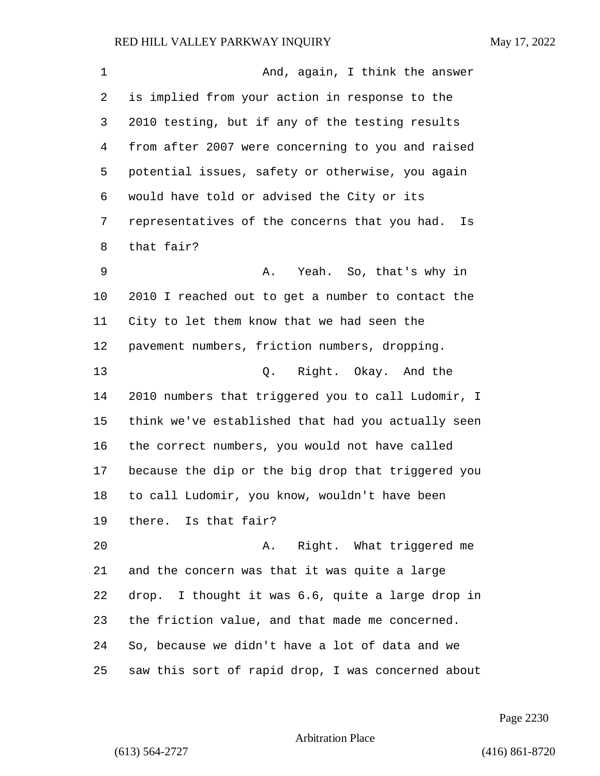| $\mathbf 1$ | And, again, I think the answer                      |
|-------------|-----------------------------------------------------|
| 2           | is implied from your action in response to the      |
| 3           | 2010 testing, but if any of the testing results     |
| 4           | from after 2007 were concerning to you and raised   |
| 5           | potential issues, safety or otherwise, you again    |
| 6           | would have told or advised the City or its          |
| 7           | representatives of the concerns that you had.<br>Is |
| 8           | that fair?                                          |
| 9           | Yeah. So, that's why in<br>Α.                       |
| 10          | 2010 I reached out to get a number to contact the   |
| 11          | City to let them know that we had seen the          |
| 12          | pavement numbers, friction numbers, dropping.       |
| 13          | Q. Right. Okay. And the                             |
| 14          | 2010 numbers that triggered you to call Ludomir, I  |
| 15          | think we've established that had you actually seen  |
| 16          | the correct numbers, you would not have called      |
| 17          | because the dip or the big drop that triggered you  |
| 18          | to call Ludomir, you know, wouldn't have been       |
| 19          | there. Is that fair?                                |
| 20          | Right. What triggered me<br>Α.                      |
| 21          | and the concern was that it was quite a large       |
| 22          | drop. I thought it was 6.6, quite a large drop in   |
| 23          | the friction value, and that made me concerned.     |
| 24          | So, because we didn't have a lot of data and we     |
| 25          | saw this sort of rapid drop, I was concerned about  |

Page 2230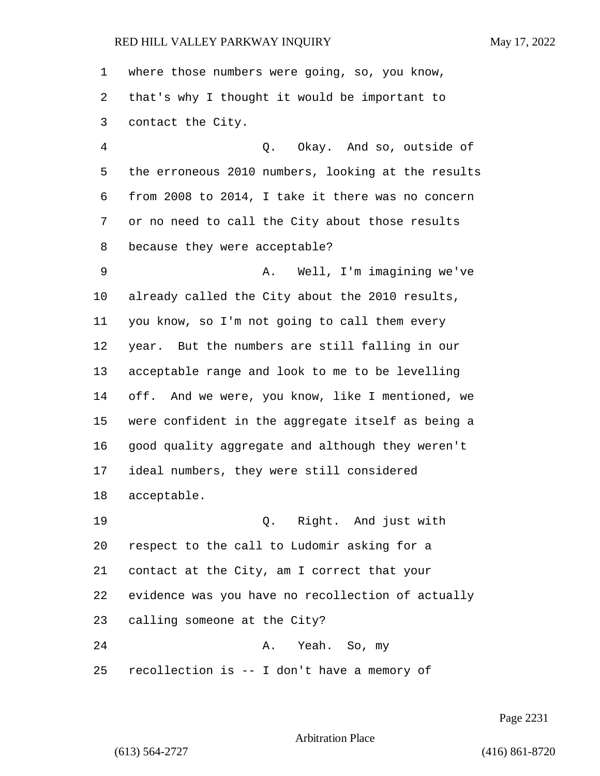where those numbers were going, so, you know, that's why I thought it would be important to contact the City. 4 Q. Okay. And so, outside of the erroneous 2010 numbers, looking at the results from 2008 to 2014, I take it there was no concern or no need to call the City about those results because they were acceptable? 9 A. Well, I'm imagining we've already called the City about the 2010 results, you know, so I'm not going to call them every year. But the numbers are still falling in our acceptable range and look to me to be levelling off. And we were, you know, like I mentioned, we were confident in the aggregate itself as being a good quality aggregate and although they weren't ideal numbers, they were still considered acceptable. 19 Q. Right. And just with respect to the call to Ludomir asking for a contact at the City, am I correct that your evidence was you have no recollection of actually calling someone at the City? 24 A. Yeah. So, my

recollection is -- I don't have a memory of

Page 2231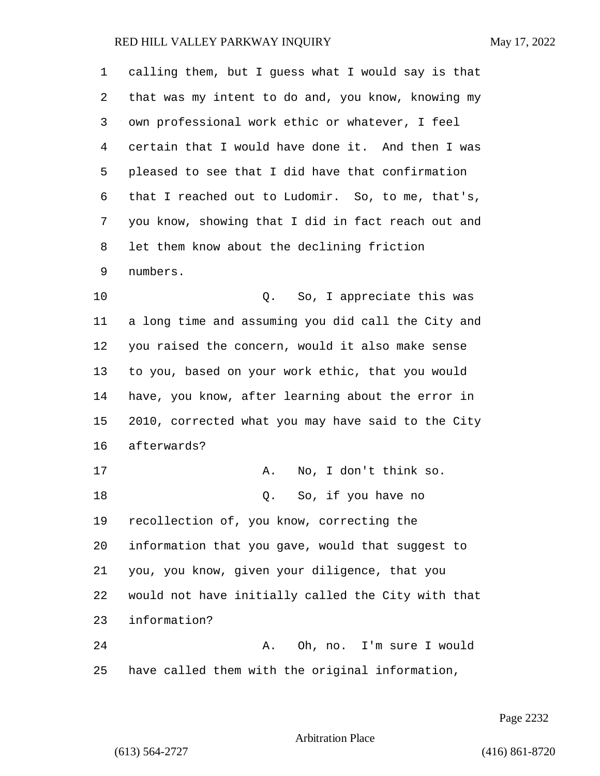| 1  | calling them, but I guess what I would say is that |
|----|----------------------------------------------------|
| 2  | that was my intent to do and, you know, knowing my |
| 3  | own professional work ethic or whatever, I feel    |
| 4  | certain that I would have done it. And then I was  |
| 5  | pleased to see that I did have that confirmation   |
| 6  | that I reached out to Ludomir. So, to me, that's,  |
| 7  | you know, showing that I did in fact reach out and |
| 8  | let them know about the declining friction         |
| 9  | numbers.                                           |
| 10 | So, I appreciate this was<br>Q.                    |
| 11 | a long time and assuming you did call the City and |
| 12 | you raised the concern, would it also make sense   |
| 13 | to you, based on your work ethic, that you would   |
| 14 | have, you know, after learning about the error in  |
| 15 | 2010, corrected what you may have said to the City |
| 16 | afterwards?                                        |
| 17 | No, I don't think so.<br>Α.                        |
| 18 | So, if you have no<br>Q.                           |
| 19 | recollection of, you know, correcting the          |
| 20 | information that you gave, would that suggest to   |
| 21 | you, you know, given your diligence, that you      |
| 22 | would not have initially called the City with that |
| 23 | information?                                       |
| 24 | Oh, no. I'm sure I would<br>Α.                     |
| 25 | have called them with the original information,    |

Page 2232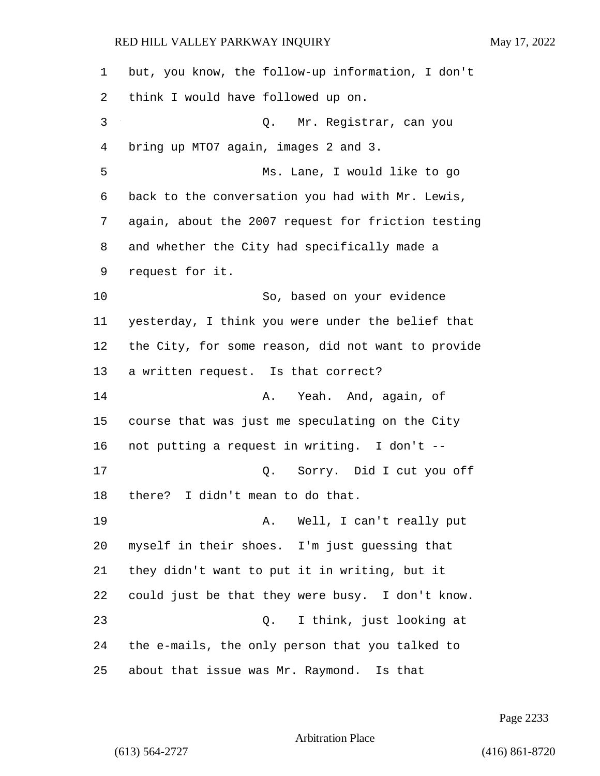but, you know, the follow-up information, I don't think I would have followed up on. 3 Q. Mr. Registrar, can you bring up MTO7 again, images 2 and 3. 5 Ms. Lane, I would like to go back to the conversation you had with Mr. Lewis, again, about the 2007 request for friction testing and whether the City had specifically made a request for it. 10 So, based on your evidence yesterday, I think you were under the belief that the City, for some reason, did not want to provide a written request. Is that correct? 14 A. Yeah. And, again, of course that was just me speculating on the City not putting a request in writing. I don't -- 17 Q. Sorry. Did I cut you off there? I didn't mean to do that. 19 A. Well, I can't really put myself in their shoes. I'm just guessing that they didn't want to put it in writing, but it could just be that they were busy. I don't know. 23 Q. I think, just looking at the e-mails, the only person that you talked to about that issue was Mr. Raymond. Is that

Page 2233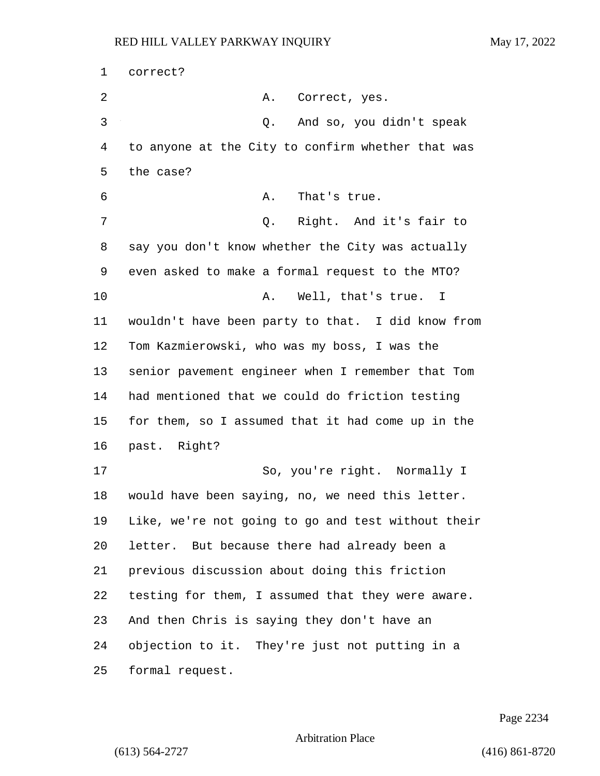correct? 2 A. Correct, yes. 3 Q. And so, you didn't speak to anyone at the City to confirm whether that was the case? 6 A. That's true. 7 Q. Right. And it's fair to say you don't know whether the City was actually even asked to make a formal request to the MTO? 10 A. Well, that's true. I wouldn't have been party to that. I did know from Tom Kazmierowski, who was my boss, I was the senior pavement engineer when I remember that Tom had mentioned that we could do friction testing for them, so I assumed that it had come up in the past. Right? 17 So, you're right. Normally I would have been saying, no, we need this letter. Like, we're not going to go and test without their letter. But because there had already been a previous discussion about doing this friction testing for them, I assumed that they were aware. And then Chris is saying they don't have an objection to it. They're just not putting in a formal request.

Page 2234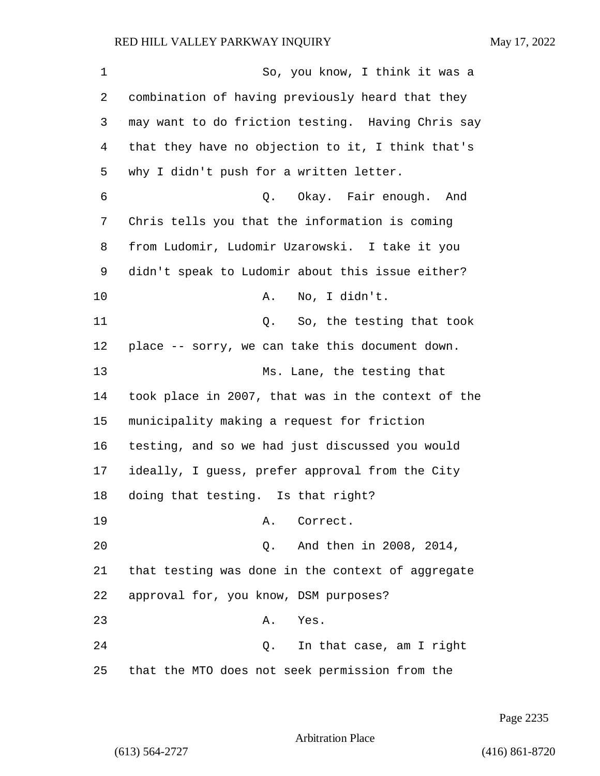| $\mathbf 1$ | So, you know, I think it was a                     |
|-------------|----------------------------------------------------|
| 2           | combination of having previously heard that they   |
| 3           | may want to do friction testing. Having Chris say  |
| 4           | that they have no objection to it, I think that's  |
| 5           | why I didn't push for a written letter.            |
| 6           | Q. Okay. Fair enough. And                          |
| 7           | Chris tells you that the information is coming     |
| 8           | from Ludomir, Ludomir Uzarowski. I take it you     |
| 9           | didn't speak to Ludomir about this issue either?   |
| 10          | No, I didn't.<br>Α.                                |
| 11          | Q. So, the testing that took                       |
| 12          | place -- sorry, we can take this document down.    |
| 13          | Ms. Lane, the testing that                         |
| 14          | took place in 2007, that was in the context of the |
| 15          | municipality making a request for friction         |
| 16          | testing, and so we had just discussed you would    |
| 17          | ideally, I guess, prefer approval from the City    |
| 18          | doing that testing. Is that right?                 |
| 19          | Correct.<br>Α.                                     |
| 20          | And then in 2008, 2014,<br>Q.                      |
| 21          | that testing was done in the context of aggregate  |
| 22          | approval for, you know, DSM purposes?              |
| 23          | Α.<br>Yes.                                         |
| 24          | In that case, am I right<br>Q.                     |
| 25          | that the MTO does not seek permission from the     |

Page 2235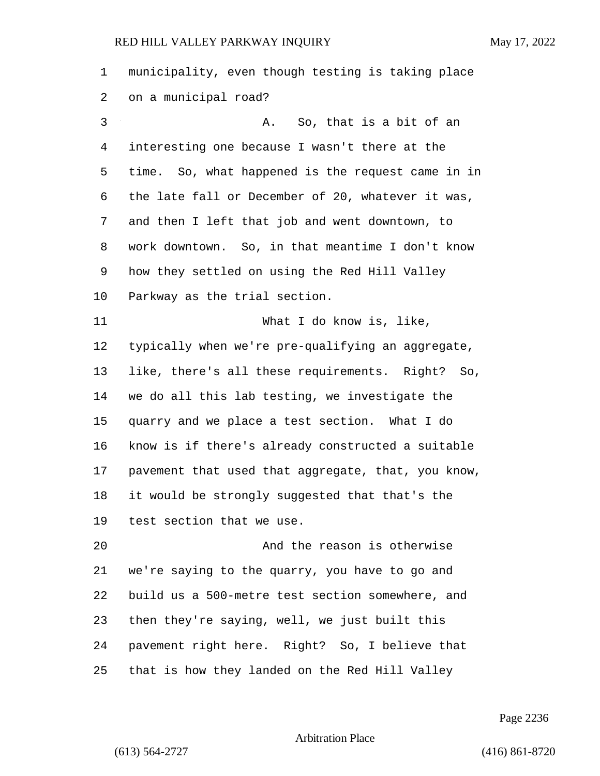| 1  | municipality, even though testing is taking place   |
|----|-----------------------------------------------------|
| 2  | on a municipal road?                                |
| 3  | So, that is a bit of an<br>Α.                       |
| 4  | interesting one because I wasn't there at the       |
| 5  | time. So, what happened is the request came in in   |
| 6  | the late fall or December of 20, whatever it was,   |
| 7  | and then I left that job and went downtown, to      |
| 8  | work downtown. So, in that meantime I don't know    |
| 9  | how they settled on using the Red Hill Valley       |
| 10 | Parkway as the trial section.                       |
| 11 | What I do know is, like,                            |
| 12 | typically when we're pre-qualifying an aggregate,   |
| 13 | like, there's all these requirements. Right?<br>So, |
| 14 | we do all this lab testing, we investigate the      |
| 15 | quarry and we place a test section. What I do       |
| 16 | know is if there's already constructed a suitable   |
| 17 | pavement that used that aggregate, that, you know,  |
| 18 | it would be strongly suggested that that's the      |
| 19 | test section that we use.                           |
| 20 | And the reason is otherwise                         |
| 21 | we're saying to the quarry, you have to go and      |
| 22 | build us a 500-metre test section somewhere, and    |
| 23 | then they're saying, well, we just built this       |
| 24 | pavement right here. Right? So, I believe that      |
| 25 | that is how they landed on the Red Hill Valley      |

Page 2236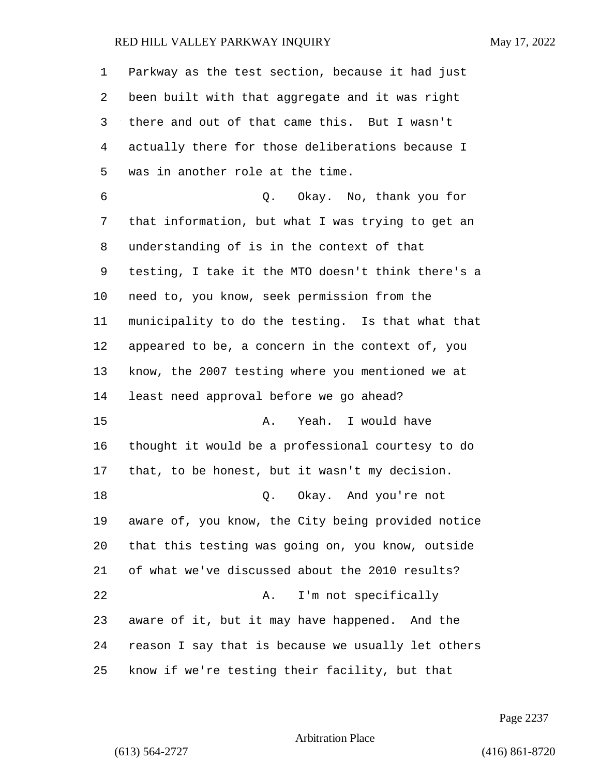| 1  | Parkway as the test section, because it had just   |
|----|----------------------------------------------------|
| 2  | been built with that aggregate and it was right    |
| 3  | there and out of that came this. But I wasn't      |
| 4  | actually there for those deliberations because I   |
| 5  | was in another role at the time.                   |
| 6  | Q. Okay. No, thank you for                         |
| 7  | that information, but what I was trying to get an  |
| 8  | understanding of is in the context of that         |
| 9  | testing, I take it the MTO doesn't think there's a |
| 10 | need to, you know, seek permission from the        |
| 11 | municipality to do the testing. Is that what that  |
| 12 | appeared to be, a concern in the context of, you   |
| 13 | know, the 2007 testing where you mentioned we at   |
| 14 | least need approval before we go ahead?            |
| 15 | Yeah. I would have<br>Α.                           |
| 16 | thought it would be a professional courtesy to do  |
| 17 | that, to be honest, but it wasn't my decision.     |
| 18 | Q. Okay. And you're not                            |
| 19 | aware of, you know, the City being provided notice |
| 20 | that this testing was going on, you know, outside  |
| 21 | of what we've discussed about the 2010 results?    |
| 22 | I'm not specifically<br>Α.                         |
| 23 | aware of it, but it may have happened. And the     |
| 24 | reason I say that is because we usually let others |
| 25 | know if we're testing their facility, but that     |

Page 2237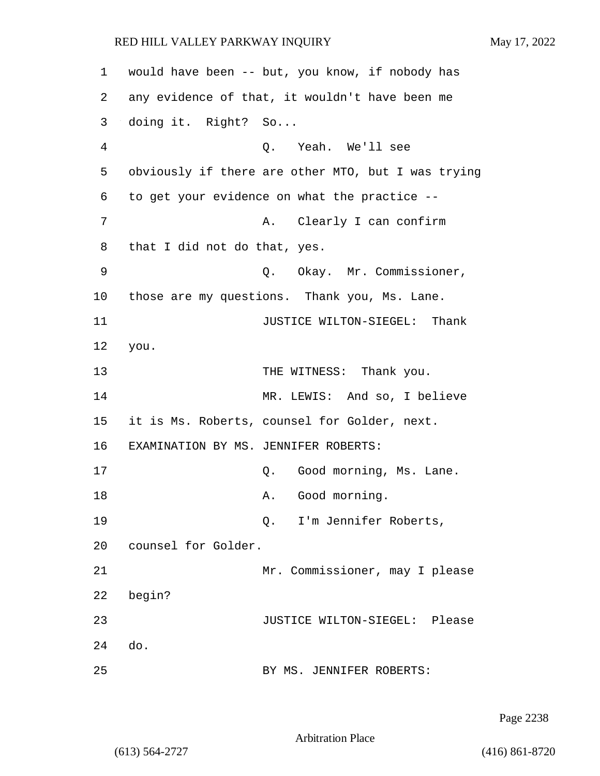1 would have been -- but, you know, if nobody has 2 any evidence of that, it wouldn't have been me 3 doing it. Right? So... 4 Q. Yeah. We'll see 5 obviously if there are other MTO, but I was trying 6 to get your evidence on what the practice -- 7 A. Clearly I can confirm 8 that I did not do that, yes. 9 Q. Okay. Mr. Commissioner, 10 those are my questions. Thank you, Ms. Lane. 11 JUSTICE WILTON-SIEGEL: Thank 12 you. 13 THE WITNESS: Thank you. 14 MR. LEWIS: And so, I believe 15 it is Ms. Roberts, counsel for Golder, next. 16 EXAMINATION BY MS. JENNIFER ROBERTS: 17 C. Good morning, Ms. Lane. 18 A. Good morning. 19 Q. I'm Jennifer Roberts, 20 counsel for Golder. 21 Mr. Commissioner, may I please 22 begin? 23 JUSTICE WILTON-SIEGEL: Please 24 do. 25 BY MS. JENNIFER ROBERTS:

Page 2238

Arbitration Place

(613) 564-2727 (416) 861-8720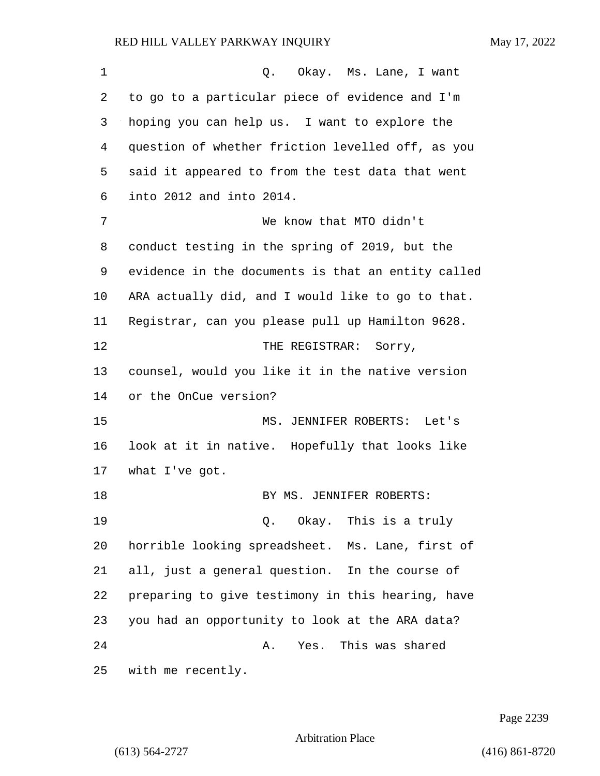| 1  | Okay. Ms. Lane, I want<br>Q.                       |
|----|----------------------------------------------------|
| 2  | to go to a particular piece of evidence and I'm    |
| 3  | hoping you can help us. I want to explore the      |
| 4  | question of whether friction levelled off, as you  |
| 5  | said it appeared to from the test data that went   |
| 6  | into 2012 and into 2014.                           |
| 7  | We know that MTO didn't                            |
| 8  | conduct testing in the spring of 2019, but the     |
| 9  | evidence in the documents is that an entity called |
| 10 | ARA actually did, and I would like to go to that.  |
| 11 | Registrar, can you please pull up Hamilton 9628.   |
| 12 | THE REGISTRAR: Sorry,                              |
| 13 | counsel, would you like it in the native version   |
| 14 | or the OnCue version?                              |
| 15 | MS. JENNIFER ROBERTS: Let's                        |
| 16 | look at it in native. Hopefully that looks like    |
| 17 | what I've got.                                     |
| 18 | BY MS. JENNIFER ROBERTS:                           |
| 19 | Q. Okay. This is a truly                           |
| 20 | horrible looking spreadsheet. Ms. Lane, first of   |
| 21 | all, just a general question. In the course of     |
| 22 | preparing to give testimony in this hearing, have  |
| 23 | you had an opportunity to look at the ARA data?    |
| 24 | Yes. This was shared<br>Α.                         |
| 25 | with me recently.                                  |

Page 2239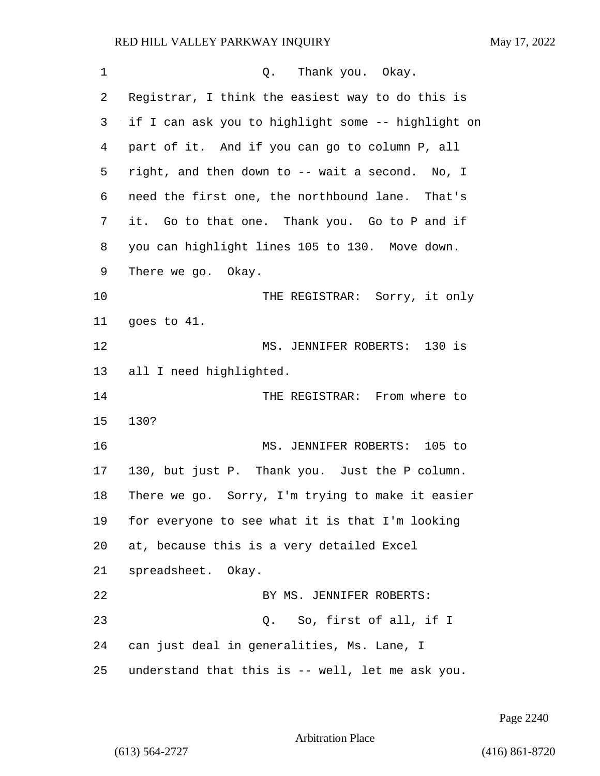1 C. Thank you. Okay. Registrar, I think the easiest way to do this is if I can ask you to highlight some -- highlight on part of it. And if you can go to column P, all right, and then down to -- wait a second. No, I need the first one, the northbound lane. That's it. Go to that one. Thank you. Go to P and if you can highlight lines 105 to 130. Move down. There we go. Okay. 10 THE REGISTRAR: Sorry, it only goes to 41. 12 MS. JENNIFER ROBERTS: 130 is all I need highlighted. 14 THE REGISTRAR: From where to 130? 16 MS. JENNIFER ROBERTS: 105 to 130, but just P. Thank you. Just the P column. There we go. Sorry, I'm trying to make it easier for everyone to see what it is that I'm looking at, because this is a very detailed Excel spreadsheet. Okay. 22 BY MS. JENNIFER ROBERTS: 23 Q. So, first of all, if I can just deal in generalities, Ms. Lane, I understand that this is -- well, let me ask you.

Page 2240

```
Arbitration Place
```
(613) 564-2727 (416) 861-8720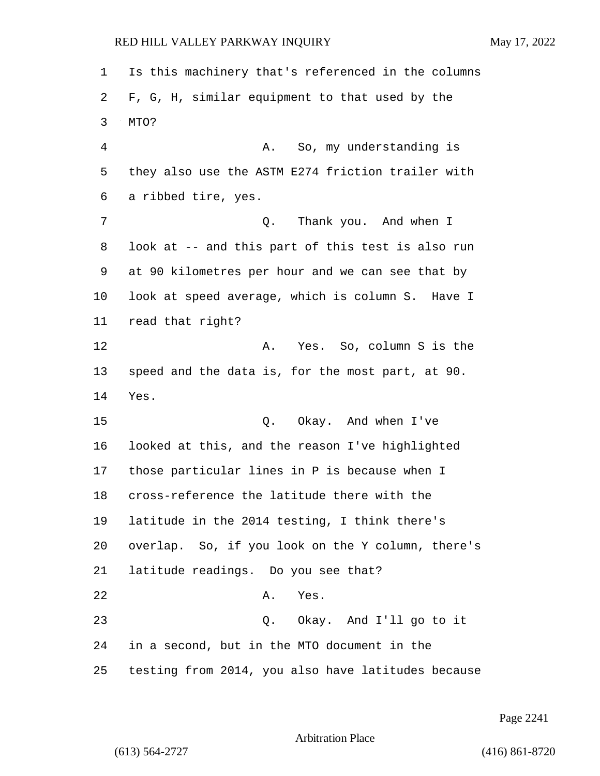Is this machinery that's referenced in the columns F, G, H, similar equipment to that used by the MTO? 4 A. So, my understanding is they also use the ASTM E274 friction trailer with a ribbed tire, yes. 7 Q. Thank you. And when I look at -- and this part of this test is also run at 90 kilometres per hour and we can see that by look at speed average, which is column S. Have I read that right? 12 A. Yes. So, column S is the speed and the data is, for the most part, at 90. Yes. 15 Q. Okay. And when I've looked at this, and the reason I've highlighted those particular lines in P is because when I cross-reference the latitude there with the latitude in the 2014 testing, I think there's overlap. So, if you look on the Y column, there's latitude readings. Do you see that? 22 A. Yes. 23 Q. Okay. And I'll go to it in a second, but in the MTO document in the testing from 2014, you also have latitudes because

Page 2241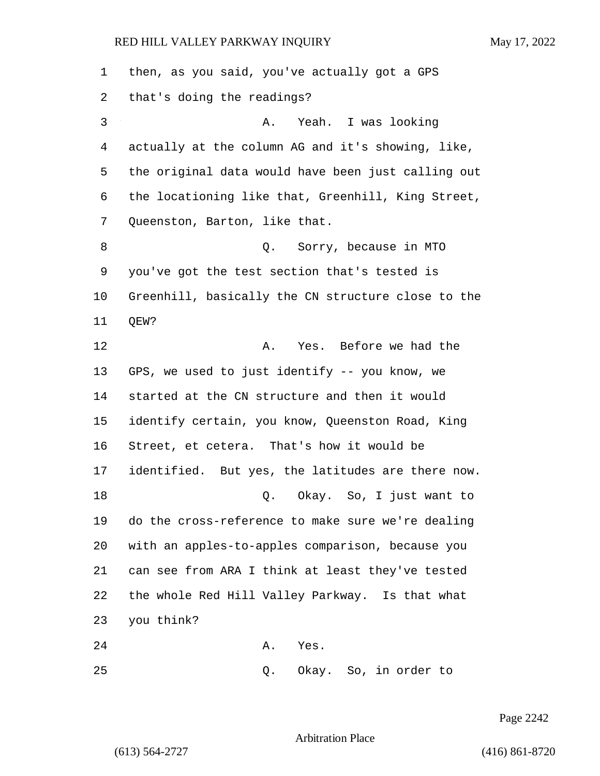| 1  | then, as you said, you've actually got a GPS       |
|----|----------------------------------------------------|
| 2  | that's doing the readings?                         |
| 3  | Yeah. I was looking<br>Α.                          |
| 4  | actually at the column AG and it's showing, like,  |
| 5  | the original data would have been just calling out |
| 6  | the locationing like that, Greenhill, King Street, |
| 7  | Queenston, Barton, like that.                      |
| 8  | Q. Sorry, because in MTO                           |
| 9  | you've got the test section that's tested is       |
| 10 | Greenhill, basically the CN structure close to the |
| 11 | QEW?                                               |
| 12 | Yes. Before we had the<br>Α.                       |
| 13 | GPS, we used to just identify -- you know, we      |
| 14 | started at the CN structure and then it would      |
| 15 | identify certain, you know, Queenston Road, King   |
| 16 | Street, et cetera. That's how it would be          |
| 17 | identified. But yes, the latitudes are there now.  |
| 18 | Okay. So, I just want to<br>Q.                     |
| 19 | do the cross-reference to make sure we're dealing  |
| 20 | with an apples-to-apples comparison, because you   |
| 21 | can see from ARA I think at least they've tested   |
| 22 | the whole Red Hill Valley Parkway. Is that what    |
| 23 | you think?                                         |
| 24 | Α.<br>Yes.                                         |
|    |                                                    |

25 Q. Okay. So, in order to

Page 2242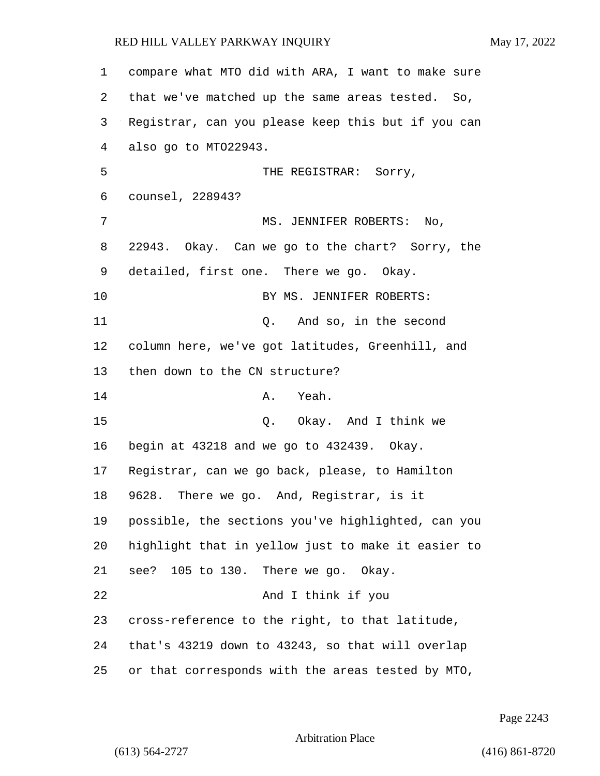compare what MTO did with ARA, I want to make sure that we've matched up the same areas tested. So, Registrar, can you please keep this but if you can also go to MTO22943. 5 THE REGISTRAR: Sorry, counsel, 228943? 7 MS. JENNIFER ROBERTS: No, 22943. Okay. Can we go to the chart? Sorry, the detailed, first one. There we go. Okay. 10 BY MS. JENNIFER ROBERTS: 11 Q. And so, in the second column here, we've got latitudes, Greenhill, and then down to the CN structure? 14 A. Yeah. 15 0. Okay. And I think we begin at 43218 and we go to 432439. Okay. Registrar, can we go back, please, to Hamilton 9628. There we go. And, Registrar, is it possible, the sections you've highlighted, can you highlight that in yellow just to make it easier to see? 105 to 130. There we go. Okay. 22 And I think if you cross-reference to the right, to that latitude, that's 43219 down to 43243, so that will overlap or that corresponds with the areas tested by MTO,

Page 2243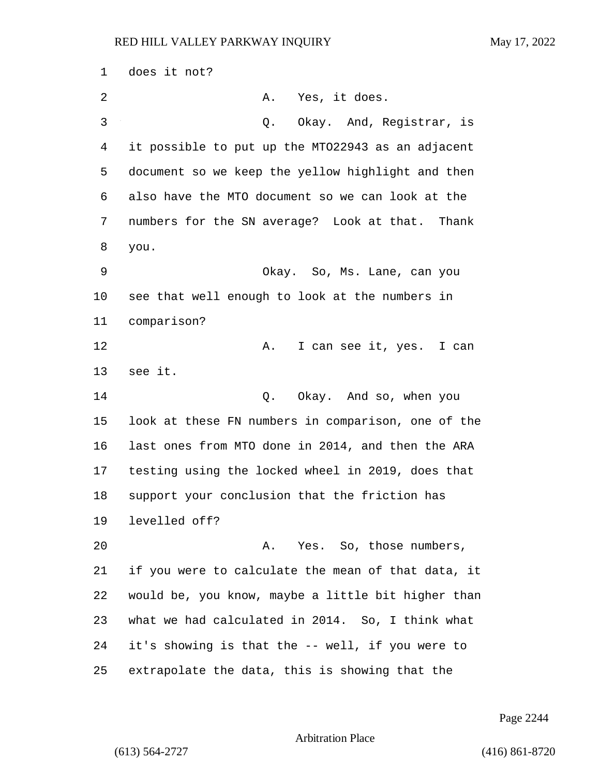does it not? 2 A. Yes, it does. 3 Q. Okay. And, Registrar, is it possible to put up the MTO22943 as an adjacent document so we keep the yellow highlight and then also have the MTO document so we can look at the numbers for the SN average? Look at that. Thank you. 9 Okay. So, Ms. Lane, can you see that well enough to look at the numbers in comparison? 12 A. I can see it, yes. I can see it. 14 Q. Okay. And so, when you look at these FN numbers in comparison, one of the last ones from MTO done in 2014, and then the ARA testing using the locked wheel in 2019, does that support your conclusion that the friction has levelled off? 20 A. Yes. So, those numbers, if you were to calculate the mean of that data, it would be, you know, maybe a little bit higher than what we had calculated in 2014. So, I think what it's showing is that the -- well, if you were to extrapolate the data, this is showing that the

Page 2244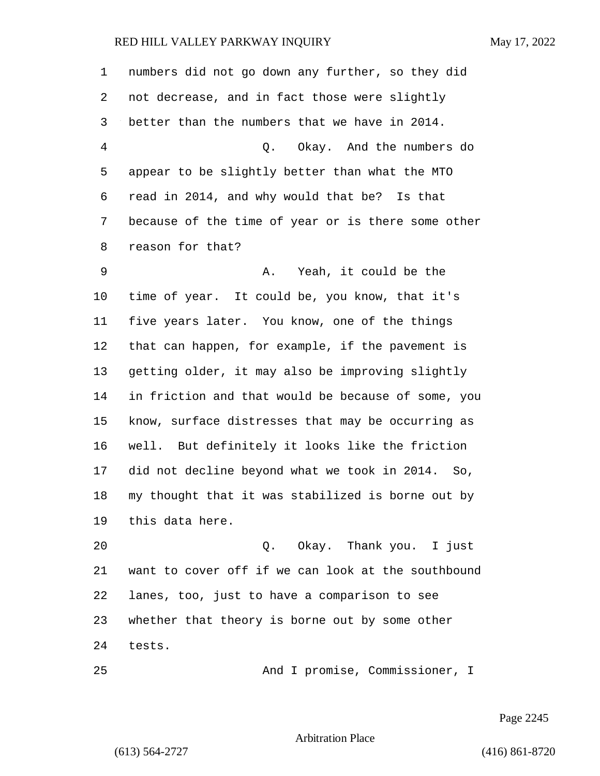numbers did not go down any further, so they did not decrease, and in fact those were slightly better than the numbers that we have in 2014. 4 Q. Okay. And the numbers do appear to be slightly better than what the MTO read in 2014, and why would that be? Is that because of the time of year or is there some other reason for that? 9 A. Yeah, it could be the time of year. It could be, you know, that it's five years later. You know, one of the things that can happen, for example, if the pavement is getting older, it may also be improving slightly in friction and that would be because of some, you know, surface distresses that may be occurring as well. But definitely it looks like the friction did not decline beyond what we took in 2014. So, my thought that it was stabilized is borne out by this data here. 20 Q. Okay. Thank you. I just

 want to cover off if we can look at the southbound lanes, too, just to have a comparison to see whether that theory is borne out by some other tests.

25 And I promise, Commissioner, I

Page 2245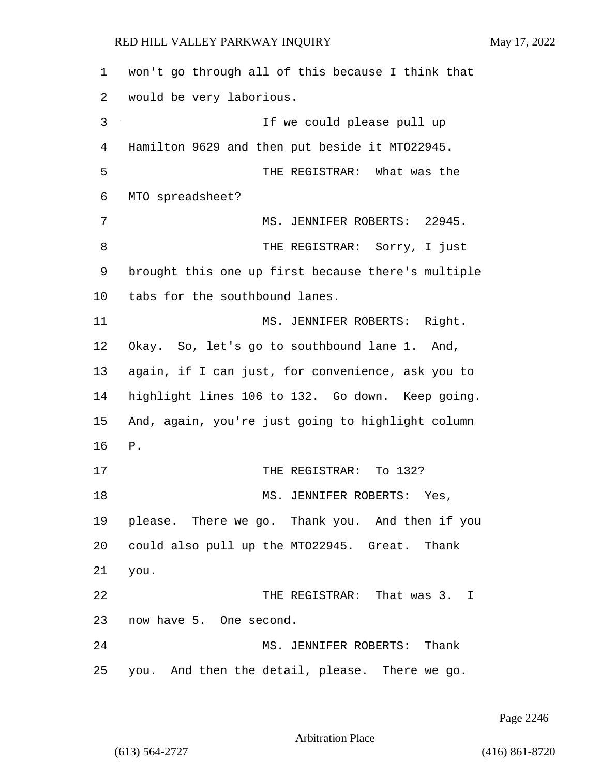| $\mathbf 1$ | won't go through all of this because I think that  |
|-------------|----------------------------------------------------|
| 2           | would be very laborious.                           |
| 3           | If we could please pull up                         |
| 4           | Hamilton 9629 and then put beside it MT022945.     |
| 5           | THE REGISTRAR: What was the                        |
| 6           | MTO spreadsheet?                                   |
| 7           | MS. JENNIFER ROBERTS: 22945.                       |
| 8           | THE REGISTRAR: Sorry, I just                       |
| 9           | brought this one up first because there's multiple |
| 10          | tabs for the southbound lanes.                     |
| 11          | MS. JENNIFER ROBERTS: Right.                       |
| 12          | Okay. So, let's go to southbound lane 1. And,      |
| 13          | again, if I can just, for convenience, ask you to  |
| 14          | highlight lines 106 to 132. Go down. Keep going.   |
| 15          | And, again, you're just going to highlight column  |
| 16          | ${\bf P}$ .                                        |
| 17          | THE REGISTRAR: To 132?                             |
| 18          | MS. JENNIFER ROBERTS: Yes,                         |
| 19          | please. There we go. Thank you. And then if you    |
| 20          | could also pull up the MTO22945. Great. Thank      |
| 21          | you.                                               |
| 22          | THE REGISTRAR: That was 3. I                       |
| 23          | now have 5. One second.                            |
| 24          | MS. JENNIFER ROBERTS:<br>Thank                     |
| 25          | you. And then the detail, please. There we go.     |

Page 2246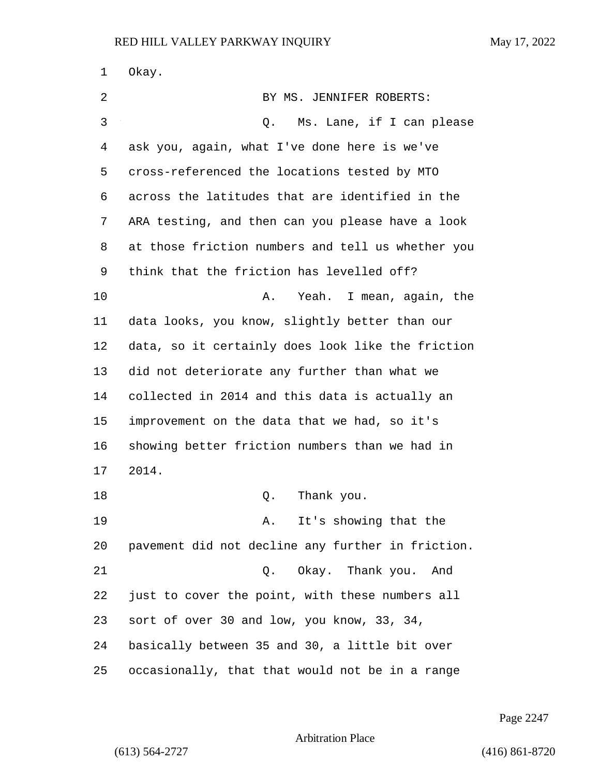| 1  | Okay.                                             |
|----|---------------------------------------------------|
| 2  | BY MS. JENNIFER ROBERTS:                          |
| 3  | Ms. Lane, if I can please<br>Q.                   |
| 4  | ask you, again, what I've done here is we've      |
| 5  | cross-referenced the locations tested by MTO      |
| 6  | across the latitudes that are identified in the   |
| 7  | ARA testing, and then can you please have a look  |
| 8  | at those friction numbers and tell us whether you |
| 9  | think that the friction has levelled off?         |
| 10 | Yeah. I mean, again, the<br>Α.                    |
| 11 | data looks, you know, slightly better than our    |
| 12 | data, so it certainly does look like the friction |
| 13 | did not deteriorate any further than what we      |
| 14 | collected in 2014 and this data is actually an    |
| 15 | improvement on the data that we had, so it's      |
| 16 | showing better friction numbers than we had in    |
| 17 | 2014.                                             |
| 18 | Thank you.<br>Q.                                  |
| 19 | It's showing that the<br>Α.                       |
| 20 | pavement did not decline any further in friction. |
| 21 | Okay. Thank you.<br>Q.<br>And                     |
| 22 | just to cover the point, with these numbers all   |
| 23 | sort of over 30 and low, you know, 33, 34,        |
| 24 | basically between 35 and 30, a little bit over    |
| 25 | occasionally, that that would not be in a range   |

Page 2247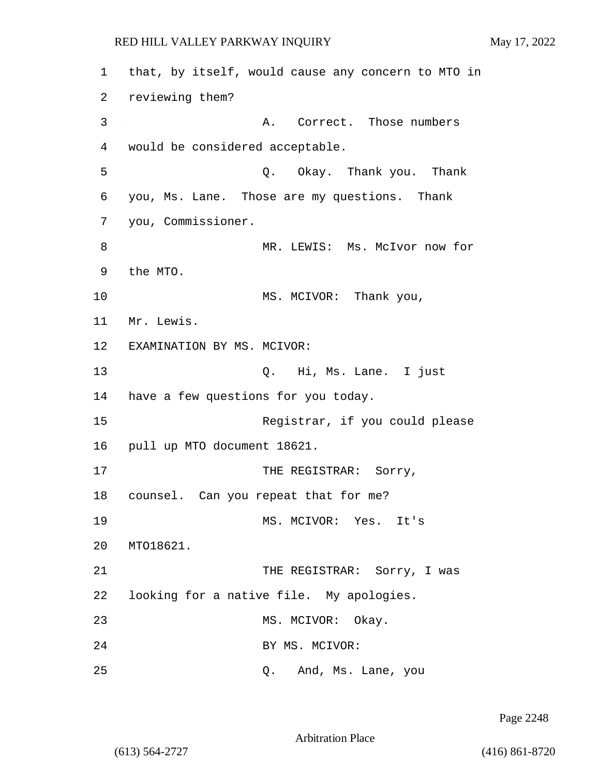1 that, by itself, would cause any concern to MTO in 2 reviewing them? 3 A. Correct. Those numbers 4 would be considered acceptable. 5 Q. Okay. Thank you. Thank 6 you, Ms. Lane. Those are my questions. Thank 7 you, Commissioner. 8 MR. LEWIS: Ms. McIvor now for 9 the MTO. 10 MS. MCIVOR: Thank you, 11 Mr. Lewis. 12 EXAMINATION BY MS. MCIVOR: 13 Q. Hi, Ms. Lane. I just 14 have a few questions for you today. 15 Registrar, if you could please 16 pull up MTO document 18621. 17 THE REGISTRAR: Sorry, 18 counsel. Can you repeat that for me? 19 MS. MCIVOR: Yes. It's 20 MTO18621. 21 THE REGISTRAR: Sorry, I was 22 looking for a native file. My apologies. 23 MS. MCIVOR: Okay. 24 BY MS. MCIVOR: 25 Q. And, Ms. Lane, you

Page 2248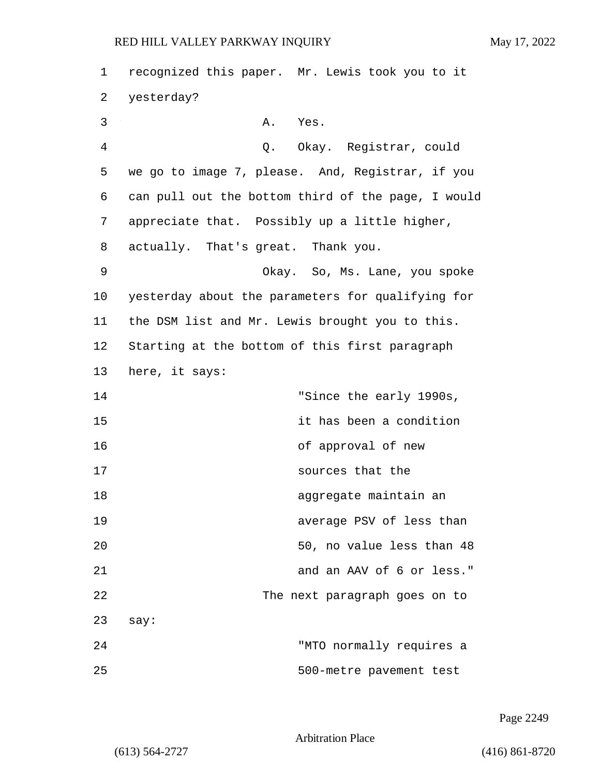| 1  | recognized this paper. Mr. Lewis took you to it    |
|----|----------------------------------------------------|
| 2  | yesterday?                                         |
| 3  | Α.<br>Yes.                                         |
| 4  | Q. Okay. Registrar, could                          |
| 5  | we go to image 7, please. And, Registrar, if you   |
| 6  | can pull out the bottom third of the page, I would |
| 7  | appreciate that. Possibly up a little higher,      |
| 8  | actually. That's great. Thank you.                 |
| 9  | Okay. So, Ms. Lane, you spoke                      |
| 10 | yesterday about the parameters for qualifying for  |
| 11 | the DSM list and Mr. Lewis brought you to this.    |
| 12 | Starting at the bottom of this first paragraph     |
| 13 | here, it says:                                     |
| 14 | "Since the early 1990s,                            |
| 15 | it has been a condition                            |
| 16 | of approval of new                                 |
| 17 | sources that the                                   |
| 18 | aggregate maintain an                              |
| 19 | average PSV of less than                           |
| 20 | 50, no value less than 48                          |
| 21 | and an AAV of 6 or less."                          |
| 22 | The next paragraph goes on to                      |
| 23 | say:                                               |
| 24 | "MTO normally requires a                           |
| 25 | 500-metre pavement test                            |

Page 2249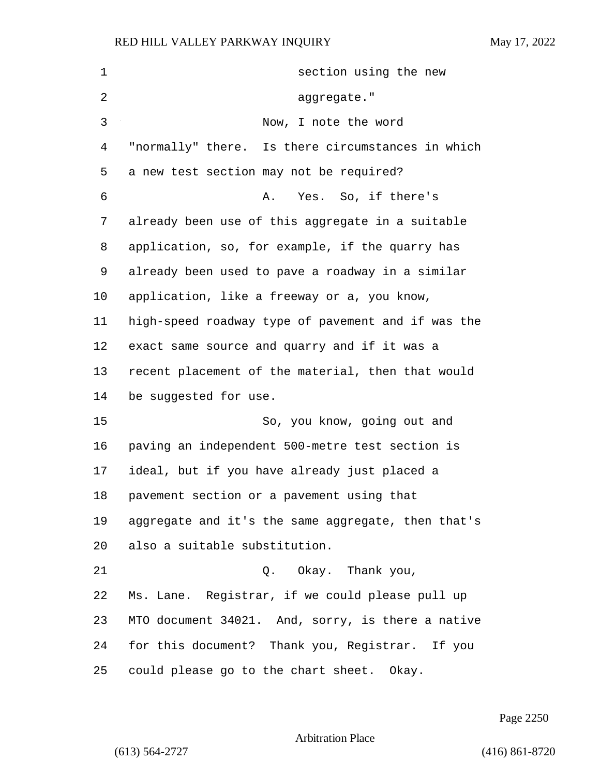| 1  | section using the new                              |
|----|----------------------------------------------------|
| 2  | aggregate."                                        |
| 3  | Now, I note the word                               |
| 4  | "normally" there. Is there circumstances in which  |
| 5  | a new test section may not be required?            |
| 6  | Yes. So, if there's<br>Α.                          |
| 7  | already been use of this aggregate in a suitable   |
| 8  | application, so, for example, if the quarry has    |
| 9  | already been used to pave a roadway in a similar   |
| 10 | application, like a freeway or a, you know,        |
| 11 | high-speed roadway type of pavement and if was the |
| 12 | exact same source and quarry and if it was a       |
| 13 | recent placement of the material, then that would  |
| 14 | be suggested for use.                              |
| 15 | So, you know, going out and                        |
| 16 | paving an independent 500-metre test section is    |
| 17 | ideal, but if you have already just placed a       |
| 18 | pavement section or a pavement using that          |
| 19 | aggregate and it's the same aggregate, then that's |
| 20 | also a suitable substitution.                      |
| 21 | Q. Okay. Thank you,                                |
| 22 | Ms. Lane. Registrar, if we could please pull up    |
| 23 | MTO document 34021. And, sorry, is there a native  |
| 24 | for this document? Thank you, Registrar. If you    |
| 25 | could please go to the chart sheet. Okay.          |

Page 2250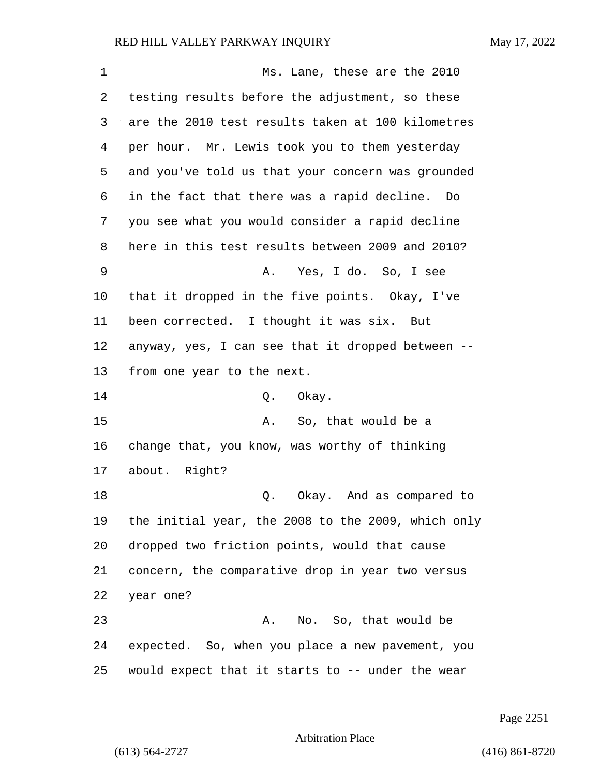| 1  | Ms. Lane, these are the 2010                       |
|----|----------------------------------------------------|
| 2  | testing results before the adjustment, so these    |
| 3  | are the 2010 test results taken at 100 kilometres  |
| 4  | per hour. Mr. Lewis took you to them yesterday     |
| 5  | and you've told us that your concern was grounded  |
| 6  | in the fact that there was a rapid decline. Do     |
| 7  | you see what you would consider a rapid decline    |
| 8  | here in this test results between 2009 and 2010?   |
| 9  | Yes, I do. So, I see<br>Α.                         |
| 10 | that it dropped in the five points. Okay, I've     |
| 11 | been corrected. I thought it was six. But          |
| 12 | anyway, yes, I can see that it dropped between --  |
| 13 | from one year to the next.                         |
| 14 | Q. Okay.                                           |
| 15 | So, that would be a<br>Α.                          |
| 16 | change that, you know, was worthy of thinking      |
| 17 | about. Right?                                      |
| 18 | Okay. And as compared to<br>Q.                     |
| 19 | the initial year, the 2008 to the 2009, which only |
| 20 | dropped two friction points, would that cause      |
| 21 | concern, the comparative drop in year two versus   |
| 22 | year one?                                          |
| 23 | No. So, that would be<br>Α.                        |
| 24 | expected. So, when you place a new pavement, you   |
| 25 | would expect that it starts to -- under the wear   |

Page 2251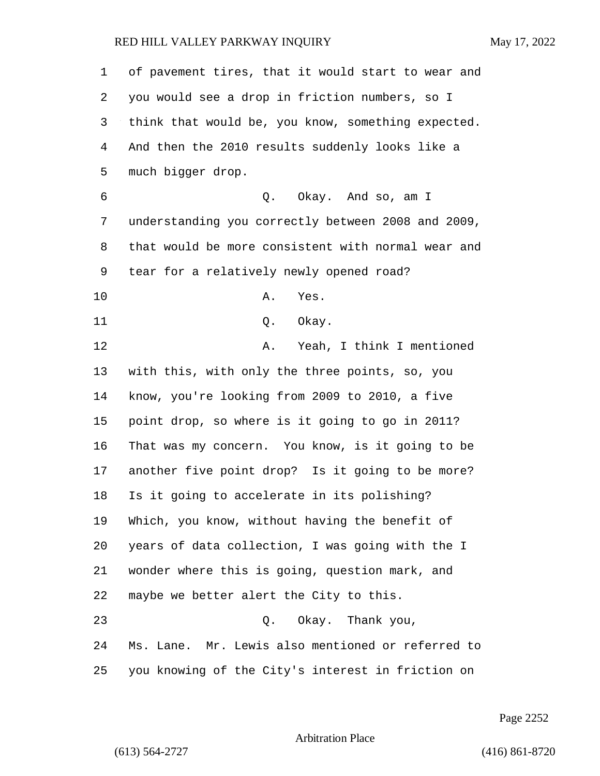of pavement tires, that it would start to wear and you would see a drop in friction numbers, so I think that would be, you know, something expected. And then the 2010 results suddenly looks like a much bigger drop. 6 Q. Okay. And so, am I understanding you correctly between 2008 and 2009, that would be more consistent with normal wear and tear for a relatively newly opened road? 10 A. Yes. 11 Q. Okay. 12 A. Yeah, I think I mentioned with this, with only the three points, so, you know, you're looking from 2009 to 2010, a five point drop, so where is it going to go in 2011? That was my concern. You know, is it going to be another five point drop? Is it going to be more? Is it going to accelerate in its polishing? Which, you know, without having the benefit of years of data collection, I was going with the I wonder where this is going, question mark, and maybe we better alert the City to this. 23 Q. Okay. Thank you, Ms. Lane. Mr. Lewis also mentioned or referred to you knowing of the City's interest in friction on

Page 2252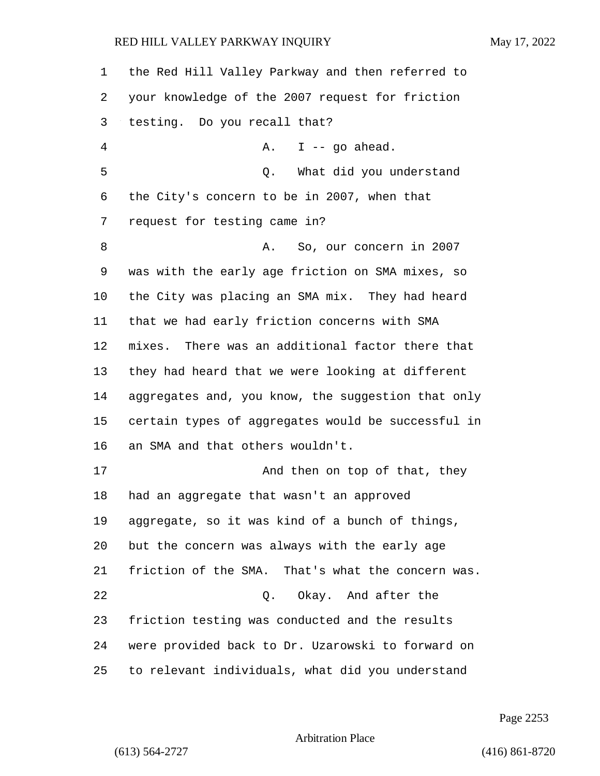the Red Hill Valley Parkway and then referred to your knowledge of the 2007 request for friction testing. Do you recall that? 4 A. I -- go ahead. 5 Q. What did you understand the City's concern to be in 2007, when that request for testing came in? 8 A. So, our concern in 2007 was with the early age friction on SMA mixes, so the City was placing an SMA mix. They had heard that we had early friction concerns with SMA mixes. There was an additional factor there that they had heard that we were looking at different aggregates and, you know, the suggestion that only certain types of aggregates would be successful in an SMA and that others wouldn't. 17 And then on top of that, they had an aggregate that wasn't an approved aggregate, so it was kind of a bunch of things, but the concern was always with the early age friction of the SMA. That's what the concern was. 22 Q. Okay. And after the friction testing was conducted and the results were provided back to Dr. Uzarowski to forward on to relevant individuals, what did you understand

Page 2253

Arbitration Place

(613) 564-2727 (416) 861-8720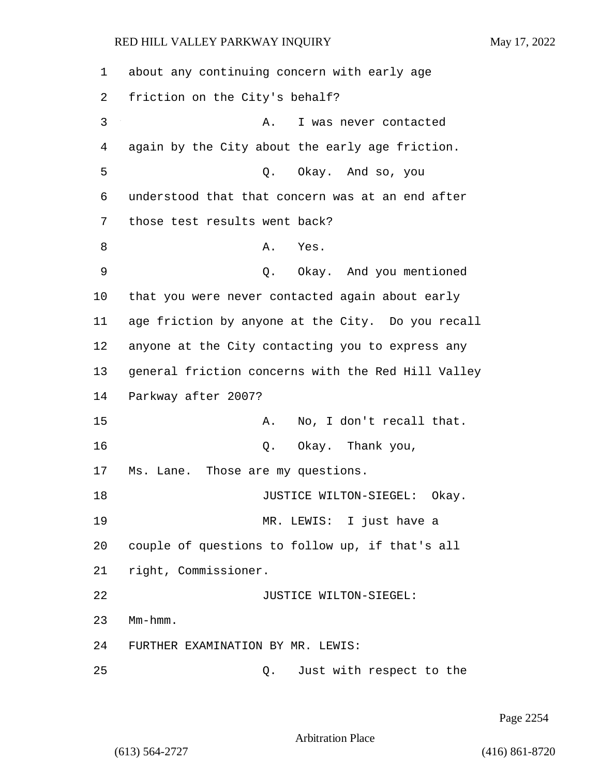1 about any continuing concern with early age 2 friction on the City's behalf? 3 A. I was never contacted 4 again by the City about the early age friction. 5 Q. Okay. And so, you 6 understood that that concern was at an end after 7 those test results went back? 8 A. Yes. 9 Q. Okay. And you mentioned 10 that you were never contacted again about early 11 age friction by anyone at the City. Do you recall 12 anyone at the City contacting you to express any 13 general friction concerns with the Red Hill Valley 14 Parkway after 2007? 15 A. No, I don't recall that. 16 Q. Okay. Thank you, 17 Ms. Lane. Those are my questions. 18 **JUSTICE WILTON-SIEGEL:** Okay. 19 MR. LEWIS: I just have a 20 couple of questions to follow up, if that's all 21 right, Commissioner. 22 JUSTICE WILTON-SIEGEL: 23 Mm-hmm. 24 FURTHER EXAMINATION BY MR. LEWIS: 25 Q. Just with respect to the

Page 2254

Arbitration Place

(613) 564-2727 (416) 861-8720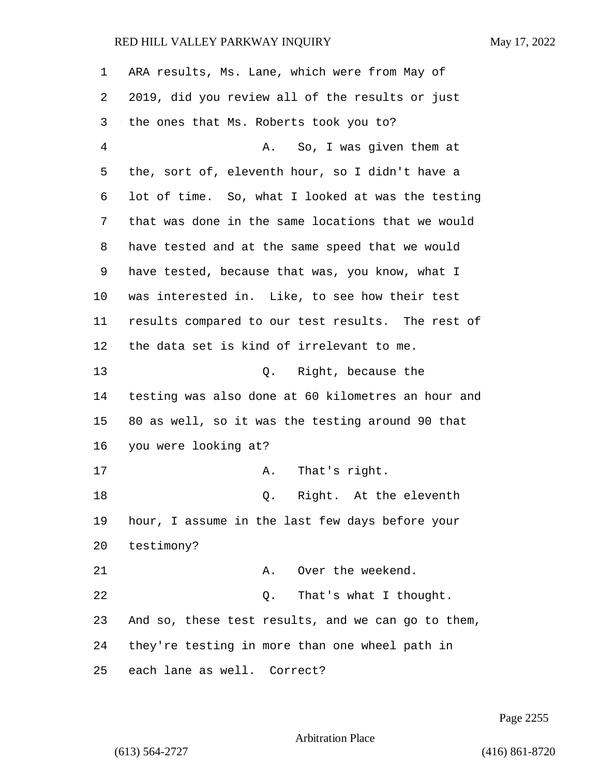| $\mathbf 1$ | ARA results, Ms. Lane, which were from May of      |
|-------------|----------------------------------------------------|
| 2           | 2019, did you review all of the results or just    |
| 3           | the ones that Ms. Roberts took you to?             |
| 4           | So, I was given them at<br>A.                      |
| 5           | the, sort of, eleventh hour, so I didn't have a    |
| 6           | lot of time. So, what I looked at was the testing  |
| 7           | that was done in the same locations that we would  |
| 8           | have tested and at the same speed that we would    |
| 9           | have tested, because that was, you know, what I    |
| 10          | was interested in. Like, to see how their test     |
| 11          | results compared to our test results. The rest of  |
| 12          | the data set is kind of irrelevant to me.          |
| 13          | Q. Right, because the                              |
| 14          | testing was also done at 60 kilometres an hour and |
| 15          | 80 as well, so it was the testing around 90 that   |
| 16          | you were looking at?                               |
| 17          | That's right.<br>Α.                                |
| 18          | Right. At the eleventh<br>Q.                       |
| 19          | hour, I assume in the last few days before your    |
| 20          | testimony?                                         |
| 21          | Over the weekend.<br>Α.                            |
| 22          | That's what I thought.<br>Q.                       |
| 23          | And so, these test results, and we can go to them, |
| 24          | they're testing in more than one wheel path in     |
| 25          | each lane as well. Correct?                        |

Page 2255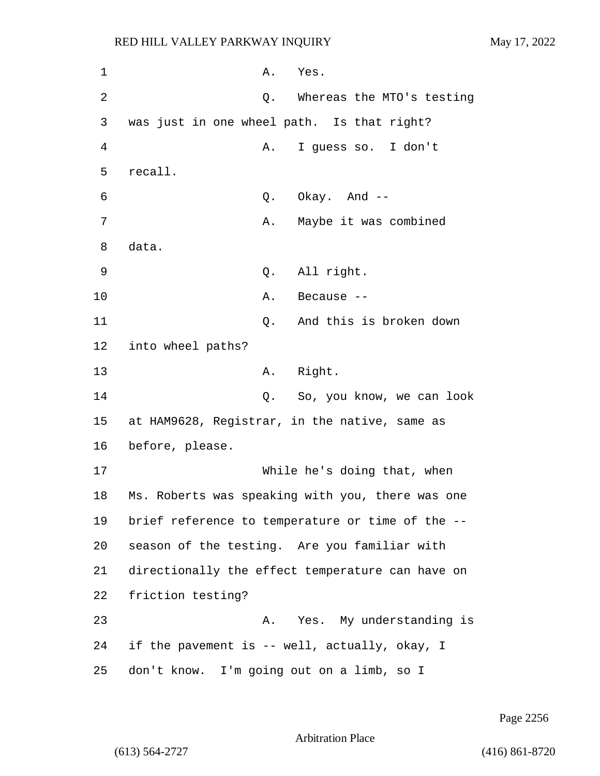1 A. Yes. 2 Q. Whereas the MTO's testing 3 was just in one wheel path. Is that right? 4 A. I guess so. I don't 5 recall. 6 Q. Okay. And -- 7 A. Maybe it was combined 8 data. 9 Q. All right. 10 A. Because --11 Q. And this is broken down 12 into wheel paths? 13 A. Right. 14 Q. So, you know, we can look 15 at HAM9628, Registrar, in the native, same as 16 before, please. 17 While he's doing that, when 18 Ms. Roberts was speaking with you, there was one 19 brief reference to temperature or time of the -- 20 season of the testing. Are you familiar with 21 directionally the effect temperature can have on 22 friction testing? 23 A. Yes. My understanding is 24 if the pavement is -- well, actually, okay, I 25 don't know. I'm going out on a limb, so I

Page 2256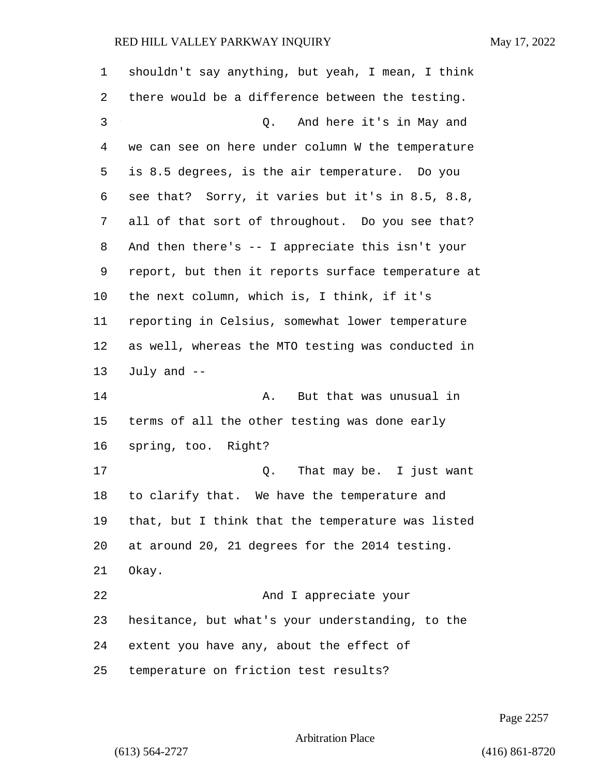| $\mathbf 1$ | shouldn't say anything, but yeah, I mean, I think  |
|-------------|----------------------------------------------------|
| 2           | there would be a difference between the testing.   |
| 3           | Q. And here it's in May and                        |
| 4           | we can see on here under column W the temperature  |
| 5           | is 8.5 degrees, is the air temperature. Do you     |
| 6           | see that? Sorry, it varies but it's in 8.5, 8.8,   |
| 7           | all of that sort of throughout. Do you see that?   |
| 8           | And then there's -- I appreciate this isn't your   |
| 9           | report, but then it reports surface temperature at |
| 10          | the next column, which is, I think, if it's        |
| 11          | reporting in Celsius, somewhat lower temperature   |
| 12          | as well, whereas the MTO testing was conducted in  |
| 13          | July and $-$                                       |
| 14          | But that was unusual in<br>Α.                      |
| 15          | terms of all the other testing was done early      |
| 16          | spring, too. Right?                                |
| 17          | Q. That may be. I just want                        |
| 18          | to clarify that. We have the temperature and       |
| 19          | that, but I think that the temperature was listed  |
| 20          | at around 20, 21 degrees for the 2014 testing.     |
| 21          | Okay.                                              |
| 22          | And I appreciate your                              |
| 23          | hesitance, but what's your understanding, to the   |
| 24          | extent you have any, about the effect of           |
| 25          | temperature on friction test results?              |

Page 2257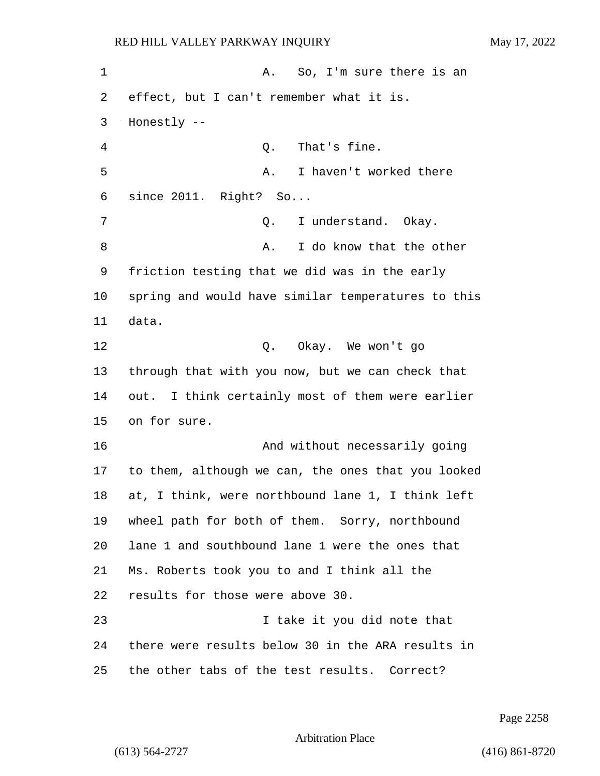1 A. So, I'm sure there is an effect, but I can't remember what it is. Honestly -- 4 Q. That's fine. 5 A. I haven't worked there since 2011. Right? So... 7 Q. I understand. Okay. 8 A. I do know that the other friction testing that we did was in the early spring and would have similar temperatures to this data. 12 Q. Okay. We won't go through that with you now, but we can check that out. I think certainly most of them were earlier on for sure. **And without necessarily going** and without necessarily going to them, although we can, the ones that you looked at, I think, were northbound lane 1, I think left wheel path for both of them. Sorry, northbound lane 1 and southbound lane 1 were the ones that Ms. Roberts took you to and I think all the results for those were above 30. 23 I take it you did note that there were results below 30 in the ARA results in the other tabs of the test results. Correct?

Page 2258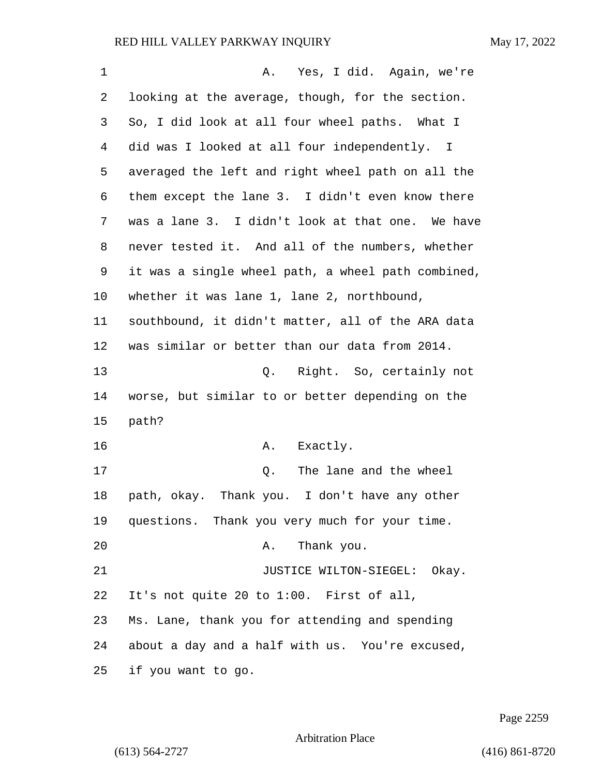| 1  | Yes, I did. Again, we're<br>A.                     |
|----|----------------------------------------------------|
| 2  | looking at the average, though, for the section.   |
| 3  | So, I did look at all four wheel paths. What I     |
| 4  | did was I looked at all four independently. I      |
| 5  | averaged the left and right wheel path on all the  |
| 6  | them except the lane 3. I didn't even know there   |
| 7  | was a lane 3. I didn't look at that one. We have   |
| 8  | never tested it. And all of the numbers, whether   |
| 9  | it was a single wheel path, a wheel path combined, |
| 10 | whether it was lane 1, lane 2, northbound,         |
| 11 | southbound, it didn't matter, all of the ARA data  |
| 12 | was similar or better than our data from 2014.     |
| 13 | Q. Right. So, certainly not                        |
| 14 | worse, but similar to or better depending on the   |
| 15 | path?                                              |
| 16 | Exactly.<br>Α.                                     |
| 17 | The lane and the wheel<br>Q.                       |
| 18 | path, okay. Thank you. I don't have any other      |
| 19 | questions. Thank you very much for your time.      |
| 20 | Thank you.<br>Α.                                   |
| 21 | JUSTICE WILTON-SIEGEL: Okay.                       |
| 22 | It's not quite 20 to 1:00. First of all,           |
| 23 | Ms. Lane, thank you for attending and spending     |
| 24 | about a day and a half with us. You're excused,    |
| 25 | if you want to go.                                 |

Page 2259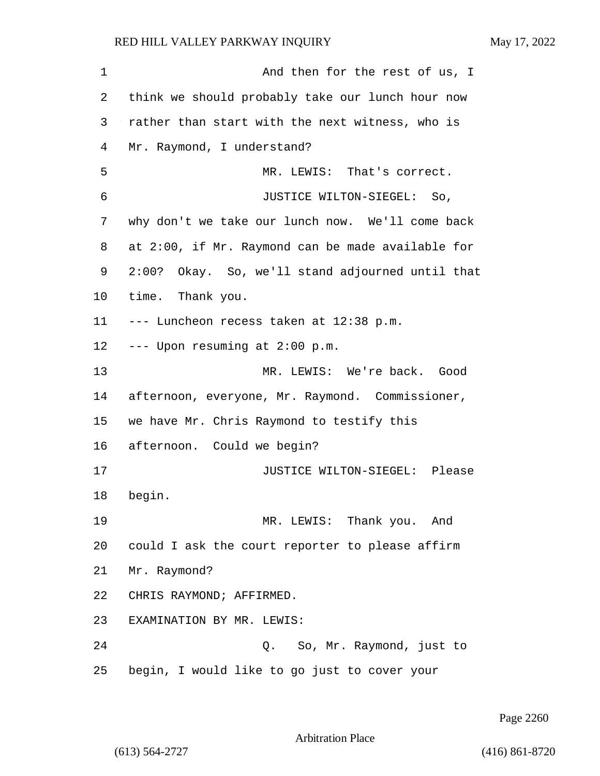1 and then for the rest of us, I think we should probably take our lunch hour now rather than start with the next witness, who is Mr. Raymond, I understand? 5 MR. LEWIS: That's correct. 6 JUSTICE WILTON-SIEGEL: So, why don't we take our lunch now. We'll come back at 2:00, if Mr. Raymond can be made available for 2:00? Okay. So, we'll stand adjourned until that time. Thank you. --- Luncheon recess taken at 12:38 p.m. --- Upon resuming at 2:00 p.m. 13 MR. LEWIS: We're back. Good afternoon, everyone, Mr. Raymond. Commissioner, we have Mr. Chris Raymond to testify this afternoon. Could we begin? 17 JUSTICE WILTON-SIEGEL: Please begin. 19 MR. LEWIS: Thank you. And could I ask the court reporter to please affirm Mr. Raymond? CHRIS RAYMOND; AFFIRMED. EXAMINATION BY MR. LEWIS: 24 Q. So, Mr. Raymond, just to begin, I would like to go just to cover your

Page 2260

Arbitration Place

(613) 564-2727 (416) 861-8720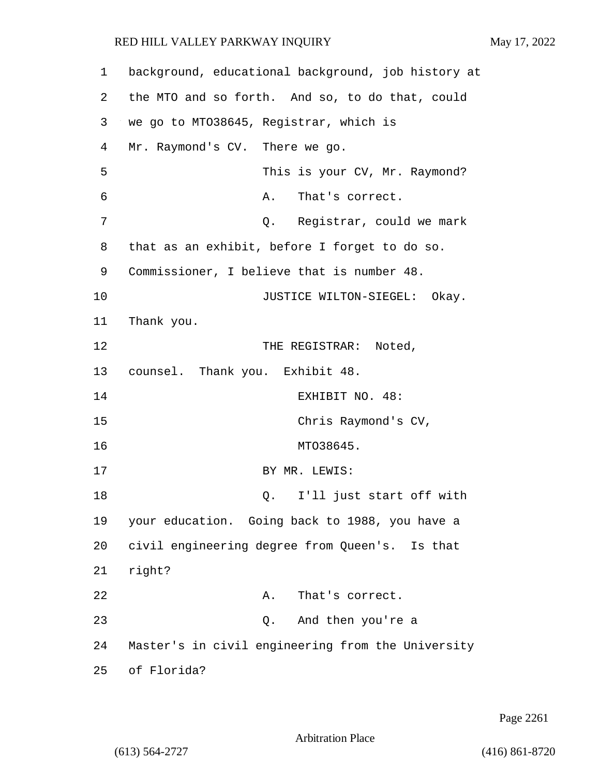| 1  | background, educational background, job history at |
|----|----------------------------------------------------|
| 2  | the MTO and so forth. And so, to do that, could    |
| 3  | we go to MTO38645, Registrar, which is             |
| 4  | Mr. Raymond's CV. There we go.                     |
| 5  | This is your CV, Mr. Raymond?                      |
| 6  | That's correct.<br>Α.                              |
| 7  | Q. Registrar, could we mark                        |
| 8  | that as an exhibit, before I forget to do so.      |
| 9  | Commissioner, I believe that is number 48.         |
| 10 | JUSTICE WILTON-SIEGEL: Okay.                       |
| 11 | Thank you.                                         |
| 12 | THE REGISTRAR:<br>Noted,                           |
| 13 | counsel. Thank you. Exhibit 48.                    |
| 14 | EXHIBIT NO. 48:                                    |
| 15 | Chris Raymond's CV,                                |
| 16 | MTO38645.                                          |
| 17 | BY MR. LEWIS:                                      |
| 18 | I'll just start off with<br>Q.                     |
| 19 | your education. Going back to 1988, you have a     |
| 20 | civil engineering degree from Queen's. Is that     |
| 21 | right?                                             |
| 22 | That's correct.<br>Α.                              |
| 23 | Q. And then you're a                               |
| 24 | Master's in civil engineering from the University  |
| 25 | of Florida?                                        |

Page 2261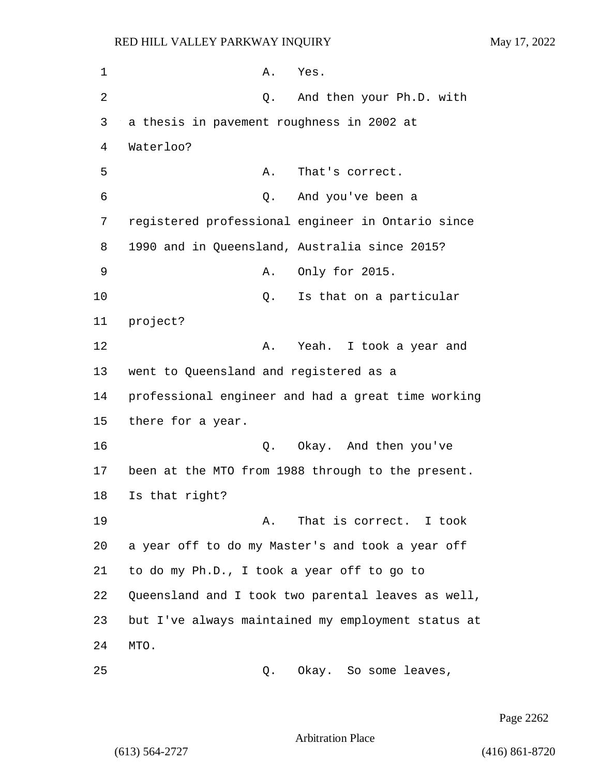1 A. Yes. 2 Q. And then your Ph.D. with a thesis in pavement roughness in 2002 at Waterloo? 5 A. That's correct. 6 Q. And you've been a registered professional engineer in Ontario since 1990 and in Queensland, Australia since 2015? 9 A. Only for 2015. 10 Q. Is that on a particular 11 project? **A.** Yeah. I took a year and went to Queensland and registered as a professional engineer and had a great time working there for a year. 16 Q. Okay. And then you've been at the MTO from 1988 through to the present. Is that right? **A.** That is correct. I took a year off to do my Master's and took a year off to do my Ph.D., I took a year off to go to Queensland and I took two parental leaves as well, but I've always maintained my employment status at 24 MTO.

25 Q. Okay. So some leaves,

Page 2262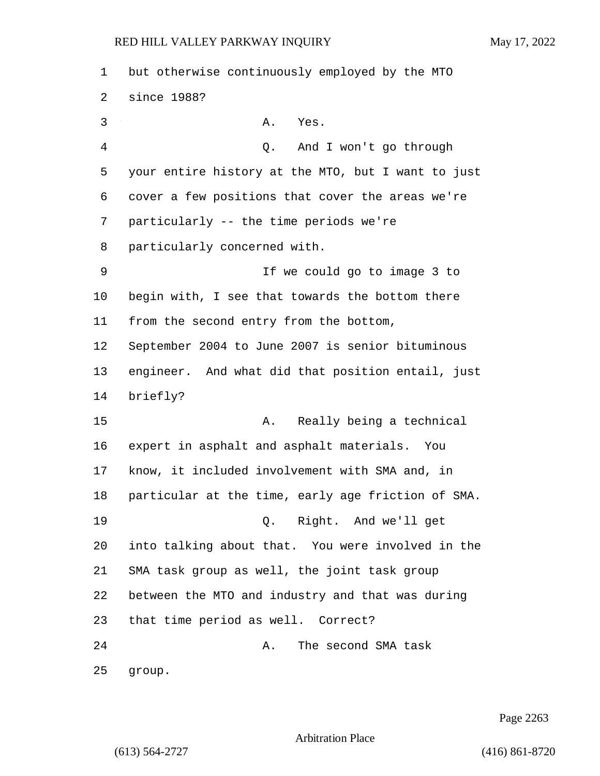| 1  | but otherwise continuously employed by the MTO     |
|----|----------------------------------------------------|
| 2  | since 1988?                                        |
| 3  | Α.<br>Yes.                                         |
| 4  | And I won't go through<br>Q.                       |
| 5  | your entire history at the MTO, but I want to just |
| 6  | cover a few positions that cover the areas we're   |
| 7  | particularly -- the time periods we're             |
| 8  | particularly concerned with.                       |
| 9  | If we could go to image 3 to                       |
| 10 | begin with, I see that towards the bottom there    |
| 11 | from the second entry from the bottom,             |
| 12 | September 2004 to June 2007 is senior bituminous   |
| 13 | engineer. And what did that position entail, just  |
| 14 | briefly?                                           |
| 15 | Really being a technical<br>Α.                     |
| 16 | expert in asphalt and asphalt materials. You       |
| 17 | know, it included involvement with SMA and, in     |
| 18 | particular at the time, early age friction of SMA. |
| 19 | Q. Right. And we'll get                            |
| 20 | into talking about that. You were involved in the  |
| 21 | SMA task group as well, the joint task group       |
| 22 | between the MTO and industry and that was during   |
| 23 | that time period as well. Correct?                 |
| 24 | The second SMA task<br>Α.                          |
| 25 | group.                                             |

Page 2263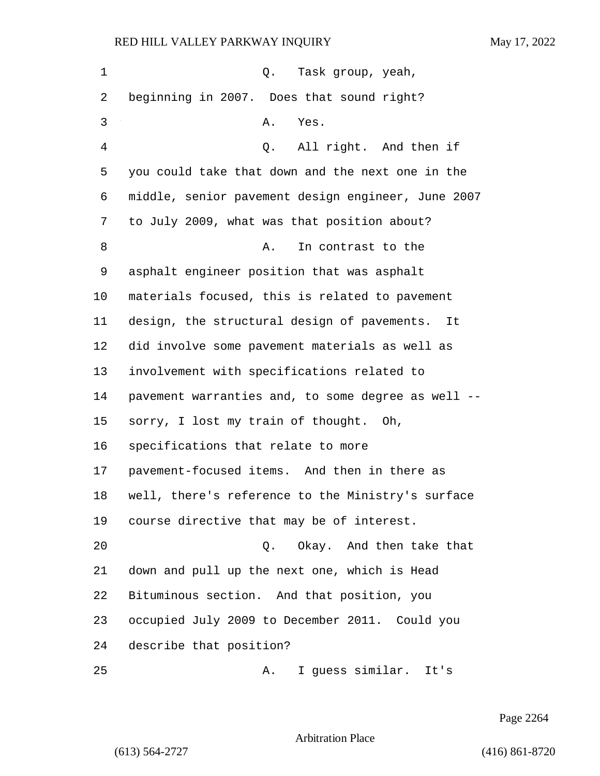| 1  | Q. Task group, yeah,                               |
|----|----------------------------------------------------|
| 2  | beginning in 2007. Does that sound right?          |
| 3  | Α.<br>Yes.                                         |
| 4  | All right. And then if<br>Q.                       |
| 5  | you could take that down and the next one in the   |
| 6  | middle, senior pavement design engineer, June 2007 |
| 7  | to July 2009, what was that position about?        |
| 8  | Α.<br>In contrast to the                           |
| 9  | asphalt engineer position that was asphalt         |
| 10 | materials focused, this is related to pavement     |
| 11 | design, the structural design of pavements.<br>It  |
| 12 | did involve some pavement materials as well as     |
| 13 | involvement with specifications related to         |
| 14 | pavement warranties and, to some degree as well -- |
| 15 | sorry, I lost my train of thought. Oh,             |
| 16 | specifications that relate to more                 |
| 17 | pavement-focused items. And then in there as       |
| 18 | well, there's reference to the Ministry's surface  |
| 19 | course directive that may be of interest.          |
| 20 | Okay. And then take that<br>Q.                     |
| 21 | down and pull up the next one, which is Head       |
| 22 | Bituminous section. And that position, you         |
| 23 | occupied July 2009 to December 2011. Could you     |
| 24 | describe that position?                            |
| 25 | I guess similar. It's<br>Α.                        |

Page 2264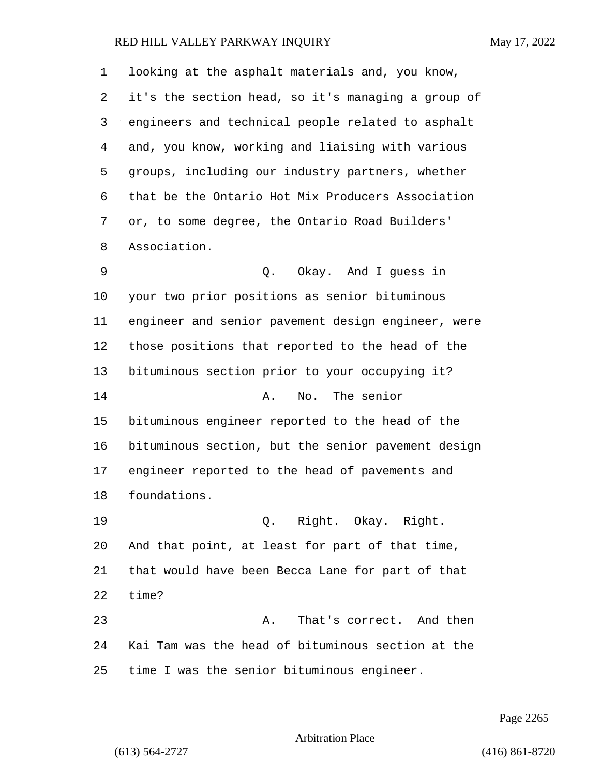looking at the asphalt materials and, you know, it's the section head, so it's managing a group of engineers and technical people related to asphalt and, you know, working and liaising with various groups, including our industry partners, whether that be the Ontario Hot Mix Producers Association or, to some degree, the Ontario Road Builders' Association. 9 Q. Okay. And I guess in your two prior positions as senior bituminous engineer and senior pavement design engineer, were those positions that reported to the head of the bituminous section prior to your occupying it? 14 A. No. The senior bituminous engineer reported to the head of the bituminous section, but the senior pavement design engineer reported to the head of pavements and foundations. 19 Q. Right. Okay. Right. And that point, at least for part of that time, that would have been Becca Lane for part of that time? 23 A. That's correct. And then Kai Tam was the head of bituminous section at the time I was the senior bituminous engineer.

Page 2265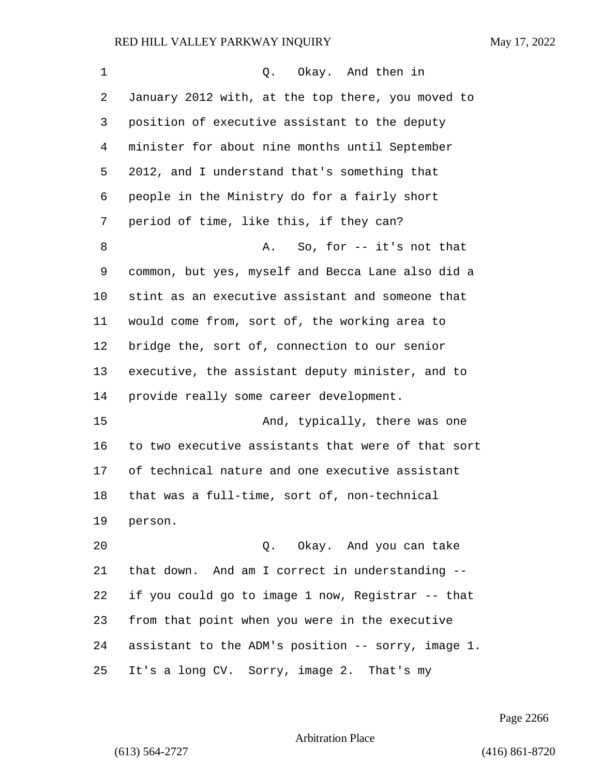| 1  | Q. Okay. And then in                               |
|----|----------------------------------------------------|
| 2  | January 2012 with, at the top there, you moved to  |
| 3  | position of executive assistant to the deputy      |
| 4  | minister for about nine months until September     |
| 5  | 2012, and I understand that's something that       |
| 6  | people in the Ministry do for a fairly short       |
| 7  | period of time, like this, if they can?            |
| 8  | So, for $-$ it's not that<br>Α.                    |
| 9  | common, but yes, myself and Becca Lane also did a  |
| 10 | stint as an executive assistant and someone that   |
| 11 | would come from, sort of, the working area to      |
| 12 | bridge the, sort of, connection to our senior      |
| 13 | executive, the assistant deputy minister, and to   |
| 14 | provide really some career development.            |
| 15 | And, typically, there was one                      |
| 16 | to two executive assistants that were of that sort |
| 17 | of technical nature and one executive assistant    |
| 18 | that was a full-time, sort of, non-technical       |
| 19 | person.                                            |
| 20 | Q. Okay. And you can take                          |
| 21 | that down. And am I correct in understanding --    |
| 22 | if you could go to image 1 now, Registrar -- that  |
| 23 | from that point when you were in the executive     |
| 24 | assistant to the ADM's position -- sorry, image 1. |
| 25 | It's a long CV. Sorry, image 2. That's my          |

Page 2266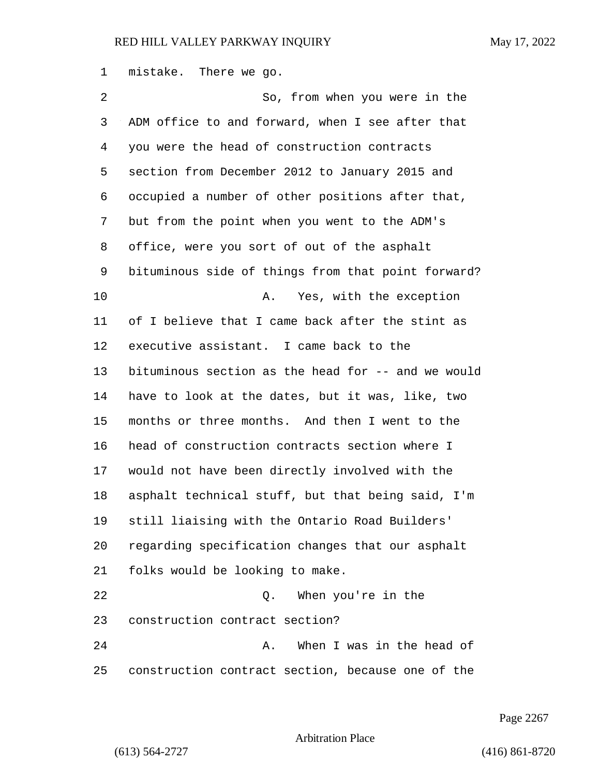mistake. There we go.

2 So, from when you were in the ADM office to and forward, when I see after that you were the head of construction contracts section from December 2012 to January 2015 and occupied a number of other positions after that, but from the point when you went to the ADM's office, were you sort of out of the asphalt bituminous side of things from that point forward? 10 A. Yes, with the exception of I believe that I came back after the stint as executive assistant. I came back to the bituminous section as the head for -- and we would have to look at the dates, but it was, like, two months or three months. And then I went to the head of construction contracts section where I would not have been directly involved with the asphalt technical stuff, but that being said, I'm still liaising with the Ontario Road Builders' regarding specification changes that our asphalt folks would be looking to make. 22 Q. When you're in the construction contract section? 24 A. When I was in the head of construction contract section, because one of the

Page 2267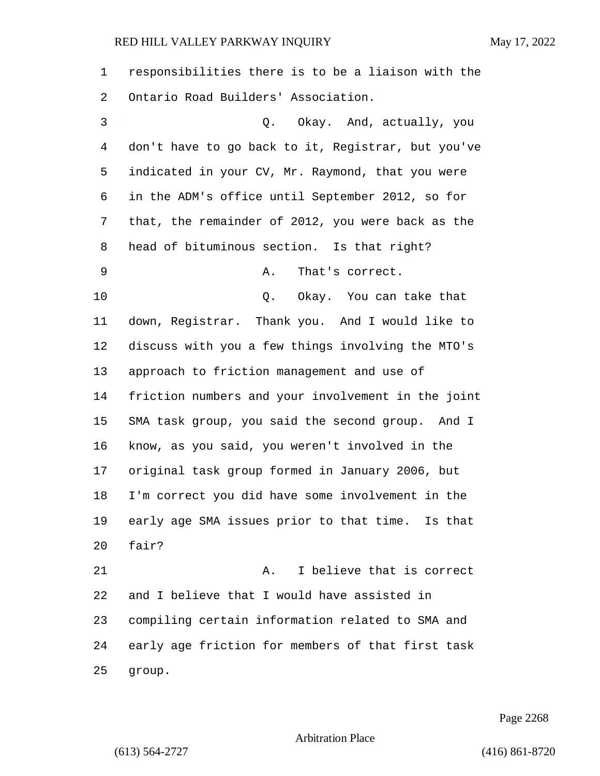responsibilities there is to be a liaison with the Ontario Road Builders' Association. 3 Q. Okay. And, actually, you don't have to go back to it, Registrar, but you've indicated in your CV, Mr. Raymond, that you were in the ADM's office until September 2012, so for that, the remainder of 2012, you were back as the head of bituminous section. Is that right? 9 A. That's correct. 10 Q. Okay. You can take that down, Registrar. Thank you. And I would like to discuss with you a few things involving the MTO's approach to friction management and use of friction numbers and your involvement in the joint SMA task group, you said the second group. And I know, as you said, you weren't involved in the original task group formed in January 2006, but I'm correct you did have some involvement in the early age SMA issues prior to that time. Is that fair? 21 A. I believe that is correct and I believe that I would have assisted in compiling certain information related to SMA and early age friction for members of that first task group.

Page 2268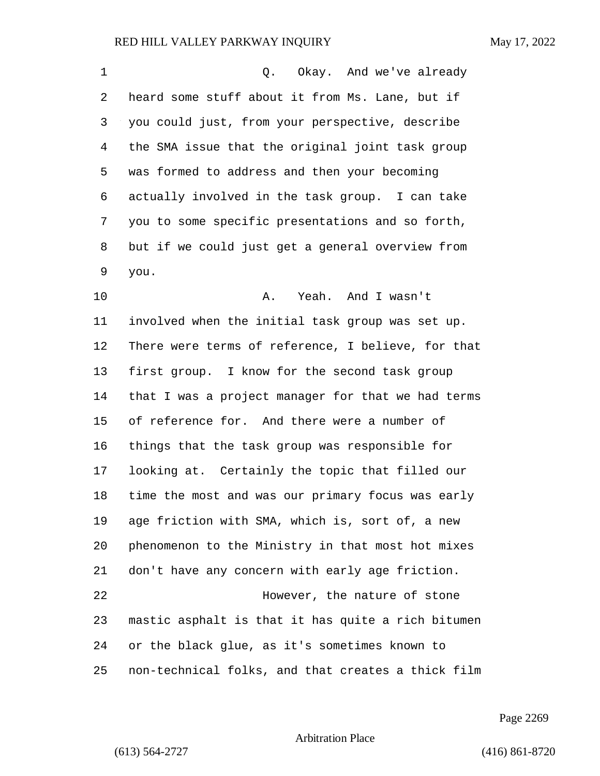| 1  | Okay. And we've already<br>Q.                      |
|----|----------------------------------------------------|
| 2  | heard some stuff about it from Ms. Lane, but if    |
| 3  | you could just, from your perspective, describe    |
| 4  | the SMA issue that the original joint task group   |
| 5  | was formed to address and then your becoming       |
| 6  | actually involved in the task group. I can take    |
| 7  | you to some specific presentations and so forth,   |
| 8  | but if we could just get a general overview from   |
| 9  | you.                                               |
| 10 | Yeah. And I wasn't<br>Α.                           |
| 11 | involved when the initial task group was set up.   |
| 12 | There were terms of reference, I believe, for that |
| 13 | first group. I know for the second task group      |
| 14 | that I was a project manager for that we had terms |
| 15 | of reference for. And there were a number of       |
| 16 | things that the task group was responsible for     |
| 17 | looking at. Certainly the topic that filled our    |
| 18 | time the most and was our primary focus was early  |
| 19 | age friction with SMA, which is, sort of, a new    |
| 20 | phenomenon to the Ministry in that most hot mixes  |
| 21 | don't have any concern with early age friction.    |
| 22 | However, the nature of stone                       |
| 23 | mastic asphalt is that it has quite a rich bitumen |
| 24 | or the black glue, as it's sometimes known to      |
| 25 | non-technical folks, and that creates a thick film |

Page 2269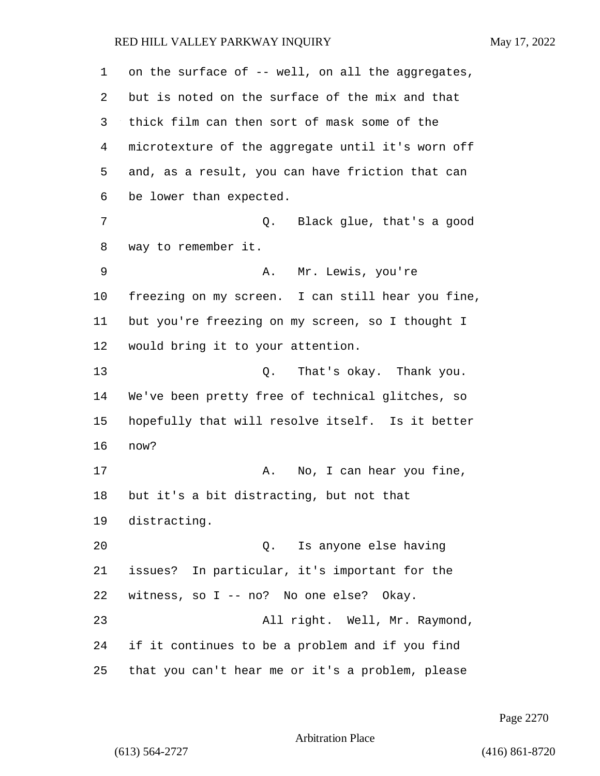on the surface of -- well, on all the aggregates, but is noted on the surface of the mix and that thick film can then sort of mask some of the microtexture of the aggregate until it's worn off and, as a result, you can have friction that can be lower than expected. 7 C. Black glue, that's a good way to remember it. 9 A. Mr. Lewis, you're freezing on my screen. I can still hear you fine, but you're freezing on my screen, so I thought I would bring it to your attention. 13 Q. That's okay. Thank you. We've been pretty free of technical glitches, so hopefully that will resolve itself. Is it better now? 17 A. No, I can hear you fine, but it's a bit distracting, but not that distracting. 20 Q. Is anyone else having issues? In particular, it's important for the witness, so I -- no? No one else? Okay. 23 All right. Well, Mr. Raymond, if it continues to be a problem and if you find that you can't hear me or it's a problem, please

Page 2270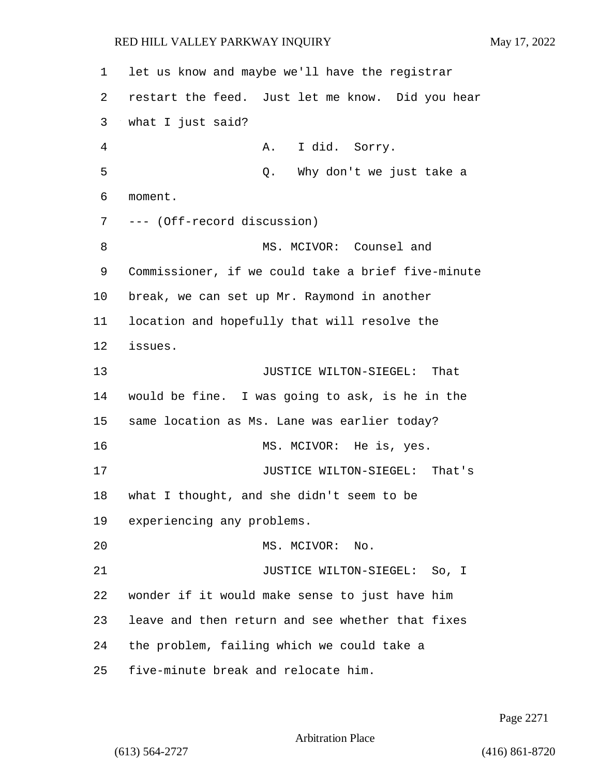let us know and maybe we'll have the registrar restart the feed. Just let me know. Did you hear what I just said? 4 A. I did. Sorry. 5 Q. Why don't we just take a moment. --- (Off-record discussion) 8 MS. MCIVOR: Counsel and Commissioner, if we could take a brief five-minute break, we can set up Mr. Raymond in another location and hopefully that will resolve the issues. **JUSTICE WILTON-SIEGEL:** That would be fine. I was going to ask, is he in the same location as Ms. Lane was earlier today? 16 MS. MCIVOR: He is, yes. 17 JUSTICE WILTON-SIEGEL: That's what I thought, and she didn't seem to be experiencing any problems. 20 MS. MCIVOR: No. 21 JUSTICE WILTON-SIEGEL: So, I wonder if it would make sense to just have him leave and then return and see whether that fixes the problem, failing which we could take a five-minute break and relocate him.

Page 2271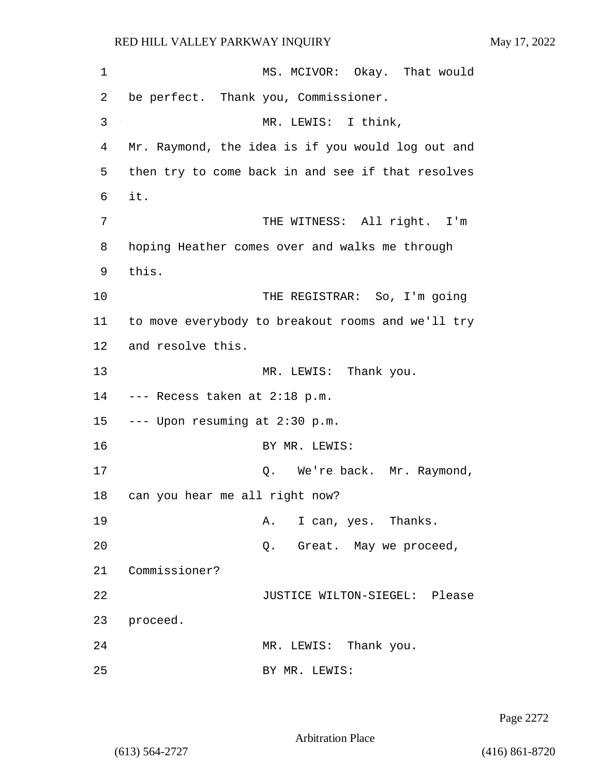| 1  | MS. MCIVOR: Okay. That would                      |
|----|---------------------------------------------------|
| 2  | be perfect. Thank you, Commissioner.              |
| 3  | MR. LEWIS: I think,                               |
| 4  | Mr. Raymond, the idea is if you would log out and |
| 5  | then try to come back in and see if that resolves |
| 6  | it.                                               |
| 7  | THE WITNESS: All right. I'm                       |
| 8  | hoping Heather comes over and walks me through    |
| 9  | this.                                             |
| 10 | THE REGISTRAR: So, I'm going                      |
| 11 | to move everybody to breakout rooms and we'll try |
| 12 | and resolve this.                                 |
| 13 | MR. LEWIS: Thank you.                             |
| 14 | --- Recess taken at 2:18 p.m.                     |
| 15 | --- Upon resuming at 2:30 p.m.                    |
| 16 | BY MR. LEWIS:                                     |
| 17 | Q. We're back. Mr. Raymond,                       |
| 18 | can you hear me all right now?                    |
| 19 | A. I can, yes. Thanks.                            |
| 20 | Q. Great. May we proceed,                         |
| 21 | Commissioner?                                     |
| 22 | JUSTICE WILTON-SIEGEL: Please                     |
| 23 | proceed.                                          |
| 24 | MR. LEWIS: Thank you.                             |
| 25 | BY MR. LEWIS:                                     |

Page 2272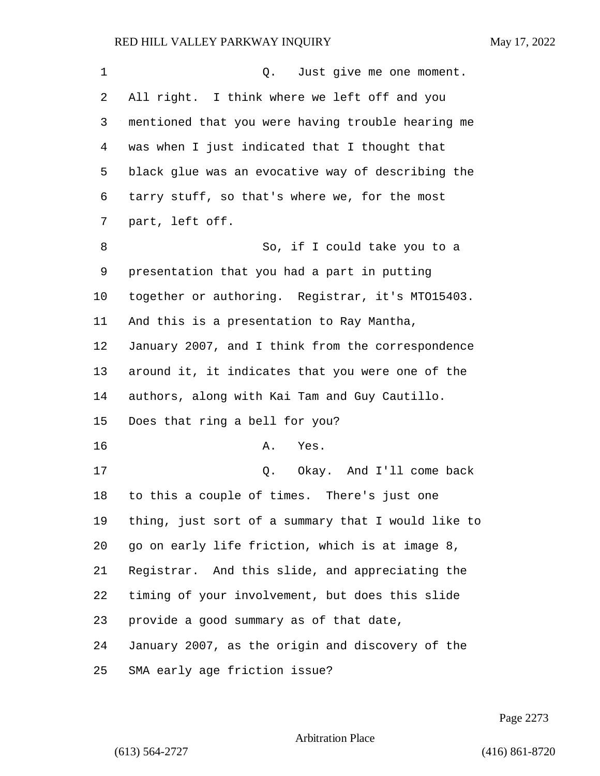| 1  | Just give me one moment.<br>$Q$ .                  |
|----|----------------------------------------------------|
| 2  | All right. I think where we left off and you       |
| 3  | mentioned that you were having trouble hearing me  |
| 4  | was when I just indicated that I thought that      |
| 5  | black glue was an evocative way of describing the  |
| 6  | tarry stuff, so that's where we, for the most      |
| 7  | part, left off.                                    |
| 8  | So, if I could take you to a                       |
| 9  | presentation that you had a part in putting        |
| 10 | together or authoring. Registrar, it's MT015403.   |
| 11 | And this is a presentation to Ray Mantha,          |
| 12 | January 2007, and I think from the correspondence  |
| 13 | around it, it indicates that you were one of the   |
| 14 | authors, along with Kai Tam and Guy Cautillo.      |
| 15 | Does that ring a bell for you?                     |
| 16 | Yes.<br>Α.                                         |
| 17 | Q. Okay. And I'll come back                        |
| 18 | to this a couple of times. There's just one        |
| 19 | thing, just sort of a summary that I would like to |
| 20 | go on early life friction, which is at image 8,    |
| 21 | Registrar. And this slide, and appreciating the    |
| 22 | timing of your involvement, but does this slide    |
| 23 | provide a good summary as of that date,            |
| 24 | January 2007, as the origin and discovery of the   |
| 25 | SMA early age friction issue?                      |

Page 2273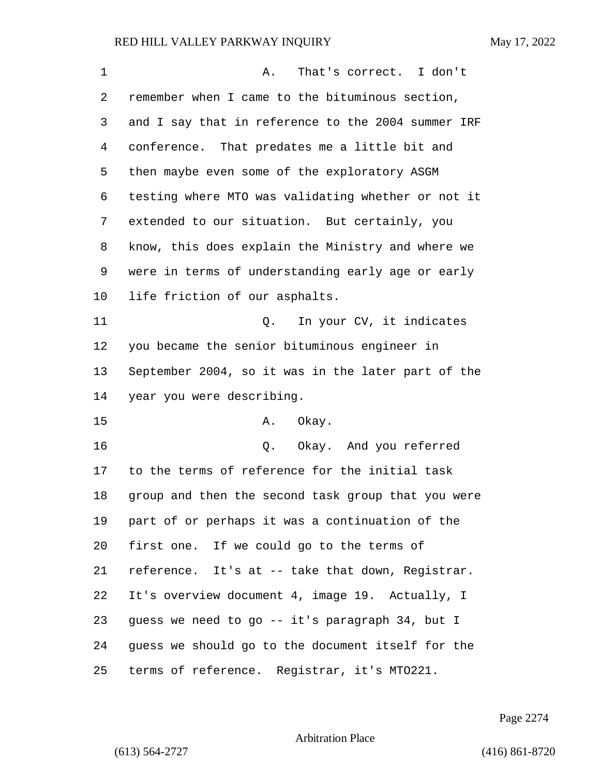| $\mathbf 1$ | That's correct. I don't<br>Α.                      |
|-------------|----------------------------------------------------|
| 2           | remember when I came to the bituminous section,    |
| 3           | and I say that in reference to the 2004 summer IRF |
| 4           | conference. That predates me a little bit and      |
| 5           | then maybe even some of the exploratory ASGM       |
| 6           | testing where MTO was validating whether or not it |
| 7           | extended to our situation. But certainly, you      |
| 8           | know, this does explain the Ministry and where we  |
| 9           | were in terms of understanding early age or early  |
| $10 \,$     | life friction of our asphalts.                     |
| 11          | In your CV, it indicates<br>Q.                     |
| 12          | you became the senior bituminous engineer in       |
| 13          | September 2004, so it was in the later part of the |
| 14          | year you were describing.                          |
| 15          | A. Okay.                                           |
| 16          | Okay. And you referred<br>Q.                       |
| 17          | to the terms of reference for the initial task     |
| 18          | group and then the second task group that you were |
| 19          | part of or perhaps it was a continuation of the    |
| 20          | first one. If we could go to the terms of          |
| 21          | reference. It's at -- take that down, Registrar.   |
| 22          | It's overview document 4, image 19. Actually, I    |
| 23          | guess we need to go -- it's paragraph 34, but I    |
| 24          | guess we should go to the document itself for the  |
| 25          | terms of reference. Registrar, it's MT0221.        |

Page 2274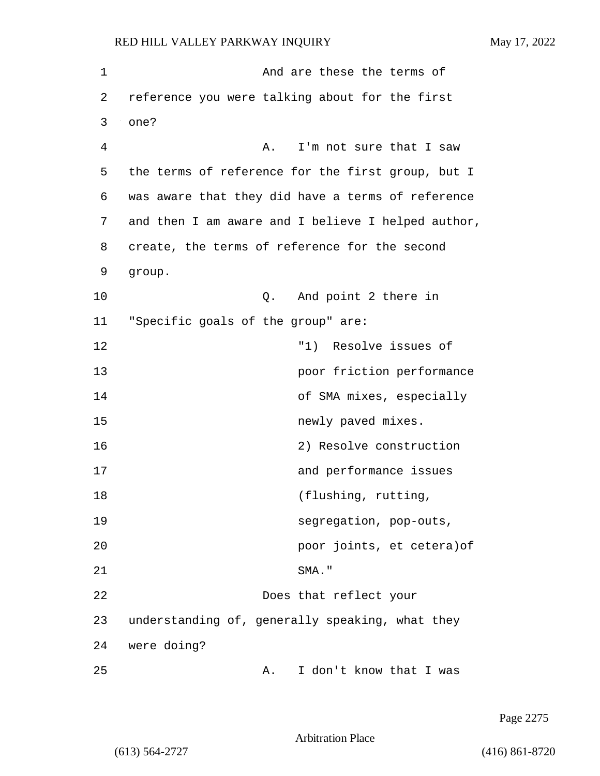| 1  | And are these the terms of                         |  |
|----|----------------------------------------------------|--|
| 2  | reference you were talking about for the first     |  |
| 3  | one?                                               |  |
| 4  | I'm not sure that I saw<br>Α.                      |  |
| 5  | the terms of reference for the first group, but I  |  |
| 6  | was aware that they did have a terms of reference  |  |
| 7  | and then I am aware and I believe I helped author, |  |
| 8  | create, the terms of reference for the second      |  |
| 9  | group.                                             |  |
| 10 | And point 2 there in<br>Q.                         |  |
| 11 | "Specific goals of the group" are:                 |  |
| 12 | Resolve issues of<br>"1)                           |  |
| 13 | poor friction performance                          |  |
| 14 | of SMA mixes, especially                           |  |
| 15 | newly paved mixes.                                 |  |
| 16 | 2) Resolve construction                            |  |
| 17 | and performance issues                             |  |
| 18 | (flushing, rutting,                                |  |
| 19 | segregation, pop-outs,                             |  |
| 20 | poor joints, et cetera) of                         |  |
| 21 | SMA."                                              |  |
| 22 | Does that reflect your                             |  |
| 23 | understanding of, generally speaking, what they    |  |
| 24 | were doing?                                        |  |
| 25 | I don't know that I was<br>Α.                      |  |

Page 2275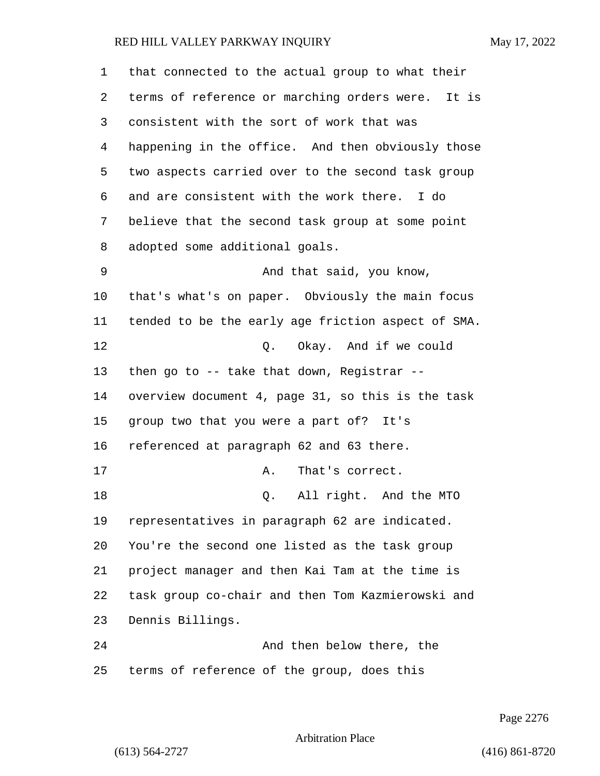| 1  | that connected to the actual group to what their   |
|----|----------------------------------------------------|
| 2  | terms of reference or marching orders were. It is  |
| 3  | consistent with the sort of work that was          |
| 4  | happening in the office. And then obviously those  |
| 5  | two aspects carried over to the second task group  |
| 6  | and are consistent with the work there. I do       |
| 7  | believe that the second task group at some point   |
| 8  | adopted some additional goals.                     |
| 9  | And that said, you know,                           |
| 10 | that's what's on paper. Obviously the main focus   |
| 11 | tended to be the early age friction aspect of SMA. |
| 12 | Q. Okay. And if we could                           |
| 13 | then go to $-$ - take that down, Registrar $-$ -   |
| 14 | overview document 4, page 31, so this is the task  |
| 15 | group two that you were a part of? It's            |
| 16 | referenced at paragraph 62 and 63 there.           |
| 17 | That's correct.<br>Α.                              |
| 18 | All right. And the MTO<br>Q.                       |
| 19 | representatives in paragraph 62 are indicated.     |
| 20 | You're the second one listed as the task group     |
| 21 | project manager and then Kai Tam at the time is    |
| 22 | task group co-chair and then Tom Kazmierowski and  |
| 23 | Dennis Billings.                                   |
| 24 | And then below there, the                          |
| 25 | terms of reference of the group, does this         |

Page 2276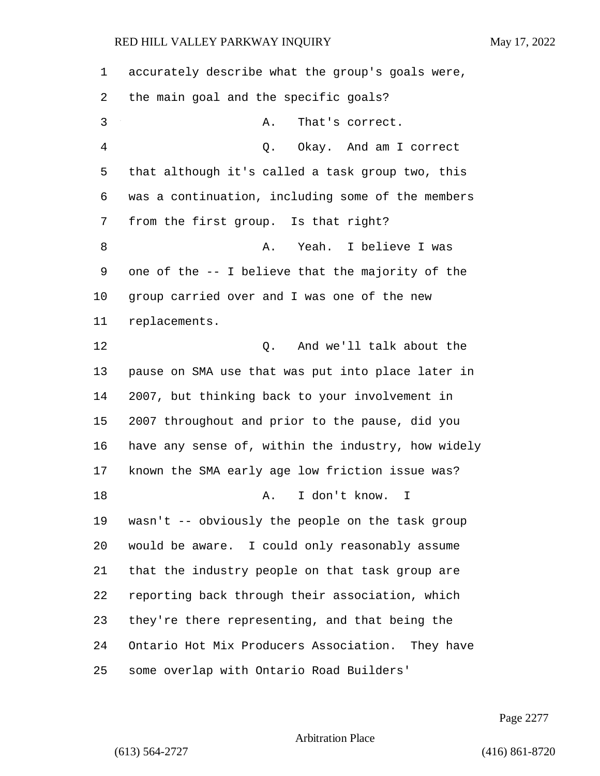| 1  | accurately describe what the group's goals were,   |
|----|----------------------------------------------------|
| 2  | the main goal and the specific goals?              |
| 3  | That's correct.<br>Α.                              |
| 4  | Okay. And am I correct<br>Q.                       |
| 5  | that although it's called a task group two, this   |
| 6  | was a continuation, including some of the members  |
| 7  | from the first group. Is that right?               |
| 8  | Yeah. I believe I was<br>Α.                        |
| 9  | one of the -- I believe that the majority of the   |
| 10 | group carried over and I was one of the new        |
| 11 | replacements.                                      |
| 12 | And we'll talk about the<br>Q.                     |
| 13 | pause on SMA use that was put into place later in  |
| 14 | 2007, but thinking back to your involvement in     |
| 15 | 2007 throughout and prior to the pause, did you    |
| 16 | have any sense of, within the industry, how widely |
| 17 | known the SMA early age low friction issue was?    |
| 18 | I don't know.<br>Α.<br>I.                          |
| 19 | wasn't -- obviously the people on the task group   |
| 20 | would be aware. I could only reasonably assume     |
| 21 | that the industry people on that task group are    |
| 22 | reporting back through their association, which    |
| 23 | they're there representing, and that being the     |
| 24 | Ontario Hot Mix Producers Association. They have   |
| 25 | some overlap with Ontario Road Builders'           |

Page 2277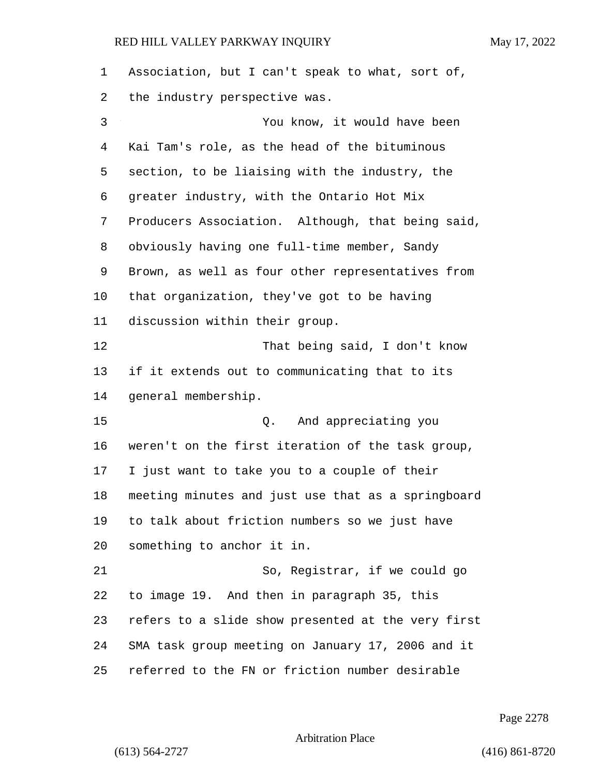Association, but I can't speak to what, sort of, the industry perspective was. 3 You know, it would have been Kai Tam's role, as the head of the bituminous section, to be liaising with the industry, the greater industry, with the Ontario Hot Mix Producers Association. Although, that being said, obviously having one full-time member, Sandy Brown, as well as four other representatives from that organization, they've got to be having discussion within their group. 12 That being said, I don't know if it extends out to communicating that to its general membership. 15 Q. And appreciating you weren't on the first iteration of the task group, I just want to take you to a couple of their meeting minutes and just use that as a springboard to talk about friction numbers so we just have something to anchor it in. 21 So, Registrar, if we could go to image 19. And then in paragraph 35, this refers to a slide show presented at the very first SMA task group meeting on January 17, 2006 and it referred to the FN or friction number desirable

Page 2278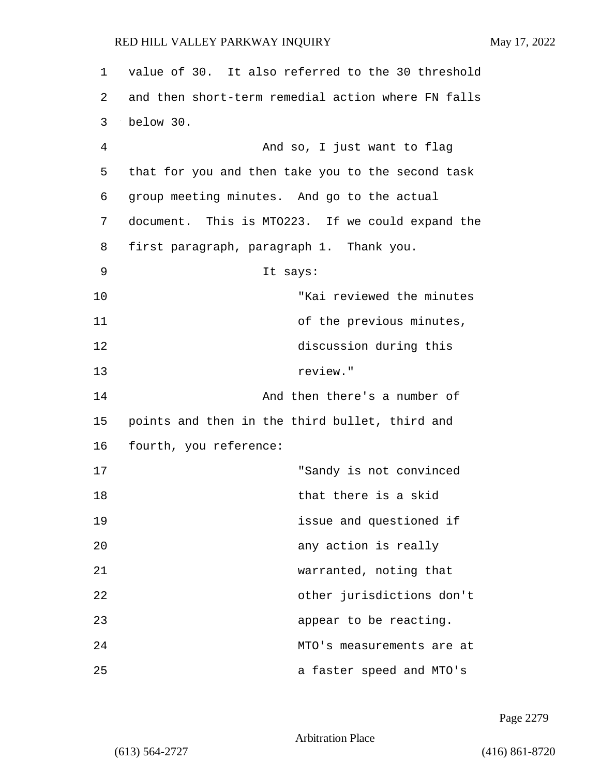| 1  | value of 30. It also referred to the 30 threshold  |
|----|----------------------------------------------------|
| 2  | and then short-term remedial action where FN falls |
| 3  | below 30.                                          |
| 4  | And so, I just want to flag                        |
| 5  | that for you and then take you to the second task  |
| 6  | group meeting minutes. And go to the actual        |
| 7  | document. This is MTO223. If we could expand the   |
| 8  | first paragraph, paragraph 1. Thank you.           |
| 9  | It says:                                           |
| 10 | "Kai reviewed the minutes                          |
| 11 | of the previous minutes,                           |
| 12 | discussion during this                             |
| 13 | review."                                           |
| 14 | And then there's a number of                       |
| 15 | points and then in the third bullet, third and     |
| 16 | fourth, you reference:                             |
| 17 | "Sandy is not convinced                            |
| 18 | that there is a skid                               |
| 19 | issue and questioned if                            |
| 20 | any action is really                               |
| 21 | warranted, noting that                             |
| 22 | other jurisdictions don't                          |
| 23 | appear to be reacting.                             |
| 24 | MTO's measurements are at                          |
| 25 | a faster speed and MTO's                           |

Page 2279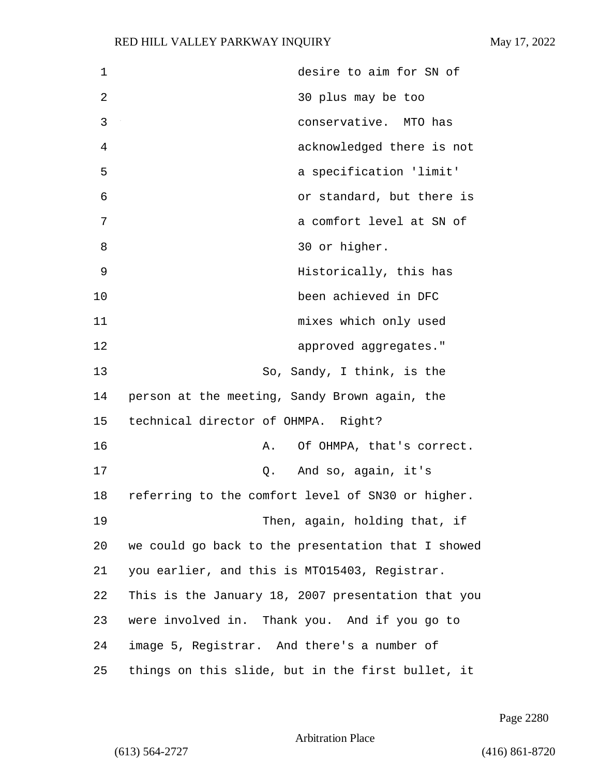| 1              | desire to aim for SN of                            |
|----------------|----------------------------------------------------|
| $\overline{2}$ | 30 plus may be too                                 |
| 3              | conservative. MTO has                              |
| 4              | acknowledged there is not                          |
| 5              | a specification 'limit'                            |
| 6              | or standard, but there is                          |
| 7              | a comfort level at SN of                           |
| 8              | 30 or higher.                                      |
| 9              | Historically, this has                             |
| 10             | been achieved in DFC                               |
| 11             | mixes which only used                              |
| 12             | approved aggregates."                              |
| 13             | So, Sandy, I think, is the                         |
| 14             | person at the meeting, Sandy Brown again, the      |
| 15             | technical director of OHMPA. Right?                |
| 16             | Of OHMPA, that's correct.<br>Α.                    |
| 17             | Q. And so, again, it's                             |
| 18             | referring to the comfort level of SN30 or higher.  |
| 19             | Then, again, holding that, if                      |
| 20             | we could go back to the presentation that I showed |
| 21             | you earlier, and this is MTO15403, Registrar.      |
| 22             | This is the January 18, 2007 presentation that you |
| 23             | were involved in. Thank you. And if you go to      |
| 24             | image 5, Registrar. And there's a number of        |
| 25             | things on this slide, but in the first bullet, it  |

Page 2280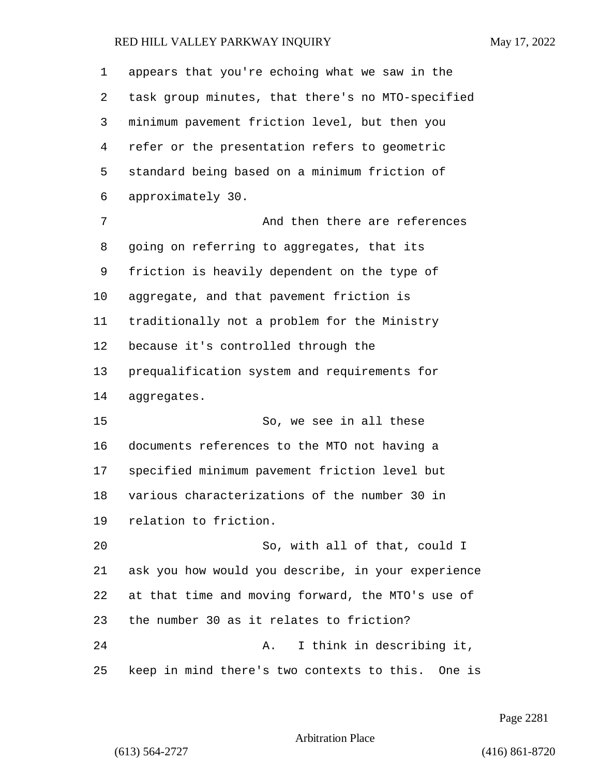| 1  | appears that you're echoing what we saw in the     |
|----|----------------------------------------------------|
| 2  | task group minutes, that there's no MTO-specified  |
| 3  | minimum pavement friction level, but then you      |
| 4  | refer or the presentation refers to geometric      |
| 5  | standard being based on a minimum friction of      |
| 6  | approximately 30.                                  |
| 7  | And then there are references                      |
| 8  | going on referring to aggregates, that its         |
| 9  | friction is heavily dependent on the type of       |
| 10 | aggregate, and that pavement friction is           |
| 11 | traditionally not a problem for the Ministry       |
| 12 | because it's controlled through the                |
| 13 | prequalification system and requirements for       |
| 14 | aggregates.                                        |
| 15 | So, we see in all these                            |
| 16 | documents references to the MTO not having a       |
| 17 | specified minimum pavement friction level but      |
| 18 | various characterizations of the number 30 in      |
| 19 | relation to friction.                              |
| 20 | So, with all of that, could I                      |
| 21 | ask you how would you describe, in your experience |
| 22 | at that time and moving forward, the MTO's use of  |
| 23 | the number 30 as it relates to friction?           |
| 24 | I think in describing it,<br>Α.                    |
| 25 | keep in mind there's two contexts to this. One is  |

Page 2281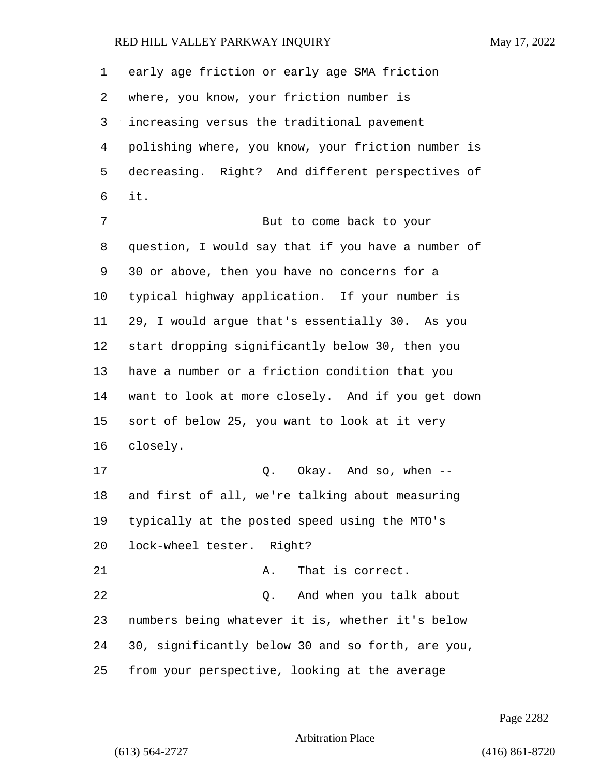early age friction or early age SMA friction where, you know, your friction number is increasing versus the traditional pavement polishing where, you know, your friction number is decreasing. Right? And different perspectives of it. 7 But to come back to your question, I would say that if you have a number of 30 or above, then you have no concerns for a typical highway application. If your number is 29, I would argue that's essentially 30. As you start dropping significantly below 30, then you have a number or a friction condition that you want to look at more closely. And if you get down sort of below 25, you want to look at it very closely. 17 C. Okay. And so, when -- and first of all, we're talking about measuring typically at the posted speed using the MTO's lock-wheel tester. Right? 21 A. That is correct. 22 and when you talk about 22 numbers being whatever it is, whether it's below 30, significantly below 30 and so forth, are you, from your perspective, looking at the average

Page 2282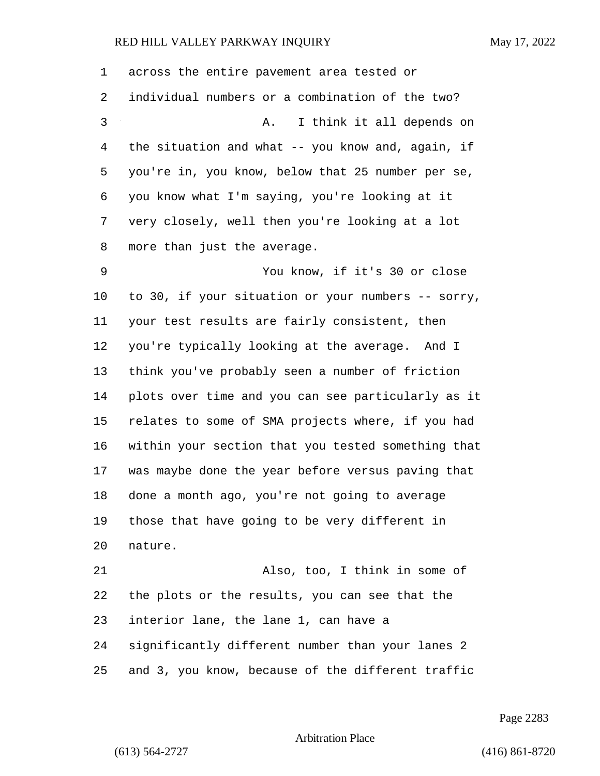| 1  | across the entire pavement area tested or          |
|----|----------------------------------------------------|
| 2  | individual numbers or a combination of the two?    |
| 3  | I think it all depends on<br>Α.                    |
| 4  | the situation and what -- you know and, again, if  |
| 5  | you're in, you know, below that 25 number per se,  |
| 6  | you know what I'm saying, you're looking at it     |
| 7  | very closely, well then you're looking at a lot    |
| 8  | more than just the average.                        |
| 9  | You know, if it's 30 or close                      |
| 10 | to 30, if your situation or your numbers -- sorry, |
| 11 | your test results are fairly consistent, then      |
| 12 | you're typically looking at the average. And I     |
| 13 | think you've probably seen a number of friction    |
| 14 | plots over time and you can see particularly as it |
| 15 | relates to some of SMA projects where, if you had  |
| 16 | within your section that you tested something that |
| 17 | was maybe done the year before versus paving that  |
| 18 | done a month ago, you're not going to average      |
| 19 | those that have going to be very different in      |
| 20 | nature.                                            |
| 21 | Also, too, I think in some of                      |
| 22 | the plots or the results, you can see that the     |
| 23 | interior lane, the lane 1, can have a              |
| 24 | significantly different number than your lanes 2   |
| 25 | and 3, you know, because of the different traffic  |

Page 2283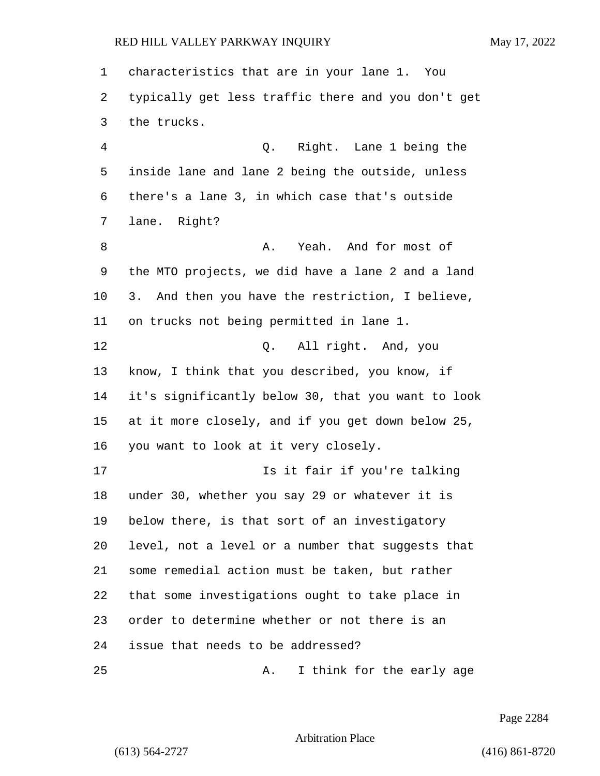characteristics that are in your lane 1. You typically get less traffic there and you don't get the trucks. 4 Q. Right. Lane 1 being the inside lane and lane 2 being the outside, unless there's a lane 3, in which case that's outside lane. Right? 8 A. Yeah. And for most of the MTO projects, we did have a lane 2 and a land 3. And then you have the restriction, I believe, on trucks not being permitted in lane 1. 12 Q. All right. And, you know, I think that you described, you know, if it's significantly below 30, that you want to look at it more closely, and if you get down below 25, you want to look at it very closely. **Is it fair if you're talking**  under 30, whether you say 29 or whatever it is below there, is that sort of an investigatory level, not a level or a number that suggests that some remedial action must be taken, but rather that some investigations ought to take place in order to determine whether or not there is an issue that needs to be addressed? 25 A. I think for the early age

Page 2284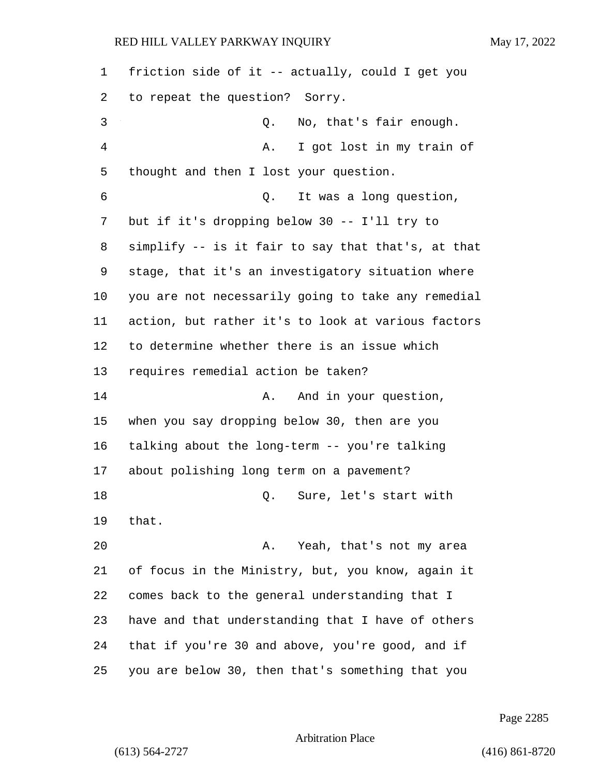| 1  | friction side of it -- actually, could I get you   |
|----|----------------------------------------------------|
| 2  | to repeat the question? Sorry.                     |
| 3  | No, that's fair enough.<br>Q.                      |
| 4  | I got lost in my train of<br>Α.                    |
| 5  | thought and then I lost your question.             |
| 6  | It was a long question,<br>Q.                      |
| 7  | but if it's dropping below 30 -- I'll try to       |
| 8  | simplify -- is it fair to say that that's, at that |
| 9  | stage, that it's an investigatory situation where  |
| 10 | you are not necessarily going to take any remedial |
| 11 | action, but rather it's to look at various factors |
| 12 | to determine whether there is an issue which       |
| 13 | requires remedial action be taken?                 |
| 14 | And in your question,<br>Α.                        |
| 15 | when you say dropping below 30, then are you       |
| 16 | talking about the long-term -- you're talking      |
| 17 | about polishing long term on a pavement?           |
| 18 | Q.<br>Sure, let's start with                       |
| 19 | that.                                              |
| 20 | Yeah, that's not my area<br>Α.                     |
| 21 | of focus in the Ministry, but, you know, again it  |
| 22 | comes back to the general understanding that I     |
| 23 | have and that understanding that I have of others  |
| 24 | that if you're 30 and above, you're good, and if   |
| 25 | you are below 30, then that's something that you   |

Page 2285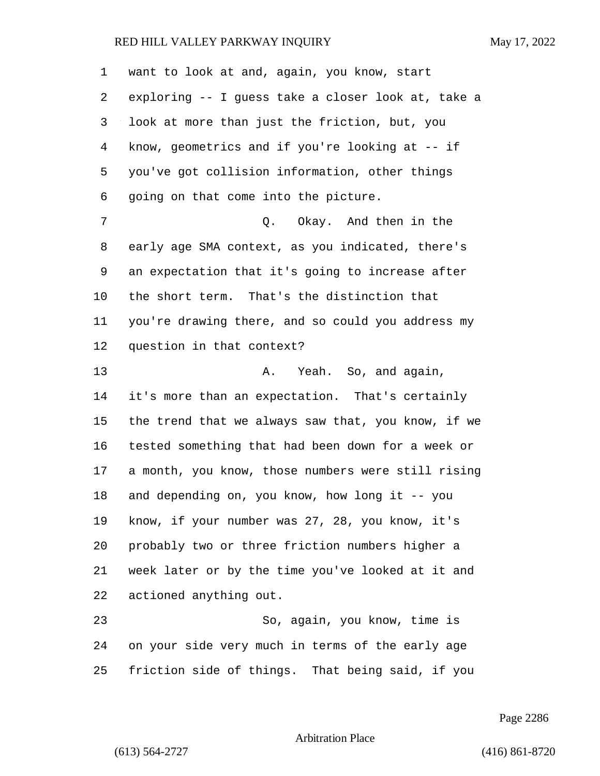want to look at and, again, you know, start exploring -- I guess take a closer look at, take a look at more than just the friction, but, you know, geometrics and if you're looking at -- if you've got collision information, other things going on that come into the picture. 7 C. Okay. And then in the early age SMA context, as you indicated, there's an expectation that it's going to increase after the short term. That's the distinction that you're drawing there, and so could you address my question in that context? 13 A. Yeah. So, and again, it's more than an expectation. That's certainly the trend that we always saw that, you know, if we tested something that had been down for a week or a month, you know, those numbers were still rising and depending on, you know, how long it -- you know, if your number was 27, 28, you know, it's probably two or three friction numbers higher a week later or by the time you've looked at it and actioned anything out. 23 So, again, you know, time is on your side very much in terms of the early age friction side of things. That being said, if you

Page 2286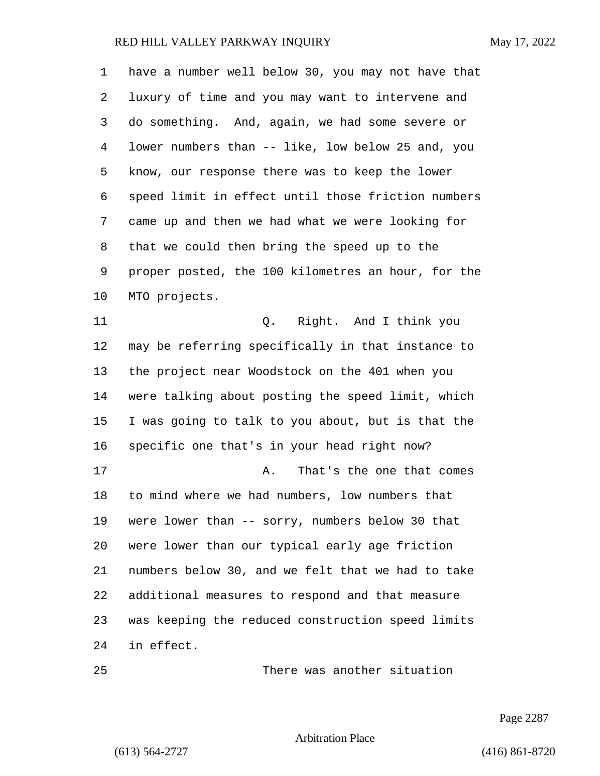have a number well below 30, you may not have that luxury of time and you may want to intervene and do something. And, again, we had some severe or lower numbers than -- like, low below 25 and, you know, our response there was to keep the lower speed limit in effect until those friction numbers came up and then we had what we were looking for that we could then bring the speed up to the proper posted, the 100 kilometres an hour, for the MTO projects. 11 Q. Right. And I think you may be referring specifically in that instance to

 the project near Woodstock on the 401 when you were talking about posting the speed limit, which I was going to talk to you about, but is that the specific one that's in your head right now? 17 A. That's the one that comes to mind where we had numbers, low numbers that were lower than -- sorry, numbers below 30 that were lower than our typical early age friction numbers below 30, and we felt that we had to take additional measures to respond and that measure was keeping the reduced construction speed limits in effect.

25 There was another situation

Page 2287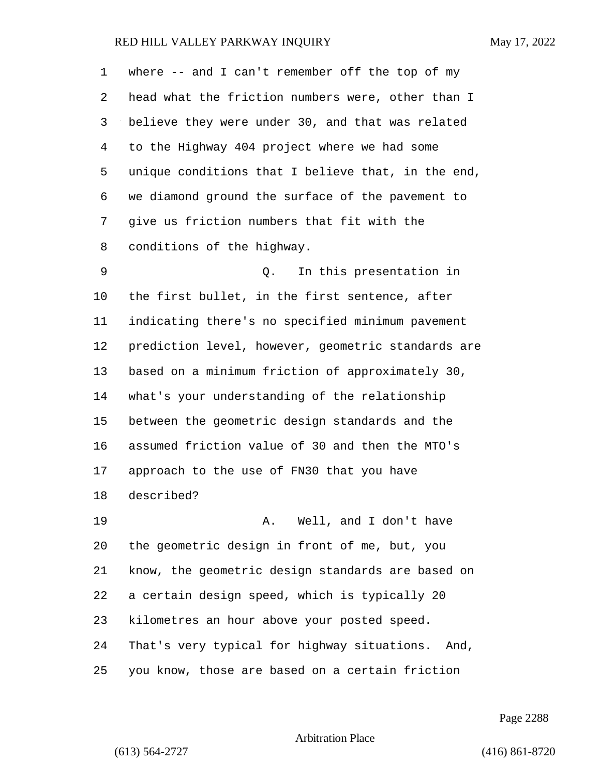| 1  | where $--$ and I can't remember off the top of my  |
|----|----------------------------------------------------|
| 2  | head what the friction numbers were, other than I  |
| 3  | believe they were under 30, and that was related   |
| 4  | to the Highway 404 project where we had some       |
| 5  | unique conditions that I believe that, in the end, |
| 6  | we diamond ground the surface of the pavement to   |
| 7  | give us friction numbers that fit with the         |
| 8  | conditions of the highway.                         |
| 9  | In this presentation in<br>Q.                      |
| 10 | the first bullet, in the first sentence, after     |
| 11 | indicating there's no specified minimum pavement   |
| 12 | prediction level, however, geometric standards are |
| 13 | based on a minimum friction of approximately 30,   |
| 14 | what's your understanding of the relationship      |
| 15 | between the geometric design standards and the     |
| 16 | assumed friction value of 30 and then the MTO's    |
| 17 | approach to the use of FN30 that you have          |
| 18 | described?                                         |
| 19 | A. Well, and I don't have                          |
| 20 | the geometric design in front of me, but, you      |
| 21 | know, the geometric design standards are based on  |
| 22 | a certain design speed, which is typically 20      |
| 23 | kilometres an hour above your posted speed.        |
| 24 | That's very typical for highway situations. And,   |
| 25 | you know, those are based on a certain friction    |

Page 2288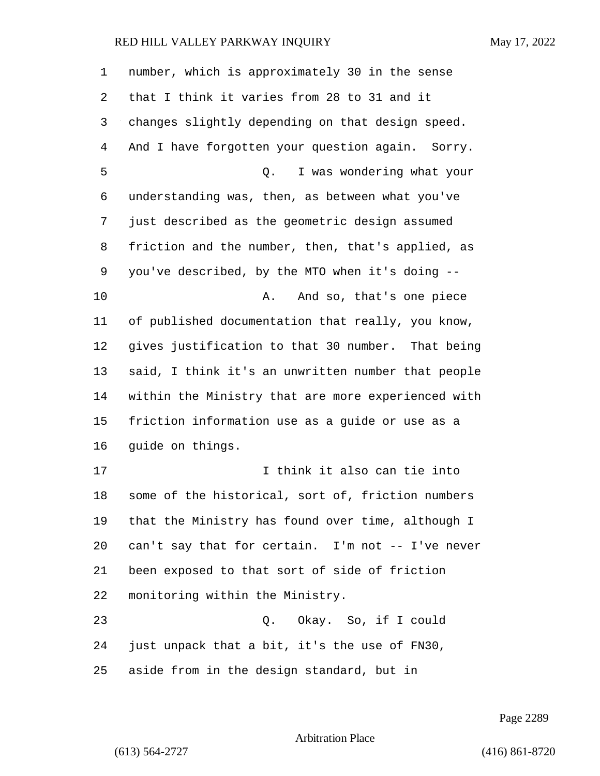| 1  | number, which is approximately 30 in the sense     |
|----|----------------------------------------------------|
| 2  | that I think it varies from 28 to 31 and it        |
| 3  | changes slightly depending on that design speed.   |
| 4  | And I have forgotten your question again. Sorry.   |
| 5  | I was wondering what your<br>Q.                    |
| 6  | understanding was, then, as between what you've    |
| 7  | just described as the geometric design assumed     |
| 8  | friction and the number, then, that's applied, as  |
| 9  | you've described, by the MTO when it's doing --    |
| 10 | And so, that's one piece<br>Α.                     |
| 11 | of published documentation that really, you know,  |
| 12 | gives justification to that 30 number. That being  |
| 13 | said, I think it's an unwritten number that people |
| 14 | within the Ministry that are more experienced with |
| 15 | friction information use as a guide or use as a    |
| 16 | guide on things.                                   |
| 17 | I think it also can tie into                       |
| 18 | some of the historical, sort of, friction numbers  |
| 19 | that the Ministry has found over time, although I  |
| 20 | can't say that for certain. I'm not -- I've never  |
| 21 | been exposed to that sort of side of friction      |
| 22 | monitoring within the Ministry.                    |
| 23 | Q. Okay. So, if I could                            |
| 24 | just unpack that a bit, it's the use of FN30,      |
| 25 | aside from in the design standard, but in          |

Page 2289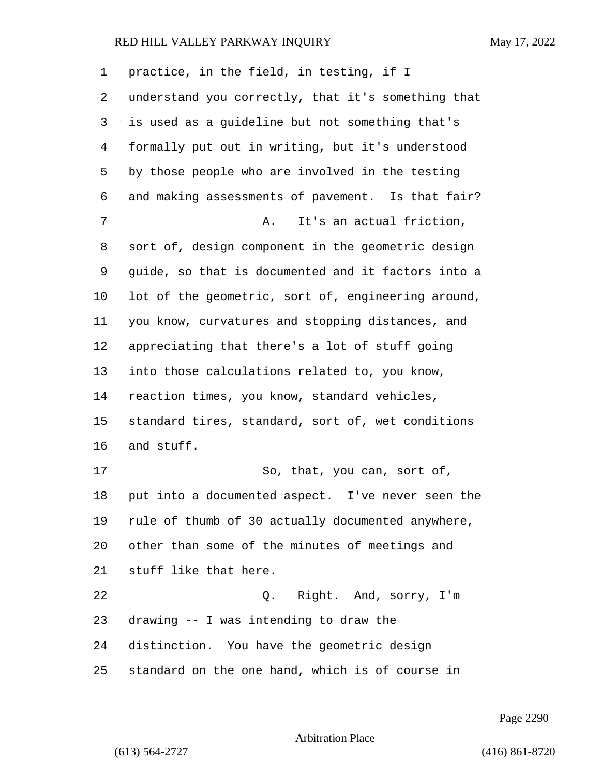| 1  | practice, in the field, in testing, if I           |
|----|----------------------------------------------------|
| 2  | understand you correctly, that it's something that |
| 3  | is used as a guideline but not something that's    |
| 4  | formally put out in writing, but it's understood   |
| 5  | by those people who are involved in the testing    |
| 6  | and making assessments of pavement. Is that fair?  |
| 7  | It's an actual friction,<br>Α.                     |
| 8  | sort of, design component in the geometric design  |
| 9  | guide, so that is documented and it factors into a |
| 10 | lot of the geometric, sort of, engineering around, |
| 11 | you know, curvatures and stopping distances, and   |
| 12 | appreciating that there's a lot of stuff going     |
| 13 | into those calculations related to, you know,      |
| 14 | reaction times, you know, standard vehicles,       |
| 15 | standard tires, standard, sort of, wet conditions  |
| 16 | and stuff.                                         |
| 17 | So, that, you can, sort of,                        |
| 18 | put into a documented aspect. I've never seen the  |
| 19 | rule of thumb of 30 actually documented anywhere,  |
| 20 | other than some of the minutes of meetings and     |
| 21 | stuff like that here.                              |
| 22 | Q. Right. And, sorry, I'm                          |
| 23 | drawing -- I was intending to draw the             |
| 24 | distinction. You have the geometric design         |
| 25 | standard on the one hand, which is of course in    |

Page 2290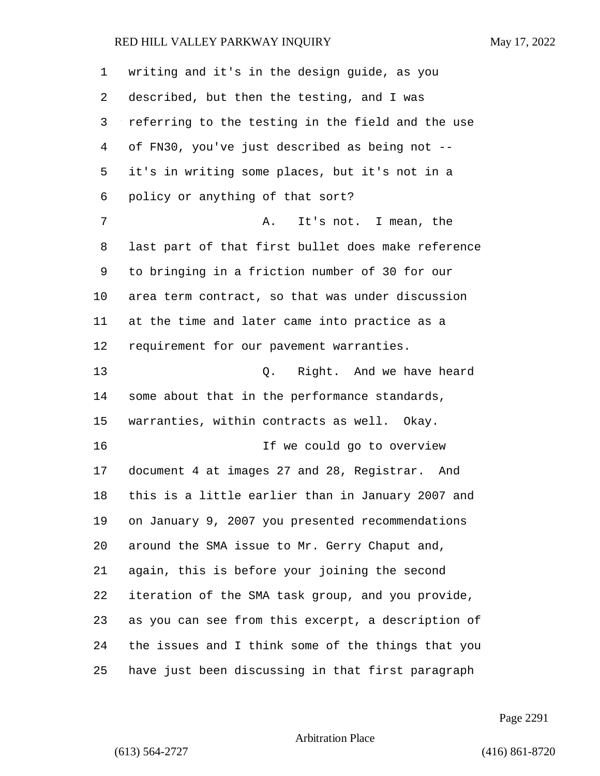| 1  | writing and it's in the design guide, as you       |
|----|----------------------------------------------------|
| 2  | described, but then the testing, and I was         |
| 3  | referring to the testing in the field and the use  |
| 4  | of FN30, you've just described as being not --     |
| 5  | it's in writing some places, but it's not in a     |
| 6  | policy or anything of that sort?                   |
| 7  | It's not. I mean, the<br>Α.                        |
| 8  | last part of that first bullet does make reference |
| 9  | to bringing in a friction number of 30 for our     |
| 10 | area term contract, so that was under discussion   |
| 11 | at the time and later came into practice as a      |
| 12 | requirement for our pavement warranties.           |
| 13 | Q. Right. And we have heard                        |
| 14 | some about that in the performance standards,      |
| 15 | warranties, within contracts as well. Okay.        |
| 16 | If we could go to overview                         |
| 17 | document 4 at images 27 and 28, Registrar. And     |
| 18 | this is a little earlier than in January 2007 and  |
| 19 | on January 9, 2007 you presented recommendations   |
| 20 | around the SMA issue to Mr. Gerry Chaput and,      |
| 21 | again, this is before your joining the second      |
| 22 | iteration of the SMA task group, and you provide,  |
| 23 | as you can see from this excerpt, a description of |
| 24 | the issues and I think some of the things that you |
| 25 | have just been discussing in that first paragraph  |

Page 2291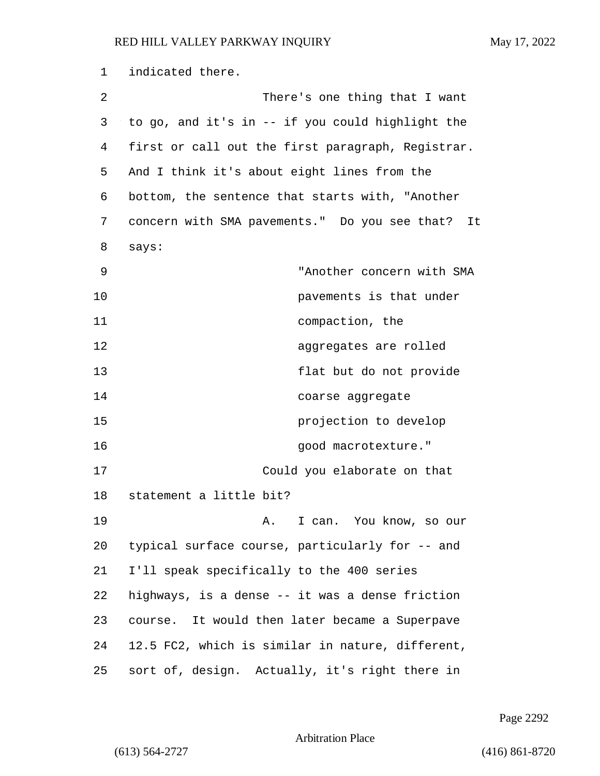1 indicated there. 2 There's one thing that I want 3 to go, and it's in -- if you could highlight the 4 first or call out the first paragraph, Registrar. 5 And I think it's about eight lines from the 6 bottom, the sentence that starts with, "Another 7 concern with SMA pavements." Do you see that? It 8 says: 9 "Another concern with SMA 10 pavements is that under 11 compaction, the 12 aggregates are rolled 13 flat but do not provide 14 coarse aggregate 15 projection to develop 16 and 16 good macrotexture." 17 Could you elaborate on that 18 statement a little bit? 19 A. I can. You know, so our 20 typical surface course, particularly for -- and 21 I'll speak specifically to the 400 series 22 highways, is a dense -- it was a dense friction 23 course. It would then later became a Superpave 24 12.5 FC2, which is similar in nature, different, 25 sort of, design. Actually, it's right there in

Page 2292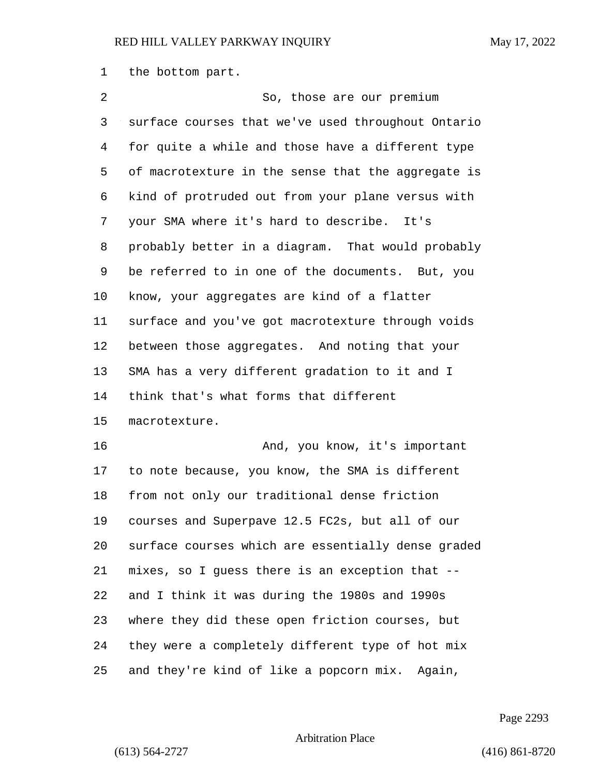the bottom part.

| 2  | So, those are our premium                          |
|----|----------------------------------------------------|
| 3  | surface courses that we've used throughout Ontario |
| 4  | for quite a while and those have a different type  |
| 5  | of macrotexture in the sense that the aggregate is |
| 6  | kind of protruded out from your plane versus with  |
| 7  | your SMA where it's hard to describe. It's         |
| 8  | probably better in a diagram. That would probably  |
| 9  | be referred to in one of the documents. But, you   |
| 10 | know, your aggregates are kind of a flatter        |
| 11 | surface and you've got macrotexture through voids  |
| 12 | between those aggregates. And noting that your     |
| 13 | SMA has a very different gradation to it and I     |
|    |                                                    |
| 14 | think that's what forms that different             |
| 15 | macrotexture.                                      |
| 16 | And, you know, it's important                      |
| 17 | to note because, you know, the SMA is different    |
| 18 | from not only our traditional dense friction       |
| 19 | courses and Superpave 12.5 FC2s, but all of our    |
| 20 | surface courses which are essentially dense graded |
| 21 | mixes, so I guess there is an exception that --    |
| 22 | and I think it was during the 1980s and 1990s      |
| 23 | where they did these open friction courses, but    |
| 24 | they were a completely different type of hot mix   |

Page 2293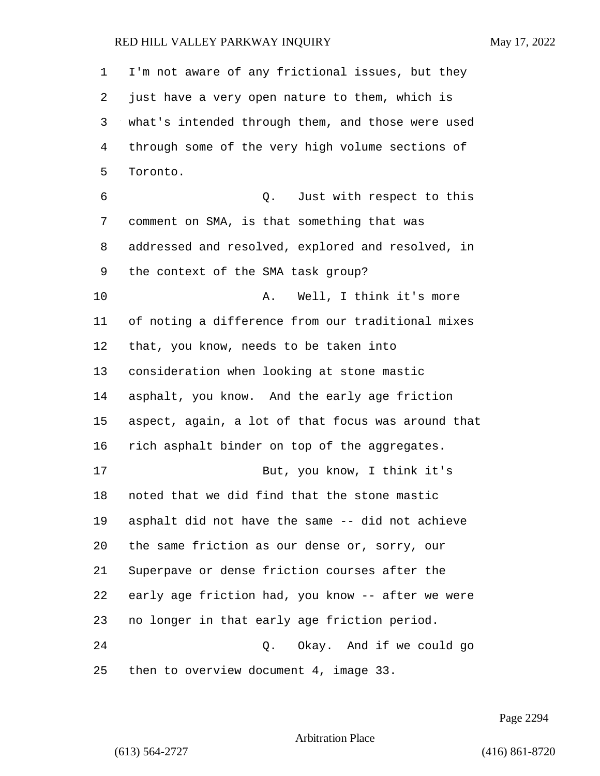| 1  | I'm not aware of any frictional issues, but they   |
|----|----------------------------------------------------|
| 2  | just have a very open nature to them, which is     |
| 3  | what's intended through them, and those were used  |
| 4  | through some of the very high volume sections of   |
| 5  | Toronto.                                           |
| 6  | Q. Just with respect to this                       |
| 7  | comment on SMA, is that something that was         |
| 8  | addressed and resolved, explored and resolved, in  |
| 9  | the context of the SMA task group?                 |
| 10 | Well, I think it's more<br>Α.                      |
| 11 | of noting a difference from our traditional mixes  |
| 12 | that, you know, needs to be taken into             |
| 13 | consideration when looking at stone mastic         |
| 14 | asphalt, you know. And the early age friction      |
| 15 | aspect, again, a lot of that focus was around that |
| 16 | rich asphalt binder on top of the aggregates.      |
| 17 | But, you know, I think it's                        |
| 18 | noted that we did find that the stone mastic       |
| 19 | asphalt did not have the same -- did not achieve   |
| 20 | the same friction as our dense or, sorry, our      |
| 21 | Superpave or dense friction courses after the      |
| 22 | early age friction had, you know -- after we were  |
| 23 | no longer in that early age friction period.       |
| 24 | Q. Okay. And if we could go                        |
| 25 | then to overview document 4, image 33.             |

Page 2294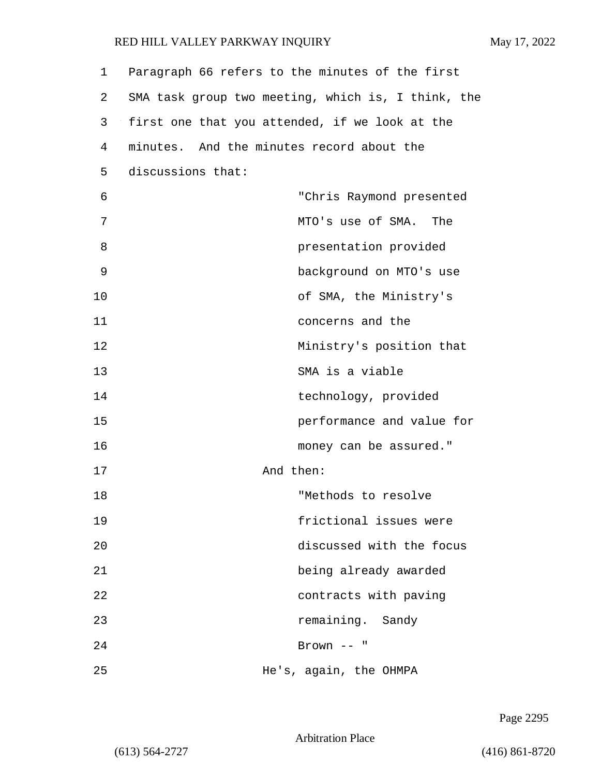| 1  | Paragraph 66 refers to the minutes of the first    |
|----|----------------------------------------------------|
| 2  | SMA task group two meeting, which is, I think, the |
| 3  | first one that you attended, if we look at the     |
| 4  | minutes. And the minutes record about the          |
| 5  | discussions that:                                  |
| 6  | "Chris Raymond presented                           |
| 7  | MTO's use of SMA. The                              |
| 8  | presentation provided                              |
| 9  | background on MTO's use                            |
| 10 | of SMA, the Ministry's                             |
| 11 | concerns and the                                   |
| 12 | Ministry's position that                           |
| 13 | SMA is a viable                                    |
| 14 | technology, provided                               |
| 15 | performance and value for                          |
| 16 | money can be assured."                             |
| 17 | And then:                                          |
| 18 | "Methods to resolve                                |
| 19 | frictional issues were                             |
| 20 | discussed with the focus                           |
| 21 | being already awarded                              |
| 22 | contracts with paving                              |
| 23 | remaining. Sandy                                   |
| 24 | Brown $--$ "                                       |
| 25 | He's, again, the OHMPA                             |

Page 2295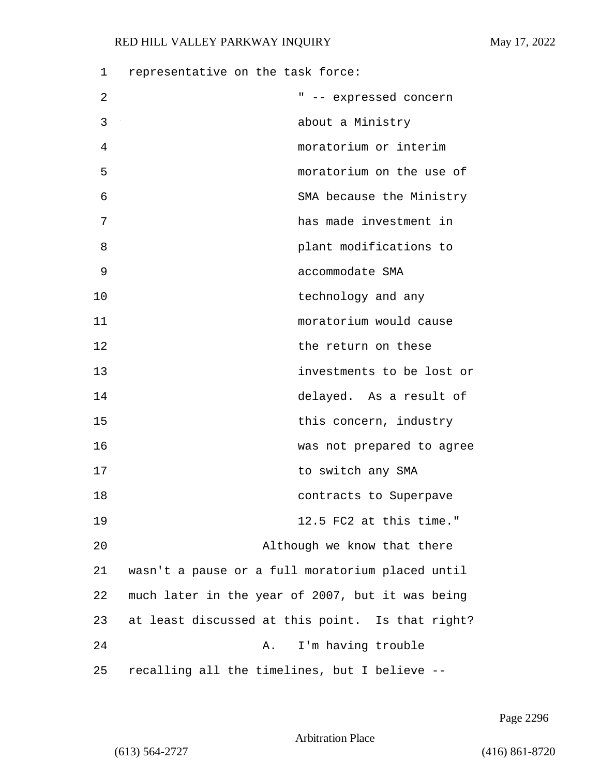| 1  | representative on the task force:                |
|----|--------------------------------------------------|
| 2  | " -- expressed concern                           |
| 3  | about a Ministry                                 |
| 4  | moratorium or interim                            |
| 5  | moratorium on the use of                         |
| 6  | SMA because the Ministry                         |
| 7  | has made investment in                           |
| 8  | plant modifications to                           |
| 9  | accommodate SMA                                  |
| 10 | technology and any                               |
| 11 | moratorium would cause                           |
| 12 | the return on these                              |
| 13 | investments to be lost or                        |
| 14 | delayed. As a result of                          |
| 15 | this concern, industry                           |
| 16 | was not prepared to agree                        |
| 17 | to switch any SMA                                |
| 18 | contracts to Superpave                           |
| 19 | 12.5 FC2 at this time."                          |
| 20 | Although we know that there                      |
| 21 | wasn't a pause or a full moratorium placed until |
| 22 | much later in the year of 2007, but it was being |
| 23 | at least discussed at this point. Is that right? |
| 24 | I'm having trouble<br>Α.                         |
| 25 | recalling all the timelines, but I believe --    |

Page 2296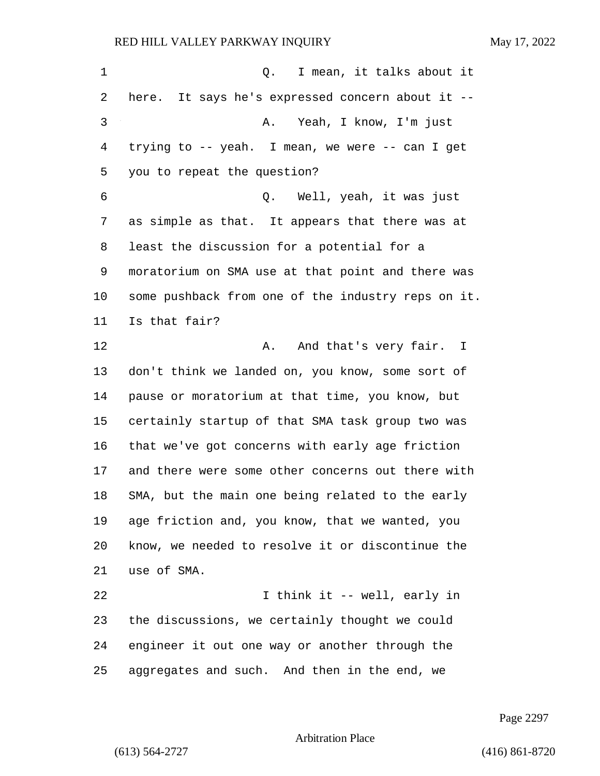| 1  | I mean, it talks about it<br>Q.                    |
|----|----------------------------------------------------|
| 2  | here. It says he's expressed concern about it --   |
| 3  | Yeah, I know, I'm just<br>Α.                       |
| 4  | trying to -- yeah. I mean, we were -- can I get    |
| 5  | you to repeat the question?                        |
| 6  | Q. Well, yeah, it was just                         |
| 7  | as simple as that. It appears that there was at    |
| 8  | least the discussion for a potential for a         |
| 9  | moratorium on SMA use at that point and there was  |
| 10 | some pushback from one of the industry reps on it. |
| 11 | Is that fair?                                      |
| 12 | And that's very fair. I<br>Α.                      |
| 13 | don't think we landed on, you know, some sort of   |
| 14 | pause or moratorium at that time, you know, but    |
| 15 | certainly startup of that SMA task group two was   |
| 16 | that we've got concerns with early age friction    |
| 17 | and there were some other concerns out there with  |
| 18 | SMA, but the main one being related to the early   |
| 19 | age friction and, you know, that we wanted, you    |
| 20 | know, we needed to resolve it or discontinue the   |
| 21 | use of SMA.                                        |
| 22 | I think it -- well, early in                       |
| 23 | the discussions, we certainly thought we could     |
| 24 | engineer it out one way or another through the     |
| 25 | aggregates and such. And then in the end, we       |

Page 2297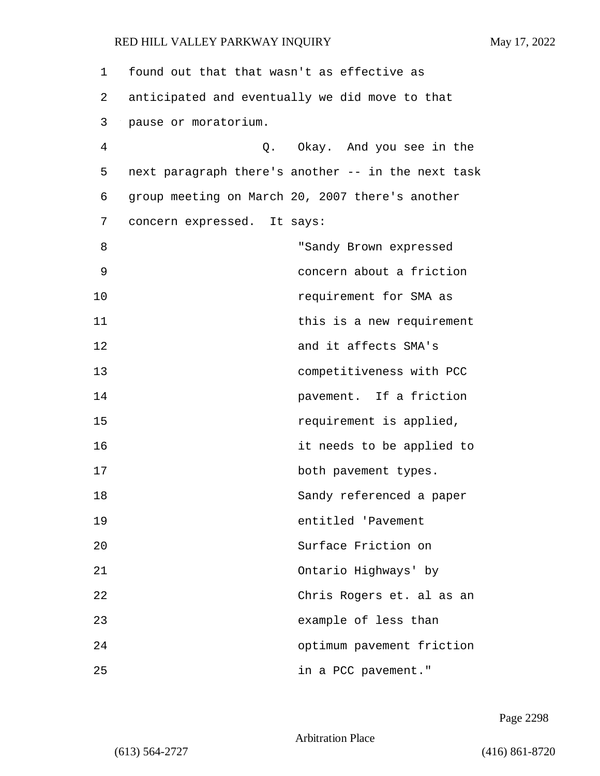| 1  | found out that that wasn't as effective as         |
|----|----------------------------------------------------|
| 2  | anticipated and eventually we did move to that     |
| 3  | pause or moratorium.                               |
| 4  | Q. Okay. And you see in the                        |
| 5  | next paragraph there's another -- in the next task |
| 6  | group meeting on March 20, 2007 there's another    |
| 7  | concern expressed.<br>It says:                     |
| 8  | "Sandy Brown expressed                             |
| 9  | concern about a friction                           |
| 10 | requirement for SMA as                             |
| 11 | this is a new requirement                          |
| 12 | and it affects SMA's                               |
| 13 | competitiveness with PCC                           |
| 14 | pavement. If a friction                            |
| 15 | requirement is applied,                            |
| 16 | it needs to be applied to                          |
| 17 | both pavement types.                               |
| 18 | Sandy referenced a paper                           |
| 19 | entitled 'Pavement                                 |
| 20 | Surface Friction on                                |
| 21 | Ontario Highways' by                               |
| 22 | Chris Rogers et. al as an                          |
| 23 | example of less than                               |
| 24 | optimum pavement friction                          |
| 25 | in a PCC pavement."                                |

Page 2298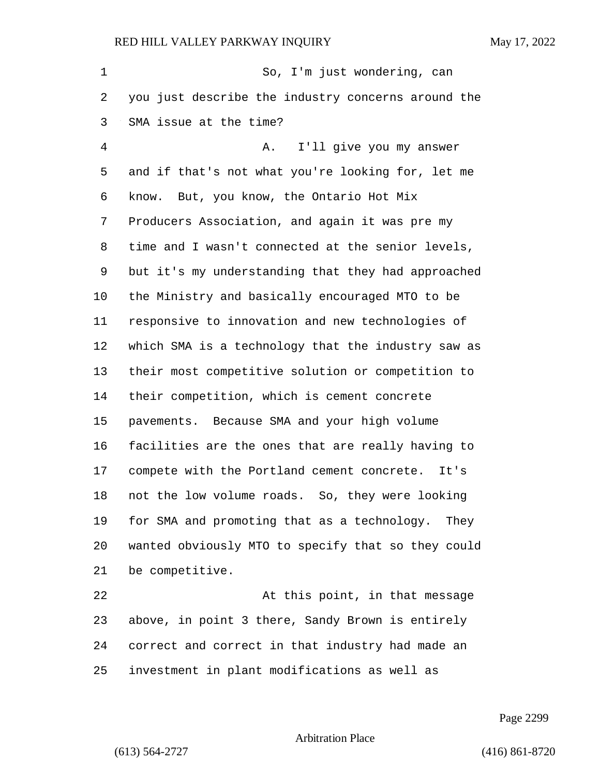| 1       | So, I'm just wondering, can                        |
|---------|----------------------------------------------------|
| 2       | you just describe the industry concerns around the |
| 3       | SMA issue at the time?                             |
| 4       | I'll give you my answer<br>Α.                      |
| 5       | and if that's not what you're looking for, let me  |
| 6       | know. But, you know, the Ontario Hot Mix           |
| 7       | Producers Association, and again it was pre my     |
| 8       | time and I wasn't connected at the senior levels,  |
| 9       | but it's my understanding that they had approached |
| $10 \,$ | the Ministry and basically encouraged MTO to be    |
| 11      | responsive to innovation and new technologies of   |
| 12      | which SMA is a technology that the industry saw as |
| 13      | their most competitive solution or competition to  |
| 14      | their competition, which is cement concrete        |
| 15      | pavements. Because SMA and your high volume        |
| 16      | facilities are the ones that are really having to  |
| 17      | compete with the Portland cement concrete.<br>It's |
| 18      | not the low volume roads. So, they were looking    |
| 19      | for SMA and promoting that as a technology. They   |
| 20      | wanted obviously MTO to specify that so they could |
| 21      | be competitive.                                    |
| 22      | At this point, in that message                     |
| 23      | above, in point 3 there, Sandy Brown is entirely   |
| 24      | correct and correct in that industry had made an   |

investment in plant modifications as well as

Page 2299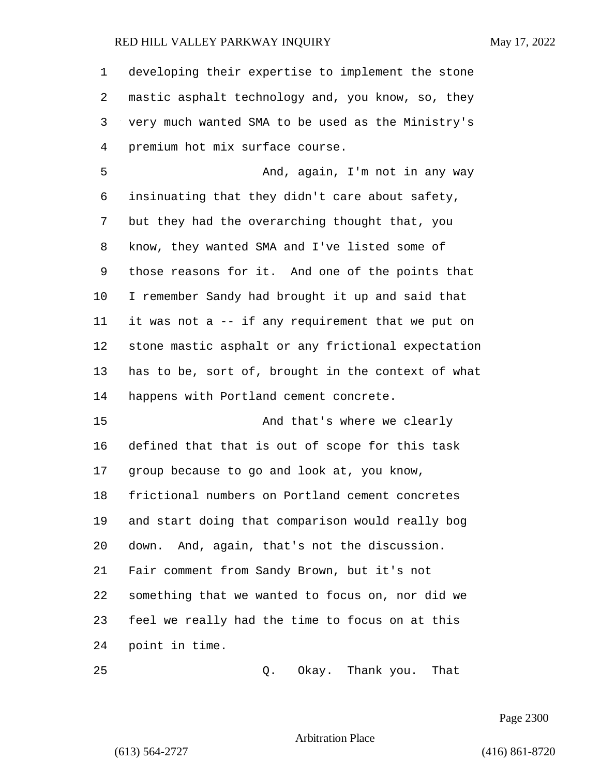developing their expertise to implement the stone mastic asphalt technology and, you know, so, they very much wanted SMA to be used as the Ministry's premium hot mix surface course.

5 And, again, I'm not in any way insinuating that they didn't care about safety, but they had the overarching thought that, you know, they wanted SMA and I've listed some of those reasons for it. And one of the points that I remember Sandy had brought it up and said that it was not a -- if any requirement that we put on stone mastic asphalt or any frictional expectation has to be, sort of, brought in the context of what happens with Portland cement concrete.

15 And that's where we clearly defined that that is out of scope for this task group because to go and look at, you know, frictional numbers on Portland cement concretes and start doing that comparison would really bog down. And, again, that's not the discussion. Fair comment from Sandy Brown, but it's not something that we wanted to focus on, nor did we feel we really had the time to focus on at this point in time.

25 Q. Okay. Thank you. That

Page 2300

Arbitration Place

(613) 564-2727 (416) 861-8720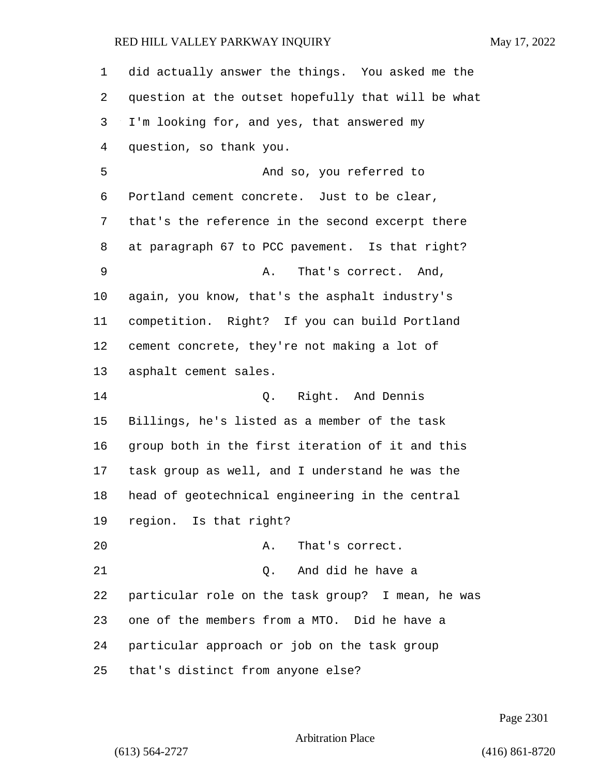did actually answer the things. You asked me the question at the outset hopefully that will be what I'm looking for, and yes, that answered my question, so thank you. 5 And so, you referred to Portland cement concrete. Just to be clear, that's the reference in the second excerpt there at paragraph 67 to PCC pavement. Is that right? 9 A. That's correct. And, again, you know, that's the asphalt industry's competition. Right? If you can build Portland cement concrete, they're not making a lot of asphalt cement sales. 14 Q. Right. And Dennis Billings, he's listed as a member of the task group both in the first iteration of it and this task group as well, and I understand he was the head of geotechnical engineering in the central region. Is that right? 20 A. That's correct. 21 Q. And did he have a particular role on the task group? I mean, he was one of the members from a MTO. Did he have a particular approach or job on the task group that's distinct from anyone else?

Page 2301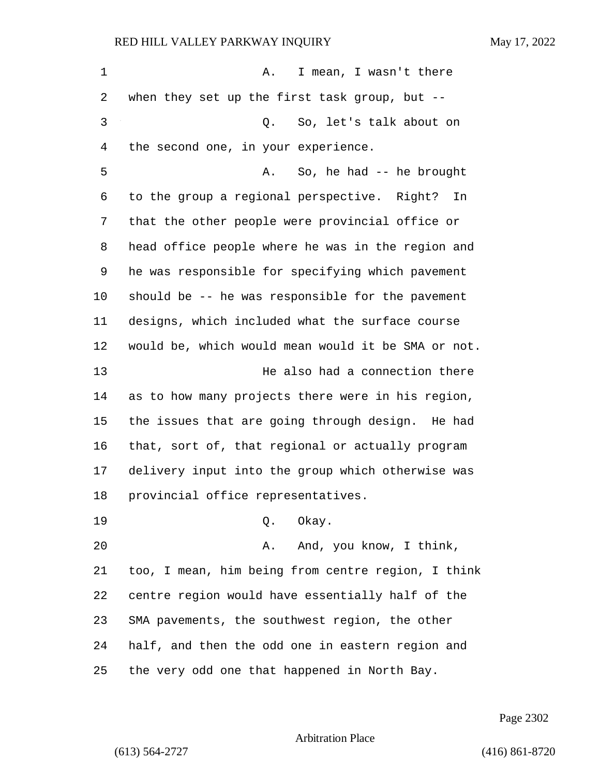| 1  | I mean, I wasn't there<br>Α.                       |
|----|----------------------------------------------------|
| 2  | when they set up the first task group, but $-$ -   |
| 3  | So, let's talk about on<br>$Q$ .                   |
| 4  | the second one, in your experience.                |
| 5  | So, he had -- he brought<br>Α.                     |
| 6  | to the group a regional perspective. Right?<br>In  |
| 7  | that the other people were provincial office or    |
| 8  | head office people where he was in the region and  |
| 9  | he was responsible for specifying which pavement   |
| 10 | should be -- he was responsible for the pavement   |
| 11 | designs, which included what the surface course    |
| 12 | would be, which would mean would it be SMA or not. |
| 13 | He also had a connection there                     |
| 14 | as to how many projects there were in his region,  |
| 15 | the issues that are going through design. He had   |
| 16 | that, sort of, that regional or actually program   |
| 17 | delivery input into the group which otherwise was  |
| 18 | provincial office representatives.                 |
| 19 | Okay.<br>Q.                                        |
| 20 | And, you know, I think,<br>Α.                      |
| 21 | too, I mean, him being from centre region, I think |
| 22 | centre region would have essentially half of the   |
| 23 | SMA pavements, the southwest region, the other     |
| 24 | half, and then the odd one in eastern region and   |
| 25 | the very odd one that happened in North Bay.       |

Page 2302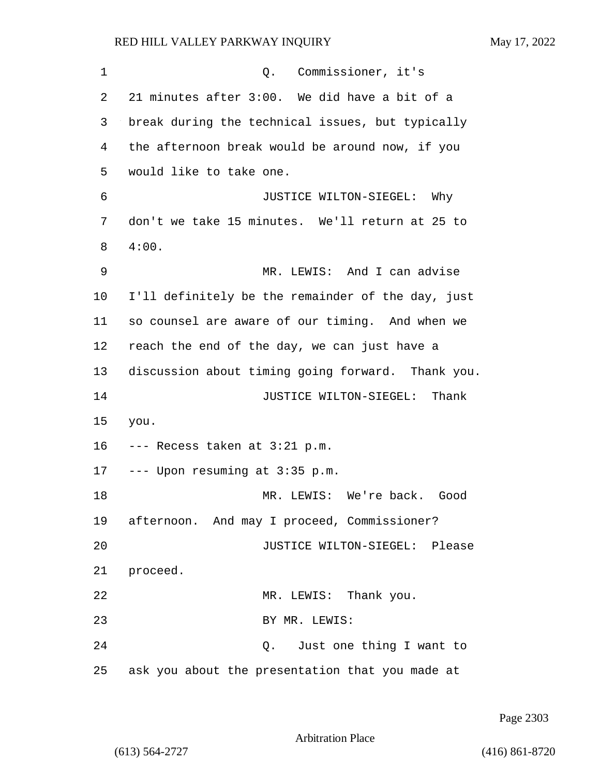| 1  | Q. Commissioner, it's                             |
|----|---------------------------------------------------|
| 2  | 21 minutes after 3:00. We did have a bit of a     |
| 3  | break during the technical issues, but typically  |
| 4  | the afternoon break would be around now, if you   |
| 5  | would like to take one.                           |
| 6  | JUSTICE WILTON-SIEGEL: Why                        |
| 7  | don't we take 15 minutes. We'll return at 25 to   |
| 8  | 4:00.                                             |
| 9  | MR. LEWIS: And I can advise                       |
| 10 | I'll definitely be the remainder of the day, just |
| 11 | so counsel are aware of our timing. And when we   |
| 12 | reach the end of the day, we can just have a      |
| 13 | discussion about timing going forward. Thank you. |
| 14 | JUSTICE WILTON-SIEGEL: Thank                      |
| 15 | you.                                              |
| 16 | --- Recess taken at 3:21 p.m.                     |
| 17 | --- Upon resuming at 3:35 p.m.                    |
| 18 | MR. LEWIS: We're back. Good                       |
|    | 19 afternoon. And may I proceed, Commissioner?    |
| 20 | JUSTICE WILTON-SIEGEL: Please                     |
| 21 | proceed.                                          |
| 22 | MR. LEWIS: Thank you.                             |
| 23 | BY MR. LEWIS:                                     |
| 24 | Q. Just one thing I want to                       |
| 25 | ask you about the presentation that you made at   |

Page 2303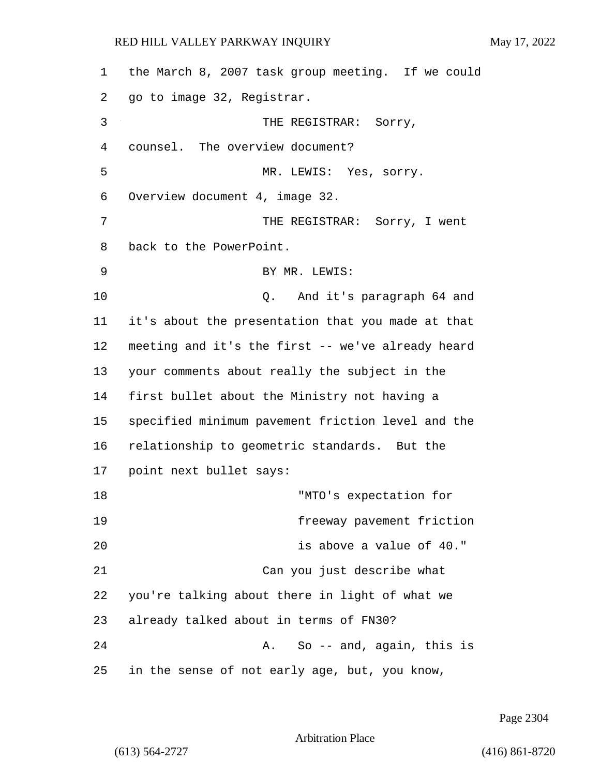| 1  | the March 8, 2007 task group meeting. If we could |
|----|---------------------------------------------------|
| 2  | go to image 32, Registrar.                        |
| 3  | THE REGISTRAR: Sorry,                             |
| 4  | counsel. The overview document?                   |
| 5  | MR. LEWIS: Yes, sorry.                            |
| 6  | Overview document 4, image 32.                    |
| 7  | THE REGISTRAR: Sorry, I went                      |
| 8  | back to the PowerPoint.                           |
| 9  | BY MR. LEWIS:                                     |
| 10 | Q. And it's paragraph 64 and                      |
| 11 | it's about the presentation that you made at that |
| 12 | meeting and it's the first -- we've already heard |
| 13 | your comments about really the subject in the     |
| 14 | first bullet about the Ministry not having a      |
| 15 | specified minimum pavement friction level and the |
| 16 | relationship to geometric standards. But the      |
| 17 | point next bullet says:                           |
| 18 | "MTO's expectation for                            |
| 19 | freeway pavement friction                         |
| 20 | is above a value of 40."                          |
| 21 | Can you just describe what                        |
| 22 | you're talking about there in light of what we    |
| 23 | already talked about in terms of FN30?            |
| 24 | So -- and, again, this is<br>Α.                   |
| 25 | in the sense of not early age, but, you know,     |

Page 2304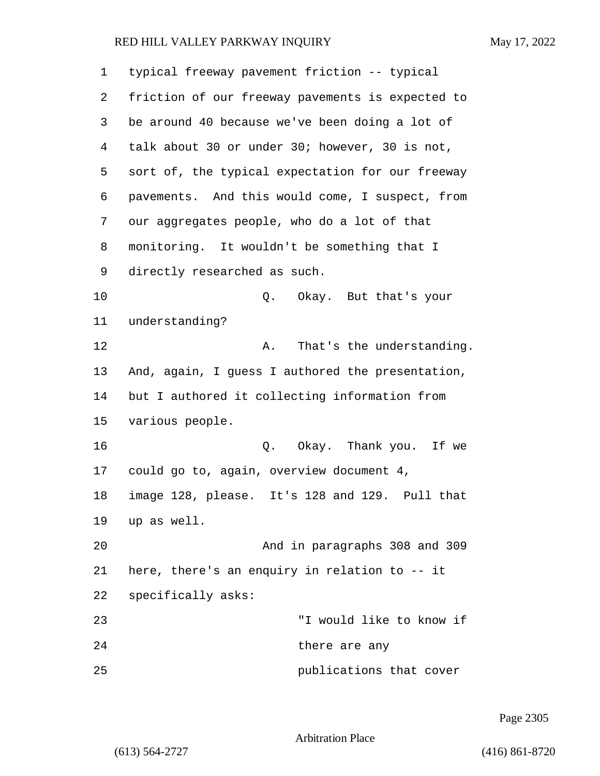| 1  | typical freeway pavement friction -- typical     |
|----|--------------------------------------------------|
| 2  | friction of our freeway pavements is expected to |
| 3  | be around 40 because we've been doing a lot of   |
| 4  | talk about 30 or under 30; however, 30 is not,   |
| 5  | sort of, the typical expectation for our freeway |
| 6  | pavements. And this would come, I suspect, from  |
| 7  | our aggregates people, who do a lot of that      |
| 8  | monitoring. It wouldn't be something that I      |
| 9  | directly researched as such.                     |
| 10 | Okay. But that's your<br>Q.                      |
| 11 | understanding?                                   |
| 12 | That's the understanding.<br>Α.                  |
| 13 | And, again, I guess I authored the presentation, |
| 14 | but I authored it collecting information from    |
| 15 | various people.                                  |
| 16 | Okay. Thank you. If we<br>Q.                     |
| 17 | could go to, again, overview document 4,         |
| 18 | image 128, please. It's 128 and 129. Pull that   |
| 19 | up as well.                                      |
| 20 | And in paragraphs 308 and 309                    |
| 21 | here, there's an enquiry in relation to -- it    |
| 22 | specifically asks:                               |
| 23 | "I would like to know if                         |
| 24 | there are any                                    |
| 25 | publications that cover                          |

Page 2305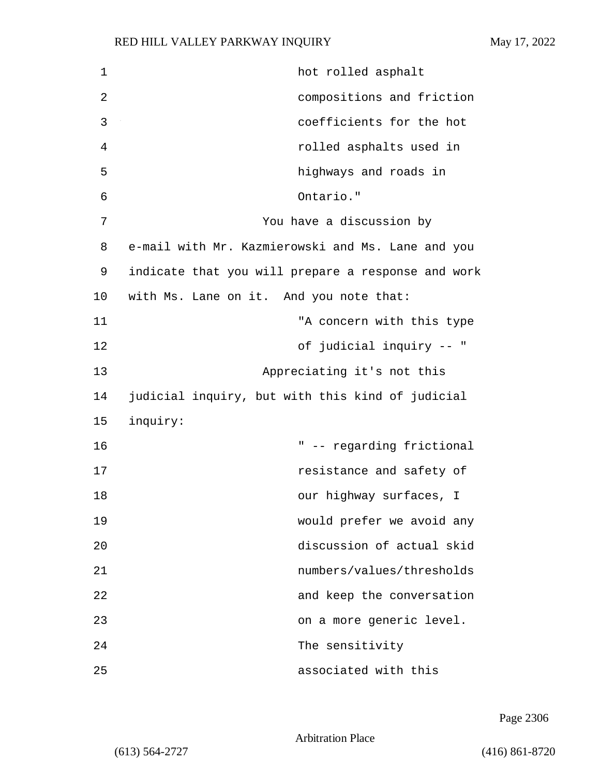| $\mathbf 1$ | hot rolled asphalt                                 |
|-------------|----------------------------------------------------|
| 2           | compositions and friction                          |
| 3           | coefficients for the hot                           |
| 4           | rolled asphalts used in                            |
| 5           | highways and roads in                              |
| 6           | Ontario."                                          |
| 7           | You have a discussion by                           |
| 8           | e-mail with Mr. Kazmierowski and Ms. Lane and you  |
| 9           | indicate that you will prepare a response and work |
| 10          | with Ms. Lane on it. And you note that:            |
| 11          | "A concern with this type                          |
| 12          | of judicial inquiry -- "                           |
| 13          | Appreciating it's not this                         |
| 14          | judicial inquiry, but with this kind of judicial   |
| 15          | inquiry:                                           |
| 16          | " -- regarding frictional                          |
| 17          | resistance and safety of                           |
| 18          | our highway surfaces, I                            |
| 19          | would prefer we avoid any                          |
| 20          | discussion of actual skid                          |
| 21          | numbers/values/thresholds                          |
| 22          | and keep the conversation                          |
| 23          | on a more generic level.                           |
| 24          | The sensitivity                                    |
| 25          | associated with this                               |

Page 2306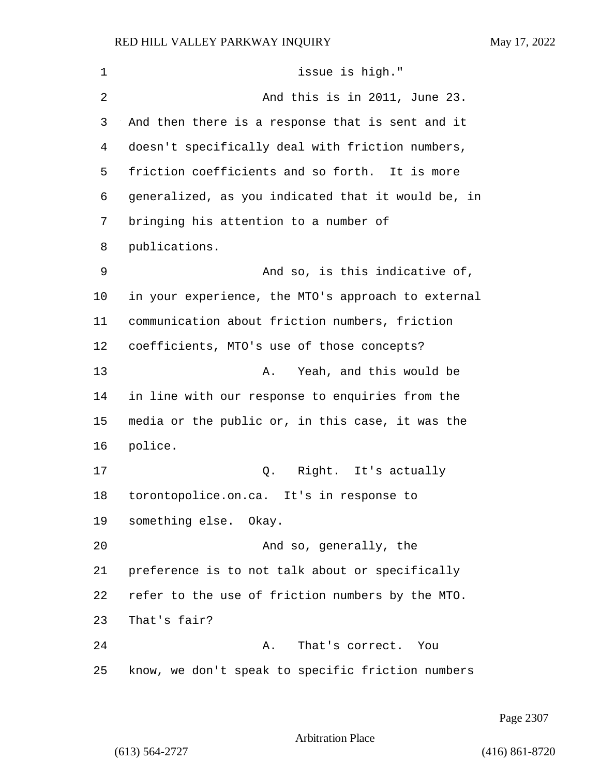| $\mathbf 1$ | issue is high."                                    |
|-------------|----------------------------------------------------|
| 2           | And this is in 2011, June 23.                      |
| 3           | And then there is a response that is sent and it   |
| 4           | doesn't specifically deal with friction numbers,   |
| 5           | friction coefficients and so forth. It is more     |
| 6           | generalized, as you indicated that it would be, in |
| 7           | bringing his attention to a number of              |
| 8           | publications.                                      |
| 9           | And so, is this indicative of,                     |
| 10          | in your experience, the MTO's approach to external |
| 11          | communication about friction numbers, friction     |
| 12          | coefficients, MTO's use of those concepts?         |
| 13          | Yeah, and this would be<br>Α.                      |
| 14          | in line with our response to enquiries from the    |
| 15          | media or the public or, in this case, it was the   |
| 16          | police.                                            |
| 17          | Right. It's actually<br>Q.                         |
| 18          | torontopolice.on.ca.<br>It's in response to        |
| 19          | something else. Okay.                              |
| 20          | And so, generally, the                             |
| 21          | preference is to not talk about or specifically    |
| 22          | refer to the use of friction numbers by the MTO.   |
| 23          | That's fair?                                       |
| 24          | That's correct.<br>Α.<br>You                       |
| 25          | know, we don't speak to specific friction numbers  |

Page 2307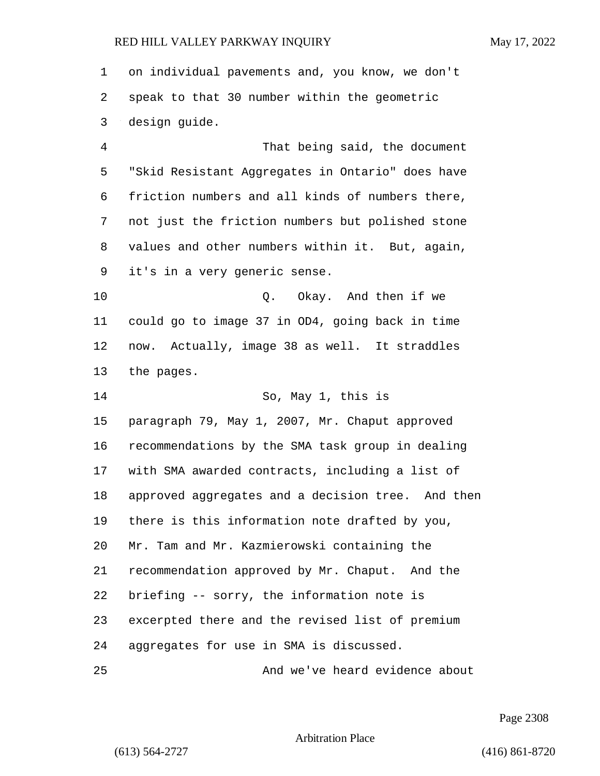on individual pavements and, you know, we don't speak to that 30 number within the geometric design guide. 4 That being said, the document "Skid Resistant Aggregates in Ontario" does have friction numbers and all kinds of numbers there, not just the friction numbers but polished stone

 values and other numbers within it. But, again, it's in a very generic sense.

10 Q. Okay. And then if we could go to image 37 in OD4, going back in time now. Actually, image 38 as well. It straddles the pages.

14 So, May 1, this is paragraph 79, May 1, 2007, Mr. Chaput approved recommendations by the SMA task group in dealing with SMA awarded contracts, including a list of approved aggregates and a decision tree. And then there is this information note drafted by you, Mr. Tam and Mr. Kazmierowski containing the recommendation approved by Mr. Chaput. And the briefing -- sorry, the information note is excerpted there and the revised list of premium aggregates for use in SMA is discussed. 25 And we've heard evidence about

Page 2308

Arbitration Place

(613) 564-2727 (416) 861-8720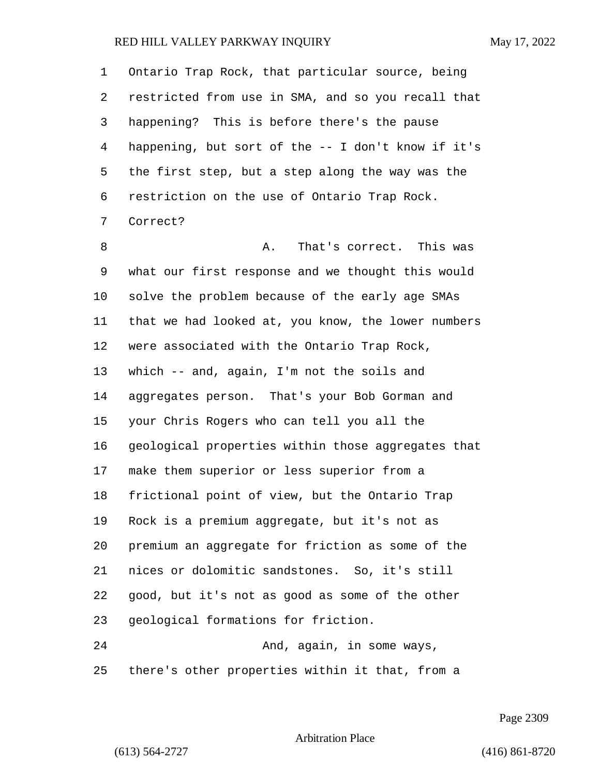Ontario Trap Rock, that particular source, being restricted from use in SMA, and so you recall that happening? This is before there's the pause happening, but sort of the -- I don't know if it's the first step, but a step along the way was the restriction on the use of Ontario Trap Rock. Correct?

8 a. That's correct. This was what our first response and we thought this would solve the problem because of the early age SMAs that we had looked at, you know, the lower numbers were associated with the Ontario Trap Rock, which -- and, again, I'm not the soils and aggregates person. That's your Bob Gorman and your Chris Rogers who can tell you all the geological properties within those aggregates that make them superior or less superior from a frictional point of view, but the Ontario Trap Rock is a premium aggregate, but it's not as premium an aggregate for friction as some of the nices or dolomitic sandstones. So, it's still good, but it's not as good as some of the other geological formations for friction. 24 And, again, in some ways,

there's other properties within it that, from a

Page 2309

Arbitration Place

(613) 564-2727 (416) 861-8720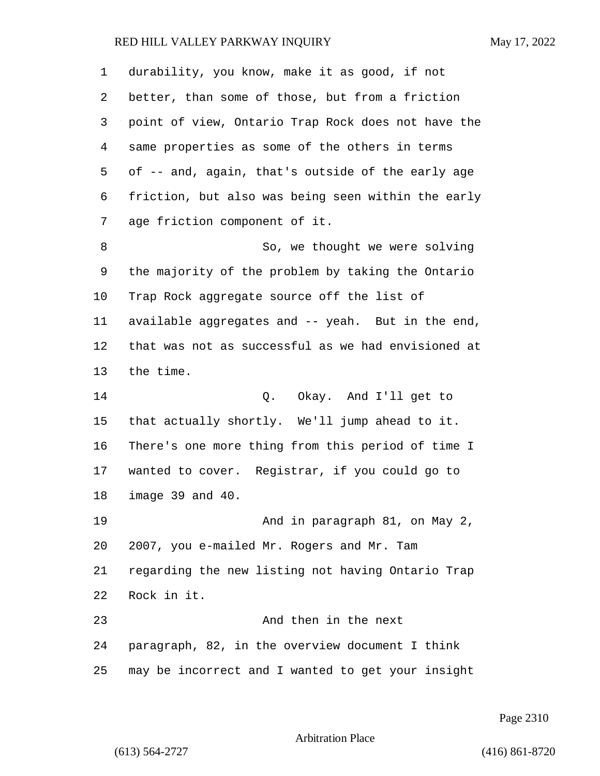| 1  | durability, you know, make it as good, if not      |
|----|----------------------------------------------------|
| 2  | better, than some of those, but from a friction    |
| 3  | point of view, Ontario Trap Rock does not have the |
| 4  | same properties as some of the others in terms     |
| 5  | of -- and, again, that's outside of the early age  |
| 6  | friction, but also was being seen within the early |
| 7  | age friction component of it.                      |
| 8  | So, we thought we were solving                     |
| 9  | the majority of the problem by taking the Ontario  |
| 10 | Trap Rock aggregate source off the list of         |
| 11 | available aggregates and -- yeah. But in the end,  |
| 12 | that was not as successful as we had envisioned at |
| 13 | the time.                                          |
| 14 | Okay. And I'll get to<br>Q.                        |
| 15 | that actually shortly. We'll jump ahead to it.     |
| 16 | There's one more thing from this period of time I  |
| 17 | wanted to cover. Registrar, if you could go to     |
| 18 | image 39 and 40.                                   |
| 19 | And in paragraph 81, on May 2,                     |
| 20 | 2007, you e-mailed Mr. Rogers and Mr. Tam          |
| 21 | regarding the new listing not having Ontario Trap  |
| 22 | Rock in it.                                        |
| 23 | And then in the next                               |
| 24 | paragraph, 82, in the overview document I think    |
| 25 | may be incorrect and I wanted to get your insight  |

Page 2310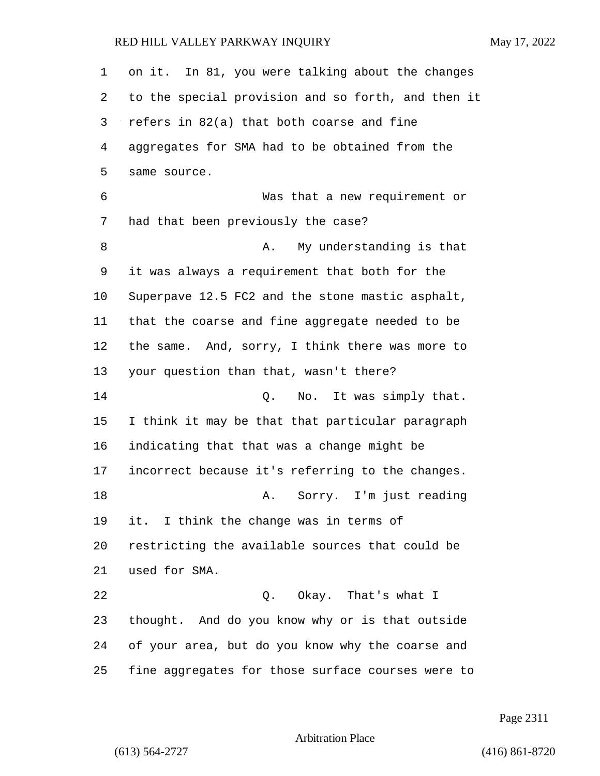| 1  | on it. In 81, you were talking about the changes   |
|----|----------------------------------------------------|
| 2  | to the special provision and so forth, and then it |
| 3  | refers in 82(a) that both coarse and fine          |
| 4  | aggregates for SMA had to be obtained from the     |
| 5  | same source.                                       |
| 6  | Was that a new requirement or                      |
| 7  | had that been previously the case?                 |
| 8  | My understanding is that<br>Α.                     |
| 9  | it was always a requirement that both for the      |
| 10 | Superpave 12.5 FC2 and the stone mastic asphalt,   |
| 11 | that the coarse and fine aggregate needed to be    |
| 12 | the same. And, sorry, I think there was more to    |
| 13 | your question than that, wasn't there?             |
| 14 | No. It was simply that.<br>Q.                      |
| 15 | I think it may be that that particular paragraph   |
| 16 | indicating that that was a change might be         |
| 17 | incorrect because it's referring to the changes.   |
| 18 | Sorry. I'm just reading<br>Α.                      |
| 19 | it. I think the change was in terms of             |
| 20 | restricting the available sources that could be    |
| 21 | used for SMA.                                      |
| 22 | Q. Okay. That's what I                             |
| 23 | thought. And do you know why or is that outside    |
| 24 | of your area, but do you know why the coarse and   |
| 25 | fine aggregates for those surface courses were to  |

Page 2311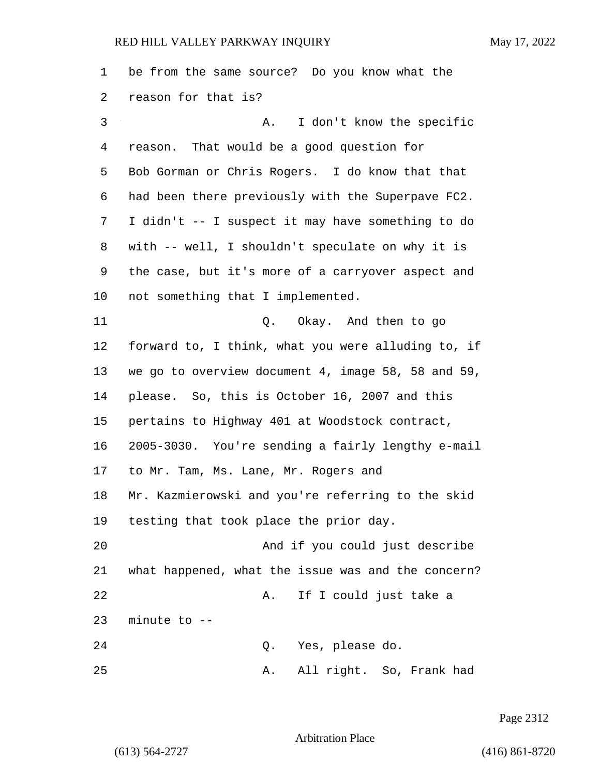be from the same source? Do you know what the reason for that is? 3 A. I don't know the specific reason. That would be a good question for Bob Gorman or Chris Rogers. I do know that that had been there previously with the Superpave FC2. I didn't -- I suspect it may have something to do with -- well, I shouldn't speculate on why it is the case, but it's more of a carryover aspect and not something that I implemented. 11 Q. Okay. And then to go forward to, I think, what you were alluding to, if we go to overview document 4, image 58, 58 and 59, please. So, this is October 16, 2007 and this pertains to Highway 401 at Woodstock contract, 2005-3030. You're sending a fairly lengthy e-mail to Mr. Tam, Ms. Lane, Mr. Rogers and Mr. Kazmierowski and you're referring to the skid testing that took place the prior day. 20 And if you could just describe what happened, what the issue was and the concern? 22 A. If I could just take a minute to -- 24 Q. Yes, please do. 25 A. All right. So, Frank had

Page 2312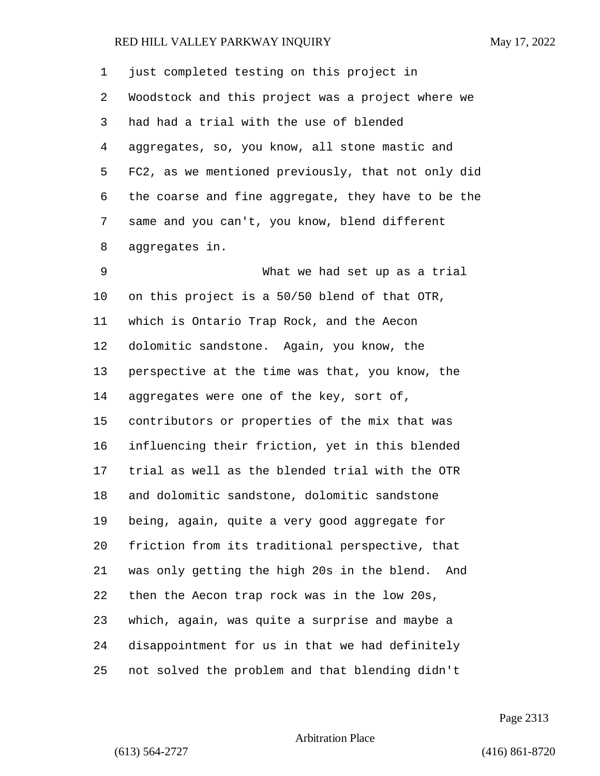| 1  | just completed testing on this project in          |
|----|----------------------------------------------------|
| 2  | Woodstock and this project was a project where we  |
| 3  | had had a trial with the use of blended            |
| 4  | aggregates, so, you know, all stone mastic and     |
| 5  | FC2, as we mentioned previously, that not only did |
| 6  | the coarse and fine aggregate, they have to be the |
| 7  | same and you can't, you know, blend different      |
| 8  | aggregates in.                                     |
| 9  | What we had set up as a trial                      |
| 10 | on this project is a 50/50 blend of that OTR,      |
| 11 | which is Ontario Trap Rock, and the Aecon          |
| 12 | dolomitic sandstone. Again, you know, the          |
| 13 | perspective at the time was that, you know, the    |
| 14 | aggregates were one of the key, sort of,           |
| 15 | contributors or properties of the mix that was     |
| 16 | influencing their friction, yet in this blended    |
| 17 | trial as well as the blended trial with the OTR    |
| 18 | and dolomitic sandstone, dolomitic sandstone       |
| 19 | being, again, quite a very good aggregate for      |
| 20 | friction from its traditional perspective, that    |
| 21 | was only getting the high 20s in the blend.<br>And |
| 22 | then the Aecon trap rock was in the low 20s,       |
| 23 | which, again, was quite a surprise and maybe a     |
| 24 | disappointment for us in that we had definitely    |
| 25 | not solved the problem and that blending didn't    |

Page 2313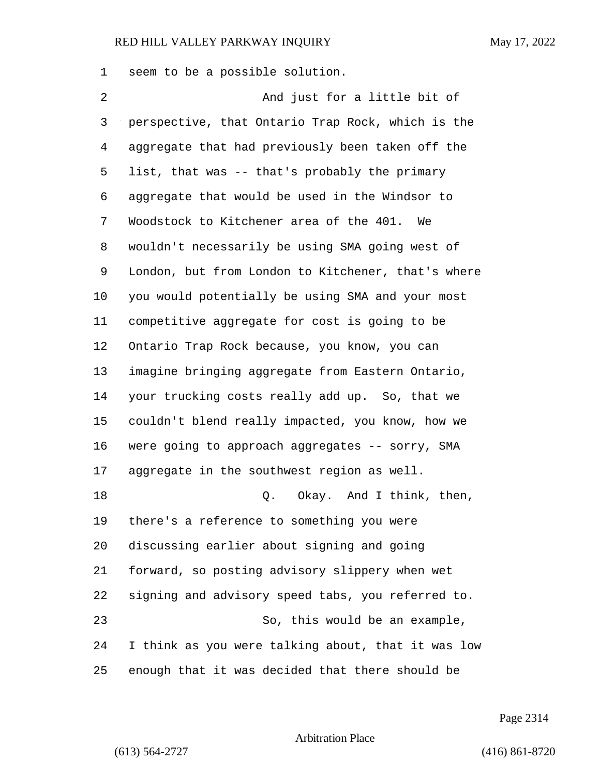seem to be a possible solution.

2 And just for a little bit of perspective, that Ontario Trap Rock, which is the aggregate that had previously been taken off the list, that was -- that's probably the primary aggregate that would be used in the Windsor to Woodstock to Kitchener area of the 401. We wouldn't necessarily be using SMA going west of London, but from London to Kitchener, that's where you would potentially be using SMA and your most competitive aggregate for cost is going to be Ontario Trap Rock because, you know, you can imagine bringing aggregate from Eastern Ontario, your trucking costs really add up. So, that we couldn't blend really impacted, you know, how we 16 were going to approach aggregates -- sorry, SMA aggregate in the southwest region as well. 18 and 2. Okay. And I think, then, there's a reference to something you were discussing earlier about signing and going forward, so posting advisory slippery when wet signing and advisory speed tabs, you referred to. 23 So, this would be an example, I think as you were talking about, that it was low enough that it was decided that there should be

Page 2314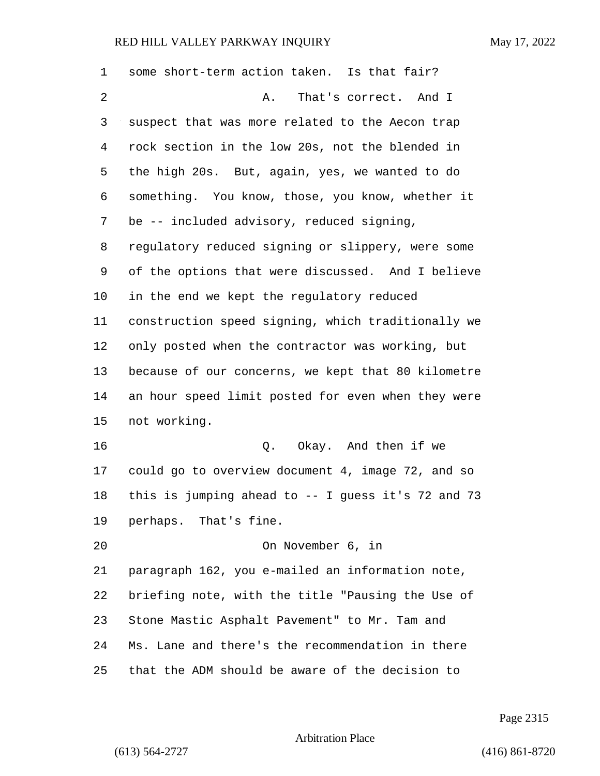| 1  | some short-term action taken. Is that fair?         |
|----|-----------------------------------------------------|
| 2  | That's correct. And I<br>Α.                         |
| 3  | suspect that was more related to the Aecon trap     |
| 4  | rock section in the low 20s, not the blended in     |
| 5  | the high 20s. But, again, yes, we wanted to do      |
| 6  | something. You know, those, you know, whether it    |
| 7  | be -- included advisory, reduced signing,           |
| 8  | regulatory reduced signing or slippery, were some   |
| 9  | of the options that were discussed. And I believe   |
| 10 | in the end we kept the regulatory reduced           |
| 11 | construction speed signing, which traditionally we  |
| 12 | only posted when the contractor was working, but    |
| 13 | because of our concerns, we kept that 80 kilometre  |
| 14 | an hour speed limit posted for even when they were  |
| 15 | not working.                                        |
| 16 | Okay. And then if we<br>Q.                          |
| 17 | could go to overview document 4, image 72, and so   |
| 18 | this is jumping ahead to $-$ I guess it's 72 and 73 |
| 19 | perhaps. That's fine.                               |
| 20 | On November 6, in                                   |
| 21 | paragraph 162, you e-mailed an information note,    |
| 22 | briefing note, with the title "Pausing the Use of   |
| 23 | Stone Mastic Asphalt Pavement" to Mr. Tam and       |
| 24 | Ms. Lane and there's the recommendation in there    |
| 25 | that the ADM should be aware of the decision to     |

Page 2315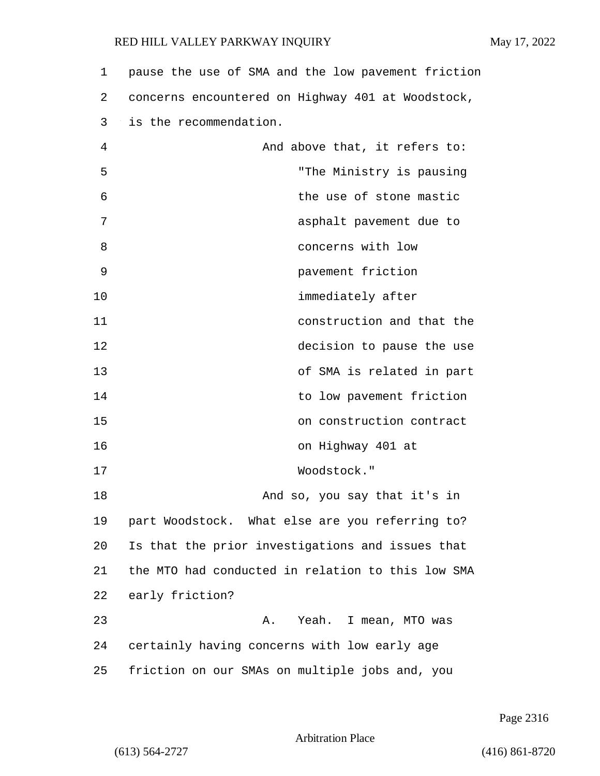| 1  | pause the use of SMA and the low pavement friction |
|----|----------------------------------------------------|
| 2  | concerns encountered on Highway 401 at Woodstock,  |
| 3  | is the recommendation.                             |
| 4  | And above that, it refers to:                      |
| 5  | "The Ministry is pausing                           |
| 6  | the use of stone mastic                            |
| 7  | asphalt pavement due to                            |
| 8  | concerns with low                                  |
| 9  | pavement friction                                  |
| 10 | immediately after                                  |
| 11 | construction and that the                          |
| 12 | decision to pause the use                          |
| 13 | of SMA is related in part                          |
| 14 | to low pavement friction                           |
| 15 | on construction contract                           |
| 16 | on Highway 401 at                                  |
| 17 | Woodstock."                                        |
| 18 | And so, you say that it's in                       |
| 19 | part Woodstock. What else are you referring to?    |
| 20 | Is that the prior investigations and issues that   |
| 21 | the MTO had conducted in relation to this low SMA  |
| 22 | early friction?                                    |
| 23 | Yeah. I mean, MTO was<br>Α.                        |
| 24 | certainly having concerns with low early age       |
| 25 | friction on our SMAs on multiple jobs and, you     |

Page 2316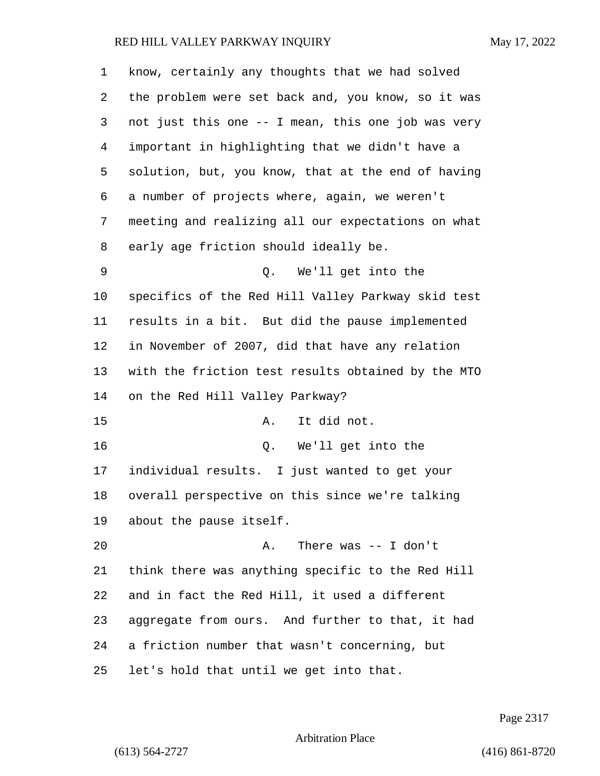| 1  | know, certainly any thoughts that we had solved    |
|----|----------------------------------------------------|
| 2  | the problem were set back and, you know, so it was |
| 3  | not just this one -- I mean, this one job was very |
| 4  | important in highlighting that we didn't have a    |
| 5  | solution, but, you know, that at the end of having |
| 6  | a number of projects where, again, we weren't      |
| 7  | meeting and realizing all our expectations on what |
| 8  | early age friction should ideally be.              |
| 9  | We'll get into the<br>Q.                           |
| 10 | specifics of the Red Hill Valley Parkway skid test |
| 11 | results in a bit. But did the pause implemented    |
| 12 | in November of 2007, did that have any relation    |
| 13 | with the friction test results obtained by the MTO |
| 14 | on the Red Hill Valley Parkway?                    |
| 15 | It did not.<br>Α.                                  |
| 16 | Q. We'll get into the                              |
| 17 | individual results. I just wanted to get your      |
| 18 | overall perspective on this since we're talking    |
| 19 | about the pause itself.                            |
| 20 | There was $--$ I don't<br>Α.                       |
| 21 | think there was anything specific to the Red Hill  |
| 22 | and in fact the Red Hill, it used a different      |
| 23 | aggregate from ours. And further to that, it had   |
| 24 | a friction number that wasn't concerning, but      |
| 25 | let's hold that until we get into that.            |

Page 2317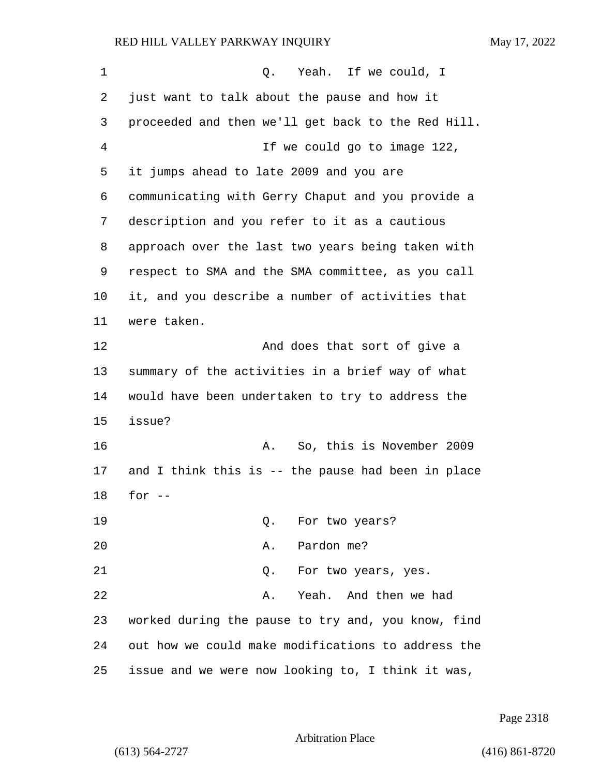| 1  | Yeah. If we could, I<br>Q.                         |
|----|----------------------------------------------------|
| 2  | just want to talk about the pause and how it       |
| 3  | proceeded and then we'll get back to the Red Hill. |
| 4  | If we could go to image 122,                       |
| 5  | it jumps ahead to late 2009 and you are            |
| 6  | communicating with Gerry Chaput and you provide a  |
| 7  | description and you refer to it as a cautious      |
| 8  | approach over the last two years being taken with  |
| 9  | respect to SMA and the SMA committee, as you call  |
| 10 | it, and you describe a number of activities that   |
| 11 | were taken.                                        |
| 12 | And does that sort of give a                       |
| 13 | summary of the activities in a brief way of what   |
| 14 | would have been undertaken to try to address the   |
| 15 | issue?                                             |
| 16 | So, this is November 2009<br>Α.                    |
| 17 | and I think this is -- the pause had been in place |
| 18 | for $--$                                           |
| 19 | For two years?<br>Q.                               |
| 20 | Pardon me?<br>Α.                                   |
| 21 | Q. For two years, yes.                             |
| 22 | Yeah. And then we had<br>Α.                        |
| 23 | worked during the pause to try and, you know, find |
| 24 | out how we could make modifications to address the |
| 25 | issue and we were now looking to, I think it was,  |

Page 2318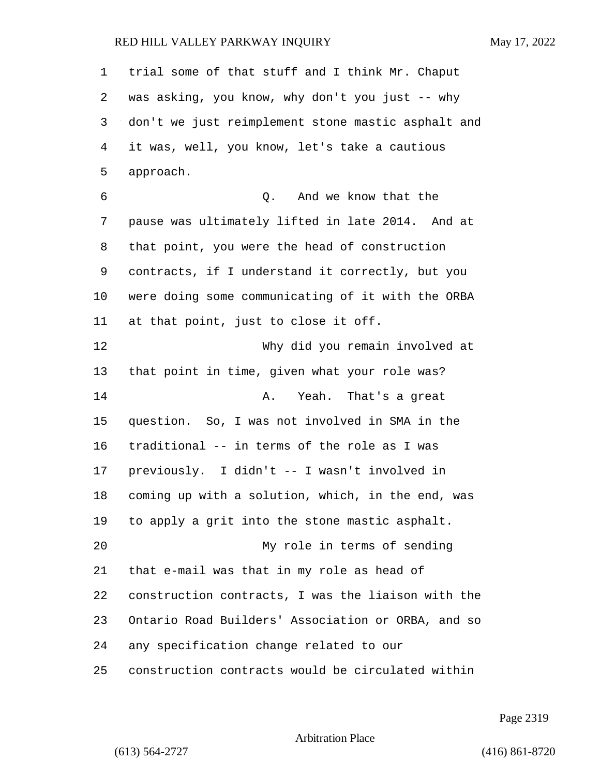trial some of that stuff and I think Mr. Chaput was asking, you know, why don't you just -- why don't we just reimplement stone mastic asphalt and it was, well, you know, let's take a cautious approach. 6 Q. And we know that the pause was ultimately lifted in late 2014. And at that point, you were the head of construction contracts, if I understand it correctly, but you were doing some communicating of it with the ORBA at that point, just to close it off. 12 Why did you remain involved at that point in time, given what your role was? **A.** Yeah. That's a great question. So, I was not involved in SMA in the traditional -- in terms of the role as I was previously. I didn't -- I wasn't involved in coming up with a solution, which, in the end, was to apply a grit into the stone mastic asphalt. 20 My role in terms of sending that e-mail was that in my role as head of construction contracts, I was the liaison with the Ontario Road Builders' Association or ORBA, and so any specification change related to our construction contracts would be circulated within

Page 2319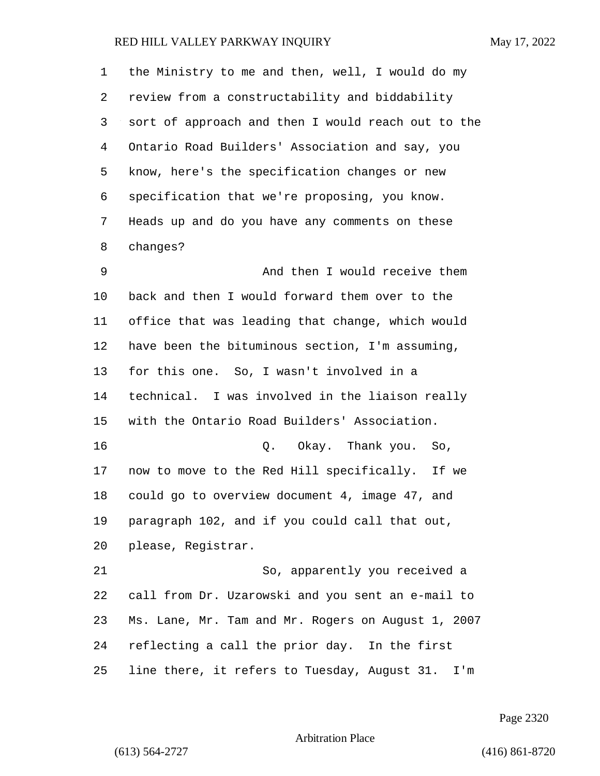the Ministry to me and then, well, I would do my review from a constructability and biddability sort of approach and then I would reach out to the Ontario Road Builders' Association and say, you know, here's the specification changes or new specification that we're proposing, you know. Heads up and do you have any comments on these changes? 9 And then I would receive them back and then I would forward them over to the office that was leading that change, which would have been the bituminous section, I'm assuming, for this one. So, I wasn't involved in a technical. I was involved in the liaison really with the Ontario Road Builders' Association. 16 Q. Okay. Thank you. So, now to move to the Red Hill specifically. If we could go to overview document 4, image 47, and paragraph 102, and if you could call that out, please, Registrar. 21 So, apparently you received a call from Dr. Uzarowski and you sent an e-mail to Ms. Lane, Mr. Tam and Mr. Rogers on August 1, 2007 reflecting a call the prior day. In the first line there, it refers to Tuesday, August 31. I'm

Page 2320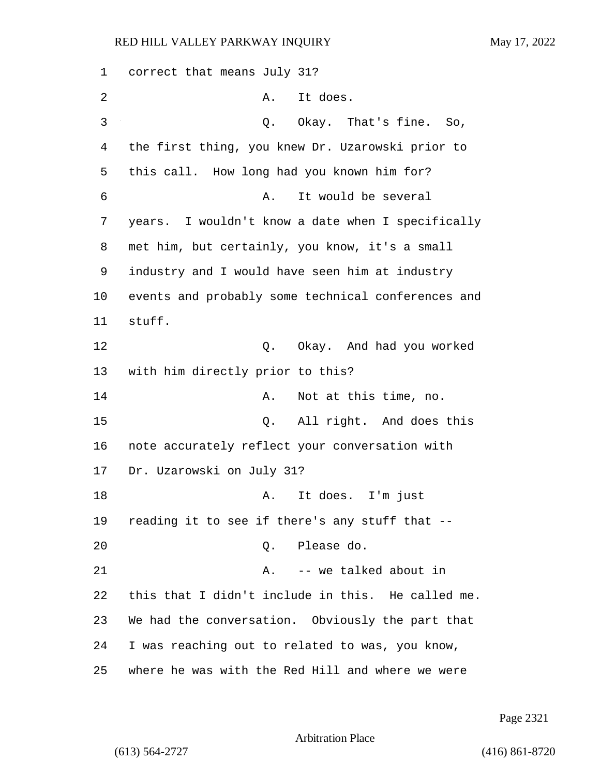1 correct that means July 31? 2 A. It does. 3 O. Okay. That's fine. So, 4 the first thing, you knew Dr. Uzarowski prior to 5 this call. How long had you known him for? 6 A. It would be several 7 years. I wouldn't know a date when I specifically 8 met him, but certainly, you know, it's a small 9 industry and I would have seen him at industry 10 events and probably some technical conferences and 11 stuff. 12 C. Okay. And had you worked 13 with him directly prior to this? 14 A. Not at this time, no. 15 Q. All right. And does this 16 note accurately reflect your conversation with 17 Dr. Uzarowski on July 31? 18 A. It does. I'm just 19 reading it to see if there's any stuff that -- 20 Q. Please do. 21 A. -- we talked about in 22 this that I didn't include in this. He called me. 23 We had the conversation. Obviously the part that 24 I was reaching out to related to was, you know, 25 where he was with the Red Hill and where we were

Page 2321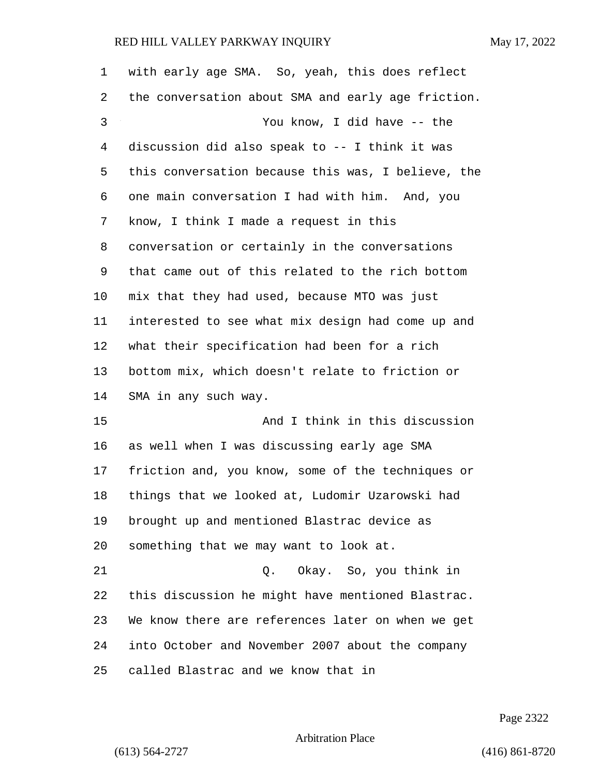| 1  | with early age SMA. So, yeah, this does reflect    |
|----|----------------------------------------------------|
| 2  | the conversation about SMA and early age friction. |
| 3  | You know, I did have -- the                        |
| 4  | discussion did also speak to -- I think it was     |
| 5  | this conversation because this was, I believe, the |
| 6  | one main conversation I had with him. And, you     |
| 7  | know, I think I made a request in this             |
| 8  | conversation or certainly in the conversations     |
| 9  | that came out of this related to the rich bottom   |
| 10 | mix that they had used, because MTO was just       |
| 11 | interested to see what mix design had come up and  |
| 12 | what their specification had been for a rich       |
| 13 | bottom mix, which doesn't relate to friction or    |
| 14 | SMA in any such way.                               |
| 15 | And I think in this discussion                     |
| 16 | as well when I was discussing early age SMA        |
| 17 | friction and, you know, some of the techniques or  |
| 18 | things that we looked at, Ludomir Uzarowski had    |
| 19 | brought up and mentioned Blastrac device as        |
| 20 | something that we may want to look at.             |
| 21 | Q. Okay. So, you think in                          |
| 22 | this discussion he might have mentioned Blastrac.  |
| 23 | We know there are references later on when we get  |
| 24 | into October and November 2007 about the company   |
| 25 | called Blastrac and we know that in                |

Page 2322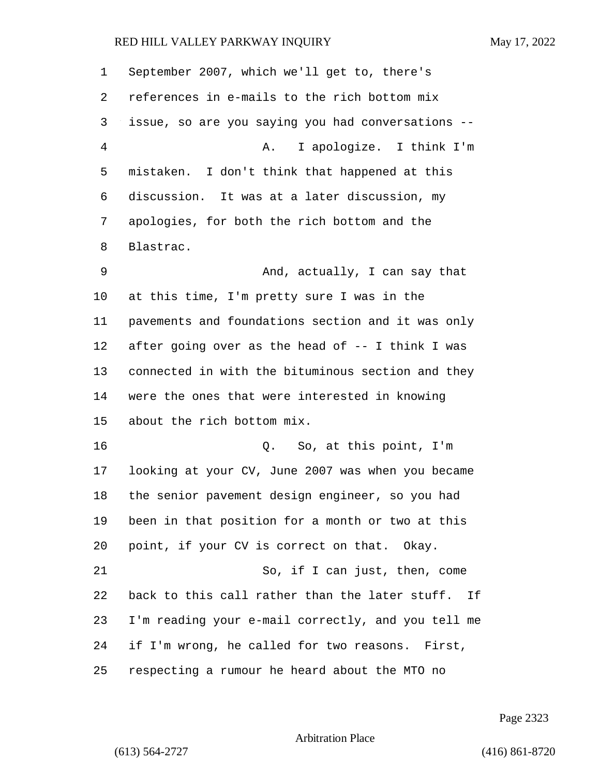| 1  | September 2007, which we'll get to, there's        |
|----|----------------------------------------------------|
| 2  | references in e-mails to the rich bottom mix       |
| 3  | issue, so are you saying you had conversations --  |
| 4  | I apologize. I think I'm<br>A.                     |
| 5  | mistaken. I don't think that happened at this      |
| 6  | discussion. It was at a later discussion, my       |
| 7  | apologies, for both the rich bottom and the        |
| 8  | Blastrac.                                          |
| 9  | And, actually, I can say that                      |
| 10 | at this time, I'm pretty sure I was in the         |
| 11 | pavements and foundations section and it was only  |
| 12 | after going over as the head of -- I think I was   |
| 13 | connected in with the bituminous section and they  |
| 14 | were the ones that were interested in knowing      |
| 15 | about the rich bottom mix.                         |
| 16 | Q. So, at this point, I'm                          |
| 17 | looking at your CV, June 2007 was when you became  |
| 18 | the senior pavement design engineer, so you had    |
| 19 | been in that position for a month or two at this   |
| 20 | point, if your CV is correct on that. Okay.        |
| 21 | So, if I can just, then, come                      |
| 22 | back to this call rather than the later stuff. If  |
| 23 | I'm reading your e-mail correctly, and you tell me |
| 24 | if I'm wrong, he called for two reasons. First,    |
| 25 | respecting a rumour he heard about the MTO no      |

Page 2323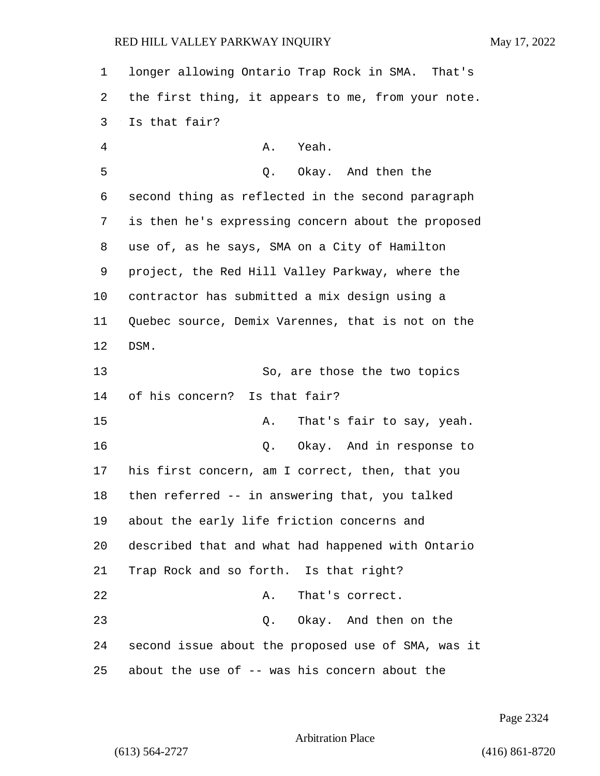longer allowing Ontario Trap Rock in SMA. That's the first thing, it appears to me, from your note. Is that fair? 4 A. Yeah. 5 Q. Okay. And then the second thing as reflected in the second paragraph is then he's expressing concern about the proposed use of, as he says, SMA on a City of Hamilton project, the Red Hill Valley Parkway, where the contractor has submitted a mix design using a Quebec source, Demix Varennes, that is not on the DSM. 13 So, are those the two topics of his concern? Is that fair? 15 A. That's fair to say, yeah. 16 Q. Okay. And in response to his first concern, am I correct, then, that you then referred -- in answering that, you talked about the early life friction concerns and described that and what had happened with Ontario Trap Rock and so forth. Is that right? 22 A. That's correct. 23 Q. Okay. And then on the second issue about the proposed use of SMA, was it about the use of -- was his concern about the

Page 2324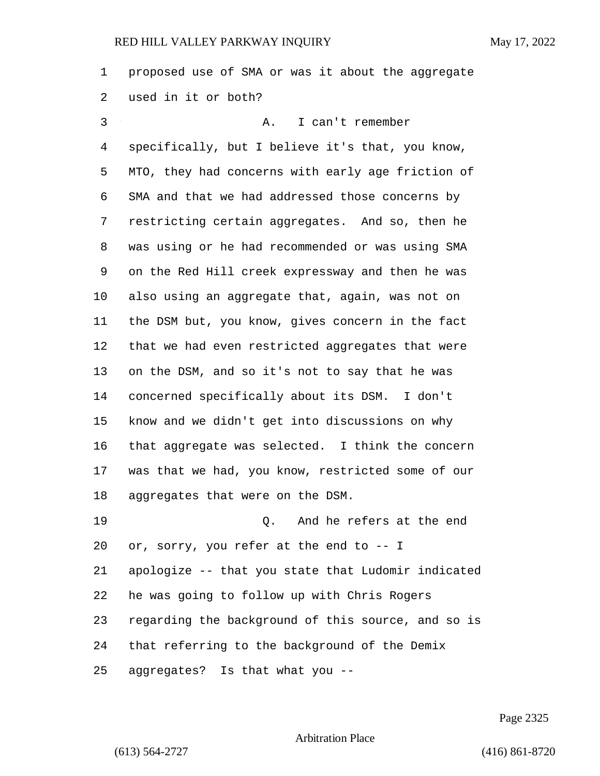proposed use of SMA or was it about the aggregate used in it or both? 3 A. I can't remember specifically, but I believe it's that, you know, MTO, they had concerns with early age friction of SMA and that we had addressed those concerns by restricting certain aggregates. And so, then he was using or he had recommended or was using SMA on the Red Hill creek expressway and then he was also using an aggregate that, again, was not on the DSM but, you know, gives concern in the fact that we had even restricted aggregates that were on the DSM, and so it's not to say that he was concerned specifically about its DSM. I don't know and we didn't get into discussions on why that aggregate was selected. I think the concern was that we had, you know, restricted some of our aggregates that were on the DSM. 19 Q. And he refers at the end or, sorry, you refer at the end to -- I apologize -- that you state that Ludomir indicated he was going to follow up with Chris Rogers regarding the background of this source, and so is that referring to the background of the Demix aggregates? Is that what you --

Page 2325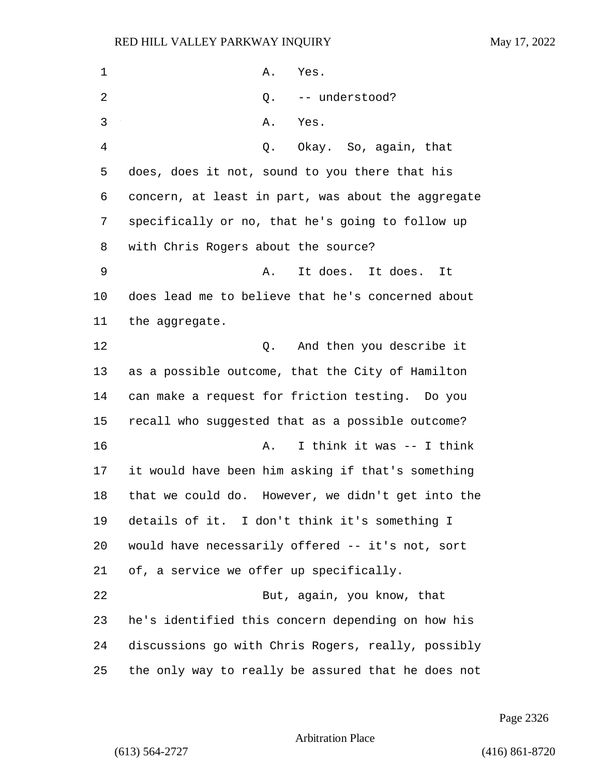1 A. Yes. 2 0. -- understood? 3 A. Yes. 4 Q. Okay. So, again, that does, does it not, sound to you there that his concern, at least in part, was about the aggregate specifically or no, that he's going to follow up with Chris Rogers about the source? 9 A. It does. It does. It does lead me to believe that he's concerned about the aggregate. 12 and then you describe it as a possible outcome, that the City of Hamilton can make a request for friction testing. Do you recall who suggested that as a possible outcome? 16 A. I think it was -- I think it would have been him asking if that's something that we could do. However, we didn't get into the details of it. I don't think it's something I would have necessarily offered -- it's not, sort of, a service we offer up specifically. 22 But, again, you know, that he's identified this concern depending on how his discussions go with Chris Rogers, really, possibly the only way to really be assured that he does not

Page 2326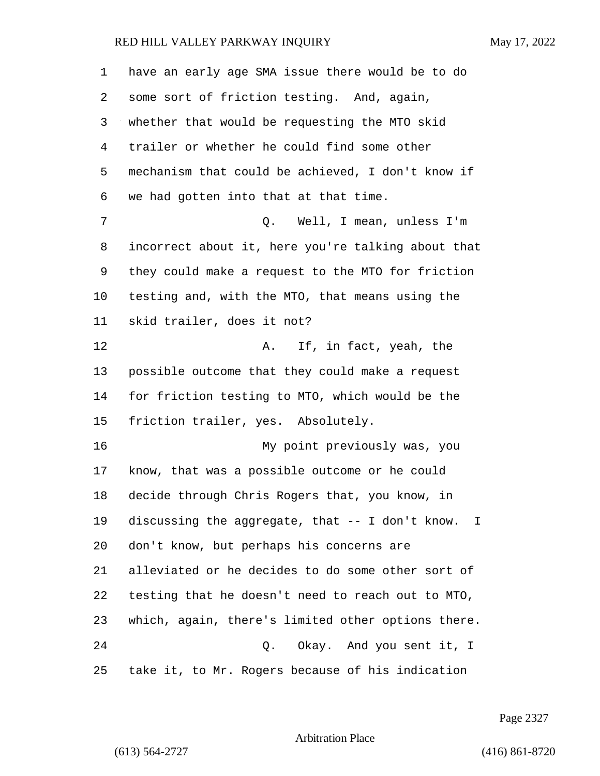| 1  | have an early age SMA issue there would be to do      |
|----|-------------------------------------------------------|
| 2  | some sort of friction testing. And, again,            |
| 3  | whether that would be requesting the MTO skid         |
| 4  | trailer or whether he could find some other           |
| 5  | mechanism that could be achieved, I don't know if     |
| 6  | we had gotten into that at that time.                 |
| 7  | Q. Well, I mean, unless I'm                           |
| 8  | incorrect about it, here you're talking about that    |
| 9  | they could make a request to the MTO for friction     |
| 10 | testing and, with the MTO, that means using the       |
| 11 | skid trailer, does it not?                            |
| 12 | If, in fact, yeah, the<br>Α.                          |
| 13 | possible outcome that they could make a request       |
| 14 | for friction testing to MTO, which would be the       |
| 15 | friction trailer, yes. Absolutely.                    |
| 16 | My point previously was, you                          |
| 17 | know, that was a possible outcome or he could         |
| 18 | decide through Chris Rogers that, you know, in        |
| 19 | discussing the aggregate, that -- I don't know.<br>I. |
| 20 | don't know, but perhaps his concerns are              |
| 21 | alleviated or he decides to do some other sort of     |
| 22 | testing that he doesn't need to reach out to MTO,     |
| 23 | which, again, there's limited other options there.    |
| 24 | Q.<br>Okay. And you sent it, I                        |
| 25 | take it, to Mr. Rogers because of his indication      |

Page 2327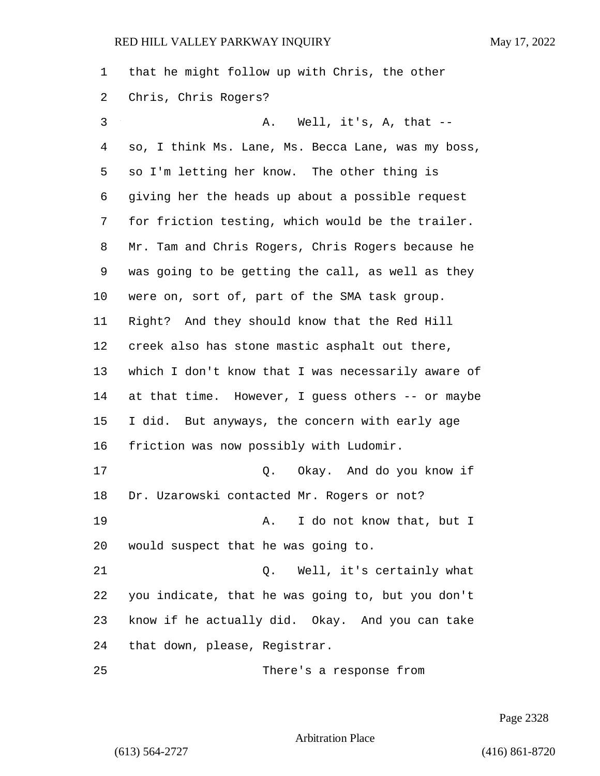| 1  | that he might follow up with Chris, the other      |
|----|----------------------------------------------------|
| 2  | Chris, Chris Rogers?                               |
| 3  | A. Well, it's, A, that --                          |
| 4  | so, I think Ms. Lane, Ms. Becca Lane, was my boss, |
| 5  | so I'm letting her know. The other thing is        |
| 6  | giving her the heads up about a possible request   |
| 7  | for friction testing, which would be the trailer.  |
| 8  | Mr. Tam and Chris Rogers, Chris Rogers because he  |
| 9  | was going to be getting the call, as well as they  |
| 10 | were on, sort of, part of the SMA task group.      |
| 11 | Right? And they should know that the Red Hill      |
| 12 | creek also has stone mastic asphalt out there,     |
| 13 | which I don't know that I was necessarily aware of |
| 14 | at that time. However, I guess others -- or maybe  |
| 15 | I did. But anyways, the concern with early age     |
| 16 | friction was now possibly with Ludomir.            |
| 17 | Q. Okay. And do you know if                        |
| 18 | Dr. Uzarowski contacted Mr. Rogers or not?         |
| 19 | I do not know that, but I<br>Α.                    |
| 20 | would suspect that he was going to.                |
| 21 | Well, it's certainly what<br>Q.                    |
| 22 | you indicate, that he was going to, but you don't  |
| 23 | know if he actually did. Okay. And you can take    |
| 24 | that down, please, Registrar.                      |
| 25 | There's a response from                            |

Page 2328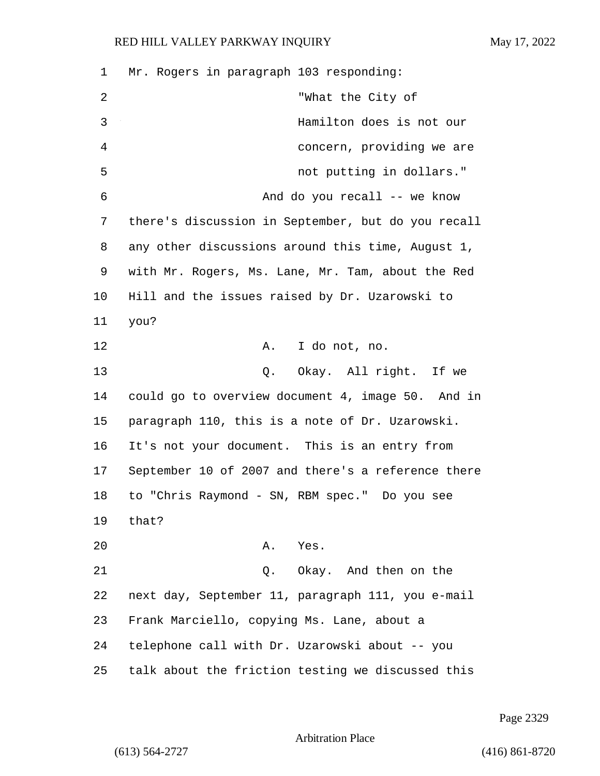| 1  | Mr. Rogers in paragraph 103 responding:            |
|----|----------------------------------------------------|
| 2  | "What the City of                                  |
| 3  | Hamilton does is not our                           |
| 4  | concern, providing we are                          |
| 5  | not putting in dollars."                           |
| 6  | And do you recall -- we know                       |
| 7  | there's discussion in September, but do you recall |
| 8  | any other discussions around this time, August 1,  |
| 9  | with Mr. Rogers, Ms. Lane, Mr. Tam, about the Red  |
| 10 | Hill and the issues raised by Dr. Uzarowski to     |
| 11 | you?                                               |
| 12 | I do not, no.<br>A.                                |
| 13 | Q. Okay. All right. If we                          |
| 14 | could go to overview document 4, image 50. And in  |
| 15 | paragraph 110, this is a note of Dr. Uzarowski.    |
| 16 | It's not your document. This is an entry from      |
| 17 | September 10 of 2007 and there's a reference there |
| 18 | to "Chris Raymond - SN, RBM spec." Do you see      |
| 19 | that?                                              |
| 20 | A. Yes.                                            |
| 21 | Q. Okay. And then on the                           |
| 22 | next day, September 11, paragraph 111, you e-mail  |
| 23 | Frank Marciello, copying Ms. Lane, about a         |
| 24 | telephone call with Dr. Uzarowski about -- you     |
| 25 | talk about the friction testing we discussed this  |

Page 2329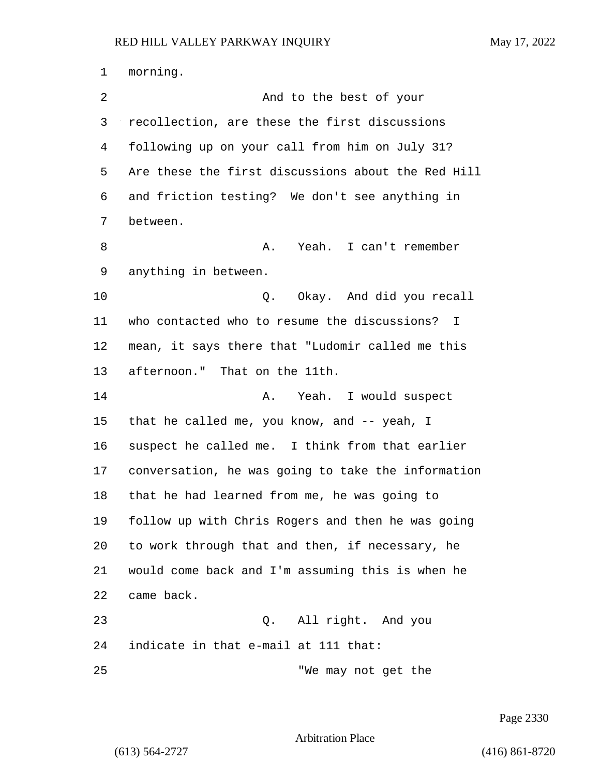morning. 2 And to the best of your recollection, are these the first discussions following up on your call from him on July 31? Are these the first discussions about the Red Hill and friction testing? We don't see anything in between. 8 A. Yeah. I can't remember anything in between. 10 Q. Okay. And did you recall who contacted who to resume the discussions? I mean, it says there that "Ludomir called me this afternoon." That on the 11th. 14 A. Yeah. I would suspect that he called me, you know, and -- yeah, I suspect he called me. I think from that earlier conversation, he was going to take the information that he had learned from me, he was going to follow up with Chris Rogers and then he was going to work through that and then, if necessary, he would come back and I'm assuming this is when he came back. 23 Q. All right. And you indicate in that e-mail at 111 that: 25 TWE may not get the

Page 2330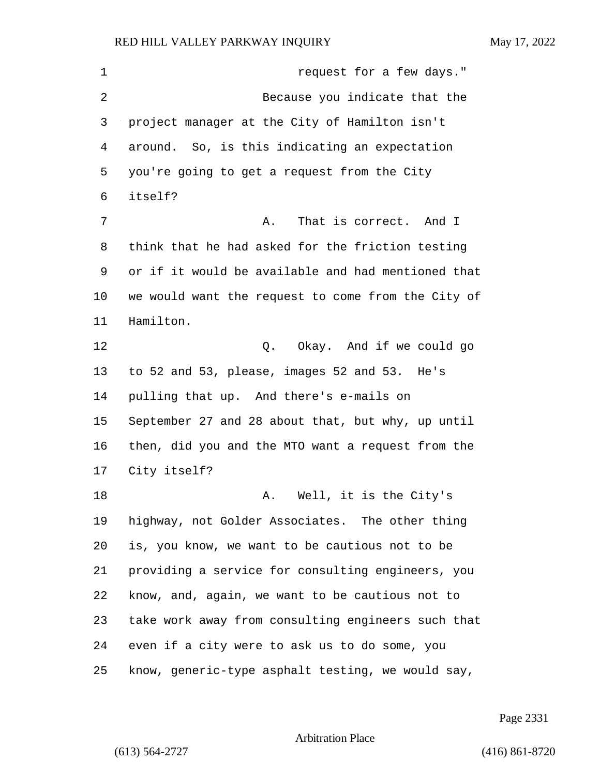**request for a few days.**" 2 Because you indicate that the project manager at the City of Hamilton isn't around. So, is this indicating an expectation you're going to get a request from the City itself? 7 A. That is correct. And I think that he had asked for the friction testing or if it would be available and had mentioned that we would want the request to come from the City of Hamilton. 12 C. Okay. And if we could go to 52 and 53, please, images 52 and 53. He's pulling that up. And there's e-mails on September 27 and 28 about that, but why, up until then, did you and the MTO want a request from the City itself? 18 A. Well, it is the City's highway, not Golder Associates. The other thing is, you know, we want to be cautious not to be providing a service for consulting engineers, you know, and, again, we want to be cautious not to take work away from consulting engineers such that even if a city were to ask us to do some, you know, generic-type asphalt testing, we would say,

Page 2331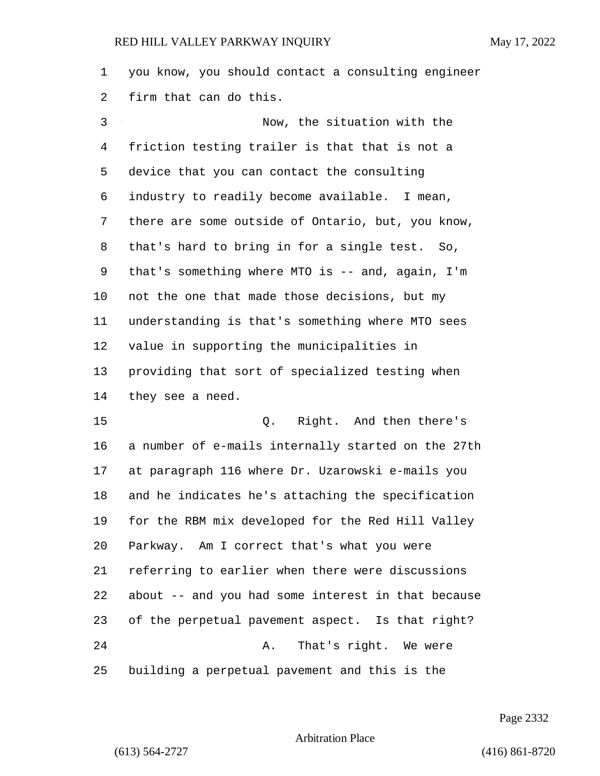you know, you should contact a consulting engineer firm that can do this.

3 Now, the situation with the friction testing trailer is that that is not a device that you can contact the consulting industry to readily become available. I mean, there are some outside of Ontario, but, you know, that's hard to bring in for a single test. So, that's something where MTO is -- and, again, I'm not the one that made those decisions, but my understanding is that's something where MTO sees value in supporting the municipalities in providing that sort of specialized testing when they see a need.

15 Q. Right. And then there's a number of e-mails internally started on the 27th at paragraph 116 where Dr. Uzarowski e-mails you and he indicates he's attaching the specification for the RBM mix developed for the Red Hill Valley Parkway. Am I correct that's what you were referring to earlier when there were discussions about -- and you had some interest in that because of the perpetual pavement aspect. Is that right? 24 A. That's right. We were building a perpetual pavement and this is the

Page 2332

Arbitration Place

(613) 564-2727 (416) 861-8720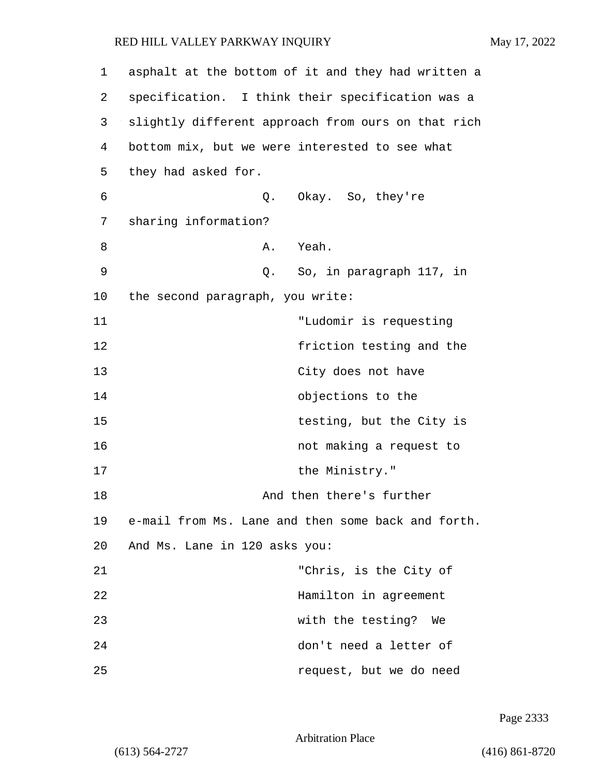1 asphalt at the bottom of it and they had written a 2 specification. I think their specification was a 3 slightly different approach from ours on that rich 4 bottom mix, but we were interested to see what 5 they had asked for. 6 Q. Okay. So, they're 7 sharing information? 8 A. Yeah. 9 Q. So, in paragraph 117, in 10 the second paragraph, you write: 11 "Ludomir is requesting 12 friction testing and the 13 City does not have 14 objections to the 15 testing, but the City is 16 not making a request to 17 the Ministry." 18 And then there's further 19 e-mail from Ms. Lane and then some back and forth. 20 And Ms. Lane in 120 asks you: 21 "Chris, is the City of 22 Hamilton in agreement 23 with the testing? We 24 don't need a letter of 25 request, but we do need

Page 2333

Arbitration Place

(613) 564-2727 (416) 861-8720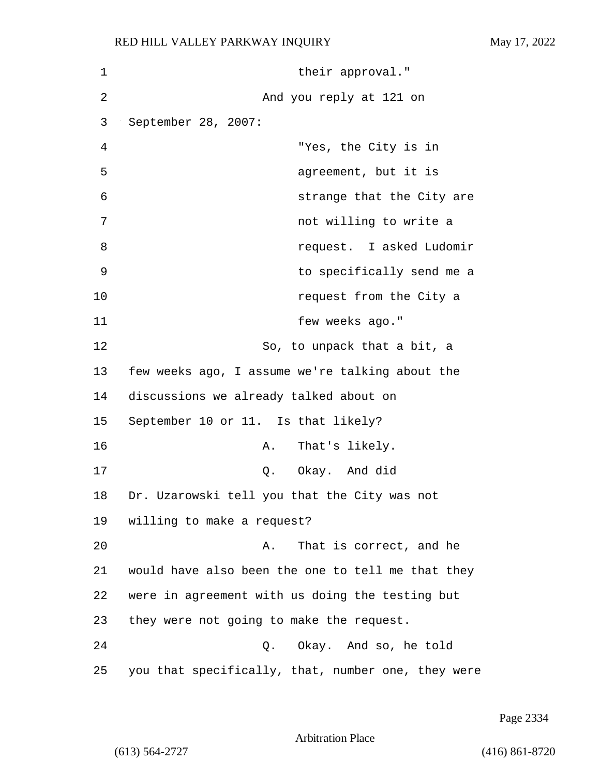1 their approval." 2 And you reply at 121 on 3 September 28, 2007: 4 "Yes, the City is in 5 agreement, but it is 6 strange that the City are 7 not willing to write a 8 request. I asked Ludomir 9 to specifically send me a 10 **request from the City a** 11 few weeks ago." 12 So, to unpack that a bit, a 13 few weeks ago, I assume we're talking about the 14 discussions we already talked about on 15 September 10 or 11. Is that likely? 16 A. That's likely. 17 Q. Okay. And did 18 Dr. Uzarowski tell you that the City was not 19 willing to make a request? 20 A. That is correct, and he 21 would have also been the one to tell me that they 22 were in agreement with us doing the testing but 23 they were not going to make the request. 24 Q. Okay. And so, he told 25 you that specifically, that, number one, they were

Page 2334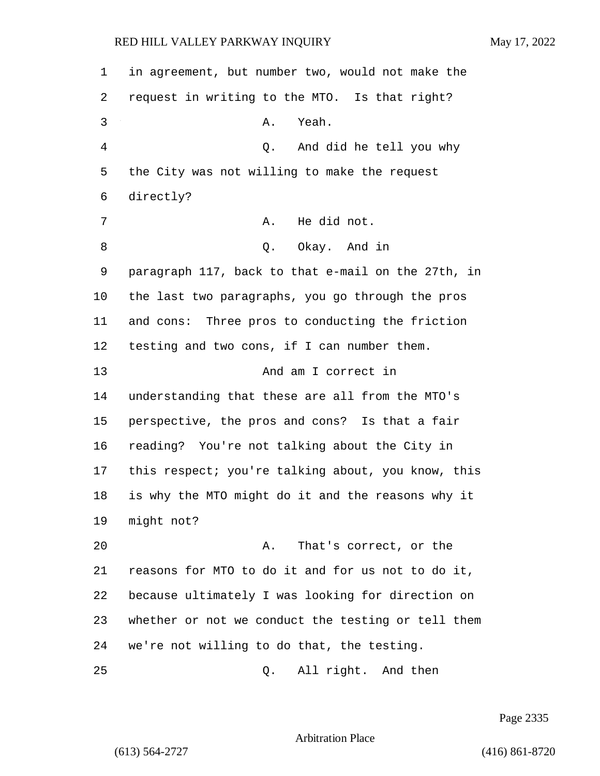| 1  | in agreement, but number two, would not make the   |
|----|----------------------------------------------------|
| 2  | request in writing to the MTO. Is that right?      |
| 3  | Yeah.<br>Α.                                        |
| 4  | Q. And did he tell you why                         |
| 5  | the City was not willing to make the request       |
| 6  | directly?                                          |
| 7  | He did not.<br>Α.                                  |
| 8  | Okay. And in<br>Q.                                 |
| 9  | paragraph 117, back to that e-mail on the 27th, in |
| 10 | the last two paragraphs, you go through the pros   |
| 11 | and cons: Three pros to conducting the friction    |
| 12 | testing and two cons, if I can number them.        |
| 13 | And am I correct in                                |
| 14 | understanding that these are all from the MTO's    |
| 15 | perspective, the pros and cons? Is that a fair     |
| 16 | reading? You're not talking about the City in      |
| 17 | this respect; you're talking about, you know, this |
| 18 | is why the MTO might do it and the reasons why it  |
| 19 | might not?                                         |
| 20 | That's correct, or the<br>Α.                       |
| 21 | reasons for MTO to do it and for us not to do it,  |
| 22 | because ultimately I was looking for direction on  |
| 23 | whether or not we conduct the testing or tell them |
| 24 | we're not willing to do that, the testing.         |
| 25 | All right. And then<br>Q.                          |

Page 2335